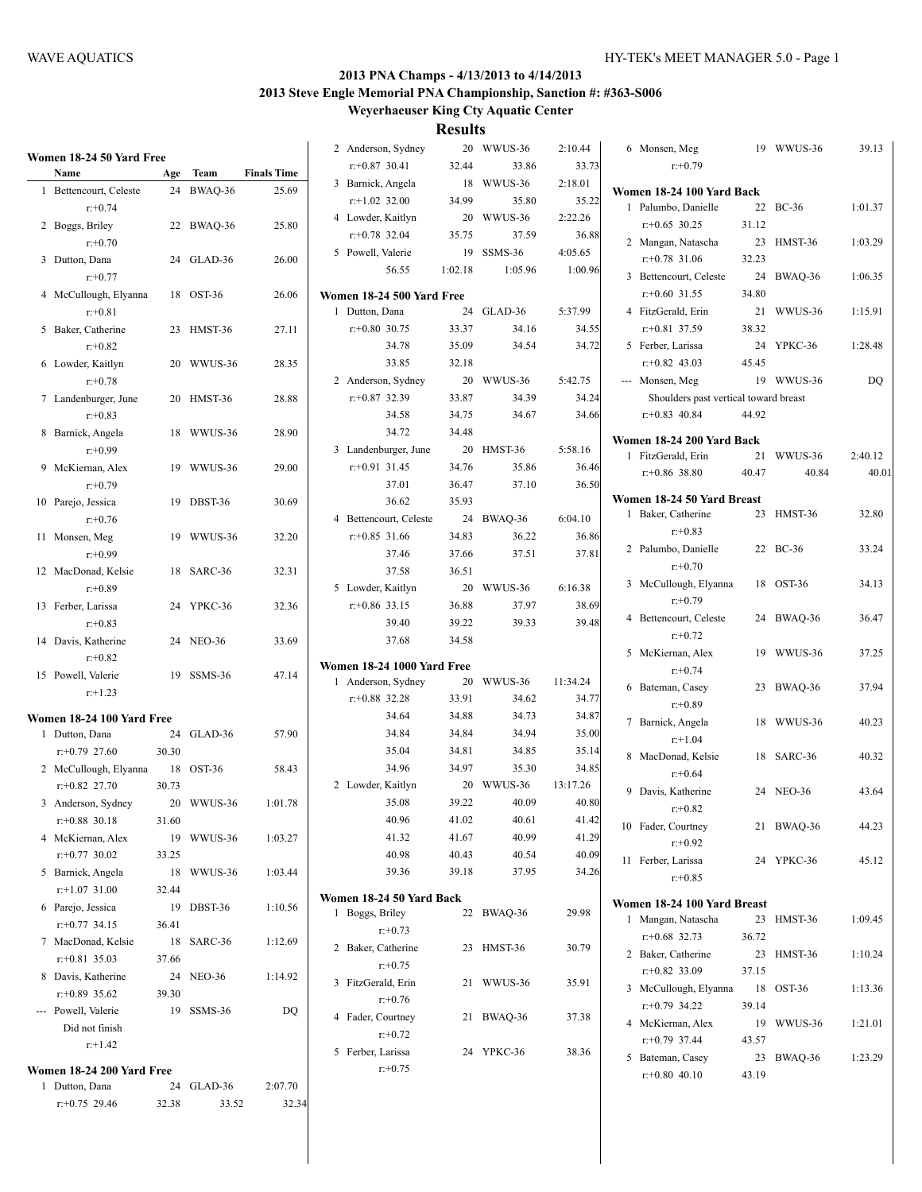| Women 18-24 50 Yard Free  |       |            |                    | 2 Anderson, Sydney         |                | 20 WWUS-36     | 2:10.44        | 6 Monsen, Meg                                     |       | 19 WWUS-36 | 39.13   |
|---------------------------|-------|------------|--------------------|----------------------------|----------------|----------------|----------------|---------------------------------------------------|-------|------------|---------|
| Name                      | Age   | Team       | <b>Finals Time</b> | $r+0.87$ 30.41             | 32.44          | 33.86          | 33.73          | $r+0.79$                                          |       |            |         |
| 1 Bettencourt, Celeste    |       | 24 BWAQ-36 | 25.69              | 3 Barnick, Angela          |                | 18 WWUS-36     | 2:18.01        | Women 18-24 100 Yard Back                         |       |            |         |
| $r: +0.74$                |       |            |                    | $r+1.02$ 32.00             | 34.99          | 35.80          | 35.22          | 1 Palumbo, Danielle                               |       | 22 BC-36   | 1:01.37 |
| 2 Boggs, Briley           |       | 22 BWAQ-36 | 25.80              | 4 Lowder, Kaitlyn          | 20             | WWUS-36        | 2:22.26        | $r+0.65$ 30.25                                    | 31.12 |            |         |
| $r: +0.70$                |       |            |                    | $r+0.78$ 32.04             | 35.75          | 37.59          | 36.88          | 2 Mangan, Natascha                                |       | 23 HMST-36 | 1:03.29 |
|                           |       |            |                    | 5 Powell, Valerie          |                | 19 SSMS-36     | 4:05.65        | $r+0.78$ 31.06                                    | 32.23 |            |         |
| 3 Dutton, Dana            |       | 24 GLAD-36 | 26.00              | 56.55                      | 1:02.18        | 1:05.96        | 1:00.96        |                                                   |       |            |         |
| $r: +0.77$                |       |            |                    |                            |                |                |                | 3 Bettencourt, Celeste                            |       | 24 BWAQ-36 | 1:06.35 |
| 4 McCullough, Elyanna     |       | 18 OST-36  | 26.06              | Women 18-24 500 Yard Free  |                |                |                | $r+0.60$ 31.55                                    | 34.80 |            |         |
| $r: +0.81$                |       |            |                    | 1 Dutton, Dana             |                | 24 GLAD-36     | 5:37.99        | 4 FitzGerald, Erin                                |       | 21 WWUS-36 | 1:15.91 |
| 5 Baker, Catherine        |       | 23 HMST-36 | 27.11              | $r: +0.80$ 30.75           | 33.37          | 34.16          | 34.55          | $r+0.81$ 37.59                                    | 38.32 |            |         |
| $r: +0.82$                |       |            |                    | 34.78                      | 35.09          | 34.54          | 34.72          | 5 Ferber, Larissa                                 |       | 24 YPKC-36 | 1:28.48 |
| 6 Lowder, Kaitlyn         |       | 20 WWUS-36 | 28.35              | 33.85                      | 32.18          |                |                | $r+0.82$ 43.03                                    | 45.45 |            |         |
| $r+0.78$                  |       |            |                    | 2 Anderson, Sydney         |                | 20 WWUS-36     | 5:42.75        | --- Monsen, Meg                                   |       | 19 WWUS-36 | DQ      |
| 7 Landenburger, June      |       | 20 HMST-36 | 28.88              | $r+0.87$ 32.39             | 33.87          | 34.39          | 34.24          | Shoulders past vertical toward breast             |       |            |         |
| $r: +0.83$                |       |            |                    | 34.58                      | 34.75          | 34.67          | 34.66          | $r+0.83$ 40.84                                    | 44.92 |            |         |
| 8 Barnick, Angela         |       | 18 WWUS-36 | 28.90              | 34.72                      | 34.48          |                |                | Women 18-24 200 Yard Back                         |       |            |         |
| $r: +0.99$                |       |            |                    | 3 Landenburger, June       |                | 20 HMST-36     | 5:58.16        | 1 FitzGerald, Erin                                |       | 21 WWUS-36 | 2:40.12 |
| 9 McKiernan, Alex         |       | 19 WWUS-36 | 29.00              | $r+0.91$ 31.45             | 34.76          | 35.86          | 36.46          | $r+0.86$ 38.80                                    | 40.47 | 40.84      | 40.01   |
| $r: +0.79$                |       |            |                    | 37.01                      | 36.47          | 37.10          | 36.50          |                                                   |       |            |         |
| 10 Parejo, Jessica        |       | 19 DBST-36 | 30.69              | 36.62                      | 35.93          |                |                | Women 18-24 50 Yard Breast                        |       |            |         |
| $r: +0.76$                |       |            |                    | 4 Bettencourt, Celeste     |                | 24 BWAQ-36     | 6:04.10        | 1 Baker, Catherine                                |       | 23 HMST-36 | 32.80   |
| 11 Monsen, Meg            |       | 19 WWUS-36 | 32.20              | $r+0.85$ 31.66             | 34.83          | 36.22          | 36.86          | $r: +0.83$                                        |       |            |         |
| $r: +0.99$                |       |            |                    | 37.46                      | 37.66          | 37.51          | 37.81          | 2 Palumbo, Danielle                               |       | 22 BC-36   | 33.24   |
| 12 MacDonad, Kelsie       |       | 18 SARC-36 | 32.31              | 37.58                      | 36.51          |                |                | $r: +0.70$                                        |       |            |         |
| $r: +0.89$                |       |            |                    | 5 Lowder, Kaitlyn          |                | 20 WWUS-36     | 6:16.38        | 3 McCullough, Elyanna                             |       | 18 OST-36  | 34.13   |
| 13 Ferber, Larissa        |       | 24 YPKC-36 | 32.36              | $r+0.86$ 33.15             | 36.88          | 37.97          | 38.69          | $r: +0.79$                                        |       |            |         |
| $r: +0.83$                |       |            |                    | 39.40                      | 39.22          | 39.33          | 39.48          | 4 Bettencourt, Celeste                            |       | 24 BWAQ-36 | 36.47   |
| 14 Davis, Katherine       |       | 24 NEO-36  | 33.69              | 37.68                      | 34.58          |                |                | $r: +0.72$                                        |       |            |         |
| $r: +0.82$                |       |            |                    |                            |                |                |                | 5 McKiernan, Alex                                 |       | 19 WWUS-36 | 37.25   |
| 15 Powell, Valerie        |       | 19 SSMS-36 | 47.14              | Women 18-24 1000 Yard Free |                | 20 WWUS-36     | 11:34.24       | $r + 0.74$                                        |       |            |         |
| $r+1.23$                  |       |            |                    | 1 Anderson, Sydney         |                |                |                | 6 Bateman, Casey                                  |       | 23 BWAQ-36 | 37.94   |
|                           |       |            |                    | $r+0.88$ 32.28<br>34.64    | 33.91<br>34.88 | 34.62<br>34.73 | 34.77<br>34.87 | $r: +0.89$                                        |       |            |         |
| Women 18-24 100 Yard Free |       |            |                    | 34.84                      |                |                |                | 7 Barnick, Angela                                 |       | 18 WWUS-36 | 40.23   |
| 1 Dutton, Dana            |       | 24 GLAD-36 | 57.90              |                            | 34.84          | 34.94          | 35.00          | $r+1.04$                                          |       |            |         |
| $r: +0.79$ 27.60          | 30.30 |            |                    | 35.04<br>34.96             | 34.81          | 34.85          | 35.14          | 8 MacDonad, Kelsie                                |       | 18 SARC-36 | 40.32   |
| 2 McCullough, Elyanna     |       | 18 OST-36  | 58.43              |                            | 34.97          | 35.30          | 34.85          | $r + 0.64$                                        |       |            |         |
| $r: +0.82$ 27.70          | 30.73 |            |                    | 2 Lowder, Kaitlyn          |                | 20 WWUS-36     | 13:17.26       | 9 Davis, Katherine                                |       | 24 NEO-36  | 43.64   |
| 3 Anderson, Sydney        |       | 20 WWUS-36 | 1:01.78            | 35.08                      | 39.22          | 40.09          | 40.80          | $r: +0.82$                                        |       |            |         |
| $r: +0.88$ 30.18          | 31.60 |            |                    | 40.96                      | 41.02          | 40.61          | 41.42          | 10 Fader, Courtney                                |       | 21 BWAQ-36 | 44.23   |
| 4 McKiernan, Alex         |       | 19 WWUS-36 | 1:03.27            | 41.32                      | 41.67          | 40.99          | 41.29          | $r: +0.92$                                        |       |            |         |
| $r: +0.77$ 30.02          | 33.25 |            |                    | 40.98                      | 40.43          | 40.54          | 40.09          | 11 Ferber, Larissa                                |       | 24 YPKC-36 | 45.12   |
| 5 Barnick, Angela         |       | 18 WWUS-36 | 1:03.44            | 39.36                      | 39.18          | 37.95          | 34.26          | $r + 0.85$                                        |       |            |         |
| $r$ :+1.07 31.00          | 32.44 |            |                    | Women 18-24 50 Yard Back   |                |                |                |                                                   |       |            |         |
| 6 Parejo, Jessica         |       | 19 DBST-36 | 1:10.56            | 1 Boggs, Briley            |                | 22 BWAQ-36     | 29.98          | Women 18-24 100 Yard Breast<br>1 Mangan, Natascha |       | 23 HMST-36 | 1:09.45 |
| $r: +0.77$ 34.15          | 36.41 |            |                    | $r+0.73$                   |                |                |                |                                                   |       |            |         |
| 7 MacDonad, Kelsie        |       | 18 SARC-36 | 1:12.69            | 2 Baker, Catherine         |                | 23 HMST-36     | 30.79          | $r+0.68$ 32.73                                    | 36.72 |            |         |
| $r: +0.81$ 35.03          | 37.66 |            |                    | $r: +0.75$                 |                |                |                | 2 Baker, Catherine                                |       | 23 HMST-36 | 1:10.24 |
| 8 Davis, Katherine        |       | 24 NEO-36  | 1:14.92            | 3 FitzGerald, Erin         |                | 21 WWUS-36     | 35.91          | $r+0.82$ 33.09                                    | 37.15 |            |         |
| $r: +0.89$ 35.62          | 39.30 |            |                    | $r+0.76$                   |                |                |                | 3 McCullough, Elyanna                             |       | 18 OST-36  | 1:13.36 |
| --- Powell, Valerie       |       | 19 SSMS-36 | DQ                 | 4 Fader, Courtney          |                | 21 BWAQ-36     | 37.38          | $r+0.79$ 34.22                                    | 39.14 |            |         |
| Did not finish            |       |            |                    | $r: +0.72$                 |                |                |                | 4 McKiernan, Alex                                 |       | 19 WWUS-36 | 1:21.01 |
| $r+1.42$                  |       |            |                    | 5 Ferber, Larissa          |                | 24 YPKC-36     | 38.36          | $r+0.79$ 37.44                                    | 43.57 |            |         |
| Women 18-24 200 Yard Free |       |            |                    | $r+0.75$                   |                |                |                | 5 Bateman, Casey                                  |       | 23 BWAQ-36 | 1:23.29 |
| 1 Dutton, Dana            |       | 24 GLAD-36 | 2:07.70            |                            |                |                |                | $r+0.80$ 40.10                                    | 43.19 |            |         |
| $r+0.75$ 29.46            | 32.38 | 33.52      | 32.34              |                            |                |                |                |                                                   |       |            |         |
|                           |       |            |                    |                            |                |                |                |                                                   |       |            |         |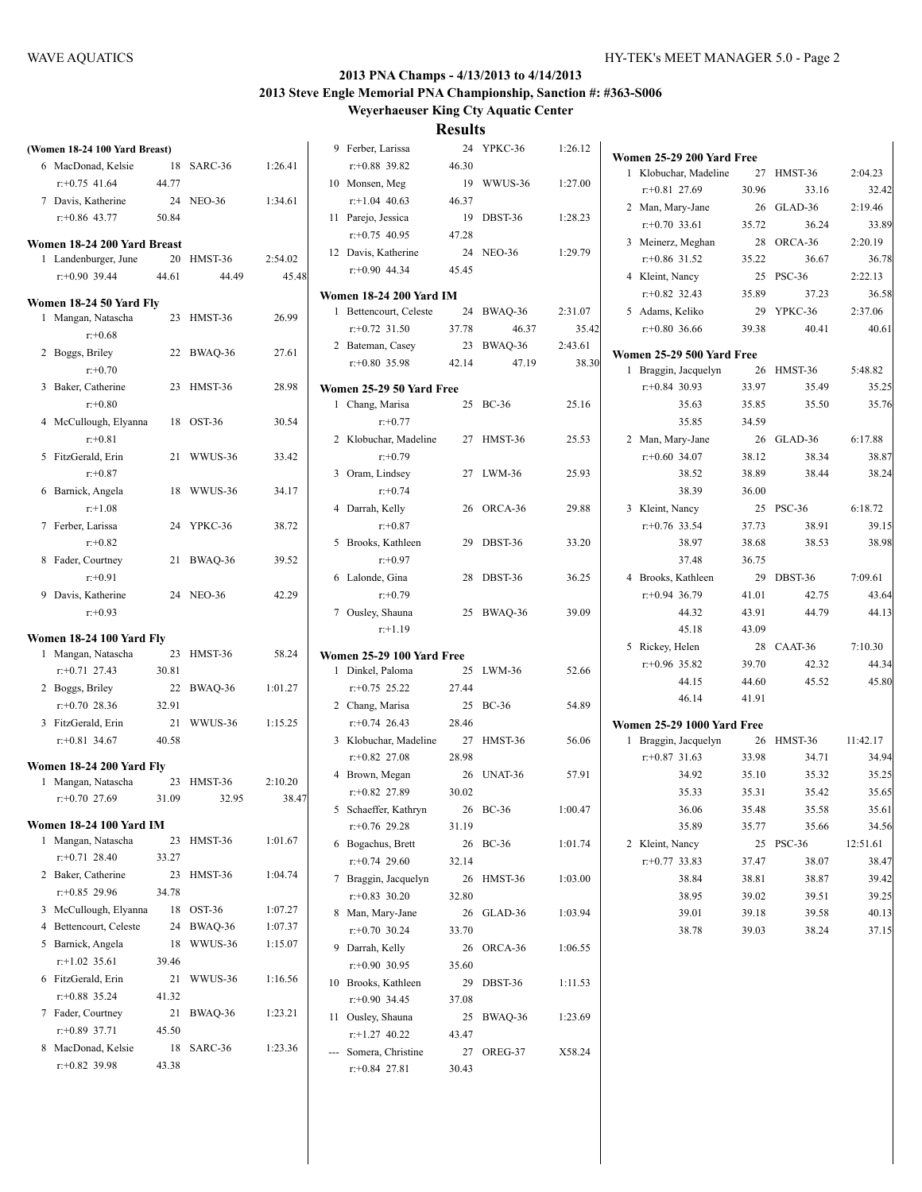| (Women 18-24 100 Yard Breast)  |       |            |         |     | 9 Ferber, Larissa              |       | 24 YPKC-36 | 1:26.12 |  |
|--------------------------------|-------|------------|---------|-----|--------------------------------|-------|------------|---------|--|
| 6 MacDonad, Kelsie             |       | 18 SARC-36 | 1:26.41 |     | $r+0.88$ 39.82                 | 46.30 |            |         |  |
| $r: +0.75$ 41.64               | 44.77 |            |         |     | 10 Monsen, Meg                 | 19    | WWUS-36    | 1:27.00 |  |
| 7 Davis, Katherine             |       | 24 NEO-36  | 1:34.61 |     | $r+1.04$ 40.63                 | 46.37 |            |         |  |
| $r: +0.86$ 43.77               | 50.84 |            |         |     | 11 Parejo, Jessica             | 19    | DBST-36    | 1:28.23 |  |
|                                |       |            |         |     | $r+0.75$ 40.95                 | 47.28 |            |         |  |
| Women 18-24 200 Yard Breast    |       |            |         |     | 12 Davis, Katherine            |       | 24 NEO-36  | 1:29.79 |  |
| 1 Landenburger, June           |       | 20 HMST-36 | 2:54.02 |     | $r+0.90$ 44.34                 | 45.45 |            |         |  |
| $r: +0.90$ 39.44               | 44.61 | 44.49      | 45.48   |     |                                |       |            |         |  |
| Women 18-24 50 Yard Fly        |       |            |         |     | <b>Women 18-24 200 Yard IM</b> |       |            |         |  |
| 1 Mangan, Natascha             |       | 23 HMST-36 | 26.99   |     | 1 Bettencourt, Celeste         |       | 24 BWAQ-36 | 2:31.07 |  |
| $r+0.68$                       |       |            |         |     | $r: +0.72$ 31.50               | 37.78 | 46.37      | 35.42   |  |
| 2 Boggs, Briley                |       | 22 BWAQ-36 | 27.61   |     | 2 Bateman, Casey               | 23    | BWAQ-36    | 2:43.61 |  |
| $r: +0.70$                     |       |            |         |     | $r+0.80$ 35.98                 | 42.14 | 47.19      | 38.30   |  |
| 3 Baker, Catherine             |       | 23 HMST-36 | 28.98   |     | Women 25-29 50 Yard Free       |       |            |         |  |
| $r: +0.80$                     |       |            |         |     | 1 Chang, Marisa                |       | 25 BC-36   | 25.16   |  |
| 4 McCullough, Elyanna          |       | 18 OST-36  | 30.54   |     | $r: +0.77$                     |       |            |         |  |
| $r: +0.81$                     |       |            |         |     | 2 Klobuchar, Madeline          |       | 27 HMST-36 | 25.53   |  |
| 5 FitzGerald, Erin             |       | 21 WWUS-36 | 33.42   |     | $r: +0.79$                     |       |            |         |  |
| $r: +0.87$                     |       |            |         |     | 3 Oram, Lindsey                |       | 27 LWM-36  | 25.93   |  |
| 6 Barnick, Angela              |       | 18 WWUS-36 | 34.17   |     | $r: +0.74$                     |       |            |         |  |
| $r+1.08$                       |       |            |         |     | 4 Darrah, Kelly                |       | 26 ORCA-36 | 29.88   |  |
| 7 Ferber, Larissa              |       | 24 YPKC-36 | 38.72   |     | $r: +0.87$                     |       |            |         |  |
| $r: +0.82$                     |       |            |         |     | 5 Brooks, Kathleen             |       | 29 DBST-36 | 33.20   |  |
| 8 Fader, Courtney              |       | 21 BWAQ-36 | 39.52   |     | $r: +0.97$                     |       |            |         |  |
| $r: +0.91$                     |       |            |         |     | 6 Lalonde, Gina                |       | 28 DBST-36 | 36.25   |  |
| 9 Davis, Katherine             |       | 24 NEO-36  | 42.29   |     | $r: +0.79$                     |       |            |         |  |
| $r: +0.93$                     |       |            |         |     | 7 Ousley, Shauna               |       | 25 BWAQ-36 | 39.09   |  |
|                                |       |            |         |     | $r: +1.19$                     |       |            |         |  |
| Women 18-24 100 Yard Fly       |       |            |         |     |                                |       |            |         |  |
| 1 Mangan, Natascha             |       | 23 HMST-36 | 58.24   |     | Women 25-29 100 Yard Free      |       |            |         |  |
| $r+0.71$ 27.43                 | 30.81 |            |         |     | 1 Dinkel, Paloma               |       | 25 LWM-36  | 52.66   |  |
| 2 Boggs, Briley                |       | 22 BWAQ-36 | 1:01.27 |     | $r+0.75$ 25.22                 | 27.44 |            |         |  |
| $r: +0.70$ 28.36               | 32.91 |            |         |     | 2 Chang, Marisa                |       | 25 BC-36   | 54.89   |  |
| 3 FitzGerald, Erin             | 21    | WWUS-36    | 1:15.25 |     | $r+0.74$ 26.43                 | 28.46 |            |         |  |
| $r: +0.81$ 34.67               | 40.58 |            |         |     | 3 Klobuchar, Madeline          |       | 27 HMST-36 | 56.06   |  |
| Women 18-24 200 Yard Fly       |       |            |         |     | $r: +0.82$ 27.08               | 28.98 |            |         |  |
| 1 Mangan, Natascha             |       | 23 HMST-36 | 2:10.20 |     | 4 Brown, Megan                 |       | 26 UNAT-36 | 57.91   |  |
| $r: +0.70$ 27.69               | 31.09 | 32.95      | 38.47   |     | $r+0.82$ 27.89                 | 30.02 |            |         |  |
|                                |       |            |         |     | 5 Schaeffer, Kathryn           |       | 26 BC-36   | 1:00.47 |  |
| <b>Women 18-24 100 Yard IM</b> |       |            |         |     | $r+0.76$ 29.28                 | 31.19 |            |         |  |
| 1 Mangan, Natascha             |       | 23 HMST-36 | 1:01.67 |     | 6 Bogachus, Brett              |       | 26 BC-36   | 1:01.74 |  |
| $r: +0.71$ 28.40               | 33.27 |            |         |     | $r+0.74$ 29.60                 | 32.14 |            |         |  |
| 2 Baker, Catherine             | 23    | HMST-36    | 1:04.74 |     | 7 Braggin, Jacquelyn           | 26    | HMST-36    | 1:03.00 |  |
| $r+0.85$ 29.96                 | 34.78 |            |         |     | $r+0.83$ 30.20                 | 32.80 |            |         |  |
| 3 McCullough, Elyanna          | 18    | OST-36     | 1:07.27 |     | 8 Man, Mary-Jane               | 26    | GLAD-36    | 1:03.94 |  |
| 4 Bettencourt, Celeste         | 24    | BWAQ-36    | 1:07.37 |     | $r+0.70$ 30.24                 | 33.70 |            |         |  |
| 5 Barnick, Angela              | 18    | WWUS-36    | 1:15.07 |     | 9 Darrah, Kelly                | 26    | ORCA-36    | 1:06.55 |  |
| $r.+1.02$ 35.61                | 39.46 |            |         |     | $r+0.90$ 30.95                 | 35.60 |            |         |  |
| 6 FitzGerald, Erin             | 21    | WWUS-36    | 1:16.56 |     | 10 Brooks, Kathleen            | 29    | DBST-36    | 1:11.53 |  |
| $r+0.88$ 35.24                 | 41.32 |            |         |     | $r+0.90$ 34.45                 | 37.08 |            |         |  |
| 7 Fader, Courtney              | 21    | BWAQ-36    | 1:23.21 |     | 11 Ousley, Shauna              | 25    | BWAQ-36    | 1:23.69 |  |
| $r: +0.89$ 37.71               | 45.50 |            |         |     | $r+1.27$ 40.22                 | 43.47 |            |         |  |
| 8 MacDonad, Kelsie             |       | 18 SARC-36 | 1:23.36 | --- | Somera, Christine              | 27    | OREG-37    | X58.24  |  |
| $r+0.82$ 39.98                 | 43.38 |            |         |     | $r+0.84$ 27.81                 | 30.43 |            |         |  |
|                                |       |            |         |     |                                |       |            |         |  |

|      | $r+0.88$ 39.82                                 | 46.30 |            |         | W١ |
|------|------------------------------------------------|-------|------------|---------|----|
|      | 10 Monsen, Meg                                 | 19    | WWUS-36    | 1:27.00 |    |
|      | $r+1.04$ 40.63                                 | 46.37 |            |         |    |
| 11   | Parejo, Jessica                                | 19    | DBST-36    | 1:28.23 |    |
|      | $r+0.75$ 40.95                                 | 47.28 |            |         |    |
|      | 12 Davis, Katherine                            |       | 24 NEO-36  | 1:29.79 |    |
|      | $r+0.90$ 44.34                                 | 45.45 |            |         |    |
|      |                                                |       |            |         |    |
|      | Women 18-24 200 Yard IM                        |       |            |         |    |
| 1    | Bettencourt, Celeste 24 BWAQ-36                |       |            | 2:31.07 |    |
|      | $r+0.72$ 31.50                                 | 37.78 | 46.37      | 35.42   |    |
|      | 2 Bateman, Casey                               |       | 23 BWAQ-36 | 2:43.61 | W۱ |
|      | $r+0.80$ 35.98                                 | 42.14 | 47.19      | 38.30   |    |
|      | Women 25-29 50 Yard Free                       |       |            |         |    |
|      | 1 Chang, Marisa                                |       | 25 BC-36   | 25.16   |    |
|      | $r + 0.77$                                     |       |            |         |    |
|      | 2 Klobuchar, Madeline 27 HMST-36<br>$r: +0.79$ |       |            | 25.53   |    |
|      | 3 Oram, Lindsey<br>$r + 0.74$                  |       | 27 LWM-36  | 25.93   |    |
|      | 4 Darrah, Kelly<br>$r: +0.87$                  |       | 26 ORCA-36 | 29.88   |    |
|      | 5 Brooks, Kathleen<br>$r: +0.97$               |       | 29 DBST-36 | 33.20   |    |
|      | 6 Lalonde, Gina<br>$r: +0.79$                  |       | 28 DBST-36 | 36.25   |    |
|      | 7 Ousley, Shauna<br>$r: +1.19$                 |       | 25 BWAQ-36 | 39.09   |    |
|      |                                                |       |            |         |    |
| 1    | Women 25-29 100 Yard Free<br>Dinkel, Paloma    | 25    | LWM-36     | 52.66   |    |
|      | $r+0.75$ 25.22                                 | 27.44 |            |         |    |
|      |                                                | 25    | $BC-36$    | 54.89   |    |
|      | 2 Chang, Marisa<br>$r+0.74$ 26.43              | 28.46 |            |         |    |
|      | 3 Klobuchar, Madeline                          |       | 27 HMST-36 | 56.06   | W  |
|      | $r+0.82$ 27.08                                 | 28.98 |            |         |    |
|      | 4 Brown, Megan                                 | 26    | UNAT-36    | 57.91   |    |
|      | $r+0.82$ 27.89                                 | 30.02 |            |         |    |
|      | 5 Schaeffer, Kathryn                           | 26    | $BC-36$    | 1:00.47 |    |
|      | $r+0.76$ 29.28                                 | 31.19 |            |         |    |
|      | 6 Bogachus, Brett                              | 26    | BC-36      | 1:01.74 |    |
|      | $r+0.74$ 29.60                                 | 32.14 |            |         |    |
| 7    | Braggin, Jacquelyn                             | 26    | HMST-36    | 1:03.00 |    |
|      | $r+0.83$ 30.20                                 | 32.80 |            |         |    |
| 8    | Man, Mary-Jane                                 | 26    | GLAD-36    | 1:03.94 |    |
|      | $r+0.70$ 30.24                                 | 33.70 |            |         |    |
| 9    | Darrah, Kelly                                  | 26    | ORCA-36    | 1:06.55 |    |
|      | $r+0.90$ 30.95                                 | 35.60 |            |         |    |
| 10   | Brooks, Kathleen                               | 29    | DBST-36    | 1:11.53 |    |
|      | $r+0.90$ 34.45                                 | 37.08 |            |         |    |
| 11 - | Ousley, Shauna                                 | 25    | BWAQ-36    | 1:23.69 |    |
|      | $r+1.27$ 40.22                                 | 43.47 |            |         |    |
| ---  | Somera, Christine                              | 27    | OREG-37    | X58.24  |    |
|      | $r: +0.84$ 27.81                               | 30.43 |            |         |    |
|      |                                                |       |            |         |    |

|   | Women 25-29 200 Yard Free         |       |               |          |
|---|-----------------------------------|-------|---------------|----------|
| 1 | Klobuchar, Madeline               |       | 27 HMST-36    | 2:04.23  |
|   | $r+0.81$ 27.69                    | 30.96 | 33.16         | 32.42    |
|   | 2 Man, Mary-Jane                  |       | 26 GLAD-36    | 2:19.46  |
|   | $r: +0.70$ 33.61                  | 35.72 | 36.24         | 33.89    |
|   | 3 Meinerz, Meghan                 |       | 28 ORCA-36    | 2:20.19  |
|   | $r$ : +0.86 31.52                 | 35.22 | 36.67         | 36.78    |
|   | 4 Kleint, Nancy                   |       | 25 PSC-36     | 2:22.13  |
|   | $r+0.82$ 32.43                    | 35.89 | 37.23         | 36.58    |
|   | 5 Adams, Keliko                   | 29    | YPKC-36       | 2:37.06  |
|   | $r+0.80$ 36.66                    | 39.38 | 40.41         | 40.61    |
|   |                                   |       |               |          |
|   | Women 25-29 500 Yard Free         |       |               |          |
| 1 | Braggin, Jacquelyn                | 26    | HMST-36       | 5:48.82  |
|   | $r: +0.84$ 30.93                  | 33.97 | 35.49         | 35.25    |
|   | 35.63                             | 35.85 | 35.50         | 35.76    |
|   | 35.85                             | 34.59 |               |          |
|   | 2 Man, Mary-Jane                  | 26    | GLAD-36       | 6:17.88  |
|   | $r: +0.60$ 34.07                  | 38.12 | 38.34         | 38.87    |
|   | 38.52                             | 38.89 | 38.44         | 38.24    |
|   | 38.39                             | 36.00 |               |          |
|   | 3 Kleint, Nancy                   | 25    | <b>PSC-36</b> | 6:18.72  |
|   | $r+0.76$ 33.54                    | 37.73 | 38.91         | 39.15    |
|   | 38.97                             | 38.68 | 38.53         | 38.98    |
|   | 37.48                             | 36.75 |               |          |
|   | 4 Brooks, Kathleen                | 29    | DBST-36       | 7:09.61  |
|   | $r: +0.94$ 36.79                  | 41.01 | 42.75         | 43.64    |
|   | 44.32                             | 43.91 | 44.79         | 44.13    |
|   | 45.18                             | 43.09 |               |          |
|   | 5 Rickey, Helen                   | 28    | CAAT-36       | 7:10.30  |
|   | $r+0.96$ 35.82                    | 39.70 | 42.32         | 44.34    |
|   | 44.15                             | 44.60 | 45.52         | 45.80    |
|   | 46.14                             | 41.91 |               |          |
|   | <b>Women 25-29 1000 Yard Free</b> |       |               |          |
| 1 | Braggin, Jacquelyn                | 26    | HMST-36       | 11:42.17 |
|   | $r+0.87$ 31.63                    | 33.98 | 34.71         | 34.94    |
|   | 34.92                             | 35.10 | 35.32         | 35.25    |
|   | 35.33                             | 35.31 | 35.42         | 35.65    |
|   | 36.06                             | 35.48 | 35.58         | 35.61    |
|   | 35.89                             | 35.77 | 35.66         | 34.56    |
| 2 | Kleint, Nancy                     | 25    | <b>PSC-36</b> | 12:51.61 |
|   | $r: +0.77$ 33.83                  | 37.47 | 38.07         | 38.47    |
|   | 38.84                             | 38.81 | 38.87         | 39.42    |
|   | 38.95                             | 39.02 | 39.51         | 39.25    |
|   | 39.01                             | 39.18 | 39.58         | 40.13    |
|   | 38.78                             | 39.03 | 38.24         | 37.15    |
|   |                                   |       |               |          |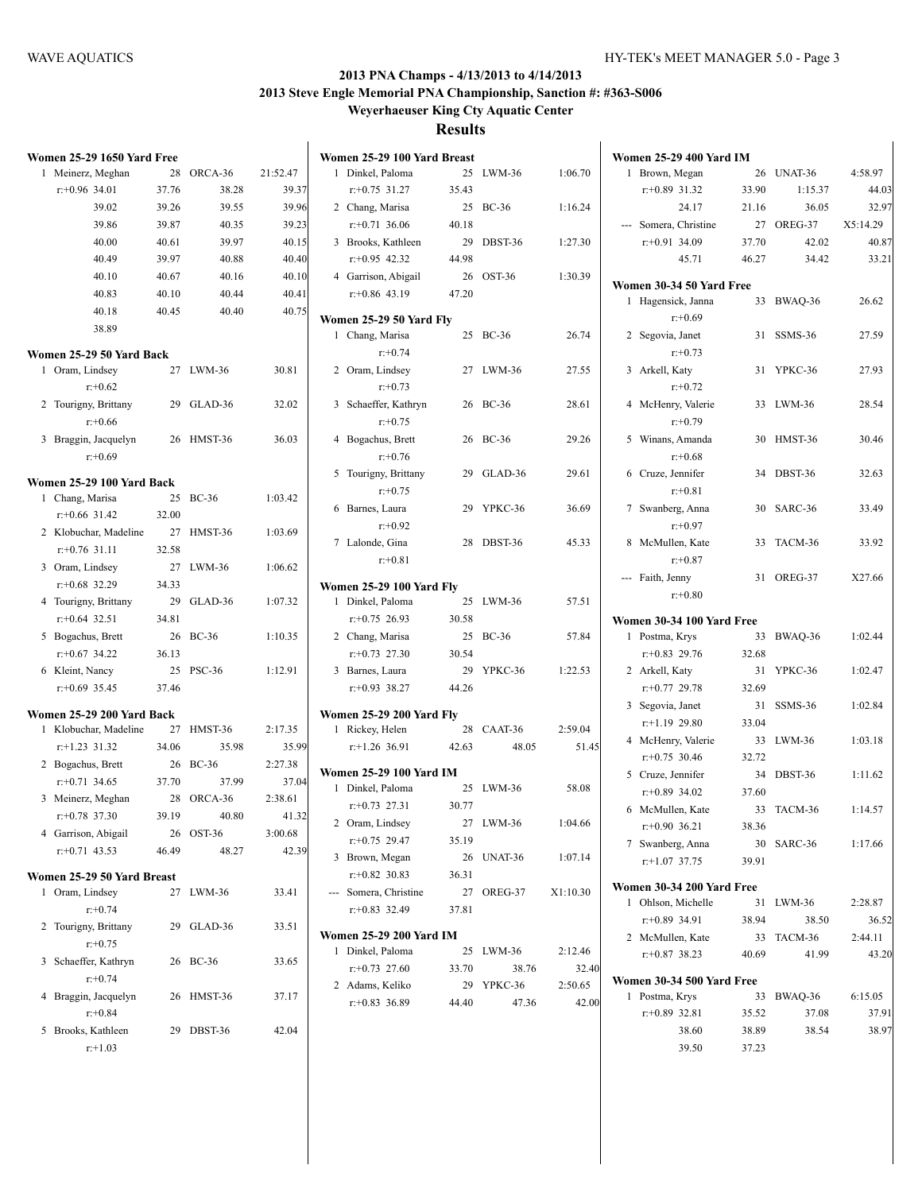|   | Women 25-29 1650 Yard Free |       |               |          | Wom      |
|---|----------------------------|-------|---------------|----------|----------|
| 1 | Meinerz, Meghan            | 28    | ORCA-36       | 21:52.47 | 1        |
|   | $r: +0.96$ 34.01           | 37.76 | 38.28         | 39.37    |          |
|   | 39.02                      | 39.26 | 39.55         | 39.96    | 2        |
|   | 39.86                      | 39.87 | 40.35         | 39.23    |          |
|   | 40.00                      | 40.61 | 39.97         | 40.15    | 3        |
|   | 40.49                      | 39.97 | 40.88         | 40.40    |          |
|   | 40.10                      | 40.67 | 40.16         | 40.10    | 4        |
|   | 40.83                      | 40.10 | 40.44         | 40.41    |          |
|   | 40.18                      | 40.45 | 40.40         | 40.75    |          |
|   | 38.89                      |       |               |          | Wom      |
|   |                            |       |               |          | 1        |
|   | Women 25-29 50 Yard Back   |       |               |          |          |
| 1 | Oram, Lindsey              | 27    | $LWM-36$      | 30.81    | 2        |
|   | $r + 0.62$                 |       |               |          |          |
|   | 2 Tourigny, Brittany       | 29    | GLAD-36       | 32.02    | 3        |
|   | $r: +0.66$                 |       |               |          |          |
|   | 3 Braggin, Jacquelyn       | 26    | HMST-36       | 36.03    | 4        |
|   | $r + 0.69$                 |       |               |          |          |
|   | Women 25-29 100 Yard Back  |       |               |          | 5        |
|   | 1 Chang, Marisa            | 25    | $BC-36$       | 1:03.42  | 6        |
|   | $r: +0.66$ 31.42           | 32.00 |               |          |          |
|   | 2 Klobuchar, Madeline      | 27    | HMST-36       | 1:03.69  | 7        |
|   | $r+0.76$ 31.11             | 32.58 |               |          |          |
|   | 3 Oram, Lindsey            | 27    | LWM-36        | 1:06.62  |          |
|   | $r: +0.68$ 32.29           | 34.33 |               |          | Wom      |
|   | 4 Tourigny, Brittany       | 29    | GLAD-36       | 1:07.32  | 1        |
|   | $r+0.64$ 32.51             | 34.81 |               |          |          |
|   | 5 Bogachus, Brett          | 26    | $BC-36$       | 1:10.35  | 2        |
|   | $r: +0.67$ 34.22           | 36.13 |               |          |          |
|   | 6 Kleint, Nancy            | 25    | <b>PSC-36</b> | 1:12.91  | 3        |
|   | $r: +0.69$ 35.45           | 37.46 |               |          |          |
|   | Women 25-29 200 Yard Back  |       |               |          | Wom      |
|   | 1 Klobuchar, Madeline      | 27    | HMST-36       | 2:17.35  | 1        |
|   | $r$ :+1.23 31.32           | 34.06 | 35.98         | 35.99    |          |
|   | 2 Bogachus, Brett          | 26    | <b>BC-36</b>  | 2:27.38  |          |
|   | $r: +0.71$ 34.65           | 37.70 | 37.99         | 37.04    | Wom<br>1 |
|   | 3 Meinerz, Meghan          | 28    | ORCA-36       | 2:38.61  |          |
|   | $r: +0.78$ 37.30           | 39.19 | 40.80         | 41.32    | 2        |
|   | 4 Garrison, Abigail        | 26    | OST-36        | 3:00.68  |          |
|   | $r: +0.71$ 43.53           | 46.49 | 48.27         | 42.39    | 3        |
|   | Women 25-29 50 Yard Breast |       |               |          |          |
| 1 | Oram, Lindsey              | 27    | LWM-36        | 33.41    |          |
|   | $r + 0.74$                 |       |               |          |          |
| 2 | Tourigny, Brittany         | 29    | GLAD-36       | 33.51    |          |
|   | $r + 0.75$                 |       |               |          | Wom      |
| 3 | Schaeffer, Kathryn         | 26    | <b>BC-36</b>  | 33.65    | 1        |
|   | $r: +0.74$                 |       |               |          |          |
| 4 | Braggin, Jacquelyn         | 26    | HMST-36       | 37.17    | 2        |
|   | $r + 0.84$                 |       |               |          |          |
| 5 | Brooks, Kathleen           | 29    | DBST-36       | 42.04    |          |
|   | $r+1.03$                   |       |               |          |          |

|   | Women 25-29 100 Yard Breast     |       |              |          |
|---|---------------------------------|-------|--------------|----------|
| 1 | Dinkel, Paloma                  | 25    | LWM-36       | 1:06.70  |
|   | $r+0.75$ 31.27                  | 35.43 |              |          |
|   | 2 Chang, Marisa                 |       | 25 BC-36     | 1:16.24  |
|   | $r.+0.71$ 36.06                 | 40.18 |              |          |
| 3 | Brooks, Kathleen                |       | 29 DBST-36   | 1:27.30  |
|   | $r: +0.95$ 42.32                | 44.98 |              |          |
|   | 4 Garrison, Abigail             |       | 26 OST-36    | 1:30.39  |
|   | $r+0.86$ 43.19                  | 47.20 |              |          |
|   |                                 |       |              |          |
|   | Women 25-29 50 Yard Fly         |       |              |          |
|   | 1 Chang, Marisa                 |       | 25 BC-36     | 26.74    |
|   | $r: +0.74$                      |       |              |          |
|   | 2 Oram, Lindsey                 | 27    | LWM-36       | 27.55    |
|   | $r: +0.73$                      |       |              |          |
|   | 3 Schaeffer, Kathryn            |       | 26 BC-36     | 28.61    |
|   | $r: +0.75$                      |       |              |          |
|   | 4 Bogachus, Brett               | 26    | <b>BC-36</b> | 29.26    |
|   | $r: +0.76$                      |       |              |          |
|   | 5 Tourigny, Brittany            | 29    | GLAD-36      | 29.61    |
|   | $r: +0.75$                      |       |              |          |
|   | 6 Barnes, Laura                 | 29    | YPKC-36      | 36.69    |
|   | $r: +0.92$                      |       |              |          |
|   | 7 Lalonde, Gina                 | 28    | DBST-36      | 45.33    |
|   | $r + 0.81$                      |       |              |          |
|   |                                 |       |              |          |
|   | <b>Women 25-29 100 Yard Fly</b> |       |              |          |
|   | 1 Dinkel, Paloma                | 25    | LWM-36       | 57.51    |
|   | $r + 0.75$ 26.93                | 30.58 |              |          |
|   | 2 Chang, Marisa                 |       | 25 BC-36     | 57.84    |
|   | $r: +0.73$ 27.30                | 30.54 |              |          |
|   | 3 Barnes, Laura                 | 29    | YPKC-36      | 1:22.53  |
|   | $r+0.93$ 38.27                  | 44.26 |              |          |
|   | Women 25-29 200 Yard Fly        |       |              |          |
| 1 | Rickey, Helen                   | 28    | CAAT-36      | 2:59.04  |
|   | $r+1.26$ 36.91                  | 42.63 | 48.05        | 51.45    |
|   |                                 |       |              |          |
|   | Women 25-29 100 Yard IM         |       |              |          |
|   | 1 Dinkel, Paloma                |       | 25 LWM-36    | 58.08    |
|   | $r+0.73$ 27.31                  | 30.77 |              |          |
|   | 2 Oram, Lindsey                 | 27    | LWM-36       | 1:04.66  |
|   | $r+0.75$ 29.47                  | 35.19 |              |          |
|   | 3 Brown, Megan                  | 26    | UNAT-36      | 1:07.14  |
|   | $r + 0.82$ 30.83                | 36.31 |              |          |
|   | --- Somera, Christine           |       | 27 OREG-37   | X1:10.30 |
|   | $r+0.83$ 32.49                  | 37.81 |              |          |
|   | <b>Women 25-29 200 Yard IM</b>  |       |              |          |
| 1 | Dinkel, Paloma                  |       | 25 LWM-36    | 2:12.46  |
|   | $r+0.73$ 27.60                  | 33.70 | 38.76        | 32.40    |
|   | 2 Adams, Keliko                 |       | 29 YPKC-36   | 2:50.65  |
|   | $r+0.83$ 36.89                  | 44.40 | 47.36        | 42.00    |
|   |                                 |       |              |          |
|   |                                 |       |              |          |

|   | Women 25-29 400 Yard IM   |       |            |          |
|---|---------------------------|-------|------------|----------|
| 1 | Brown, Megan              |       | 26 UNAT-36 | 4:58.97  |
|   | $r+0.89$ 31.32            | 33.90 | 1:15.37    | 44.03    |
|   | 24.17                     | 21.16 | 36.05      | 32.97    |
|   | --- Somera, Christine     | 27    | OREG-37    | X5:14.29 |
|   | $r: +0.91$ 34.09          | 37.70 | 42.02      | 40.87    |
|   | 45.71                     | 46.27 | 34.42      | 33.21    |
|   | Women 30-34 50 Yard Free  |       |            |          |
| 1 | Hagensick, Janna          | 33    | BWAQ-36    | 26.62    |
|   | $r + 0.69$                |       |            |          |
|   | 2 Segovia, Janet          | 31    | SSMS-36    | 27.59    |
|   | $r: +0.73$                |       |            |          |
|   | 3 Arkell, Katy            | 31    | YPKC-36    | 27.93    |
|   | $r + 0.72$                |       |            |          |
|   | 4 McHenry, Valerie        | 33    | $LWM-36$   | 28.54    |
|   | $r: +0.79$                |       |            |          |
| 5 | Winans, Amanda            | 30    | HMST-36    | 30.46    |
|   | $r + 0.68$                |       |            |          |
| 6 | Cruze, Jennifer           | 34    | DBST-36    | 32.63    |
|   | $r: +0.81$                |       |            |          |
| 7 | Swanberg, Anna            | 30    | SARC-36    | 33.49    |
|   | $r: +0.97$                |       |            |          |
| 8 | McMullen, Kate            | 33    | TACM-36    | 33.92    |
|   | $r: +0.87$                |       |            |          |
|   | --- Faith, Jenny          | 31    | OREG-37    | X27.66   |
|   | $r: +0.80$                |       |            |          |
|   | Women 30-34 100 Yard Free |       |            |          |
|   | 1 Postma, Krys            | 33    | BWAQ-36    | 1:02.44  |
|   | $r+0.83$ 29.76            | 32.68 |            |          |
|   | 2 Arkell, Katy            | 31    | YPKC-36    | 1:02.47  |
|   | $r: +0.77$ 29.78          | 32.69 |            |          |
| 3 | Segovia, Janet            | 31    | SSMS-36    | 1:02.84  |
|   | $r$ :+1.19 29.80          | 33.04 |            |          |
|   | 4 McHenry, Valerie        | 33    | $LWM-36$   | 1:03.18  |
|   | $r+0.75$ 30.46            | 32.72 |            |          |
|   | 5 Cruze, Jennifer         | 34    | DBST-36    | 1:11.62  |
|   | $r: +0.89$ 34.02          | 37.60 |            |          |
|   | 6 McMullen, Kate          | 33    | TACM-36    | 1:14.57  |
|   | $r+0.90$ 36.21            | 38.36 |            |          |
| 7 | Swanberg, Anna            | 30    | SARC-36    | 1:17.66  |
|   | $r$ :+1.07 37.75          | 39.91 |            |          |
|   | Women 30-34 200 Yard Free |       |            |          |
| 1 | Ohlson, Michelle          | 31    | $LWM-36$   | 2:28.87  |
|   | $r+0.89$ 34.91            | 38.94 | 38.50      | 36.52    |
|   | 2 McMullen, Kate          | 33    | TACM-36    | 2:44.11  |
|   | $r+0.87$ 38.23            | 40.69 | 41.99      | 43.20    |
|   |                           |       |            |          |
|   | Women 30-34 500 Yard Free |       |            |          |
| 1 | Postma, Krys              | 33    | BWAQ-36    | 6:15.05  |
|   | $r+0.89$ 32.81            | 35.52 | 37.08      | 37.91    |
|   | 38.60                     | 38.89 | 38.54      | 38.97    |
|   | 39.50                     | 37.23 |            |          |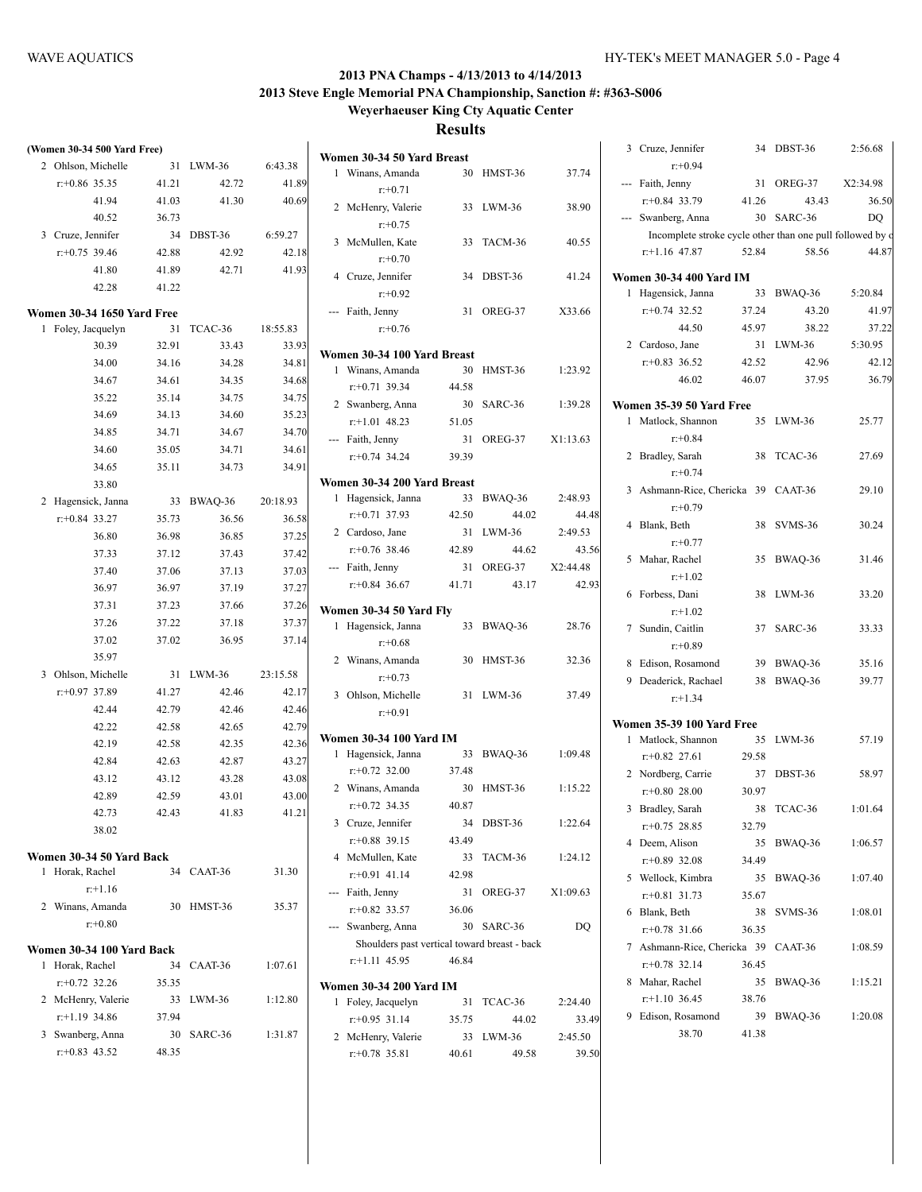#### **(Women 30-34 500 Yard Free)** 2 Ohlson, Michelle 31 LWM-36 6:43.38 r:+0.86 35.35 41.21 42.72 41.89 41.94 41.03 41.30 40.69 40.52 36.73 3 Cruze, Jennifer 34 DBST-36 6:59.27 r:+0.75 39.46 42.88 42.92 42.18 41.80 41.89 42.71 41.93 42.28 41.22 **Women 30-34 1650 Yard Free** 1 Foley, Jacquelyn 31 TCAC-36 18:55.83 30.39 32.91 33.43 33.93 34.00 34.16 34.28 34.81 34.67 34.61 34.35 34.68 35.22 35.14 34.75 34.75 34.69 34.13 34.60 35.23 34.85 34.71 34.67 34.70 34.60 35.05 34.71 34.61 34.65 35.11 34.73 34.91 33.80 2 Hagensick, Janna 33 BWAQ-36 20:18.93 r:+0.84 33.27 35.73 36.56 36.58 36.80 36.98 36.85 37.25 37.33 37.12 37.43 37.42 37.40 37.06 37.13 37.03 36.97 36.97 37.19 37.27 37.31 37.23 37.66 37.26 37.26 37.22 37.18 37.37 37.02 37.02 36.95 37.14 35.97 3 Ohlson, Michelle 31 LWM-36 23:15.58 r:+0.97 37.89 41.27 42.46 42.17 42.44 42.79 42.46 42.46 42.22 42.58 42.65 42.79 42.19 42.58 42.35 42.36 42.84 42.63 42.87 43.27 43.12 43.12 43.28 43.08 42.89 42.59 43.01 43.00 42.73 42.43 41.83 41.21 38.02 **Women 30-34 50 Yard Back** 1 Horak, Rachel 34 CAAT-36 31.30 r:+1.16 2 Winans, Amanda 30 HMST-36 35.37 r:+0.80 **Women 30-34 100 Yard Back** 1 Horak, Rachel 34 CAAT-36 1:07.61 r:+0.72 32.26 35.35 2 McHenry, Valerie 33 LWM-36 1:12.80 r:+1.19 34.86 37.94 3 Swanberg, Anna 30 SARC-36 1:31.87 r:+0.83 43.52 48.35

|   | Women 30-34 50 Yard Breast                   |       |                     |                   |
|---|----------------------------------------------|-------|---------------------|-------------------|
| 1 | Winans, Amanda                               | 30    | HMST-36             | 37.74             |
|   | $r+0.71$                                     |       |                     |                   |
| 2 | McHenry, Valerie                             |       | 33 LWM-36           | 38.90             |
|   | $r: +0.75$                                   |       |                     |                   |
| 3 | McMullen, Kate                               | 33    | TACM-36             | 40.55             |
|   | $r: +0.70$                                   |       |                     |                   |
|   | 4 Cruze, Jennifer                            | 34    | DBST-36             | 41.24             |
|   | $r + 0.92$                                   |       |                     |                   |
|   | --- Faith, Jenny                             | 31    | OREG-37             | X33.66            |
|   | $r: +0.76$                                   |       |                     |                   |
|   | Women 30-34 100 Yard Breast                  |       |                     |                   |
| 1 | Winans, Amanda                               | 30    | HMST-36             | 1:23.92           |
|   | $r: +0.71$ 39.34                             | 44.58 |                     |                   |
|   | 2 Swanberg, Anna                             | 30    | SARC-36             | 1:39.28           |
|   | $r.+1.01$ 48.23                              | 51.05 |                     |                   |
|   | --- Faith, Jenny                             | 31    | OREG-37             | X1:13.63          |
|   | $r+0.74$ 34.24                               | 39.39 |                     |                   |
|   |                                              |       |                     |                   |
|   | Women 30-34 200 Yard Breast                  |       |                     |                   |
| 1 | Hagensick, Janna                             | 33    | BWAQ-36<br>44.02    | 2:48.93           |
|   | $r: +0.71$ 37.93                             | 42.50 |                     | 44.48             |
|   | 2 Cardoso, Jane                              | 31    | $LWM-36$            | 2:49.53           |
|   | $r + 0.76$ 38.46<br>--- Faith, Jenny         | 42.89 | 44.62<br>31 OREG-37 | 43.56<br>X2:44.48 |
|   | $r+0.84$ 36.67                               | 41.71 | 43.17               | 42.93             |
|   |                                              |       |                     |                   |
|   | Women 30-34 50 Yard Fly                      |       |                     |                   |
| 1 | Hagensick, Janna                             | 33    | BWAQ-36             | 28.76             |
|   | $r + 0.68$                                   |       |                     |                   |
|   | 2 Winans, Amanda                             | 30    | HMST-36             | 32.36             |
|   | $r+0.73$                                     |       |                     |                   |
|   | 3 Ohlson, Michelle                           | 31    | LWM-36              | 37.49             |
|   | $r: +0.91$                                   |       |                     |                   |
|   | <b>Women 30-34 100 Yard IM</b>               |       |                     |                   |
| 1 | Hagensick, Janna                             | 33    | BWAQ-36             | 1:09.48           |
|   | $r+0.72$ 32.00                               | 37.48 |                     |                   |
|   | 2 Winans, Amanda                             | 30    | <b>HMST-36</b>      | 1:15.22           |
|   | $r+0.72$ 34.35                               | 40.87 |                     |                   |
|   | 3 Cruze, Jennifer                            | 34    | DBST-36             | 1:22.64           |
|   | $r: +0.88$ 39.15                             | 43.49 |                     |                   |
| 4 | McMullen, Kate                               | 33    | TACM-36             | 1:24.12           |
|   | $r: +0.91$ 41.14                             | 42.98 |                     |                   |
|   | --- Faith, Jenny                             | 31    | OREG-37             | X1:09.63          |
|   | $r+0.82$ 33.57                               | 36.06 |                     |                   |
|   | --- Swanberg, Anna                           | 30    | SARC-36             | DQ                |
|   | Shoulders past vertical toward breast - back |       |                     |                   |
|   | $r$ :+1.11 45.95                             | 46.84 |                     |                   |
|   | <b>Women 30-34 200 Yard IM</b>               |       |                     |                   |
| 1 | Foley, Jacquelyn                             | 31    | TCAC-36             | 2:24.40           |
|   | $r+0.95$ 31.14                               | 35.75 | 44.02               | 33.49             |
|   | 2 McHenry, Valerie                           |       | 33 LWM-36           | 2:45.50           |

r:+0.78 35.81 40.61 49.58 39.50

|    | 3 Cruze, Jennifer                                         |       | 34 DBST-36 | 2:56.68  |
|----|-----------------------------------------------------------|-------|------------|----------|
|    | $r + 0.94$                                                |       |            |          |
|    | --- Faith, Jenny                                          | 31    | OREG-37    | X2:34.98 |
|    | $r+0.84$ 33.79                                            | 41.26 | 43.43      | 36.50    |
|    | --- Swanberg, Anna                                        |       | 30 SARC-36 | DO       |
|    | Incomplete stroke cycle other than one pull followed by d |       |            |          |
|    | $r+1.16$ 47.87                                            | 52.84 | 58.56      | 44.87    |
|    | <b>Women 30-34 400 Yard IM</b>                            |       |            |          |
| 1  | Hagensick, Janna                                          | 33    | BWAQ-36    | 5:20.84  |
|    | $r: +0.74$ 32.52                                          | 37.24 | 43.20      | 41.97    |
|    | 44.50                                                     | 45.97 | 38.22      | 37.22    |
|    | 2 Cardoso, Jane                                           |       | 31 LWM-36  | 5:30.95  |
|    | $r+0.83$ 36.52                                            | 42.52 | 42.96      | 42.12    |
|    | 46.02                                                     | 46.07 | 37.95      | 36.79    |
|    | Women 35-39 50 Yard Free                                  |       |            |          |
| 1  | Matlock, Shannon                                          |       | 35 LWM-36  | 25.77    |
|    | $r + 0.84$                                                |       |            |          |
|    | 2 Bradley, Sarah                                          |       | 38 TCAC-36 | 27.69    |
|    | $r + 0.74$                                                |       |            |          |
|    | 3 Ashmann-Rice, Chericka 39 CAAT-36                       |       |            | 29.10    |
|    | $r+0.79$                                                  |       |            |          |
|    | 4 Blank, Beth                                             |       | 38 SVMS-36 | 30.24    |
|    | $r: +0.77$                                                |       |            |          |
|    | 5 Mahar, Rachel                                           |       | 35 BWAQ-36 | 31.46    |
|    | $r+1.02$                                                  |       |            |          |
|    | 6 Forbess, Dani                                           |       | 38 LWM-36  | 33.20    |
|    | $r+1.02$                                                  |       |            |          |
|    | 7 Sundin, Caitlin                                         |       | 37 SARC-36 | 33.33    |
|    | $r+0.89$                                                  |       |            |          |
|    | 8 Edison, Rosamond                                        |       | 39 BWAQ-36 | 35.16    |
|    | 9 Deaderick, Rachael                                      |       | 38 BWAQ-36 | 39.77    |
|    | $r+1.34$                                                  |       |            |          |
|    | <b>Women 35-39 100 Yard Free</b>                          |       |            |          |
|    | 1 Matlock, Shannon                                        |       | 35 LWM-36  | 57.19    |
|    | $r+0.82$ 27.61                                            | 29.58 |            |          |
|    | 2 Nordberg, Carrie                                        |       | 37 DBST-36 | 58.97    |
|    | $r+0.80$ 28.00                                            | 30.97 |            |          |
| 3  | Bradley, Sarah                                            | 38    | TCAC-36    | 1:01.64  |
|    | $r+0.75$ 28.85                                            | 32.79 |            |          |
|    | 4 Deem, Alison                                            | 35    | BWAQ-36    | 1:06.57  |
|    | $r: +0.89$ 32.08                                          | 34.49 |            |          |
| 5. | Wellock, Kimbra                                           | 35    | BWAQ-36    | 1:07.40  |
|    | $r: +0.81$ 31.73                                          | 35.67 |            |          |
|    | 6 Blank, Beth                                             | 38    | SVMS-36    | 1:08.01  |
|    | $r+0.78$ 31.66                                            | 36.35 |            |          |
|    | 7 Ashmann-Rice, Chericka 39                               |       | CAAT-36    | 1:08.59  |
|    | $r+0.78$ 32.14                                            | 36.45 |            |          |
|    | 8 Mahar, Rachel                                           | 35    | BWAQ-36    | 1:15.21  |
|    | $r+1.10$ 36.45                                            | 38.76 |            |          |
| 9  | Edison, Rosamond                                          | 39    | BWAQ-36    | 1:20.08  |
|    | 38.70                                                     | 41.38 |            |          |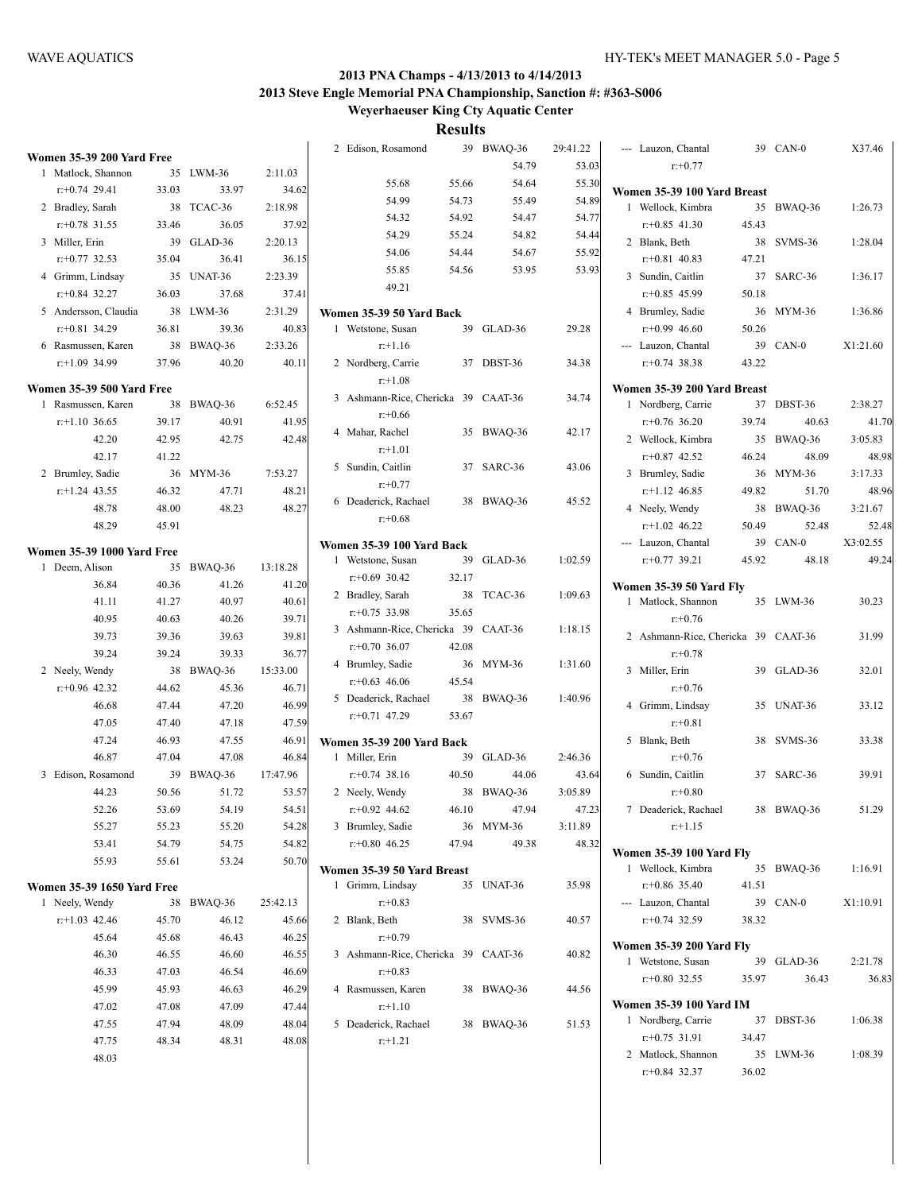2 Edison, Rosamond 39 BWAQ-36 29:41.22

|   | <b>Women 35-39 200 Yard Free</b>  |                |         |                |  |
|---|-----------------------------------|----------------|---------|----------------|--|
| 1 | Matlock, Shannon                  | 35             | LWM-36  | 2:11.03        |  |
|   | $r+0.74$ 29.41                    | 33.03          | 33.97   | 34.62          |  |
|   | 2 Bradley, Sarah                  | 38             | TCAC-36 | 2:18.98        |  |
|   | $r: +0.78$ 31.55                  | 33.46          | 36.05   | 37.92          |  |
|   | 3 Miller, Erin                    | 39             | GLAD-36 | 2:20.13        |  |
|   | $r: +0.77$ 32.53                  | 35.04          | 36.41   | 36.15          |  |
|   | 4 Grimm, Lindsay                  | 35             | UNAT-36 | 2:23.39        |  |
|   | $r+0.84$ 32.27                    | 36.03          | 37.68   | 37.41          |  |
|   | 5 Andersson, Claudia              | 38             | LWM-36  | 2:31.29        |  |
|   | $r: +0.81$ 34.29                  | 36.81          | 39.36   | 40.83          |  |
|   | 6 Rasmussen, Karen                | 38             | BWAQ-36 | 2:33.26        |  |
|   | $r$ :+1.09 34.99                  | 37.96          | 40.20   | 40.11          |  |
|   | <b>Women 35-39 500 Yard Free</b>  |                |         |                |  |
|   | 1 Rasmussen, Karen                | 38             | BWAQ-36 | 6:52.45        |  |
|   | $r$ :+1.10 36.65                  | 39.17          | 40.91   | 41.95          |  |
|   | 42.20                             | 42.95          | 42.75   | 42.48          |  |
|   | 42.17                             | 41.22          |         |                |  |
|   | 2 Brumley, Sadie                  | 36             | MYM-36  | 7:53.27        |  |
|   | $r$ :+1.24 43.55                  | 46.32          | 47.71   | 48.21          |  |
|   | 48.78                             | 48.00          | 48.23   | 48.27          |  |
|   | 48.29                             | 45.91          |         |                |  |
|   | <b>Women 35-39 1000 Yard Free</b> |                |         |                |  |
| 1 | Deem, Alison                      | 35             | BWAO-36 | 13:18.28       |  |
|   | 36.84                             | 40.36          | 41.26   | 41.20          |  |
|   | 41.11                             | 41.27          | 40.97   | 40.61          |  |
|   | 40.95                             | 40.63          | 40.26   | 39.71          |  |
|   | 39.73                             | 39.36          | 39.63   | 39.81          |  |
|   | 39.24                             | 39.24          | 39.33   | 36.77          |  |
|   | 2 Neely, Wendy                    | 38             | BWAQ-36 | 15:33.00       |  |
|   | $r+0.96$ 42.32                    | 44.62          | 45.36   | 46.71          |  |
|   | 46.68                             | 47.44          | 47.20   | 46.99          |  |
|   | 47.05                             | 47.40          | 47.18   | 47.59          |  |
|   | 47.24                             | 46.93          | 47.55   | 46.91          |  |
|   | 46.87                             | 47.04          | 47.08   | 46.84          |  |
|   | 3 Edison, Rosamond                | 39             | BWAQ-36 | 17:47.96       |  |
|   | 44.23                             | 50.56          | 51.72   | 53.57          |  |
|   | 52.26                             | 53.69          | 54.19   | 54.51          |  |
|   | 55.27                             | 55.23          | 55.20   | 54.28          |  |
|   | 53.41                             | 54.79          | 54.75   | 54.82          |  |
|   | 55.93                             | 55.61          | 53.24   | 50.70          |  |
|   |                                   |                |         |                |  |
|   | <b>Women 35-39 1650 Yard Free</b> |                |         |                |  |
| 1 | Neely, Wendy                      | 38             | BWAQ-36 | 25:42.13       |  |
|   | $r: +1.03$ 42.46                  | 45.70          | 46.12   | 45.66          |  |
|   | 45.64                             | 45.68          | 46.43   | 46.25          |  |
|   | 46.30                             | 46.55          | 46.60   | 46.55          |  |
|   | 46.33                             | 47.03          | 46.54   | 46.69          |  |
|   | 45.99                             | 45.93          | 46.63   | 46.29          |  |
|   | 47.02                             | 47.08          | 47.09   | 47.44          |  |
|   | 47.55                             | 47.94<br>48.34 | 48.09   | 48.04<br>48.08 |  |
|   | 47.75                             |                | 48.31   |                |  |
|   | 48.03                             |                |         |                |  |

|   |                                                 |       | 54.79      | 53.03   |
|---|-------------------------------------------------|-------|------------|---------|
|   | 55.68                                           | 55.66 | 54.64      | 55.30   |
|   | 54.99                                           | 54.73 | 55.49      | 54.89   |
|   | 54.32                                           | 54.92 | 54.47      | 54.77   |
|   | 54.29                                           | 55.24 | 54.82      | 54.44   |
|   | 54.06                                           | 54.44 | 54.67      | 55.92   |
|   | 55.85                                           | 54.56 | 53.95      | 53.93   |
|   | 49.21                                           |       |            |         |
|   |                                                 |       |            |         |
|   | Women 35-39 50 Yard Back                        |       |            | 29.28   |
|   | 1 Wetstone, Susan<br>$r+1.16$                   | 39    | GLAD-36    |         |
|   |                                                 |       | 37 DBST-36 | 34.38   |
|   | 2 Nordberg, Carrie                              |       |            |         |
|   | $r+1.08$<br>3 Ashmann-Rice, Chericka 39 CAAT-36 |       |            | 34.74   |
|   |                                                 |       |            |         |
|   | $r + 0.66$                                      |       |            |         |
|   | 4 Mahar, Rachel<br>$r+1.01$                     | 35    | BWAQ-36    | 42.17   |
|   |                                                 |       | 37 SARC-36 | 43.06   |
|   | 5 Sundin, Caitlin                               |       |            |         |
|   | $r: +0.77$<br>Deaderick, Rachael                | 38    | BWAQ-36    | 45.52   |
| 6 |                                                 |       |            |         |
|   | $r: +0.68$                                      |       |            |         |
|   | Women 35-39 100 Yard Back                       |       |            |         |
|   | 1 Wetstone, Susan                               | 39    | GLAD-36    | 1:02.59 |
|   | $r + 0.69$ 30.42                                | 32.17 |            |         |
|   | 2 Bradley, Sarah                                | 38    | TCAC-36    | 1:09.63 |
|   | $r + 0.75$ 33.98                                | 35.65 |            |         |
|   | 3 Ashmann-Rice, Chericka 39 CAAT-36             |       |            | 1:18.15 |
|   | $r+0.70$ 36.07                                  | 42.08 |            |         |
|   | 4 Brumley, Sadie                                | 36    | MYM-36     | 1:31.60 |
|   | $r + 0.63$ 46.06                                | 45.54 |            |         |
|   | 5 Deaderick, Rachael                            | 38    | BWAQ-36    | 1:40.96 |
|   | $r + 0.71$ 47.29                                | 53.67 |            |         |
|   | Women 35-39 200 Yard Back                       |       |            |         |
|   | 1 Miller, Erin                                  | 39    | GLAD-36    | 2:46.36 |
|   | $r + 0.74$ 38.16                                | 40.50 | 44.06      | 43.64   |
|   | 2 Neely, Wendy                                  |       | 38 BWAQ-36 | 3:05.89 |
|   | $r+0.92$ 44.62                                  | 46.10 | 47.94      | 47.23   |
|   | 3 Brumley, Sadie                                | 36    | $MYM-36$   | 3:11.89 |
|   | $r+0.80$ 46.25                                  | 47.94 | 49.38      | 48.32   |
|   |                                                 |       |            |         |
| 1 | Women 35-39 50 Yard Breast<br>Grimm, Lindsay    | 35    |            | 35.98   |
|   | $r+0.83$                                        |       | UNAT-36    |         |
| 2 |                                                 |       |            |         |
|   | Blank, Beth                                     | 38    | SVMS-36    | 40.57   |
|   | $r: +0.79$                                      |       |            |         |
| 3 | Ashmann-Rice, Chericka 39 CAAT-36               |       |            | 40.82   |
| 4 | $r: +0.83$                                      | 38    |            |         |
|   | Rasmussen, Karen<br>$r+1.10$                    |       | BWAQ-36    | 44.56   |
| 5 | Deaderick, Rachael                              | 38    | BWAO-36    |         |
|   | $r+1.21$                                        |       |            | 51.53   |
|   |                                                 |       |            |         |

|    | --- Lauzon, Chantal                                  |       | 39 CAN-0           | X37.46            |
|----|------------------------------------------------------|-------|--------------------|-------------------|
|    | $r: +0.77$                                           |       |                    |                   |
|    | Women 35-39 100 Yard Breast                          |       |                    |                   |
|    | 1 Wellock, Kimbra                                    | 35    | BWAQ-36            | 1:26.73           |
|    | $r: +0.85$ 41.30                                     | 45.43 |                    |                   |
|    | 2 Blank, Beth                                        | 38    | SVMS-36            | 1:28.04           |
|    | $r+0.81$ 40.83                                       | 47.21 |                    |                   |
|    | 3 Sundin, Caitlin<br>$r+0.85$ 45.99                  | 50.18 | 37 SARC-36         | 1:36.17           |
|    | 4 Brumley, Sadie                                     | 36    | MYM-36             | 1:36.86           |
|    | $r+0.99$ 46.60                                       | 50.26 |                    |                   |
|    | --- Lauzon, Chantal                                  |       | 39 CAN-0           | X1:21.60          |
|    | $r: +0.74$ 38.38                                     | 43.22 |                    |                   |
|    | Women 35-39 200 Yard Breast                          |       |                    |                   |
| 1. | Nordberg, Carrie                                     | 37    | DBST-36            | 2:38.27           |
|    | $r: +0.76$ 36.20                                     | 39.74 | 40.63              | 41.70             |
|    | 2 Wellock, Kimbra                                    | 35    | BWAO-36            | 3:05.83           |
|    | $r+0.87$ 42.52                                       | 46.24 | 48.09              | 48.98             |
|    | 3 Brumley, Sadie                                     | 36    | $MYM-36$           | 3:17.33           |
|    | $r+1.12$ 46.85                                       | 49.82 | 51.70              | 48.96             |
|    | 4 Neely, Wendy                                       |       | 38 BWAQ-36         | 3:21.67           |
|    | $r+1.02$ 46.22                                       | 50.49 | 52.48              | 52.48             |
|    | --- Lauzon, Chantal<br>$r+0.77$ 39.21                | 45.92 | 39 CAN-0<br>48.18  | X3:02.55<br>49.24 |
|    |                                                      |       |                    |                   |
|    | <b>Women 35-39 50 Yard Fly</b>                       |       |                    |                   |
|    | 1 Matlock, Shannon<br>$r: +0.76$                     |       | 35 LWM-36          | 30.23             |
|    | 2 Ashmann-Rice, Chericka 39 CAAT-36                  |       |                    | 31.99             |
|    | $r: +0.78$                                           |       |                    |                   |
|    | 3 Miller, Erin                                       | 39    | GLAD-36            | 32.01             |
|    | $r + 0.76$                                           |       |                    |                   |
|    | 4 Grimm, Lindsay                                     | 35    | UNAT-36            | 33.12             |
|    | $r + 0.81$                                           |       |                    |                   |
|    | 5 Blank, Beth                                        | 38    | $SVMS-36$          | 33.38             |
|    | $r + 0.76$                                           |       |                    |                   |
| 6  | Sundin, Caitlin<br>$r+0.80$                          |       | 37 SARC-36         | 39.91             |
| 7  | Deaderick, Rachael                                   | 38    | BWAQ-36            | 51.29             |
|    | $r+1.15$                                             |       |                    |                   |
|    |                                                      |       |                    |                   |
|    | <b>Women 35-39 100 Yard Fly</b><br>1 Wellock, Kimbra |       | 35 BWAQ-36 1:16.91 |                   |
|    | $r+0.86$ 35.40                                       | 41.51 |                    |                   |
|    | --- Lauzon, Chantal                                  |       | 39 CAN-0           | X1:10.91          |
|    | $r: +0.74$ 32.59                                     | 38.32 |                    |                   |
|    |                                                      |       |                    |                   |
|    | <b>Women 35-39 200 Yard Fly</b><br>1 Wetstone, Susan |       | 39 GLAD-36         | 2:21.78           |
|    | $r$ : +0.80 32.55                                    | 35.97 | 36.43              | 36.83             |
|    |                                                      |       |                    |                   |
|    | Women 35-39 100 Yard IM<br>1 Nordberg, Carrie        |       | 37 DBST-36         | 1:06.38           |
|    | $r + 0.75$ 31.91                                     | 34.47 |                    |                   |
|    | 2 Matlock, Shannon                                   |       | 35 LWM-36          | 1:08.39           |
|    | $r + 0.84$ 32.37                                     | 36.02 |                    |                   |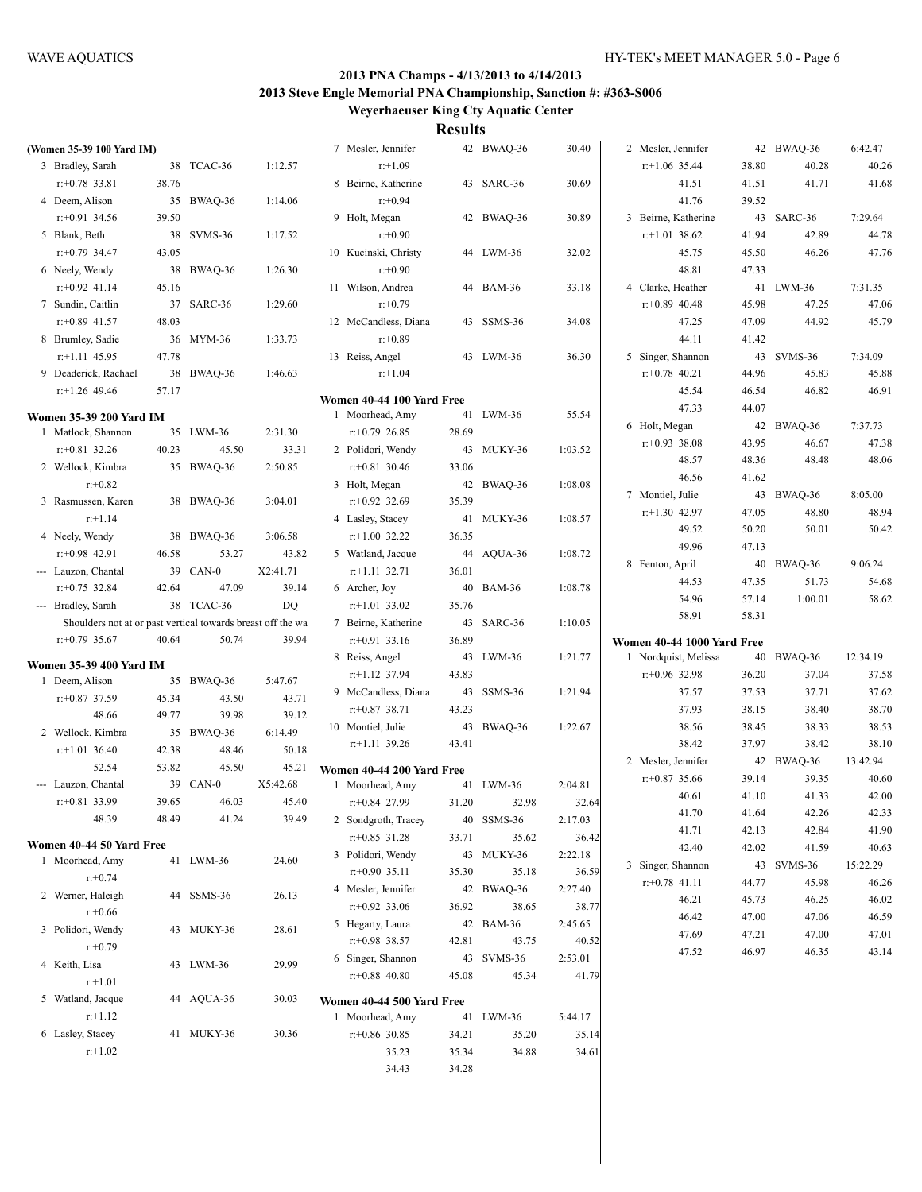| (Women 35-39 100 Yard IM)                                   |       |            |          | 7 Mesler, Jennifer                       |       | 42 BWAQ-36 | 30.40   | 2 Mesler, Jennifer         |                | 42 BWAQ-36          | 6:42.47                                                     |
|-------------------------------------------------------------|-------|------------|----------|------------------------------------------|-------|------------|---------|----------------------------|----------------|---------------------|-------------------------------------------------------------|
| 3 Bradley, Sarah                                            |       | 38 TCAC-36 | 1:12.57  | $r+1.09$                                 |       |            |         | $r$ :+1.06 35.44           | 38.80          | 40.28               | 40.26                                                       |
| $r: +0.78$ 33.81                                            | 38.76 |            |          | 8 Beirne, Katherine                      |       | 43 SARC-36 | 30.69   | 41.51                      | 41.51          | 41.71               | 41.68                                                       |
| 4 Deem, Alison                                              |       | 35 BWAQ-36 | 1:14.06  | $r: +0.94$                               |       |            |         | 41.76                      | 39.52          |                     |                                                             |
| $r: +0.91$ 34.56                                            | 39.50 |            |          | 9 Holt, Megan                            |       | 42 BWAQ-36 | 30.89   | 3 Beirne, Katherine        |                | 43 SARC-36          | 7:29.64                                                     |
| 5 Blank, Beth                                               |       | 38 SVMS-36 | 1:17.52  | $r: +0.90$                               |       |            |         | $r$ :+1.01 38.62           | 41.94          | 42.89               | 44.78                                                       |
| $r: +0.79$ 34.47                                            | 43.05 |            |          | 10 Kucinski, Christy                     |       | 44 LWM-36  | 32.02   | 45.75                      | 45.50          | 46.26               | 47.76                                                       |
| 6 Neely, Wendy                                              |       | 38 BWAQ-36 | 1:26.30  | $r: +0.90$                               |       |            |         | 48.81                      | 47.33          |                     |                                                             |
| $r+0.92$ 41.14                                              | 45.16 |            |          | 11 Wilson, Andrea                        |       | 44 BAM-36  | 33.18   | 4 Clarke, Heather          |                | 41 LWM-36           | 7:31.35                                                     |
| 7 Sundin, Caitlin                                           |       | 37 SARC-36 | 1:29.60  | $r: +0.79$                               |       |            |         | $r+0.89$ 40.48             | 45.98          | 47.25               | 47.06                                                       |
| $r: +0.89$ 41.57                                            | 48.03 |            |          | 12 McCandless, Diana                     |       | 43 SSMS-36 | 34.08   | 47.25                      | 47.09          | 44.92               | 45.79                                                       |
| 8 Brumley, Sadie                                            |       | 36 MYM-36  | 1:33.73  | $r: +0.89$                               |       |            |         | 44.11                      | 41.42          |                     |                                                             |
| $r+1.11$ 45.95                                              | 47.78 |            |          | 13 Reiss, Angel                          |       | 43 LWM-36  | 36.30   | 5 Singer, Shannon          |                | 43 SVMS-36          | 7:34.09                                                     |
| 9 Deaderick, Rachael                                        |       | 38 BWAQ-36 | 1:46.63  | $r+1.04$                                 |       |            |         | $r+0.78$ 40.21             | 44.96          | 45.83               | 45.88                                                       |
| $r+1.26$ 49.46                                              | 57.17 |            |          | Women 40-44 100 Yard Free                |       |            |         | 45.54                      | 46.54          | 46.82               | 46.91                                                       |
| <b>Women 35-39 200 Yard IM</b>                              |       |            |          | 1 Moorhead, Amy                          |       | 41 LWM-36  | 55.54   | 47.33                      | 44.07          |                     |                                                             |
| 1 Matlock, Shannon                                          |       | 35 LWM-36  | 2:31.30  | $r+0.79$ 26.85                           | 28.69 |            |         | 6 Holt, Megan              |                | 42 BWAQ-36          | 7:37.73                                                     |
| $r: +0.81$ 32.26                                            | 40.23 | 45.50      | 33.31    | 2 Polidori, Wendy                        |       | 43 MUKY-36 | 1:03.52 | $r+0.93$ 38.08             | 43.95          | 46.67               | 47.38                                                       |
| 2 Wellock, Kimbra                                           |       | 35 BWAQ-36 | 2:50.85  | $r+0.81$ 30.46                           | 33.06 |            |         | 48.57                      | 48.36          | 48.48               | 48.06                                                       |
| $r: +0.82$                                                  |       |            |          | 3 Holt, Megan                            |       | 42 BWAQ-36 | 1:08.08 | 46.56                      | 41.62          |                     |                                                             |
| 3 Rasmussen, Karen                                          |       | 38 BWAQ-36 | 3:04.01  | $r: +0.92$ 32.69                         | 35.39 |            |         | 7 Montiel, Julie           |                | 43 BWAQ-36          | 8:05.00                                                     |
| $r+1.14$                                                    |       |            |          | 4 Lasley, Stacey                         |       | 41 MUKY-36 | 1:08.57 | $r$ :+1.30 42.97           | 47.05          | 48.80               | 48.94                                                       |
| 4 Neely, Wendy                                              |       | 38 BWAQ-36 | 3:06.58  | $r+1.00$ 32.22                           | 36.35 |            |         | 49.52                      | 50.20          | 50.01               | 50.42                                                       |
| $r: +0.98$ 42.91                                            | 46.58 | 53.27      | 43.82    | 5 Watland, Jacque                        |       | 44 AQUA-36 | 1:08.72 | 49.96                      | 47.13          |                     |                                                             |
| --- Lauzon, Chantal                                         |       | 39 CAN-0   | X2:41.71 | $r.+1.11$ 32.71                          | 36.01 |            |         | 8 Fenton, April            |                | 40 BWAQ-36          | 9:06.24                                                     |
| $r: +0.75$ 32.84                                            | 42.64 | 47.09      | 39.14    | 6 Archer, Joy                            |       | 40 BAM-36  | 1:08.78 | 44.53                      | 47.35          | 51.73               | 54.68                                                       |
| --- Bradley, Sarah                                          |       | 38 TCAC-36 | DO.      | $r+1.01$ 33.02                           | 35.76 |            |         | 54.96                      | 57.14          | 1:00.01             | 58.62                                                       |
| Shoulders not at or past vertical towards breast off the wa |       |            |          | 7 Beirne, Katherine                      |       | 43 SARC-36 | 1:10.05 | 58.91                      | 58.31          |                     |                                                             |
|                                                             |       |            |          |                                          |       |            |         |                            |                |                     |                                                             |
| $r: +0.79$ 35.67                                            | 40.64 | 50.74      | 39.94    |                                          |       |            |         |                            |                |                     |                                                             |
|                                                             |       |            |          | $r+0.91$ 33.16                           | 36.89 |            |         | Women 40-44 1000 Yard Free |                |                     |                                                             |
| <b>Women 35-39 400 Yard IM</b>                              |       |            |          | 8 Reiss, Angel                           |       | 43 LWM-36  | 1:21.77 | 1 Nordquist, Melissa       |                | 40 BWAQ-36          | 12:34.19                                                    |
| 1 Deem, Alison                                              |       | 35 BWAQ-36 | 5:47.67  | $r$ :+1.12 37.94                         | 43.83 |            | 1:21.94 | $r: +0.96$ 32.98           | 36.20          | 37.04               |                                                             |
| $r: +0.87$ 37.59                                            | 45.34 | 43.50      | 43.71    | 9 McCandless, Diana<br>$r$ : +0.87 38.71 | 43.23 | 43 SSMS-36 |         | 37.57<br>37.93             | 37.53<br>38.15 | 37.71<br>38.40      |                                                             |
| 48.66                                                       | 49.77 | 39.98      | 39.12    | 10 Montiel, Julie                        |       | 43 BWAQ-36 | 1:22.67 | 38.56                      | 38.45          | 38.33               |                                                             |
| 2 Wellock, Kimbra                                           |       | 35 BWAQ-36 | 6:14.49  | $r.+1.11$ 39.26                          | 43.41 |            |         | 38.42                      | 37.97          | 38.42               |                                                             |
| $r$ :+1.01 36.40                                            | 42.38 | 48.46      | 50.18    |                                          |       |            |         | 2 Mesler, Jennifer         |                |                     | 13:42.94                                                    |
| 52.54                                                       | 53.82 | 45.50      | 45.21    | Women 40-44 200 Yard Free                |       |            |         | $r+0.87$ 35.66             | 39.14          | 42 BWAQ-36<br>39.35 |                                                             |
| --- Lauzon, Chantal                                         |       | 39 CAN-0   | X5:42.68 | 1 Moorhead, Amy                          |       | 41 LWM-36  | 2:04.81 | 40.61                      | 41.10          | 41.33               | 37.58<br>37.62<br>38.70<br>38.53<br>38.10<br>40.60<br>42.00 |
| $r: +0.81$ 33.99                                            | 39.65 | 46.03      | 45.40    | $r+0.84$ 27.99                           | 31.20 | 32.98      | 32.64   | 41.70                      | 41.64          | 42.26               | 42.33                                                       |
| 48.39                                                       | 48.49 | 41.24      | 39.49    | 2 Sondgroth, Tracey                      |       | 40 SSMS-36 | 2:17.03 | 41.71                      | 42.13          | 42.84               | 41.90                                                       |
| Women 40-44 50 Yard Free                                    |       |            |          | $r+0.85$ 31.28                           | 33.71 | 35.62      | 36.42   | 42.40                      | 42.02          | 41.59               | 40.63                                                       |
| 1 Moorhead, Amy                                             |       | 41 LWM-36  | 24.60    | 3 Polidori, Wendy                        |       | 43 MUKY-36 | 2:22.18 | 3 Singer, Shannon          |                | 43 SVMS-36          | 15:22.29                                                    |
| $r + 0.74$                                                  |       |            |          | $r+0.90$ 35.11                           | 35.30 | 35.18      | 36.59   | $r.+0.78$ 41.11            | 44.77          | 45.98               | 46.26                                                       |
| 2 Werner, Haleigh                                           |       | 44 SSMS-36 | 26.13    | 4 Mesler, Jennifer                       |       | 42 BWAQ-36 | 2:27.40 | 46.21                      | 45.73          | 46.25               | 46.02                                                       |
| $r + 0.66$                                                  |       |            |          | $r+0.92$ 33.06                           | 36.92 | 38.65      | 38.77   | 46.42                      | 47.00          | 47.06               | 46.59                                                       |
| 3 Polidori, Wendy                                           |       | 43 MUKY-36 | 28.61    | 5 Hegarty, Laura                         |       | 42 BAM-36  | 2:45.65 | 47.69                      | 47.21          | 47.00               | 47.01                                                       |
| $r+0.79$                                                    |       |            |          | $r+0.98$ 38.57                           | 42.81 | 43.75      | 40.52   | 47.52                      | 46.97          | 46.35               |                                                             |
| 4 Keith, Lisa                                               |       | 43 LWM-36  | 29.99    | 6 Singer, Shannon                        |       | 43 SVMS-36 | 2:53.01 |                            |                |                     |                                                             |
| $r+1.01$                                                    |       |            |          | $r+0.88$ 40.80                           | 45.08 | 45.34      | 41.79   |                            |                |                     |                                                             |
| 5 Watland, Jacque                                           |       | 44 AQUA-36 | 30.03    | Women 40-44 500 Yard Free                |       |            |         |                            |                |                     |                                                             |
| $r+1.12$                                                    |       |            |          | 1 Moorhead, Amy                          |       | 41 LWM-36  | 5:44.17 |                            |                |                     |                                                             |
| 6 Lasley, Stacey                                            |       | 41 MUKY-36 | 30.36    | $r+0.86$ 30.85                           | 34.21 | 35.20      | 35.14   |                            |                |                     |                                                             |
| $r+1.02$                                                    |       |            |          | 35.23                                    | 35.34 | 34.88      | 34.61   |                            |                |                     | 43.14                                                       |
|                                                             |       |            |          | 34.43                                    | 34.28 |            |         |                            |                |                     |                                                             |
|                                                             |       |            |          |                                          |       |            |         |                            |                |                     |                                                             |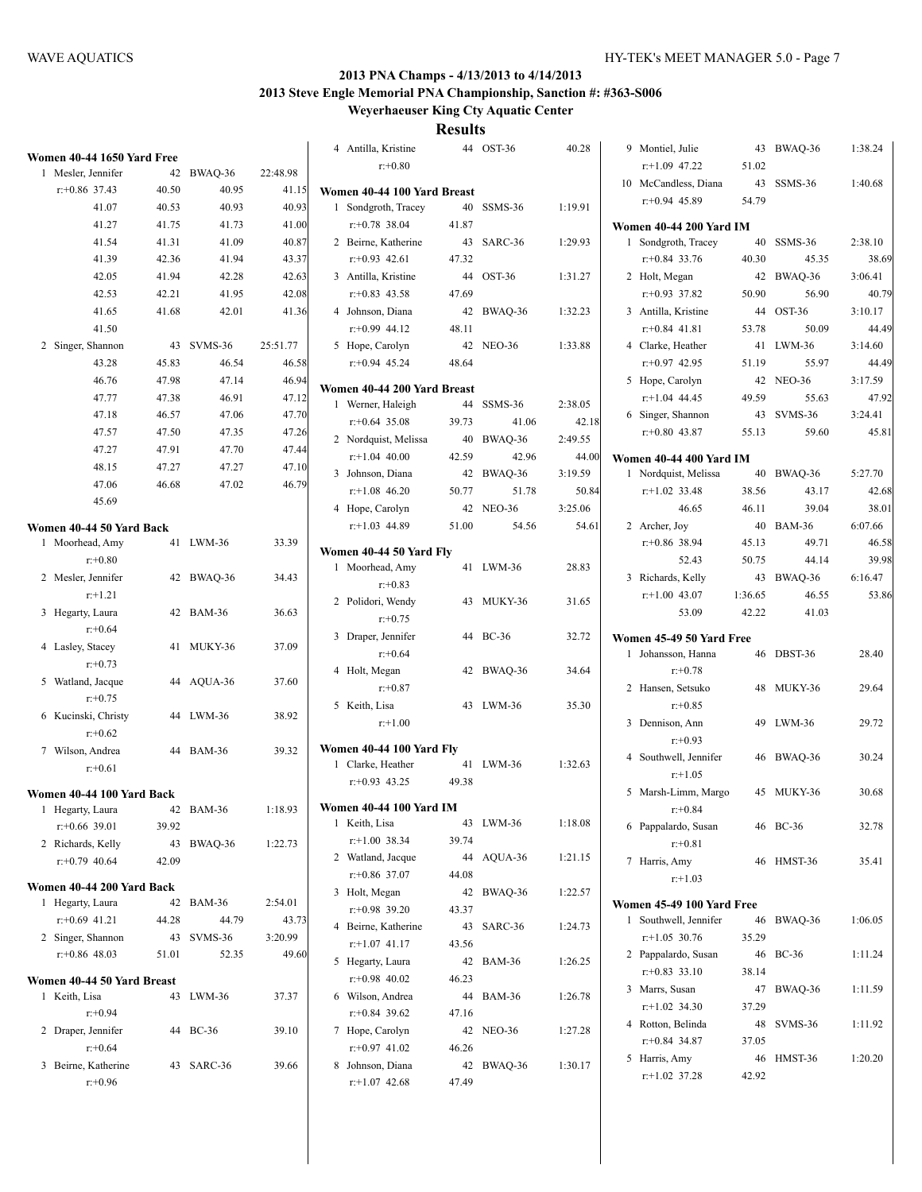**Weyerhaeuser King Cty Aquatic Center**

|                                             |       |            |          |                                       | results |            |         |                                |         |            |         |
|---------------------------------------------|-------|------------|----------|---------------------------------------|---------|------------|---------|--------------------------------|---------|------------|---------|
| Women 40-44 1650 Yard Free                  |       |            |          | 4 Antilla, Kristine                   |         | 44 OST-36  | 40.28   | 9 Montiel, Julie               |         | 43 BWAQ-36 | 1:38.24 |
| 1 Mesler, Jennifer                          |       | 42 BWAQ-36 | 22:48.98 | $r: +0.80$                            |         |            |         | $r+1.09$ 47.22                 | 51.02   |            |         |
| $r+0.86$ 37.43                              | 40.50 | 40.95      | 41.15    | Women 40-44 100 Yard Breast           |         |            |         | 10 McCandless, Diana           |         | 43 SSMS-36 | 1:40.68 |
| 41.07                                       | 40.53 | 40.93      | 40.93    | 1 Sondgroth, Tracey                   |         | 40 SSMS-36 | 1:19.91 | $r+0.94$ 45.89                 | 54.79   |            |         |
| 41.27                                       | 41.75 | 41.73      | 41.00    | $r+0.78$ 38.04                        | 41.87   |            |         | <b>Women 40-44 200 Yard IM</b> |         |            |         |
| 41.54                                       | 41.31 | 41.09      | 40.87    | 2 Beirne, Katherine                   |         | 43 SARC-36 | 1:29.93 | 1 Sondgroth, Tracey            |         | 40 SSMS-36 | 2:38.10 |
| 41.39                                       | 42.36 | 41.94      | 43.37    | $r: +0.93$ 42.61                      | 47.32   |            |         | $r+0.84$ 33.76                 | 40.30   | 45.35      | 38.69   |
| 42.05                                       | 41.94 | 42.28      | 42.63    | 3 Antilla, Kristine                   |         | 44 OST-36  | 1:31.27 | 2 Holt, Megan                  |         | 42 BWAQ-36 | 3:06.41 |
| 42.53                                       | 42.21 | 41.95      | 42.08    | $r+0.83$ 43.58                        | 47.69   |            |         | $r+0.93$ 37.82                 | 50.90   | 56.90      | 40.79   |
| 41.65                                       | 41.68 | 42.01      | 41.36    | 4 Johnson, Diana                      |         | 42 BWAQ-36 | 1:32.23 | 3 Antilla, Kristine            |         | 44 OST-36  | 3:10.17 |
| 41.50                                       |       |            |          | $r: +0.99$ 44.12                      | 48.11   |            |         | $r+0.84$ 41.81                 | 53.78   | 50.09      | 44.49   |
| 2 Singer, Shannon                           |       | 43 SVMS-36 | 25:51.77 | 5 Hope, Carolyn                       |         | 42 NEO-36  | 1:33.88 | 4 Clarke, Heather              |         | 41 LWM-36  | 3:14.60 |
| 43.28                                       | 45.83 | 46.54      | 46.58    | $r+0.94$ 45.24                        | 48.64   |            |         | $r+0.97$ 42.95                 | 51.19   | 55.97      | 44.49   |
| 46.76                                       | 47.98 | 47.14      | 46.94    |                                       |         |            |         | 5 Hope, Carolyn                |         | 42 NEO-36  | 3:17.59 |
| 47.77                                       | 47.38 | 46.91      | 47.12    | Women 40-44 200 Yard Breast           |         |            |         | $r+1.04$ 44.45                 | 49.59   | 55.63      | 47.92   |
| 47.18                                       | 46.57 | 47.06      | 47.70    | 1 Werner, Haleigh                     |         | 44 SSMS-36 | 2:38.05 | 6 Singer, Shannon              |         | 43 SVMS-36 | 3:24.41 |
| 47.57                                       | 47.50 | 47.35      | 47.26    | $r+0.64$ 35.08                        | 39.73   | 41.06      | 42.18   | $r: +0.80$ 43.87               | 55.13   | 59.60      | 45.81   |
| 47.27                                       | 47.91 | 47.70      | 47.44    | 2 Nordquist, Melissa                  |         | 40 BWAQ-36 | 2:49.55 |                                |         |            |         |
| 48.15                                       | 47.27 | 47.27      | 47.10    | $r+1.04$ 40.00                        | 42.59   | 42.96      | 44.00   | Women 40-44 400 Yard IM        |         |            |         |
| 47.06                                       | 46.68 | 47.02      | 46.79    | 3 Johnson, Diana                      |         | 42 BWAQ-36 | 3:19.59 | 1 Nordquist, Melissa           |         | 40 BWAQ-36 | 5:27.70 |
| 45.69                                       |       |            |          | $r+1.08$ 46.20                        | 50.77   | 51.78      | 50.84   | $r+1.02$ 33.48                 | 38.56   | 43.17      | 42.68   |
|                                             |       |            |          | 4 Hope, Carolyn                       |         | 42 NEO-36  | 3:25.06 | 46.65                          | 46.11   | 39.04      | 38.01   |
| Women 40-44 50 Yard Back                    |       |            |          | $r.+1.03$ 44.89                       | 51.00   | 54.56      | 54.61   | 2 Archer, Joy                  |         | 40 BAM-36  | 6:07.66 |
| 1 Moorhead, Amy                             |       | 41 LWM-36  | 33.39    | Women 40-44 50 Yard Fly               |         |            |         | $r+0.86$ 38.94                 | 45.13   | 49.71      | 46.58   |
| $r: +0.80$                                  |       |            |          | 1 Moorhead, Amy                       |         | 41 LWM-36  | 28.83   | 52.43                          | 50.75   | 44.14      | 39.98   |
| 2 Mesler, Jennifer                          |       | 42 BWAQ-36 | 34.43    | $r: +0.83$                            |         |            |         | 3 Richards, Kelly              |         | 43 BWAQ-36 | 6:16.47 |
| $r+1.21$                                    |       |            |          | 2 Polidori, Wendy                     |         | 43 MUKY-36 | 31.65   | $r+1.00$ 43.07                 | 1:36.65 | 46.55      | 53.86   |
| 3 Hegarty, Laura                            |       | 42 BAM-36  | 36.63    | $r: +0.75$                            |         |            |         | 53.09                          | 42.22   | 41.03      |         |
| $r + 0.64$                                  |       |            |          | 3 Draper, Jennifer                    |         | 44 BC-36   | 32.72   | Women 45-49 50 Yard Free       |         |            |         |
| 4 Lasley, Stacey                            |       | 41 MUKY-36 | 37.09    | $r: +0.64$                            |         |            |         | 1 Johansson, Hanna             |         | 46 DBST-36 | 28.40   |
| $r: +0.73$                                  |       |            |          | 4 Holt, Megan                         |         | 42 BWAQ-36 | 34.64   | $r: +0.78$                     |         |            |         |
| 5 Watland, Jacque<br>$r + 0.75$             |       | 44 AQUA-36 | 37.60    | $r: +0.87$                            |         |            |         | 2 Hansen, Setsuko              |         | 48 MUKY-36 | 29.64   |
| 6 Kucinski, Christy                         |       | 44 LWM-36  | 38.92    | 5 Keith, Lisa                         |         | 43 LWM-36  | 35.30   | $r: +0.85$                     |         |            |         |
| $r + 0.62$                                  |       |            |          | $r+1.00$                              |         |            |         | 3 Dennison, Ann                |         | 49 LWM-36  | 29.72   |
| 7 Wilson, Andrea                            |       | 44 BAM-36  | 39.32    | Women 40-44 100 Yard Fly              |         |            |         | $r: +0.93$                     |         |            |         |
| $r + 0.61$                                  |       |            |          | 1 Clarke, Heather                     |         | 41 LWM-36  | 1:32.63 | 4 Southwell, Jennifer          |         | 46 BWAQ-36 | 30.24   |
|                                             |       |            |          | $r+0.93$ 43.25                        | 49.38   |            |         | $r: +1.05$                     |         |            |         |
| Women 40-44 100 Yard Back                   |       |            |          |                                       |         |            |         | 5 Marsh-Limm, Margo            |         | 45 MUKY-36 | 30.68   |
| 1 Hegarty, Laura                            |       | 42 BAM-36  | 1:18.93  | <b>Women 40-44 100 Yard IM</b>        |         |            |         | $r + 0.84$                     |         |            |         |
| $r+0.66$ 39.01                              | 39.92 |            |          | 1 Keith, Lisa                         |         | 43 LWM-36  | 1:18.08 | 6 Pappalardo, Susan            |         | 46 BC-36   | 32.78   |
| 2 Richards, Kelly                           |       | 43 BWAQ-36 | 1:22.73  | $r+1.00$ 38.34                        | 39.74   |            |         | $r: +0.81$                     |         |            |         |
| $r+0.79$ 40.64                              | 42.09 |            |          | 2 Watland, Jacque                     |         | 44 AQUA-36 | 1:21.15 | 7 Harris, Amy                  |         | 46 HMST-36 | 35.41   |
| Women 40-44 200 Yard Back                   |       |            |          | $r+0.86$ 37.07                        | 44.08   |            |         | $r: +1.03$                     |         |            |         |
| 1 Hegarty, Laura                            |       | 42 BAM-36  | 2:54.01  | 3 Holt, Megan                         |         | 42 BWAQ-36 | 1:22.57 | Women 45-49 100 Yard Free      |         |            |         |
| $r+0.69$ 41.21                              | 44.28 | 44.79      | 43.73    | $r+0.98$ 39.20                        | 43.37   |            |         | 1 Southwell, Jennifer          |         | 46 BWAQ-36 | 1:06.05 |
| 2 Singer, Shannon                           |       | 43 SVMS-36 | 3:20.99  | 4 Beirne, Katherine<br>$r+1.07$ 41.17 |         | 43 SARC-36 | 1:24.73 | $r.+1.05$ 30.76                | 35.29   |            |         |
| $r+0.86$ 48.03                              | 51.01 | 52.35      | 49.60    |                                       | 43.56   |            |         | 2 Pappalardo, Susan            |         | 46 BC-36   | 1:11.24 |
|                                             |       |            |          | 5 Hegarty, Laura                      |         | 42 BAM-36  | 1:26.25 | $r+0.83$ 33.10                 | 38.14   |            |         |
| Women 40-44 50 Yard Breast<br>1 Keith, Lisa |       | 43 LWM-36  |          | $r+0.98$ 40.02                        | 46.23   | 44 BAM-36  |         | 3 Marrs, Susan                 |         | 47 BWAQ-36 | 1:11.59 |
| $r + 0.94$                                  |       |            | 37.37    | 6 Wilson, Andrea<br>$r+0.84$ 39.62    | 47.16   |            | 1:26.78 | $r+1.02$ 34.30                 | 37.29   |            |         |
| 2 Draper, Jennifer                          |       | 44 BC-36   | 39.10    | 7 Hope, Carolyn                       |         | 42 NEO-36  | 1:27.28 | 4 Rotton, Belinda              |         | 48 SVMS-36 | 1:11.92 |
| $r + 0.64$                                  |       |            |          | $r+0.97$ 41.02                        | 46.26   |            |         | $r+0.84$ 34.87                 | 37.05   |            |         |
| 3 Beirne, Katherine                         |       | 43 SARC-36 | 39.66    | 8 Johnson, Diana                      |         | 42 BWAQ-36 | 1:30.17 | 5 Harris, Amy                  |         | 46 HMST-36 | 1:20.20 |
| $r + 0.96$                                  |       |            |          | $r+1.07$ 42.68                        | 47.49   |            |         | $r+1.02$ 37.28                 | 42.92   |            |         |
|                                             |       |            |          |                                       |         |            |         |                                |         |            |         |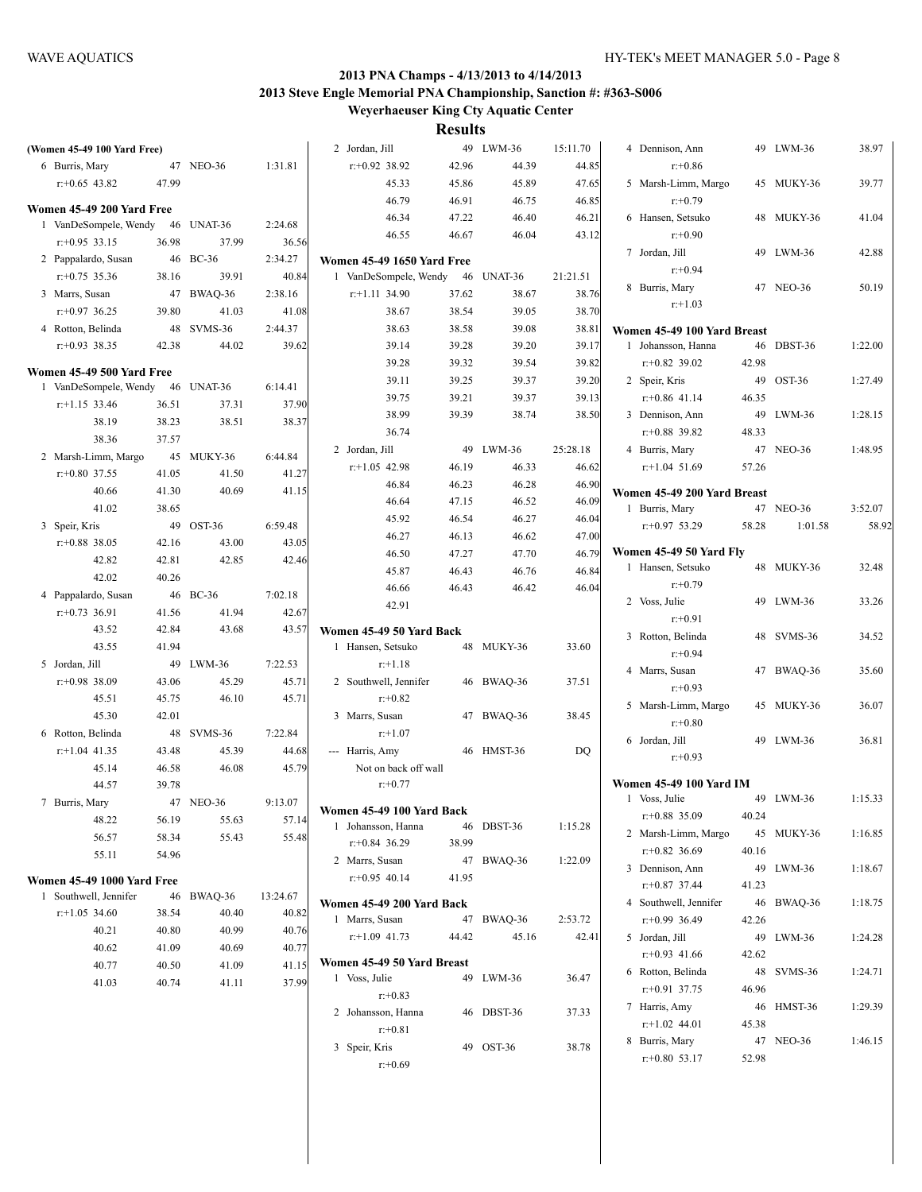| (Women 45-49 100 Yard Free)                        |       |            |          | 2 Jordan, Jill                    |       | 49 LWM-36  | 15:11.70       | 4 Dennison, Ann                |       | 49 LWM-36  | 38.97   |
|----------------------------------------------------|-------|------------|----------|-----------------------------------|-------|------------|----------------|--------------------------------|-------|------------|---------|
| 6 Burris, Mary                                     |       | 47 NEO-36  | 1:31.81  | $r+0.92$ 38.92                    | 42.96 | 44.39      | 44.85          | $r + 0.86$                     |       |            |         |
| $r: +0.65$ 43.82                                   | 47.99 |            |          | 45.33                             | 45.86 | 45.89      | 47.65          | 5 Marsh-Limm, Margo            |       | 45 MUKY-36 | 39.77   |
|                                                    |       |            |          | 46.79                             | 46.91 | 46.75      | 46.85          | $r: +0.79$                     |       |            |         |
| Women 45-49 200 Yard Free<br>1 VanDeSompele, Wendy |       | 46 UNAT-36 | 2:24.68  | 46.34                             | 47.22 | 46.40      | 46.21          | 6 Hansen, Setsuko              |       | 48 MUKY-36 | 41.04   |
| $r: +0.95$ 33.15                                   | 36.98 | 37.99      | 36.56    | 46.55                             | 46.67 | 46.04      | 43.12          | $r: +0.90$                     |       |            |         |
| 2 Pappalardo, Susan                                |       | 46 BC-36   | 2:34.27  | <b>Women 45-49 1650 Yard Free</b> |       |            |                | 7 Jordan, Jill                 |       | 49 LWM-36  | 42.88   |
| $r: +0.75$ 35.36                                   | 38.16 | 39.91      | 40.84    | 1 VanDeSompele, Wendy             |       | 46 UNAT-36 | 21:21.51       | $r + 0.94$                     |       |            |         |
| 3 Marrs, Susan                                     |       | 47 BWAQ-36 | 2:38.16  | $r.+1.11$ 34.90                   | 37.62 | 38.67      | 38.76          | 8 Burris, Mary                 |       | 47 NEO-36  | 50.19   |
| $r: +0.97$ 36.25                                   | 39.80 | 41.03      | 41.08    | 38.67                             | 38.54 | 39.05      | 38.70          | $r+1.03$                       |       |            |         |
| 4 Rotton, Belinda                                  |       | 48 SVMS-36 | 2:44.37  | 38.63                             | 38.58 | 39.08      | 38.81          | Women 45-49 100 Yard Breast    |       |            |         |
| $r+0.93$ 38.35                                     | 42.38 | 44.02      | 39.62    | 39.14                             | 39.28 | 39.20      | 39.17          | 1 Johansson, Hanna             |       | 46 DBST-36 | 1:22.00 |
|                                                    |       |            |          | 39.28                             | 39.32 | 39.54      | 39.82          | $r+0.82$ 39.02                 | 42.98 |            |         |
| Women 45-49 500 Yard Free                          |       |            |          | 39.11                             | 39.25 | 39.37      | 39.20          | 2 Speir, Kris                  |       | 49 OST-36  | 1:27.49 |
| 1 VanDeSompele, Wendy                              |       | 46 UNAT-36 | 6:14.41  | 39.75                             | 39.21 | 39.37      | 39.13          | $r+0.86$ 41.14                 | 46.35 |            |         |
| $r+1.15$ 33.46                                     | 36.51 | 37.31      | 37.90    | 38.99                             | 39.39 | 38.74      | 38.50          | 3 Dennison, Ann                |       | 49 LWM-36  | 1:28.15 |
| 38.19                                              | 38.23 | 38.51      | 38.37    | 36.74                             |       |            |                | $r: +0.88$ 39.82               | 48.33 |            |         |
| 38.36                                              | 37.57 |            |          | 2 Jordan, Jill                    |       | 49 LWM-36  | 25:28.18       | 4 Burris, Mary                 |       | 47 NEO-36  | 1:48.95 |
| 2 Marsh-Limm, Margo                                |       | 45 MUKY-36 | 6:44.84  | $r+1.05$ 42.98                    | 46.19 | 46.33      | 46.62          | $r$ :+1.04 51.69               | 57.26 |            |         |
| $r+0.80$ 37.55                                     | 41.05 | 41.50      | 41.27    | 46.84                             | 46.23 | 46.28      | 46.90          |                                |       |            |         |
| 40.66                                              | 41.30 | 40.69      | 41.15    | 46.64                             | 47.15 | 46.52      | 46.09          | Women 45-49 200 Yard Breast    |       |            |         |
| 41.02                                              | 38.65 |            |          | 45.92                             | 46.54 | 46.27      | 46.04          | 1 Burris, Mary                 |       | 47 NEO-36  | 3:52.07 |
| 3 Speir, Kris                                      |       | 49 OST-36  | 6:59.48  | 46.27                             | 46.13 | 46.62      | 47.00          | $r: +0.97$ 53.29               | 58.28 | 1:01.58    | 58.92   |
| $r+0.88$ 38.05                                     | 42.16 | 43.00      | 43.05    | 46.50                             | 47.27 | 47.70      | 46.79          | Women 45-49 50 Yard Fly        |       |            |         |
| 42.82                                              | 42.81 | 42.85      | 42.46    | 45.87                             | 46.43 | 46.76      | 46.84          | 1 Hansen, Setsuko              |       | 48 MUKY-36 | 32.48   |
| 42.02                                              | 40.26 |            |          | 46.66                             | 46.43 | 46.42      | 46.04          | $r + 0.79$                     |       |            |         |
| 4 Pappalardo, Susan                                |       | 46 BC-36   | 7:02.18  | 42.91                             |       |            |                | 2 Voss, Julie                  |       | 49 LWM-36  | 33.26   |
| $r: +0.73$ 36.91                                   | 41.56 | 41.94      | 42.67    |                                   |       |            |                | $r: +0.91$                     |       |            |         |
| 43.52                                              | 42.84 | 43.68      | 43.57    | Women 45-49 50 Yard Back          |       |            |                | 3 Rotton, Belinda              |       | 48 SVMS-36 | 34.52   |
| 43.55                                              | 41.94 |            |          | 1 Hansen, Setsuko                 |       | 48 MUKY-36 | 33.60          | $r: +0.94$                     |       |            |         |
| 5 Jordan, Jill                                     |       | 49 LWM-36  | 7:22.53  | $r+1.18$                          |       |            |                | 4 Marrs, Susan                 |       | 47 BWAQ-36 | 35.60   |
| $r: +0.98$ 38.09                                   | 43.06 | 45.29      | 45.71    | 2 Southwell, Jennifer             |       | 46 BWAQ-36 | 37.51          | $r: +0.93$                     |       |            |         |
| 45.51                                              | 45.75 | 46.10      | 45.71    | $r: +0.82$                        |       |            |                | 5 Marsh-Limm, Margo            |       | 45 MUKY-36 | 36.07   |
| 45.30                                              | 42.01 |            |          | 3 Marrs, Susan                    |       | 47 BWAQ-36 | 38.45          | $r: +0.80$                     |       |            |         |
| 6 Rotton, Belinda                                  |       | 48 SVMS-36 | 7:22.84  | $r: +1.07$                        |       |            |                | 6 Jordan, Jill                 |       | 49 LWM-36  | 36.81   |
| $r$ :+1.04 41.35                                   | 43.48 | 45.39      | 44.68    | --- Harris, Amy                   |       | 46 HMST-36 | D <sub>O</sub> | $r + 0.93$                     |       |            |         |
| 45.14                                              | 46.58 | 46.08      | 45.79    | Not on back off wall              |       |            |                | <b>Women 45-49 100 Yard IM</b> |       |            |         |
| 44.57                                              | 39.78 |            |          | $r: +0.77$                        |       |            |                | 1 Voss, Julie                  |       | 49 LWM-36  | 1:15.33 |
| 7 Burris, Mary                                     |       | 47 NEO-36  | 9:13.07  | Women 45-49 100 Yard Back         |       |            |                | $r+0.88$ 35.09                 | 40.24 |            |         |
| 48.22                                              | 56.19 | 55.63      | 57.14    | 1 Johansson, Hanna                |       | 46 DBST-36 | 1:15.28        | 2 Marsh-Limm, Margo            |       | 45 MUKY-36 | 1:16.85 |
| 56.57                                              | 58.34 | 55.43      | 55.48    | $r+0.84$ 36.29                    | 38.99 |            |                | $r+0.82$ 36.69                 | 40.16 |            |         |
| 55.11                                              | 54.96 |            |          | 2 Marrs, Susan                    |       | 47 BWAQ-36 | 1:22.09        | 3 Dennison, Ann                |       | 49 LWM-36  | 1:18.67 |
| <b>Women 45-49 1000 Yard Free</b>                  |       |            |          | $r+0.95$ 40.14                    | 41.95 |            |                | $r+0.87$ 37.44                 | 41.23 |            |         |
| 1 Southwell, Jennifer                              |       | 46 BWAQ-36 | 13:24.67 | Women 45-49 200 Yard Back         |       |            |                | 4 Southwell, Jennifer          |       | 46 BWAQ-36 | 1:18.75 |
| $r$ :+1.05 34.60                                   | 38.54 | 40.40      | 40.82    | 1 Marrs, Susan                    |       | 47 BWAQ-36 | 2:53.72        | $r+0.99$ 36.49                 | 42.26 |            |         |
| 40.21                                              | 40.80 | 40.99      | 40.76    | $r+1.09$ 41.73                    | 44.42 | 45.16      | 42.41          | 5 Jordan, Jill                 |       | 49 LWM-36  | 1:24.28 |
| 40.62                                              | 41.09 | 40.69      | 40.77    |                                   |       |            |                | $r+0.93$ 41.66                 | 42.62 |            |         |
| 40.77                                              | 40.50 | 41.09      | 41.15    | Women 45-49 50 Yard Breast        |       |            |                | 6 Rotton, Belinda              |       | 48 SVMS-36 | 1:24.71 |
| 41.03                                              | 40.74 | 41.11      | 37.99    | 1 Voss, Julie                     |       | 49 LWM-36  | 36.47          | $r+0.91$ 37.75                 | 46.96 |            |         |
|                                                    |       |            |          | $r: +0.83$                        |       |            |                | 7 Harris, Amy                  |       | 46 HMST-36 | 1:29.39 |
|                                                    |       |            |          | 2 Johansson, Hanna                |       | 46 DBST-36 | 37.33          | $r+1.02$ 44.01                 | 45.38 |            |         |
|                                                    |       |            |          | $r: +0.81$                        |       |            |                | 8 Burris, Mary                 |       | 47 NEO-36  | 1:46.15 |
|                                                    |       |            |          | 3 Speir, Kris<br>$r: +0.69$       |       | 49 OST-36  | 38.78          | $r+0.80$ 53.17                 | 52.98 |            |         |
|                                                    |       |            |          |                                   |       |            |                |                                |       |            |         |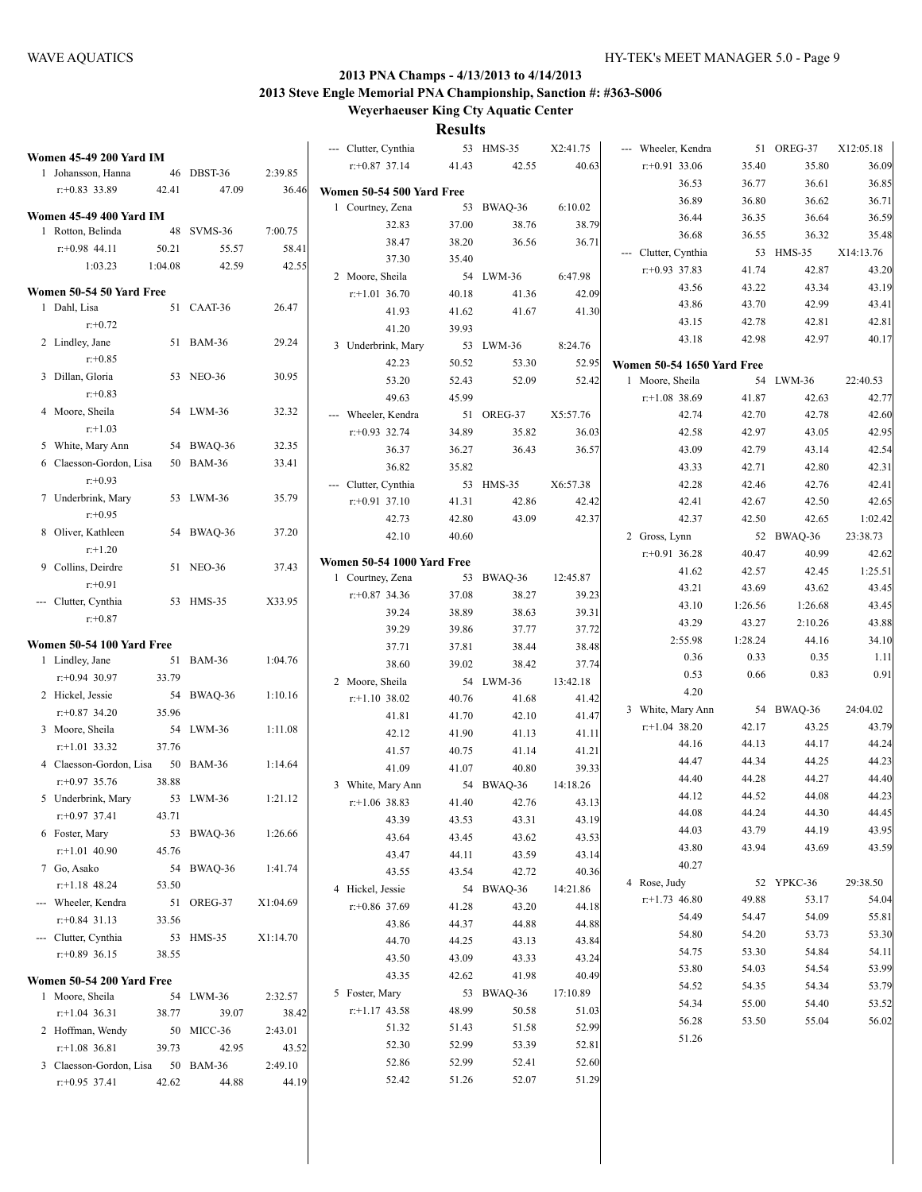| <b>Women 45-49 200 Yard IM</b> |         |            |          | --- Clutter, Cynthia                          |       | 53 HMS-35      | X2:41.75          | --- Wheeler, Kendra               |         | 51 OREG-37 | X12:05.18 |
|--------------------------------|---------|------------|----------|-----------------------------------------------|-------|----------------|-------------------|-----------------------------------|---------|------------|-----------|
| 1 Johansson, Hanna             |         | 46 DBST-36 | 2:39.85  | $r+0.87$ 37.14                                | 41.43 | 42.55          | 40.63             | $r: +0.91$ 33.06                  | 35.40   | 35.80      | 36.09     |
| $r: +0.83$ 33.89               | 42.41   | 47.09      | 36.46    |                                               |       |                |                   | 36.53                             | 36.77   | 36.61      | 36.85     |
|                                |         |            |          | Women 50-54 500 Yard Free<br>1 Courtney, Zena |       | 53 BWAQ-36     | 6:10.02           | 36.89                             | 36.80   | 36.62      | 36.71     |
| <b>Women 45-49 400 Yard IM</b> |         |            |          | 32.83                                         | 37.00 | 38.76          | 38.79             | 36.44                             | 36.35   | 36.64      | 36.59     |
| 1 Rotton, Belinda              |         | 48 SVMS-36 | 7:00.75  | 38.47                                         | 38.20 | 36.56          | 36.71             | 36.68                             | 36.55   | 36.32      | 35.48     |
| $r: +0.98$ 44.11               | 50.21   | 55.57      | 58.41    | 37.30                                         | 35.40 |                |                   | --- Clutter, Cynthia              |         | 53 HMS-35  | X14:13.76 |
| 1:03.23                        | 1:04.08 | 42.59      | 42.55    |                                               |       | 54 LWM-36      | 6:47.98           | $r+0.93$ 37.83                    | 41.74   | 42.87      | 43.20     |
| Women 50-54 50 Yard Free       |         |            |          | 2 Moore, Sheila<br>$r.+1.01$ 36.70            |       |                |                   | 43.56                             | 43.22   | 43.34      | 43.19     |
| 1 Dahl, Lisa                   |         | 51 CAAT-36 | 26.47    |                                               | 40.18 | 41.36<br>41.67 | 42.09             | 43.86                             | 43.70   | 42.99      | 43.41     |
| $r: +0.72$                     |         |            |          | 41.93                                         | 41.62 |                | 41.30             | 43.15                             | 42.78   | 42.81      | 42.81     |
| 2 Lindley, Jane                |         | 51 BAM-36  | 29.24    | 41.20                                         | 39.93 |                |                   | 43.18                             | 42.98   | 42.97      | 40.17     |
| $r: +0.85$                     |         |            |          | 3 Underbrink, Mary                            |       | 53 LWM-36      | 8:24.76           |                                   |         |            |           |
| 3 Dillan, Gloria               |         | 53 NEO-36  | 30.95    | 42.23                                         | 50.52 | 53.30          | 52.95             | <b>Women 50-54 1650 Yard Free</b> |         |            |           |
| $r: +0.83$                     |         |            |          | 53.20                                         | 52.43 | 52.09          | 52.42             | 1 Moore, Sheila                   |         | 54 LWM-36  | 22:40.53  |
| 4 Moore, Sheila                |         | 54 LWM-36  | 32.32    | 49.63                                         | 45.99 |                |                   | $r+1.08$ 38.69                    | 41.87   | 42.63      | 42.77     |
| $r: +1.03$                     |         |            |          | --- Wheeler, Kendra                           |       | 51 OREG-37     | X5:57.76          | 42.74                             | 42.70   | 42.78      | 42.60     |
| 5 White, Mary Ann              |         | 54 BWAQ-36 | 32.35    | $r: +0.93$ 32.74                              | 34.89 | 35.82          | 36.03             | 42.58                             | 42.97   | 43.05      | 42.95     |
| 6 Claesson-Gordon, Lisa        |         | 50 BAM-36  | 33.41    | 36.37                                         | 36.27 | 36.43          | 36.57             | 43.09                             | 42.79   | 43.14      | 42.54     |
| $r: +0.93$                     |         |            |          | 36.82                                         | 35.82 |                |                   | 43.33                             | 42.71   | 42.80      | 42.31     |
| 7 Underbrink, Mary             |         |            |          | --- Clutter, Cynthia                          |       | 53 HMS-35      | X6:57.38          | 42.28                             | 42.46   | 42.76      | 42.41     |
| $r: +0.95$                     |         | 53 LWM-36  | 35.79    | $r: +0.91$ 37.10                              | 41.31 | 42.86          | 42.42             | 42.41                             | 42.67   | 42.50      | 42.65     |
|                                |         |            |          | 42.73                                         | 42.80 | 43.09          | 42.37             | 42.37                             | 42.50   | 42.65      | 1:02.42   |
| 8 Oliver, Kathleen             |         | 54 BWAQ-36 | 37.20    | 42.10                                         | 40.60 |                |                   | 2 Gross, Lynn                     |         | 52 BWAQ-36 | 23:38.73  |
| $r+1.20$                       |         |            |          | <b>Women 50-54 1000 Yard Free</b>             |       |                |                   | $r+0.91$ 36.28                    | 40.47   | 40.99      | 42.62     |
| 9 Collins, Deirdre             |         | 51 NEO-36  | 37.43    | 1 Courtney, Zena                              |       | 53 BWAQ-36     | 12:45.87          | 41.62                             | 42.57   | 42.45      | 1:25.51   |
| $r: +0.91$                     |         |            |          | $r+0.87$ 34.36                                | 37.08 | 38.27          | 39.23             | 43.21                             | 43.69   | 43.62      | 43.45     |
| --- Clutter, Cynthia           |         | 53 HMS-35  | X33.95   | 39.24                                         | 38.89 | 38.63          | 39.31             | 43.10                             | 1:26.56 | 1:26.68    | 43.45     |
| $r: +0.87$                     |         |            |          | 39.29                                         | 39.86 | 37.77          | 37.72             | 43.29                             | 43.27   | 2:10.26    | 43.88     |
| Women 50-54 100 Yard Free      |         |            |          | 37.71                                         | 37.81 | 38.44          | 38.48             | 2:55.98                           | 1:28.24 | 44.16      | 34.10     |
| 1 Lindley, Jane                |         | 51 BAM-36  | 1:04.76  | 38.60                                         | 39.02 | 38.42          | 37.74             | 0.36                              | 0.33    | 0.35       | 1.11      |
| $r: +0.94$ 30.97               | 33.79   |            |          | 2 Moore, Sheila                               |       | 54 LWM-36      | 13:42.18          | 0.53                              | 0.66    | 0.83       | 0.91      |
| 2 Hickel, Jessie               |         | 54 BWAQ-36 | 1:10.16  | $r+1.10$ 38.02                                | 40.76 | 41.68          | 41.42             | 4.20                              |         |            |           |
| $r: +0.87$ 34.20               | 35.96   |            |          | 41.81                                         | 41.70 | 42.10          | 41.47             | 3 White, Mary Ann                 |         | 54 BWAQ-36 | 24:04.02  |
| 3 Moore, Sheila                |         | 54 LWM-36  | 1:11.08  | 42.12                                         | 41.90 | 41.13          | 41.11             | $r+1.04$ 38.20                    | 42.17   | 43.25      | 43.79     |
| $r$ :+1.01 33.32               | 37.76   |            |          | 41.57                                         | 40.75 | 41.14          | 41.21             | 44.16                             | 44.13   | 44.17      | 44.24     |
| 4 Claesson-Gordon, Lisa        |         | 50 BAM-36  | 1:14.64  | 41.09                                         | 41.07 | 40.80          | 39.33             | 44.47                             | 44.34   | 44.25      | 44.23     |
| $r: +0.97$ 35.76               | 38.88   |            |          | 3 White, Mary Ann                             |       | 54 BWAQ-36     | 14:18.26          | 44.40                             | 44.28   | 44.27      | 44.40     |
| 5 Underbrink, Mary             |         | 53 LWM-36  | 1:21.12  | $r$ :+1.06 38.83                              | 41.40 | 42.76          | 43.13             | 44.12                             | 44.52   | 44.08      | 44.23     |
| $r$ :+0.97 37.41               | 43.71   |            |          | 43.39                                         | 43.53 | 43.31          | 43.19             | 44.08                             | 44.24   | 44.30      | 44.45     |
| 6 Foster, Mary                 |         | 53 BWAQ-36 | 1:26.66  | 43.64                                         | 43.45 | 43.62          | 43.53             | 44.03                             | 43.79   | 44.19      | 43.95     |
| $r$ :+1.01 40.90               | 45.76   |            |          | 43.47                                         | 44.11 |                | 43.14             | 43.80                             | 43.94   | 43.69      | 43.59     |
| 7 Go, Asako                    |         | 54 BWAQ-36 | 1:41.74  | 43.55                                         | 43.54 | 43.59<br>42.72 |                   | 40.27                             |         |            |           |
| $r+1.18$ 48.24                 | 53.50   |            |          |                                               |       |                | 40.36<br>14:21.86 | 4 Rose, Judy                      |         | 52 YPKC-36 | 29:38.50  |
| --- Wheeler, Kendra            |         | 51 OREG-37 | X1:04.69 | 4 Hickel, Jessie                              |       | 54 BWAQ-36     |                   | $r+1.73$ 46.80                    | 49.88   | 53.17      | 54.04     |
| $r+0.84$ 31.13                 | 33.56   |            |          | $r: +0.86$ 37.69                              | 41.28 | 43.20          | 44.18             | 54.49                             | 54.47   | 54.09      | 55.81     |
| --- Clutter, Cynthia           |         | 53 HMS-35  | X1:14.70 | 43.86                                         | 44.37 | 44.88          | 44.88             | 54.80                             | 54.20   | 53.73      | 53.30     |
| $r+0.89$ 36.15                 | 38.55   |            |          | 44.70                                         | 44.25 | 43.13          | 43.84             | 54.75                             | 53.30   | 54.84      | 54.11     |
|                                |         |            |          | 43.50                                         | 43.09 | 43.33          | 43.24             | 53.80                             | 54.03   | 54.54      | 53.99     |
| Women 50-54 200 Yard Free      |         |            |          | 43.35                                         | 42.62 | 41.98          | 40.49             | 54.52                             | 54.35   | 54.34      | 53.79     |
| 1 Moore, Sheila                |         | 54 LWM-36  | 2:32.57  | 5 Foster, Mary                                |       | 53 BWAQ-36     | 17:10.89          | 54.34                             | 55.00   | 54.40      | 53.52     |
| $r$ :+1.04 36.31               | 38.77   | 39.07      | 38.42    | $r$ :+1.17 43.58                              | 48.99 | 50.58          | 51.03             | 56.28                             | 53.50   | 55.04      | 56.02     |
| 2 Hoffman, Wendy               |         | 50 MICC-36 | 2:43.01  | 51.32                                         | 51.43 | 51.58          | 52.99             | 51.26                             |         |            |           |
| $r$ :+1.08 36.81               | 39.73   | 42.95      | 43.52    | 52.30                                         | 52.99 | 53.39          | 52.81             |                                   |         |            |           |
| 3 Claesson-Gordon, Lisa        |         | 50 BAM-36  | 2:49.10  | 52.86                                         | 52.99 | 52.41          | 52.60             |                                   |         |            |           |
| $r+0.95$ 37.41                 | 42.62   | 44.88      | 44.19    | 52.42                                         | 51.26 | 52.07          | 51.29             |                                   |         |            |           |
|                                |         |            |          |                                               |       |                |                   |                                   |         |            |           |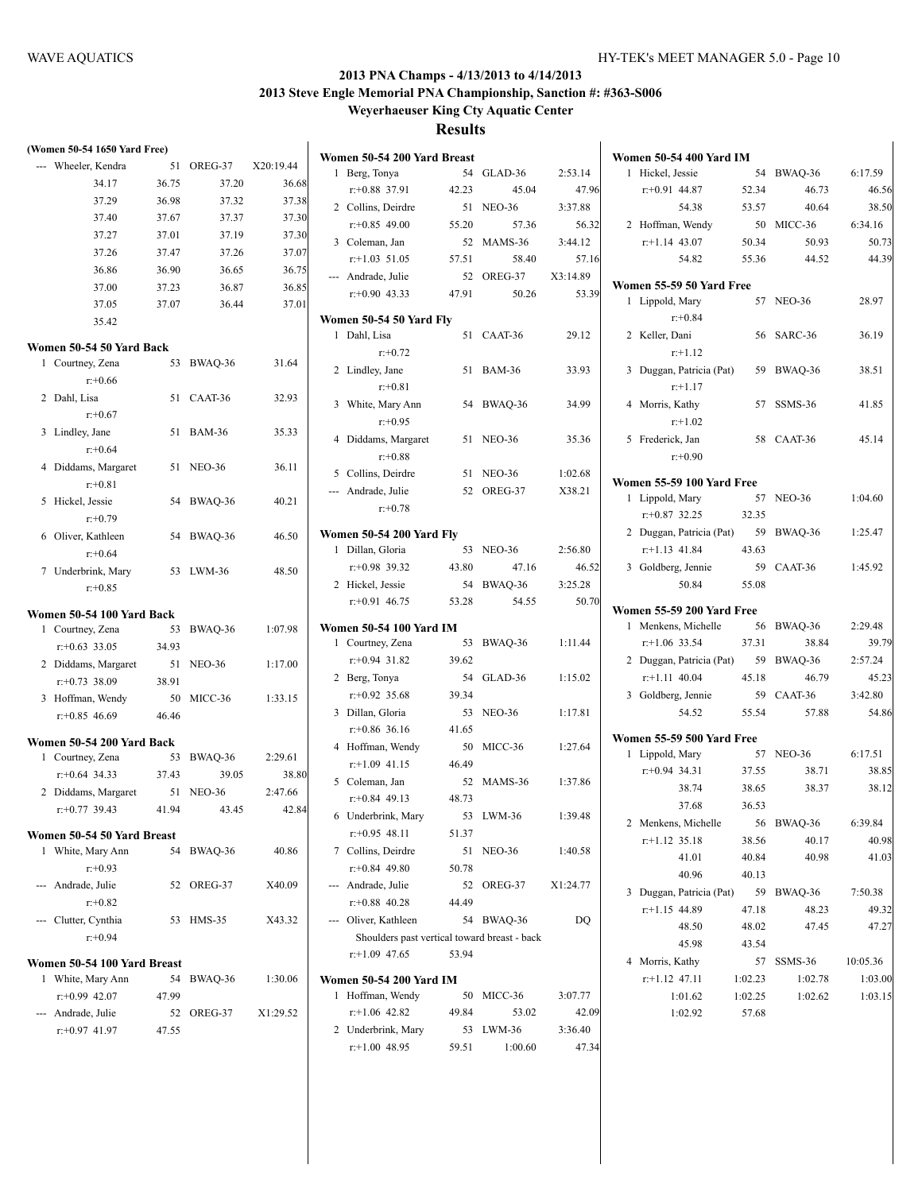| (Women 50-54 1650 Yard Free)                 |       |            |           | Women 50-54 200 Yard Breast                  |       |            |          | <b>Women 50-54 400 Yard IM</b>               |         |            |          |
|----------------------------------------------|-------|------------|-----------|----------------------------------------------|-------|------------|----------|----------------------------------------------|---------|------------|----------|
| --- Wheeler, Kendra                          |       | 51 OREG-37 | X20:19.44 | 1 Berg, Tonya                                |       | 54 GLAD-36 | 2:53.14  | 1 Hickel, Jessie                             |         | 54 BWAQ-36 | 6:17.59  |
| 34.17                                        | 36.75 | 37.20      | 36.68     | $r: +0.88$ 37.91                             | 42.23 | 45.04      | 47.96    | $r+0.91$ 44.87                               | 52.34   | 46.73      | 46.56    |
| 37.29                                        | 36.98 | 37.32      | 37.38     | 2 Collins, Deirdre                           |       | 51 NEO-36  | 3:37.88  | 54.38                                        | 53.57   | 40.64      | 38.50    |
| 37.40                                        | 37.67 | 37.37      | 37.30     | $r+0.85$ 49.00                               | 55.20 | 57.36      | 56.32    | 2 Hoffman, Wendy                             |         | 50 MICC-36 | 6:34.16  |
| 37.27                                        | 37.01 | 37.19      | 37.30     | 3 Coleman, Jan                               |       | 52 MAMS-36 | 3:44.12  | $r$ :+1.14 43.07                             | 50.34   | 50.93      | 50.73    |
| 37.26                                        | 37.47 | 37.26      | 37.07     | $r+1.03$ 51.05                               | 57.51 | 58.40      | 57.16    | 54.82                                        | 55.36   | 44.52      | 44.39    |
| 36.86                                        | 36.90 | 36.65      | 36.75     | --- Andrade, Julie                           |       | 52 OREG-37 | X3:14.89 |                                              |         |            |          |
| 37.00                                        | 37.23 | 36.87      | 36.85     | $r+0.90$ 43.33                               | 47.91 | 50.26      | 53.39    | Women 55-59 50 Yard Free                     |         |            |          |
| 37.05                                        | 37.07 | 36.44      | 37.01     |                                              |       |            |          | 1 Lippold, Mary                              |         | 57 NEO-36  | 28.97    |
| 35.42                                        |       |            |           | Women 50-54 50 Yard Fly                      |       |            |          | $r: +0.84$                                   |         |            |          |
|                                              |       |            |           | 1 Dahl, Lisa                                 |       | 51 CAAT-36 | 29.12    | 2 Keller, Dani                               |         | 56 SARC-36 | 36.19    |
| Women 50-54 50 Yard Back<br>1 Courtney, Zena |       | 53 BWAQ-36 | 31.64     | $r + 0.72$                                   |       |            |          | $r+1.12$                                     |         |            |          |
|                                              |       |            |           | 2 Lindley, Jane                              |       | 51 BAM-36  | 33.93    | 3 Duggan, Patricia (Pat)                     |         | 59 BWAQ-36 | 38.51    |
| $r: +0.66$                                   |       |            |           | $r: +0.81$                                   |       |            |          | $r: +1.17$                                   |         |            |          |
| 2 Dahl, Lisa                                 |       | 51 CAAT-36 | 32.93     | 3 White, Mary Ann                            |       | 54 BWAQ-36 | 34.99    | 4 Morris, Kathy                              |         | 57 SSMS-36 | 41.85    |
| $r: +0.67$                                   |       |            |           | $r: +0.95$                                   |       |            |          | $r+1.02$                                     |         |            |          |
| 3 Lindley, Jane                              |       | 51 BAM-36  | 35.33     | 4 Diddams, Margaret                          |       | 51 NEO-36  | 35.36    | 5 Frederick, Jan                             |         | 58 CAAT-36 | 45.14    |
| $r + 0.64$                                   |       |            |           | $r: +0.88$                                   |       |            |          | $r: +0.90$                                   |         |            |          |
| 4 Diddams, Margaret                          |       | 51 NEO-36  | 36.11     | 5 Collins, Deirdre                           |       | 51 NEO-36  | 1:02.68  |                                              |         |            |          |
| $r: +0.81$                                   |       |            |           | --- Andrade, Julie                           |       | 52 OREG-37 | X38.21   | Women 55-59 100 Yard Free<br>1 Lippold, Mary |         | 57 NEO-36  | 1:04.60  |
| 5 Hickel, Jessie                             |       | 54 BWAQ-36 | 40.21     | $r + 0.78$                                   |       |            |          | $r+0.87$ 32.25                               | 32.35   |            |          |
| $r: +0.79$                                   |       |            |           |                                              |       |            |          |                                              |         |            |          |
| 6 Oliver, Kathleen                           |       | 54 BWAQ-36 | 46.50     | <b>Women 50-54 200 Yard Fly</b>              |       |            |          | 2 Duggan, Patricia (Pat)                     |         | 59 BWAQ-36 | 1:25.47  |
| $r: +0.64$                                   |       |            |           | 1 Dillan, Gloria                             |       | 53 NEO-36  | 2:56.80  | $r+1.13$ 41.84                               | 43.63   |            |          |
| 7 Underbrink, Mary                           |       | 53 LWM-36  | 48.50     | $r+0.98$ 39.32                               | 43.80 | 47.16      | 46.52    | 3 Goldberg, Jennie                           |         | 59 CAAT-36 | 1:45.92  |
| $r+0.85$                                     |       |            |           | 2 Hickel, Jessie                             |       | 54 BWAQ-36 | 3:25.28  | 50.84                                        | 55.08   |            |          |
| Women 50-54 100 Yard Back                    |       |            |           | $r+0.91$ 46.75                               | 53.28 | 54.55      | 50.70    | Women 55-59 200 Yard Free                    |         |            |          |
| 1 Courtney, Zena                             |       | 53 BWAQ-36 | 1:07.98   | Women 50-54 100 Yard IM                      |       |            |          | 1 Menkens, Michelle                          |         | 56 BWAQ-36 | 2:29.48  |
| $r$ : +0.63 33.05                            | 34.93 |            |           | 1 Courtney, Zena                             |       | 53 BWAQ-36 | 1:11.44  | $r$ :+1.06 33.54                             | 37.31   | 38.84      | 39.79    |
| 2 Diddams, Margaret                          |       | 51 NEO-36  | 1:17.00   | $r+0.94$ 31.82                               | 39.62 |            |          | 2 Duggan, Patricia (Pat)                     |         | 59 BWAQ-36 | 2:57.24  |
| $r: +0.73$ 38.09                             | 38.91 |            |           | 2 Berg, Tonya                                |       | 54 GLAD-36 | 1:15.02  | $r.+1.11$ 40.04                              | 45.18   | 46.79      | 45.23    |
| 3 Hoffman, Wendy                             |       | 50 MICC-36 | 1:33.15   | $r+0.92$ 35.68                               | 39.34 |            |          | 3 Goldberg, Jennie                           |         | 59 CAAT-36 | 3:42.80  |
| $r: +0.85$ 46.69                             | 46.46 |            |           | 3 Dillan, Gloria                             |       | 53 NEO-36  | 1:17.81  | 54.52                                        | 55.54   | 57.88      | 54.86    |
|                                              |       |            |           | $r+0.86$ 36.16                               | 41.65 |            |          |                                              |         |            |          |
| Women 50-54 200 Yard Back                    |       |            |           | 4 Hoffman, Wendy                             |       | 50 MICC-36 | 1:27.64  | Women 55-59 500 Yard Free                    |         |            |          |
| 1 Courtney, Zena                             |       | 53 BWAQ-36 | 2:29.61   | $r+1.09$ 41.15                               | 46.49 |            |          | 1 Lippold, Mary                              |         | 57 NEO-36  | 6:17.51  |
| $r$ : +0.64 34.33                            | 37.43 | 39.05      | 38.80     | 5 Coleman, Jan                               |       | 52 MAMS-36 | 1:37.86  | $r+0.94$ 34.31                               | 37.55   | 38.71      | 38.85    |
| 2 Diddams, Margaret                          |       | 51 NEO-36  | 2:47.66   | $r+0.84$ 49.13                               | 48.73 |            |          | 38.74                                        | 38.65   | 38.37      | 38.12    |
| $r$ :+0.77 39.43                             | 41.94 | 43.45      | 42.84     | 6 Underbrink, Mary                           |       | 53 LWM-36  | 1:39.48  | 37.68                                        | 36.53   |            |          |
| Women 50-54 50 Yard Breast                   |       |            |           | $r+0.95$ 48.11                               | 51.37 |            |          | 2 Menkens, Michelle                          |         | 56 BWAQ-36 | 6:39.84  |
| 1 White, Mary Ann                            |       | 54 BWAQ-36 | 40.86     | 7 Collins, Deirdre                           |       | 51 NEO-36  | 1:40.58  | $r+1.12$ 35.18                               | 38.56   | 40.17      | 40.98    |
| $r+0.93$                                     |       |            |           | $r+0.84$ 49.80                               | 50.78 |            |          | 41.01                                        | 40.84   | 40.98      | 41.03    |
| --- Andrade, Julie                           |       | 52 OREG-37 | X40.09    | --- Andrade, Julie                           |       | 52 OREG-37 | X1:24.77 | 40.96                                        | 40.13   |            |          |
| $r+0.82$                                     |       |            |           | $r+0.88$ 40.28                               | 44.49 |            |          | 3 Duggan, Patricia (Pat)                     |         | 59 BWAQ-36 | 7:50.38  |
| --- Clutter, Cynthia                         |       | 53 HMS-35  | X43.32    | --- Oliver, Kathleen                         |       | 54 BWAQ-36 | DQ       | $r+1.15$ 44.89                               | 47.18   | 48.23      | 49.32    |
| $r+0.94$                                     |       |            |           | Shoulders past vertical toward breast - back |       |            |          | 48.50                                        | 48.02   | 47.45      | 47.27    |
|                                              |       |            |           | $r+1.09$ 47.65                               | 53.94 |            |          | 45.98                                        | 43.54   |            |          |
| Women 50-54 100 Yard Breast                  |       |            |           |                                              |       |            |          | 4 Morris, Kathy                              |         | 57 SSMS-36 | 10:05.36 |
| 1 White, Mary Ann                            |       | 54 BWAQ-36 | 1:30.06   | <b>Women 50-54 200 Yard IM</b>               |       |            |          | $r.+1.12$ 47.11                              | 1:02.23 | 1:02.78    | 1:03.00  |
| $r+0.99$ 42.07                               | 47.99 |            |           | 1 Hoffman, Wendy                             |       | 50 MICC-36 | 3:07.77  | 1:01.62                                      | 1:02.25 | 1:02.62    | 1:03.15  |
| --- Andrade, Julie                           |       | 52 OREG-37 | X1:29.52  | $r+1.06$ 42.82                               | 49.84 | 53.02      | 42.09    | 1:02.92                                      | 57.68   |            |          |
| $r$ : +0.97 41.97                            | 47.55 |            |           | 2 Underbrink, Mary                           |       | 53 LWM-36  | 3:36.40  |                                              |         |            |          |
|                                              |       |            |           | $r+1.00$ 48.95                               | 59.51 | 1:00.60    | 47.34    |                                              |         |            |          |

|   | 2 Hoffman, Wendy                            |                    | 50 MICC-36         | 6:34.16            |
|---|---------------------------------------------|--------------------|--------------------|--------------------|
|   | $r.+1.14$ 43.07                             | 50.34              | 50.93              | 50.73              |
|   | 54.82                                       | 55.36              | 44.52              | 44.39              |
|   | Women 55-59 50 Yard Free                    |                    |                    |                    |
|   | 1 Lippold, Mary                             |                    | 57 NEO-36          | 28.97              |
|   | $r: +0.84$                                  |                    |                    |                    |
|   | 2 Keller, Dani                              |                    | 56 SARC-36         | 36.19              |
|   | $r.+1.12$                                   |                    |                    |                    |
|   | 3 Duggan, Patricia (Pat)                    |                    | 59 BWAQ-36         | 38.51              |
|   | $r: +1.17$                                  |                    |                    |                    |
|   | 4 Morris, Kathy                             |                    | 57 SSMS-36         | 41.85              |
|   | $r+1.02$                                    |                    | 58 CAAT-36         |                    |
|   | 5 Frederick, Jan<br>$r: +0.90$              |                    |                    | 45.14              |
|   | Women 55-59 100 Yard Free                   |                    |                    |                    |
| 1 | Lippold, Mary                               |                    | 57 NEO-36          | 1:04.60            |
|   | $r+0.87$ 32.25                              | 32.35              |                    |                    |
|   | 2 Duggan, Patricia (Pat)                    |                    | 59 BWAQ-36         | 1:25.47            |
|   | $r$ :+1.13 41.84                            | 43.63              |                    |                    |
|   | 3 Goldberg, Jennie                          | 59                 | CAAT-36            | 1:45.92            |
|   | 50.84                                       | 55.08              |                    |                    |
|   | Women 55-59 200 Yard Free                   |                    |                    |                    |
|   | 1 Menkens, Michelle                         |                    | 56 BWAQ-36         | 2:29.48            |
|   | $r+1.06$ 33.54                              | 37.31              | 38.84              | 39.79              |
|   | 2 Duggan, Patricia (Pat)                    | 59                 | BWAQ-36            | 2:57.24            |
|   | $r$ :+1.11 40.04                            | 45.18              | 46.79              | 45.23              |
|   | 3 Goldberg, Jennie                          |                    | 59 CAAT-36         | 3:42.80            |
|   | 54.52                                       | 55.54              | 57.88              | 54.86              |
|   | Women 55-59 500 Yard Free                   |                    |                    |                    |
|   | 1 Lippold, Mary                             |                    | 57 NEO-36          | 6:17.51            |
|   | $r.+0.94$ 34.31                             | 37.55              | 38.71              | 38.85              |
|   | 38.74                                       | 38.65              | 38.37              | 38.12              |
|   | 37.68                                       | 36.53              |                    |                    |
|   | 2 Menkens, Michelle                         |                    | 56 BWAQ-36 6:39.84 |                    |
|   | $r+1.12$ 35.18                              | 38.56              | 40.17              | 40.98              |
|   | 41.01                                       | 40.84              | 40.98              | 41.03              |
|   | 40.96                                       | 40.13              |                    |                    |
|   | 3 Duggan, Patricia (Pat) 59 BWAQ-36 7:50.38 |                    |                    |                    |
|   | $r.+1.15$ 44.89                             | 47.18              | 48.23              | 49.32              |
|   | 48.50                                       | 48.02              | 47.45              | 47.27              |
|   | 45.98                                       | 43.54              |                    |                    |
|   | 4 Morris, Kathy<br>$r$ :+1.12 47.11         |                    | 57 SSMS-36         | 10:05.36           |
|   | 1:01.62                                     | 1:02.23<br>1:02.25 | 1:02.78<br>1:02.62 | 1:03.00<br>1:03.15 |
|   | 1:02.92                                     | 57.68              |                    |                    |
|   |                                             |                    |                    |                    |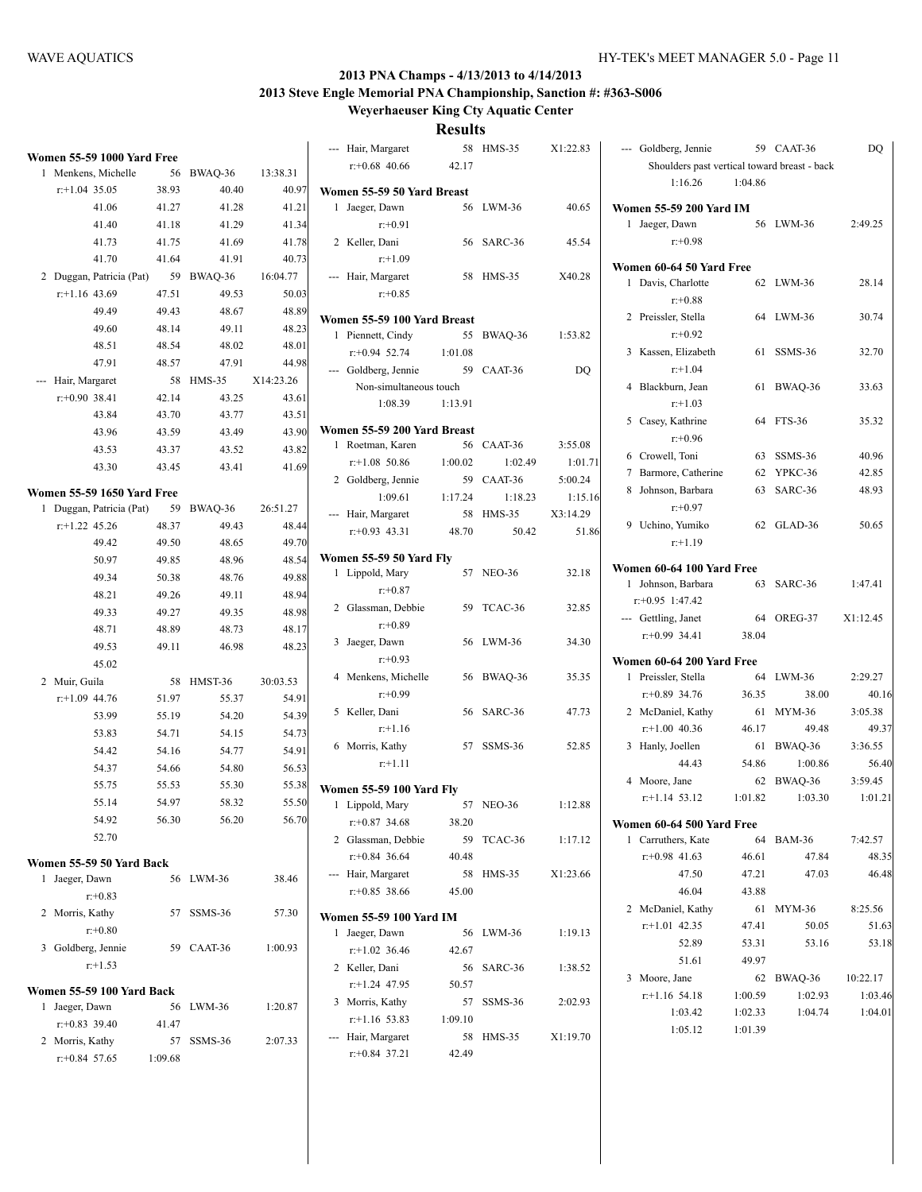**Weyerhaeuser King Cty Aquatic Center**

**Results** air, Margaret 58 HMS-35 X1:22.83

|              |                                                 |         |            |           | Ha                  |
|--------------|-------------------------------------------------|---------|------------|-----------|---------------------|
| 1            | Women 55-59 1000 Yard Free<br>Menkens, Michelle | 56      | BWAQ-36    | 13:38.31  | r:                  |
|              | $r$ :+1.04 35.05                                | 38.93   | 40.40      | 40.97     |                     |
|              | 41.06                                           | 41.27   | 41.28      | 41.21     | Women<br>1<br>Ja    |
|              | 41.40                                           | 41.18   | 41.29      | 41.34     |                     |
|              | 41.73                                           | 41.75   | 41.69      | 41.78     | 2 K6                |
|              | 41.70                                           | 41.64   | 41.91      | 40.73     |                     |
| 2            | Duggan, Patricia (Pat)                          | 59      | BWAQ-36    | 16:04.77  | H                   |
|              | $r$ :+1.16 43.69                                | 47.51   | 49.53      | 50.03     |                     |
|              | 49.49                                           | 49.43   | 48.67      | 48.89     |                     |
|              | 49.60                                           | 48.14   | 49.11      | 48.23     | Women               |
|              | 48.51                                           | 48.54   | 48.02      | 48.01     | 1<br>P <sub>1</sub> |
|              | 47.91                                           | 48.57   | 47.91      | 44.98     | r:                  |
|              | Hair, Margaret                                  | 58      | $HMS-35$   | X14:23.26 | G                   |
|              | $r: +0.90$ 38.41                                | 42.14   | 43.25      | 43.61     |                     |
|              | 43.84                                           | 43.70   | 43.77      | 43.51     |                     |
|              | 43.96                                           | 43.59   | 43.49      | 43.90     | Women               |
|              | 43.53                                           | 43.37   | 43.52      | 43.82     | 1<br>R              |
|              | 43.30                                           | 43.45   | 43.41      | 41.69     | r:                  |
|              |                                                 |         |            |           | $2$ Go              |
|              | Women 55-59 1650 Yard Free                      |         |            |           |                     |
| 1            | Duggan, Patricia (Pat)                          | 59      | BWAQ-36    | 26:51.27  | H                   |
|              | $r+1.22$ 45.26                                  | 48.37   | 49.43      | 48.44     | r:                  |
|              | 49.42                                           | 49.50   | 48.65      | 49.70     |                     |
|              | 50.97                                           | 49.85   | 48.96      | 48.54     | Women<br>1<br>Li    |
|              | 49.34                                           | 50.38   | 48.76      | 49.88     |                     |
|              | 48.21                                           | 49.26   | 49.11      | 48.94     | $2$ Gl              |
|              | 49.33                                           | 49.27   | 49.35      | 48.98     |                     |
|              | 48.71                                           | 48.89   | 48.73      | 48.17     | 3<br>Ja             |
|              | 49.53                                           | 49.11   | 46.98      | 48.23     |                     |
|              | 45.02                                           |         |            |           | $\overline{4}$<br>M |
|              | 2 Muir, Guila                                   | 58      | HMST-36    | 30:03.53  |                     |
|              | $r$ :+1.09 44.76                                | 51.97   | 55.37      | 54.91     | K <sub>6</sub><br>5 |
|              | 53.99                                           | 55.19   | 54.20      | 54.39     |                     |
|              | 53.83                                           | 54.71   | 54.15      | 54.73     | 6 M                 |
|              | 54.42                                           | 54.16   | 54.77      | 54.91     |                     |
|              | 54.37                                           | 54.66   | 54.80      | 56.53     |                     |
|              | 55.75                                           | 55.53   | 55.30      | 55.38     | Women               |
|              | 55.14                                           | 54.97   | 58.32      | 55.50     | 1<br>Li             |
|              | 54.92                                           | 56.30   | 56.20      | 56.70     | r:                  |
|              | 52.70                                           |         |            |           | 2 Gl                |
|              | Women 55-59 50 Yard Back                        |         |            |           | r:                  |
| $\mathbf{1}$ | Jaeger, Dawn                                    | 56      | LWM-36     | 38.46     | H                   |
|              | $r + 0.83$                                      |         |            |           | r:                  |
|              | 2 Morris, Kathy                                 | 57      | SSMS-36    | 57.30     | Women               |
|              | $r: +0.80$                                      |         |            |           | 1<br>Ja             |
|              | 3 Goldberg, Jennie                              |         | 59 CAAT-36 | 1:00.93   | r:                  |
|              | $r+1.53$                                        |         |            |           | 2 K6                |
|              | Women 55-59 100 Yard Back                       |         |            |           | r:                  |
| 1            | Jaeger, Dawn                                    | 56      | LWM-36     | 1:20.87   | 3 M                 |
|              | $r+0.83$ 39.40                                  | 41.47   |            |           | r:                  |
|              | 2 Morris, Kathy                                 | 57      | SSMS-36    | 2:07.33   | H<br>$\overline{a}$ |
|              | $r+0.84$ 57.65                                  | 1:09.68 |            |           | r:                  |
|              |                                                 |         |            |           |                     |

|   | $r+0.68$ 40.66                   | 42.17   |                    |          |
|---|----------------------------------|---------|--------------------|----------|
|   | Women 55-59 50 Yard Breast       |         |                    |          |
| 1 | Jaeger, Dawn<br>$r: +0.91$       | 56      | $LWM-36$           | 40.65    |
|   | 2 Keller, Dani<br>$r: +1.09$     |         | 56 SARC-36         | 45.54    |
|   | --- Hair, Margaret<br>$r: +0.85$ |         | 58 HMS-35          | X40.28   |
|   | Women 55-59 100 Yard Breast      |         |                    |          |
|   | 1 Piennett, Cindy                | 55      | BWAQ-36            | 1:53.82  |
|   | $r.+0.94$ 52.74 1:01.08          |         |                    |          |
|   | --- Goldberg, Jennie             |         | 59 CAAT-36         | DQ       |
|   | Non-simultaneous touch           |         |                    |          |
|   | 1:08.39                          | 1:13.91 |                    |          |
|   | Women 55-59 200 Yard Breast      |         |                    |          |
|   | 1 Roetman, Karen                 |         | 56 CAAT-36         | 3:55.08  |
|   | $r+1.08$ 50.86                   | 1:00.02 | 1:02.49            | 1:01.71  |
|   | 2 Goldberg, Jennie               | 59      | CAAT-36            | 5:00.24  |
|   | 1:09.61                          | 1:17.24 | 1:18.23            | 1:15.16  |
|   | --- Hair, Margaret               |         | 58 HMS-35 X3:14.29 |          |
|   | $r+0.93$ 43.31 48.70             |         | 50.42              | 51.86    |
|   | Women 55-59 50 Yard Fly          |         |                    |          |
|   | 1 Lippold, Mary                  |         | 57 NEO-36          | 32.18    |
|   | $r+0.87$                         |         |                    |          |
|   | 2 Glassman, Debbie               |         | 59 TCAC-36         | 32.85    |
|   | $r: +0.89$                       |         |                    |          |
|   | 3 Jaeger, Dawn                   |         | 56 LWM-36          | 34.30    |
|   | $r: +0.93$                       |         |                    |          |
|   | 4 Menkens, Michelle              |         | 56 BWAQ-36         | 35.35    |
|   | $r: +0.99$                       |         |                    |          |
|   | 5 Keller, Dani                   |         | 56 SARC-36         | 47.73    |
|   | $r: +1.16$                       |         |                    |          |
|   | 6 Morris, Kathy<br>$r.+1.11$     |         | 57 SSMS-36         | 52.85    |
|   | Women 55-59 100 Yard Fly         |         |                    |          |
|   | 1 Lippold, Mary                  |         | 57 NEO-36          | 1:12.88  |
|   | $r: +0.87$ 34.68                 | 38.20   |                    |          |
|   | 2 Glassman, Debbie               | 59      | TCAC-36            | 1:17.12  |
|   | $r+0.84$ 36.64                   | 40.48   |                    |          |
|   | --- Hair, Margaret               | 58      | $HMS-35$           | X1:23.66 |
|   | $r+0.85$ 38.66                   | 45.00   |                    |          |
|   | <b>Women 55-59 100 Yard IM</b>   |         |                    |          |
| 1 | Jaeger, Dawn                     | 56      | LWM-36             | 1:19.13  |
|   | $r+1.02$ 36.46                   | 42.67   |                    |          |
|   | 2 Keller, Dani                   | 56      | SARC-36            | 1:38.52  |
|   | $r+1.24$ 47.95                   | 50.57   |                    |          |
|   | 3 Morris, Kathy                  | 57      | SSMS-36            | 2:02.93  |
|   | $r+1.16$ 53.83                   | 1:09.10 |                    |          |
|   | --- Hair, Margaret               | 58      | HMS-35             | X1:19.70 |
|   | $r+0.84$ 37.21                   | 42.49   |                    |          |
|   |                                  |         |                    |          |

|   | --- Goldberg, Jennie                         | 59      | CAAT-36       | DQ       |
|---|----------------------------------------------|---------|---------------|----------|
|   | Shoulders past vertical toward breast - back |         |               |          |
|   | 1:16.26                                      | 1:04.86 |               |          |
|   | Women 55-59 200 Yard IM                      |         |               |          |
| 1 | Jaeger, Dawn                                 |         | 56 LWM-36     | 2:49.25  |
|   | $r+0.98$                                     |         |               |          |
|   |                                              |         |               |          |
|   | Women 60-64 50 Yard Free                     |         |               |          |
| 1 | Davis, Charlotte                             | 62      | LWM-36        | 28.14    |
|   | $r: +0.88$                                   |         |               |          |
|   | 2 Preissler, Stella                          |         | 64 LWM-36     | 30.74    |
|   | $r: +0.92$                                   |         |               |          |
| 3 | Kassen, Elizabeth                            | 61      | SSMS-36       | 32.70    |
|   | $r + 1.04$                                   |         |               |          |
| 4 | Blackburn, Jean                              | 61      | BWAQ-36       | 33.63    |
|   | $r: +1.03$                                   |         |               |          |
|   | 5 Casey, Kathrine                            | 64      | <b>FTS-36</b> | 35.32    |
|   | $r + 0.96$                                   |         |               |          |
|   | 6 Crowell, Toni                              | 63      | SSMS-36       | 40.96    |
|   | 7 Barmore, Catherine                         | 62      | YPKC-36       | 42.85    |
|   | 8 Johnson, Barbara                           | 63      | SARC-36       | 48.93    |
|   | $r: +0.97$                                   |         |               |          |
| 9 | Uchino, Yumiko                               | 62      | GLAD-36       | 50.65    |
|   | $r+1.19$                                     |         |               |          |
|   | Women 60-64 100 Yard Free                    |         |               |          |
|   | 1 Johnson, Barbara                           | 63      | SARC-36       | 1:47.41  |
|   | $r$ : +0.95 1:47.42                          |         |               |          |
|   | --- Gettling, Janet                          | 64      | OREG-37       | X1:12.45 |
|   | $r: +0.99$ 34.41                             | 38.04   |               |          |
|   |                                              |         |               |          |
|   | Women 60-64 200 Yard Free                    |         |               |          |
| 1 | Preissler, Stella                            | 64      | LWM-36        | 2:29.27  |
|   | $r+0.89$ 34.76                               | 36.35   | 38.00         | 40.16    |
|   | 2 McDaniel, Kathy                            | 61      | MYM-36        | 3:05.38  |
|   | $r$ :+1.00 40.36                             | 46.17   | 49.48         | 49.37    |
| 3 | Hanly, Joellen                               | 61      | BWAQ-36       | 3:36.55  |
|   | 44.43                                        | 54.86   | 1:00.86       | 56.40    |
|   | 4 Moore, Jane                                | 62      | BWAQ-36       | 3:59.45  |
|   | $r.+1.14$ 53.12                              | 1:01.82 | 1:03.30       | 1:01.21  |
|   | Women 60-64 500 Yard Free                    |         |               |          |
| 1 | Carruthers, Kate                             | 64      | BAM-36        | 7:42.57  |
|   | $r+0.98$ 41.63                               | 46.61   | 47.84         | 48.35    |
|   | 47.50                                        | 47.21   | 47.03         | 46.48    |
|   | 46.04                                        | 43.88   |               |          |
|   | 2 McDaniel, Kathy                            | 61      | MYM-36        | 8:25.56  |
|   | $r+1.01$ 42.35                               | 47.41   | 50.05         | 51.63    |
|   | 52.89                                        | 53.31   | 53.16         | 53.18    |
|   | 51.61                                        | 49.97   |               |          |
|   | 3 Moore, Jane                                | 62      | BWAQ-36       | 10:22.17 |
|   | $r.+1.16$ 54.18                              | 1:00.59 | 1:02.93       | 1:03.46  |
|   | 1:03.42                                      | 1:02.33 | 1:04.74       | 1:04.01  |
|   | 1:05.12                                      | 1:01.39 |               |          |
|   |                                              |         |               |          |
|   |                                              |         |               |          |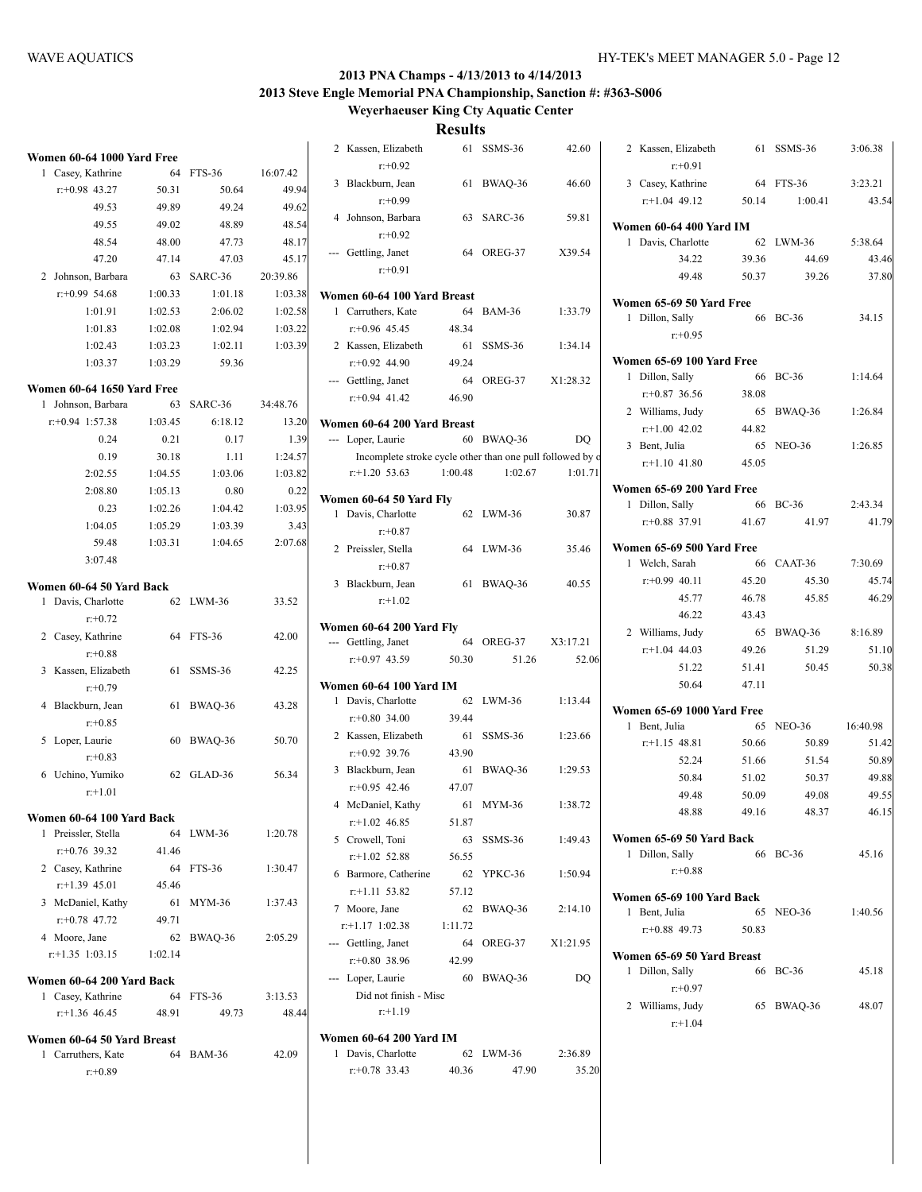**Weyerhaeuser King Cty Aquatic Center**

| Women 60-64 1000 Yard Free                     |         |               |          |
|------------------------------------------------|---------|---------------|----------|
| 1 Casey, Kathrine                              | 64      | FTS-36        | 16:07.42 |
| $r: +0.98$ 43.27                               | 50.31   | 50.64         | 49.94    |
| 49.53                                          | 49.89   | 49.24         | 49.62    |
| 49.55                                          | 49.02   | 48.89         | 48.54    |
| 48.54                                          | 48.00   | 47.73         | 48.17    |
| 47.20                                          | 47.14   | 47.03         | 45.17    |
| 2 Johnson, Barbara                             | 63      | SARC-36       | 20:39.86 |
| $r: +0.99$ 54.68                               | 1:00.33 | 1:01.18       | 1:03.38  |
| 1:01.91                                        | 1:02.53 | 2:06.02       | 1:02.58  |
| 1:01.83                                        | 1:02.08 | 1:02.94       | 1:03.22  |
| 1:02.43                                        | 1:03.23 | 1:02.11       | 1:03.39  |
| 1:03.37                                        | 1:03.29 | 59.36         |          |
| Women 60-64 1650 Yard Free                     |         |               |          |
| Johnson, Barbara<br>1                          | 63      | SARC-36       | 34:48.76 |
| $r: +0.94$ 1:57.38                             | 1:03.45 | 6:18.12       | 13.20    |
| 0.24                                           | 0.21    | 0.17          | 1.39     |
| 0.19                                           | 30.18   | 1.11          | 1:24.57  |
| 2:02.55                                        | 1:04.55 | 1:03.06       | 1:03.82  |
| 2:08.80                                        | 1:05.13 | 0.80          | 0.22     |
| 0.23                                           | 1:02.26 | 1:04.42       | 1:03.95  |
| 1:04.05                                        | 1:05.29 | 1:03.39       | 3.43     |
| 59.48                                          | 1:03.31 | 1:04.65       | 2:07.68  |
| 3:07.48                                        |         |               |          |
| Women 60-64 50 Yard Back                       |         |               |          |
| Davis, Charlotte<br>1                          |         | 62 LWM-36     | 33.52    |
| $r + 0.72$                                     |         |               |          |
| 2 Casey, Kathrine                              |         | 64 FTS-36     | 42.00    |
| $r: +0.88$                                     |         |               |          |
| 3<br>Kassen, Elizabeth                         | 61      | SSMS-36       | 42.25    |
| $r + 0.79$                                     |         |               |          |
| 4<br>Blackburn, Jean                           | 61      | BWAQ-36       | 43.28    |
| $r + 0.85$                                     |         |               |          |
| Loper, Laurie<br>5                             | 60      | BWAQ-36       | 50.70    |
| $r + 0.83$                                     |         |               |          |
| Uchino, Yumiko<br>6                            | 62      | GLAD-36       | 56.34    |
| $r: +1.01$                                     |         |               |          |
| n 60-64 100 Yard Back<br>$\mathbf{v_0}$<br>mei |         |               |          |
| 1 Preissler, Stella                            | 64      | LWM-36        | 1:20.78  |
| $r+0.76$ 39.32                                 | 41.46   |               |          |
| 2 Casey, Kathrine                              | 64      | FTS-36        | 1:30.47  |
| $r$ :+1.39 45.01                               | 45.46   |               |          |
| 3 McDaniel, Kathy                              | 61      | MYM-36        | 1:37.43  |
| $r$ : +0.78 47.72                              | 49.71   |               |          |
| 4 Moore, Jane                                  | 62      | BWAQ-36       | 2:05.29  |
| $r$ : +1.35 1:03.15 1:02.14                    |         |               |          |
| Women 60-64 200 Yard Back                      |         |               |          |
| 1 Casey, Kathrine                              | 64      | FTS-36        | 3:13.53  |
| $r+1.36$ 46.45                                 | 48.91   | 49.73         | 48.44    |
| Women 60-64 50 Yard Breast                     |         |               |          |
| Carruthers, Kate<br>1                          | 64      | <b>BAM-36</b> | 42.09    |
| r:+0.89                                        |         |               |          |
|                                                |         |               |          |

|   | 2 Kassen, Elizabeth                                       |         | 61 SSMS-36    | 42.60    | 2              |
|---|-----------------------------------------------------------|---------|---------------|----------|----------------|
|   | $r: +0.92$                                                |         |               |          |                |
|   | 3 Blackburn, Jean<br>$r: +0.99$                           |         | 61 BWAQ-36    | 46.60    | 3              |
|   | 4 Johnson, Barbara                                        |         | 63 SARC-36    | 59.81    |                |
|   | $r: +0.92$                                                |         |               |          | Wol            |
|   |                                                           |         | 64 OREG-37    | X39.54   | 1              |
|   | --- Gettling, Janet<br>$r: +0.91$                         |         |               |          |                |
|   |                                                           |         |               |          |                |
|   | Women 60-64 100 Yard Breast                               |         |               |          | Wol            |
|   | 1 Carruthers, Kate                                        | 64      | <b>BAM-36</b> | 1:33.79  | 1              |
|   | $r+0.96$ 45.45                                            | 48.34   |               |          |                |
|   | 2 Kassen, Elizabeth                                       |         | 61 SSMS-36    | 1:34.14  |                |
|   | $r+0.92$ 44.90                                            | 49.24   |               |          | Wol            |
|   | --- Gettling, Janet                                       |         | 64 OREG-37    | X1:28.32 | 1              |
|   | $r+0.94$ 41.42                                            | 46.90   |               |          |                |
|   |                                                           |         |               |          | $\overline{2}$ |
|   | Women 60-64 200 Yard Breast                               |         |               |          |                |
|   | --- Loper, Laurie                                         |         | 60 BWAQ-36    | DO       | 3              |
|   | Incomplete stroke cycle other than one pull followed by o |         |               |          |                |
|   | $r$ :+1.20 53.63                                          | 1:00.48 | 1:02.67       | 1:01.71  |                |
|   | Women 60-64 50 Yard Fly                                   |         |               |          | Woi            |
|   | 1 Davis, Charlotte                                        |         | 62 LWM-36     | 30.87    | 1              |
|   | $r: +0.87$                                                |         |               |          |                |
|   | 2 Preissler, Stella                                       |         | 64 LWM-36     | 35.46    | Woi            |
|   | $r: +0.87$                                                |         |               |          | 1              |
|   | 3 Blackburn, Jean                                         |         | 61 BWAQ-36    | 40.55    |                |
|   | $r+1.02$                                                  |         |               |          |                |
|   |                                                           |         |               |          |                |
|   | Women 60-64 200 Yard Fly                                  |         |               |          | $\overline{2}$ |
|   | --- Gettling, Janet                                       |         | 64 OREG-37    | X3:17.21 |                |
|   | $r: +0.97$ 43.59                                          | 50.30   | 51.26         | 52.06    |                |
|   | Women 60-64 100 Yard IM                                   |         |               |          |                |
|   | 1 Davis, Charlotte                                        |         | 62 LWM-36     | 1:13.44  |                |
|   | $r+0.80$ 34.00                                            | 39.44   |               |          | Wol            |
|   | 2 Kassen, Elizabeth                                       |         | 61 SSMS-36    | 1:23.66  | 1              |
|   | $r+0.92$ 39.76                                            | 43.90   |               |          |                |
|   | 3 Blackburn, Jean                                         |         | 61 BWAQ-36    | 1:29.53  |                |
|   | $r + 0.95$ 42.46                                          | 47.07   |               |          |                |
|   | 4 McDaniel, Kathy                                         |         | 61 MYM-36     | 1:38.72  |                |
|   | $r+1.02$ 46.85                                            | 51.87   |               |          |                |
|   | 5 Crowell, Toni                                           | 63      | SSMS-36       | 1:49.43  | Woi            |
|   | $r+1.02$ 52.88                                            | 56.55   |               |          | 1              |
|   | 6 Barmore, Catherine                                      | 62      | YPKC-36       | 1:50.94  |                |
|   | $r$ :+1.11 53.82                                          | 57.12   |               |          |                |
|   | 7 Moore, Jane                                             | 62      | BWAQ-36       | 2:14.10  | Woi            |
|   | $r.+1.17$ 1:02.38                                         | 1:11.72 |               |          | 1              |
|   | --- Gettling, Janet                                       | 64      | OREG-37       | X1:21.95 |                |
|   | $r+0.80$ 38.96                                            | 42.99   |               |          | Wol            |
|   | Loper, Laurie                                             | 60      | BWAQ-36       | DQ       | 1              |
|   | Did not finish - Misc                                     |         |               |          |                |
|   | $r+1.19$                                                  |         |               |          | 2              |
|   |                                                           |         |               |          |                |
|   | Women 60-64 200 Yard IM                                   |         |               |          |                |
| 1 | Davis, Charlotte                                          | 62      | LWM-36        | 2:36.89  |                |
|   | $r+0.78$ 33.43                                            | 40.36   | 47.90         | 35.20    |                |
|   |                                                           |         |               |          |                |

| 2 Kassen, Elizabeth<br>$r: +0.91$                |       | 61 SSMS-36      | 3:06.38  |
|--------------------------------------------------|-------|-----------------|----------|
| 3 Casey, Kathrine                                | 64    | <b>FTS-36</b>   | 3:23.21  |
| $r$ :+1.04 49.12                                 | 50.14 | 1:00.41         | 43.54    |
|                                                  |       |                 |          |
| <b>Women 60-64 400 Yard IM</b>                   |       |                 |          |
| Davis, Charlotte<br>1                            |       | 62 LWM-36       | 5:38.64  |
| 34.22                                            | 39.36 | 44.69           | 43.46    |
| 49.48                                            | 50.37 | 39.26           | 37.80    |
| Women 65-69 50 Yard Free                         |       |                 |          |
| Dillon, Sally<br>1                               |       | 66 BC-36        | 34.15    |
| $r: +0.95$                                       |       |                 |          |
|                                                  |       |                 |          |
| Women 65-69 100 Yard Free                        |       |                 |          |
| Dillon, Sally<br>1                               | 66    | $BC-36$         | 1:14.64  |
| $r+0.87$ 36.56                                   | 38.08 |                 |          |
| 2 Williams, Judy                                 | 65    | BWAQ-36         | 1:26.84  |
| $r$ :+1.00 42.02                                 | 44.82 |                 |          |
| 3 Bent. Julia                                    | 65    | <b>NEO-36</b>   | 1:26.85  |
| $r+1.10$ 41.80                                   | 45.05 |                 |          |
| Women 65-69 200 Yard Free                        |       |                 |          |
| Dillon, Sally<br>1                               | - 66  | <b>BC-36</b>    | 2:43.34  |
| $r + 0.88$ 37.91                                 | 41.67 | 41.97           | 41.79    |
| Women 65-69 500 Yard Free                        |       |                 |          |
| 1 Welch, Sarah                                   |       | 66 CAAT-36      | 7:30.69  |
| $r: +0.99$ 40.11                                 | 45.20 | 45.30           | 45.74    |
| 45.77                                            | 46.78 | 45.85           | 46.29    |
| 46.22                                            | 43.43 |                 |          |
| 2 Williams, Judy                                 | 65    | BWAQ-36 8:16.89 |          |
| $r + 1.04$ 44.03                                 | 49.26 | 51.29           | 51.10    |
| 51.22                                            | 51.41 | 50.45           | 50.38    |
| 50.64                                            | 47.11 |                 |          |
|                                                  |       |                 |          |
| <b>Women 65-69 1000 Yard Free</b>                |       |                 |          |
| 1 Bent, Julia                                    | 65    | NEO-36          | 16:40.98 |
| $r+1.15$ 48.81                                   | 50.66 | 50.89           | 51.42    |
| 52.24                                            | 51.66 | 51.54           | 50.89    |
| 50.84                                            | 51.02 | 50.37           | 49.88    |
| 49.48                                            | 50.09 | 49.08           | 49.55    |
| 48.88                                            | 49.16 | 48.37           | 46.15    |
| Women 65-69 50 Yard Back                         |       |                 |          |
| 1 Dillon, Sally                                  |       | 66 BC-36        | 45.16    |
| $r+0.88$                                         |       |                 |          |
| Women 65-69 100 Yard Back                        |       |                 |          |
| Bent, Julia<br>1                                 | 65    | <b>NEO-36</b>   | 1:40.56  |
| $r+0.88$ 49.73                                   | 50.83 |                 |          |
|                                                  |       |                 |          |
| Women 65-69 50 Yard Breast<br>Dillon, Sally<br>1 | 66    | <b>BC-36</b>    | 45.18    |
| $r: +0.97$                                       |       |                 |          |
| 2 Williams, Judy                                 | 65    | BWAQ-36         | 48.07    |
| $r + 1.04$                                       |       |                 |          |
|                                                  |       |                 |          |
|                                                  |       |                 |          |
|                                                  |       |                 |          |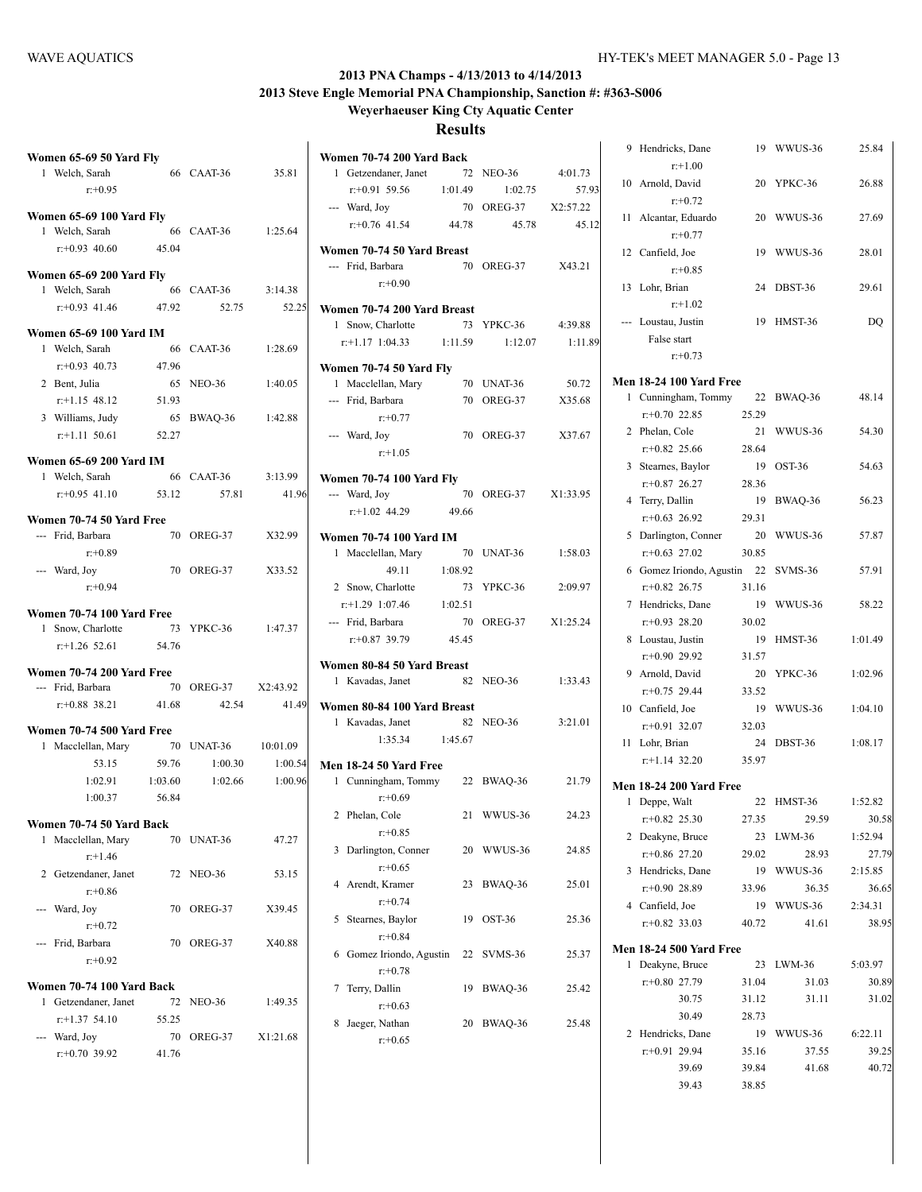**Women 70-74 200 Yard Back**

**Weyerhaeuser King Cty Aquatic Center**

|   | Women 65-69 50 Yard Fly                                               |       |                             |          |
|---|-----------------------------------------------------------------------|-------|-----------------------------|----------|
|   | 1 Welch, Sarah<br>$r: +0.95$                                          |       | 66 CAAT-36                  | 35.81    |
|   | <b>Women 65-69 100 Yard Fly</b><br>1 Welch, Sarah<br>$r + 0.93$ 40.60 | 45.04 | 66 CAAT-36                  | 1:25.64  |
|   | <b>Women 65-69 200 Yard Fly</b>                                       |       |                             |          |
|   | 1 Welch, Sarah<br>$r.+0.93$ 41.46 47.92                               |       | 66 CAAT-36 3:14.38<br>52.75 | 52.25    |
|   | Women 65-69 100 Yard IM                                               |       |                             |          |
|   | 1 Welch, Sarah                                                        |       | 66 CAAT-36                  | 1:28.69  |
|   | $r: +0.93$ 40.73                                                      | 47.96 |                             |          |
|   | 2 Bent, Julia                                                         | 65    | NEO-36                      | 1:40.05  |
|   | $r$ :+1.15 48.12 51.93                                                |       |                             |          |
|   | 3 Williams, Judy                                                      |       | 65 BWAQ-36                  | 1:42.88  |
|   | $r.+1.11$ 50.61                                                       | 52.27 |                             |          |
|   | Women 65-69 200 Yard IM                                               |       |                             |          |
|   | 1 Welch, Sarah                                                        |       | 66 CAAT-36                  | 3:13.99  |
|   | $r: +0.95$ 41.10 53.12                                                |       | 57.81                       | 41.96    |
|   | Women 70-74 50 Yard Free                                              |       |                             |          |
|   | --- Frid, Barbara<br>$r+0.89$                                         |       | 70 OREG-37                  | X32.99   |
|   | --- Ward, Joy<br>$r: +0.94$                                           |       | 70 OREG-37                  | X33.52   |
|   | Women 70-74 100 Yard Free                                             |       |                             |          |
|   | 1 Snow, Charlotte                                                     |       | 73 YPKC-36                  | 1:47.37  |
|   | $r+1.26$ 52.61                                                        | 54.76 |                             |          |
|   |                                                                       |       |                             |          |
|   | Women 70-74 200 Yard Free                                             |       | 70 OREG-37 X2:43.92         |          |
|   | --- Frid, Barbara<br>$r: +0.88$ 38.21 41.68                           |       | 42.54                       | 41.49    |
|   |                                                                       |       |                             |          |
|   | Women 70-74 500 Yard Free                                             |       |                             |          |
|   | 1 Macclellan, Mary                                                    |       | 70 UNAT-36                  | 10:01.09 |
|   | 53.15                                                                 | 59.76 | 1:00.30                     | 1:00.54  |
|   | $1:02.91$ $1:03.60$                                                   |       | 1:02.66                     | 1:00.96  |
|   | 1:00.37                                                               | 56.84 |                             |          |
|   | Women 70-74 50 Yard Back                                              |       |                             |          |
| 1 | Macclellan, Mary<br>$r+1.46$                                          |       | 70 UNAT-36                  | 47.27    |
|   | 2 Getzendaner, Janet<br>$r: +0.86$                                    | 72    | <b>NEO-36</b>               | 53.15    |
|   | --- Ward, Joy<br>$r + 0.72$                                           | 70    | OREG-37                     | X39.45   |
|   | --- Frid, Barbara<br>$r + 0.92$                                       | 70    | OREG-37                     | X40.88   |
|   | Women 70-74 100 Yard Back                                             |       |                             |          |
| 1 | Getzendaner, Janet                                                    | 72    | NEO-36                      | 1:49.35  |
|   | $r: +1.37$ 54.10                                                      | 55.25 |                             |          |
|   | --- Ward, Joy                                                         | 70    | OREG-37                     | X1:21.68 |
|   | $r: +0.70$ 39.92                                                      | 41.76 |                             |          |
|   |                                                                       |       |                             |          |

|   | 1 Getzendaner, Janet               | 72      | <b>NEO-36</b>       | 4:01.73  |
|---|------------------------------------|---------|---------------------|----------|
|   | $r.+0.91$ 59.56 1:01.49            |         | 1:02.75             | 57.93    |
|   | --- Ward, Joy                      |         | 70 OREG-37 X2:57.22 |          |
|   | $r+0.76$ 41.54 44.78               |         | 45.78               | 45.12    |
|   |                                    |         |                     |          |
|   | Women 70-74 50 Yard Breast         |         |                     |          |
|   | --- Frid, Barbara                  |         | 70 OREG-37          | X43.21   |
|   | $r: +0.90$                         |         |                     |          |
|   | Women 70-74 200 Yard Breast        |         |                     |          |
|   | 1 Snow, Charlotte                  |         | 73 YPKC-36          | 4:39.88  |
|   | $r: +1.17$ 1:04.33 1:11.59 1:12.07 |         |                     | 1:11.89  |
|   |                                    |         |                     |          |
|   | Women 70-74 50 Yard Fly            |         |                     |          |
|   | 1 Macclellan, Mary                 |         | 70 UNAT-36          | 50.72    |
|   | --- Frid, Barbara                  |         | 70 OREG-37          | X35.68   |
|   | $r: +0.77$                         |         |                     |          |
|   | --- Ward, Joy                      |         | 70 OREG-37          | X37.67   |
|   | $r: +1.05$                         |         |                     |          |
|   | <b>Women 70-74 100 Yard Fly</b>    |         |                     |          |
|   | --- Ward, Joy                      |         | 70 OREG-37          | X1:33.95 |
|   | $r.+1.02$ 44.29                    | 49.66   |                     |          |
|   |                                    |         |                     |          |
|   | Women 70-74 100 Yard IM            |         |                     |          |
|   | 1 Macclellan, Mary                 |         | 70 UNAT-36          | 1:58.03  |
|   | 49.11                              | 1:08.92 |                     |          |
|   | 2 Snow, Charlotte                  |         | 73 YPKC-36          | 2:09.97  |
|   | $r: +1.29$ 1:07.46 1:02.51         |         |                     |          |
|   | --- Frid, Barbara                  | 70      | OREG-37             | X1:25.24 |
|   | $r: +0.87$ 39.79                   | 45.45   |                     |          |
|   |                                    |         |                     |          |
|   | Women 80-84 50 Yard Breast         |         |                     |          |
|   | 1 Kavadas, Janet                   |         | 82 NEO-36           | 1:33.43  |
|   | Women 80-84 100 Yard Breast        |         |                     |          |
|   | 1 Kavadas, Janet                   |         | 82 NEO-36           | 3:21.01  |
|   | 1:35.34 1:45.67                    |         |                     |          |
|   |                                    |         |                     |          |
|   | <b>Men 18-24 50 Yard Free</b>      |         |                     |          |
|   | 1 Cunningham, Tommy 22 BWAQ-36     |         |                     | 21.79    |
|   | $r: +0.69$                         |         |                     |          |
|   | 2 Phelan, Cole                     |         | 21 WWUS-36          | 24.23    |
|   | $r: +0.85$                         |         |                     |          |
| 3 | Darlington, Conner                 | 20      | WWUS-36             | 24.85    |
|   | $r + 0.65$                         |         |                     |          |
|   | 4 Arendt, Kramer                   | 23      | BWAQ-36             | 25.01    |
|   | $r + 0.74$                         |         |                     |          |
| 5 | Stearnes, Baylor                   | 19      | OST-36              | 25.36    |
|   | $r+0.84$                           |         |                     |          |
| 6 | Gomez Iriondo, Agustin             |         | 22 SVMS-36          | 25.37    |
|   | $r: +0.78$                         |         |                     |          |
| 7 | Terry, Dallin                      | 19      | BWAQ-36             | 25.42    |
|   | $r: +0.63$                         |         |                     |          |
|   |                                    |         |                     |          |
| 8 | Jaeger, Nathan                     | 20      | BWAQ-36             | 25.48    |
|   | $r + 0.65$                         |         |                     |          |
|   |                                    |         |                     |          |

| 9 | Hendricks, Dane<br>$r+1.00$                      |             | 19 WWUS-36 | 25.84   |
|---|--------------------------------------------------|-------------|------------|---------|
|   | 10 Arnold, David<br>$r: +0.72$                   | 20          | YPKC-36    | 26.88   |
|   | 11 Alcantar, Eduardo<br>$r: +0.77$               | 20          | WWUS-36    | 27.69   |
|   | 12 Canfield, Joe<br>$r: +0.85$                   | 19          | WWUS-36    | 28.01   |
|   | 13 Lohr, Brian<br>$r+1.02$                       | 24          | DBST-36    | 29.61   |
|   | --- Loustau, Justin<br>False start<br>$r: +0.73$ | 19          | HMST-36    | DQ      |
|   |                                                  |             |            |         |
| 1 | <b>Men 18-24 100 Yard Free</b>                   |             |            |         |
|   | Cunningham, Tommy<br>$r+0.70$ 22.85              | 22<br>25.29 | BWAQ-36    | 48.14   |
| 2 | Phelan, Cole<br>$r+0.82$ 25.66                   | 21<br>28.64 | WWUS-36    | 54.30   |
| 3 | Stearnes, Baylor<br>$r.+0.87$ 26.27              | 19<br>28.36 | OST-36     | 54.63   |
|   | 4 Terry, Dallin<br>$r+0.63$ 26.92                | 19<br>29.31 | BWAQ-36    | 56.23   |
|   | 5 Darlington, Conner<br>$r+0.63$ 27.02           | 20<br>30.85 | WWUS-36    | 57.87   |
|   | 6 Gomez Iriondo, Agustin 22                      | 31.16       | SVMS-36    | 57.91   |
|   | $r+0.82$ 26.75<br>7 Hendricks, Dane              | 19          | WWUS-36    | 58.22   |
| 8 | $r + 0.93$ 28.20<br>Loustau, Justin              | 30.02<br>19 | HMST-36    | 1:01.49 |
|   | $r: +0.90$ 29.92<br>9 Arnold, David              | 31.57<br>20 | YPKC-36    | 1:02.96 |
|   | $r: +0.75$ 29.44                                 | 33.52       |            |         |
|   | 10 Canfield, Joe<br>$r+0.91$ 32.07               | 19<br>32.03 | WWUS-36    | 1:04.10 |
|   | 11 Lohr, Brian                                   | 24          | DBST-36    | 1:08.17 |
|   | $r+1.14$ 32.20                                   | 35.97       |            |         |
|   | <b>Men 18-24 200 Yard Free</b>                   |             |            |         |
| 1 | Deppe, Walt                                      | 22          | HMST-36    | 1:52.82 |
|   | $r+0.82$ 25.30                                   | 27.35       | 29.59      | 30.58   |
| 2 | Deakyne, Bruce                                   | 23          | LWM-36     | 1:52.94 |
|   | $r+0.86$ 27.20                                   | 29.02       | 28.93      | 27.79   |
|   | 3 Hendricks, Dane                                | 19          | WWUS-36    | 2:15.85 |
|   | $r+0.90$ 28.89                                   | 33.96       | 36.35      | 36.65   |
|   | 4 Canfield, Joe                                  | 19          | WWUS-36    | 2:34.31 |
|   | $r+0.82$ 33.03                                   | 40.72       | 41.61      | 38.95   |
|   | <b>Men 18-24 500 Yard Free</b>                   |             |            |         |
| 1 | Deakyne, Bruce                                   | 23          | LWM-36     | 5:03.97 |
|   | $r+0.80$ 27.79                                   | 31.04       | 31.03      | 30.89   |
|   | 30.75                                            | 31.12       | 31.11      | 31.02   |
|   | 30.49                                            | 28.73       |            |         |
|   | 2 Hendricks, Dane                                | 19          | WWUS-36    | 6:22.11 |
|   | $r+0.91$ 29.94                                   | 35.16       | 37.55      | 39.25   |
|   | 39.69                                            | 39.84       | 41.68      | 40.72   |
|   | 39.43                                            | 38.85       |            |         |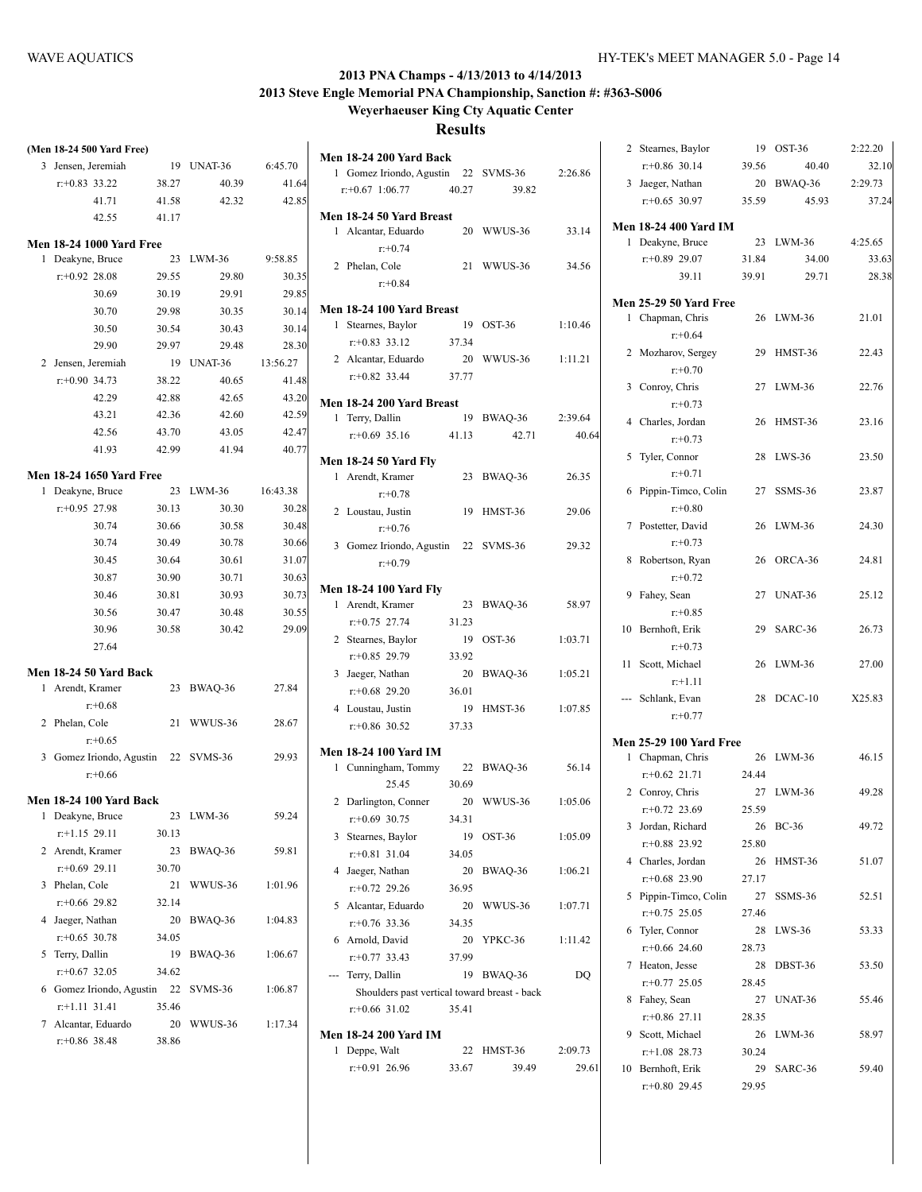# **Weyerhaeuser King Cty Aquatic Center**

|   | (Men 18-24 500 Yard Free)                  |       |           |          |
|---|--------------------------------------------|-------|-----------|----------|
| 3 | Jensen, Jeremiah                           | 19    | UNAT-36   | 6:45.70  |
|   | $r: +0.83$ 33.22                           | 38.27 | 40.39     | 41.64    |
|   | 41.71                                      | 41.58 | 42.32     | 42.85    |
|   | 42.55                                      | 41.17 |           |          |
|   |                                            |       |           |          |
| 1 | Men 18-24 1000 Yard Free<br>Deakyne, Bruce | 23    | LWM-36    | 9:58.85  |
|   | $r: +0.92$ 28.08                           | 29.55 | 29.80     | 30.35    |
|   | 30.69                                      | 30.19 | 29.91     | 29.85    |
|   | 30.70                                      | 29.98 | 30.35     | 30.14    |
|   | 30.50                                      | 30.54 | 30.43     | 30.14    |
|   | 29.90                                      | 29.97 | 29.48     | 28.30    |
|   | 2 Jensen, Jeremiah                         | 19    | UNAT-36   | 13:56.27 |
|   | $r: +0.90$ 34.73                           | 38.22 | 40.65     | 41.48    |
|   | 42.29                                      | 42.88 | 42.65     | 43.20    |
|   | 43.21                                      | 42.36 | 42.60     | 42.59    |
|   | 42.56                                      | 43.70 | 43.05     | 42.47    |
|   | 41.93                                      | 42.99 | 41.94     | 40.77    |
|   |                                            |       |           |          |
|   | <b>Men 18-24 1650 Yard Free</b>            |       |           |          |
| 1 | Deakyne, Bruce                             | 23    | LWM-36    | 16:43.38 |
|   | $r: +0.95$ 27.98                           | 30.13 | 30.30     | 30.28    |
|   | 30.74                                      | 30.66 | 30.58     | 30.48    |
|   | 30.74                                      | 30.49 | 30.78     | 30.66    |
|   | 30.45                                      | 30.64 | 30.61     | 31.07    |
|   | 30.87                                      | 30.90 | 30.71     | 30.63    |
|   | 30.46                                      | 30.81 | 30.93     | 30.73    |
|   | 30.56                                      | 30.47 | 30.48     | 30.55    |
|   | 30.96                                      | 30.58 | 30.42     | 29.09    |
|   | 27.64                                      |       |           |          |
|   | Men 18-24 50 Yard Back                     |       |           |          |
| 1 | Arendt, Kramer                             | 23    | BWAQ-36   | 27.84    |
|   | $r + 0.68$                                 |       |           |          |
| 2 | Phelan, Cole                               | 21    | WWUS-36   | 28.67    |
|   | $r + 0.65$                                 |       |           |          |
| 3 | Gomez Iriondo, Agustin                     | 22    | SVMS-36   | 29.93    |
|   | $r: +0.66$                                 |       |           |          |
|   | <b>Men 18-24 100 Yard Back</b>             |       |           |          |
|   | 1 Deakyne, Bruce                           |       | 23 LWM-36 | 59.24    |
|   | $r+1.15$ 29.11                             | 30.13 |           |          |
|   | 2 Arendt, Kramer                           | 23    | BWAQ-36   | 59.81    |
|   | $r+0.69$ 29.11                             | 30.70 |           |          |
| 3 | Phelan, Cole                               | 21    | WWUS-36   | 1:01.96  |
|   | $r$ : +0.66 29.82                          | 32.14 |           |          |
|   | 4 Jaeger, Nathan                           | 20    | BWAQ-36   | 1:04.83  |
|   | $r: +0.65$ 30.78                           | 34.05 |           |          |
|   | 5 Terry, Dallin                            | 19    | BWAQ-36   | 1:06.67  |
|   | $r$ : +0.67 32.05                          | 34.62 |           |          |
|   | 6 Gomez Iriondo, Agustin 22                |       | SVMS-36   | 1:06.87  |
|   | $r.+1.11$ 31.41                            | 35.46 |           |          |
| 7 | Alcantar, Eduardo                          | 20    | WWUS-36   | 1:17.34  |
|   | $r$ : +0.86 38.48                          | 38.86 |           |          |
|   |                                            |       |           |          |

|              | <b>Men 18-24 200 Yard Back</b><br>1 Gomez Iriondo, Agustin 22 SVMS-36 |       |               | 2:26.86 |
|--------------|-----------------------------------------------------------------------|-------|---------------|---------|
|              | $r: +0.67$ 1:06.77                                                    | 40.27 | 39.82         |         |
|              | Men 18-24 50 Yard Breast                                              |       |               |         |
|              | 1 Alcantar, Eduardo<br>$r: +0.74$                                     |       | 20 WWUS-36    | 33.14   |
|              | 2 Phelan, Cole<br>$r: +0.84$                                          |       | 21 WWUS-36    | 34.56   |
|              | Men 18-24 100 Yard Breast                                             |       |               |         |
| 1            | Stearnes, Baylor                                                      | 19    | OST-36        | 1:10.46 |
|              | $r+0.83$ 33.12                                                        | 37.34 |               |         |
|              | 2 Alcantar, Eduardo                                                   | 20    | WWUS-36       | 1:11.21 |
|              | $r.+0.82$ 33.44                                                       | 37.77 |               |         |
|              |                                                                       |       |               |         |
| 1            | Men 18-24 200 Yard Breast<br>Terry, Dallin                            |       | 19 BWAQ-36    | 2:39.64 |
|              | $r + 0.69$ 35.16                                                      | 41.13 | 42.71         | 40.64   |
|              |                                                                       |       |               |         |
|              | <b>Men 18-24 50 Yard Fly</b>                                          |       |               |         |
|              | 1 Arendt, Kramer                                                      | 23    | BWAQ-36       | 26.35   |
|              | $r: +0.78$                                                            |       |               |         |
|              | 2 Loustau, Justin<br>$r: +0.76$                                       |       | 19 HMST-36    | 29.06   |
|              | 3 Gomez Iriondo, Agustin 22 SVMS-36<br>$r+0.79$                       |       |               | 29.32   |
|              | <b>Men 18-24 100 Yard Fly</b>                                         |       |               |         |
|              | 1 Arendt, Kramer                                                      | 23    | BWAQ-36       | 58.97   |
|              | $r+0.75$ 27.74                                                        | 31.23 |               |         |
|              | 2 Stearnes, Baylor                                                    | 19    | OST-36        | 1:03.71 |
|              | $r: +0.85$ 29.79                                                      | 33.92 |               |         |
|              | 3 Jaeger, Nathan                                                      | 20    | BWAQ-36       | 1:05.21 |
|              | $r+0.68$ 29.20                                                        | 36.01 |               |         |
|              | 4 Loustau, Justin                                                     | 19    | HMST-36       | 1:07.85 |
|              | $r+0.86$ 30.52                                                        | 37.33 |               |         |
|              |                                                                       |       |               |         |
| 1            | <b>Men 18-24 100 Yard IM</b><br>Cunningham, Tommy 22                  |       | BWAQ-36       | 56.14   |
|              | 25.45                                                                 | 30.69 |               |         |
|              | 2 Darlington, Conner 20                                               |       | WWUS-36       | 1:05.06 |
|              | $r$ :+0.69 30.75                                                      | 34.31 |               |         |
|              | 3 Stearnes, Baylor                                                    | 19    | <b>OST-36</b> | 1:05.09 |
|              | $r: +0.81$ 31.04                                                      | 34.05 |               |         |
| 4            | Jaeger, Nathan                                                        | 20    | BWAQ-36       | 1:06.21 |
|              | $r+0.72$ 29.26                                                        | 36.95 |               |         |
| 5            | Alcantar, Eduardo                                                     | 20    | WWUS-36       | 1:07.71 |
|              | $r+0.76$ 33.36                                                        | 34.35 |               |         |
| 6            | Arnold, David                                                         | 20    | YPKC-36       | 1:11.42 |
|              | $r: +0.77$ 33.43                                                      | 37.99 |               |         |
|              | --- Terry, Dallin                                                     | 19    | BWAQ-36       | DQ      |
|              | Shoulders past vertical toward breast - back<br>$r: +0.66$ 31.02      | 35.41 |               |         |
|              |                                                                       |       |               |         |
| $\mathbf{1}$ | Men 18-24 200 Yard IM<br>Deppe, Walt                                  | 22    | HMST-36       | 2:09.73 |
|              | $r+0.91$ 26.96                                                        | 33.67 | 39.49         | 29.61   |
|              |                                                                       |       |               |         |

| 2  | Stearnes, Baylor               | 19    | OST-36         | 2:22.20 |
|----|--------------------------------|-------|----------------|---------|
|    | $r+0.86$ 30.14                 | 39.56 | 40.40          | 32.10   |
| 3  | Jaeger, Nathan                 | 20    | BWAQ-36        | 2:29.73 |
|    | $r: +0.65$ 30.97               | 35.59 | 45.93          | 37.24   |
|    | Men 18-24 400 Yard IM          |       |                |         |
| 1  | Deakyne, Bruce                 | 23    | $LWM-36$       | 4:25.65 |
|    | $r: +0.89$ 29.07               | 31.84 | 34.00          | 33.63   |
|    | 39.11                          | 39.91 | 29.71          | 28.38   |
|    |                                |       |                |         |
|    | <b>Men 25-29 50 Yard Free</b>  |       |                |         |
| 1  | Chapman, Chris                 | 26    | LWM-36         | 21.01   |
|    | $r: +0.64$                     |       |                |         |
|    | 2 Mozharov, Sergey             | 29    | HMST-36        | 22.43   |
|    | $r: +0.70$                     |       |                |         |
| 3  | Conroy, Chris                  | 27    | LWM-36         | 22.76   |
|    | $r: +0.73$                     |       |                |         |
| 4  | Charles, Jordan                | 26    | HMST-36        | 23.16   |
|    | $r: +0.73$                     |       |                |         |
| 5  | Tyler, Connor                  | 28    | LWS-36         | 23.50   |
|    | $r: +0.71$                     |       |                |         |
| 6  | Pippin-Timco, Colin            |       | 27 SSMS-36     | 23.87   |
|    | $r: +0.80$                     |       |                |         |
| 7  | Postetter, David               | 26    | LWM-36         | 24.30   |
|    | $r: +0.73$                     |       |                |         |
| 8  | Robertson, Ryan                | 26    | ORCA-36        | 24.81   |
|    | $r: +0.72$                     |       |                |         |
| 9  | Fahey, Sean                    | 27    | <b>UNAT-36</b> | 25.12   |
|    | $r: +0.85$                     |       |                |         |
| 10 | Bernhoft, Erik                 | 29    | SARC-36        | 26.73   |
|    | $r: +0.73$                     |       |                |         |
| 11 | Scott, Michael                 | 26    | LWM-36         | 27.00   |
|    | $r+1.11$                       |       |                |         |
|    | --- Schlank, Evan              | 28    | DCAC-10        | X25.83  |
|    | $r: +0.77$                     |       |                |         |
|    |                                |       |                |         |
|    | <b>Men 25-29 100 Yard Free</b> |       |                |         |
|    | 1 Chapman, Chris               | 26    | $LWM-36$       | 46.15   |
|    | $r.+0.62$ 21.71                | 24.44 |                |         |
|    | 2 Conroy, Chris                | 27    | $LWM-36$       | 49.28   |
|    | $r+0.72$ 23.69                 | 25.59 |                |         |
|    | 3 Jordan, Richard              | 26    | <b>BC-36</b>   | 49.72   |
|    | $r+0.88$ 23.92                 | 25.80 |                |         |
| 4  | Charles, Jordan                | 26    | HMST-36        | 51.07   |
|    | $r+0.68$ 23.90                 | 27.17 |                |         |
| 5  | Pippin-Timco, Colin            | 27    | SSMS-36        | 52.51   |
|    | $r: +0.75$ 25.05               | 27.46 |                |         |
|    | 6 Tyler, Connor                | 28    | LWS-36         | 53.33   |
|    | $r+0.66$ 24.60                 | 28.73 |                |         |
|    | 7 Heaton, Jesse                | 28    | DBST-36        | 53.50   |
|    | $r+0.77$ 25.05                 | 28.45 |                |         |
| 8  | Fahey, Sean                    | 27    | UNAT-36        | 55.46   |
|    | $r$ : +0.86 27.11              | 28.35 |                |         |
| 9  | Scott, Michael                 | 26    | LWM-36         | 58.97   |
|    | $r$ :+1.08 28.73               | 30.24 |                |         |
|    | 10 Bernhoft, Erik              | 29    | SARC-36        | 59.40   |
|    | $r+0.80$ 29.45                 | 29.95 |                |         |
|    |                                |       |                |         |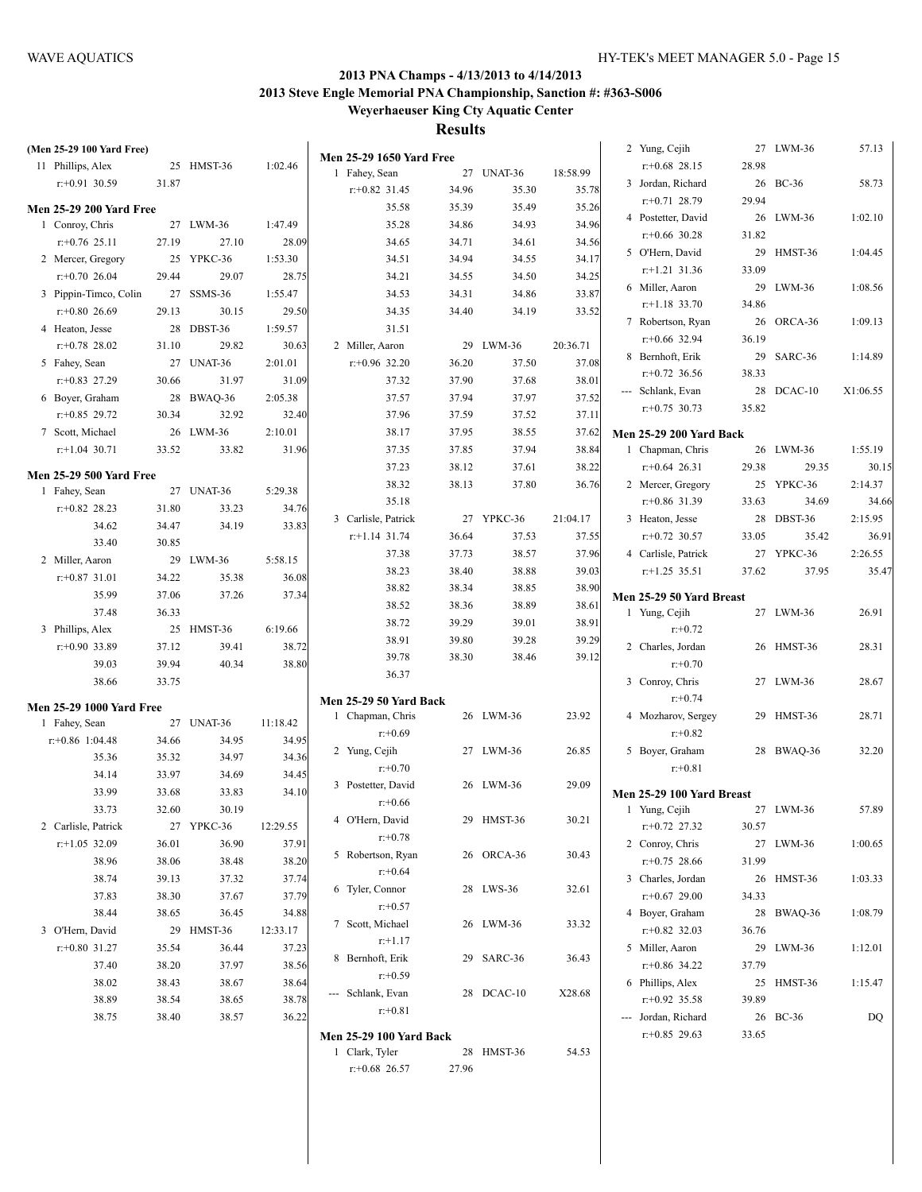| (Men 25-29 100 Yard Free)         |       |                    |          |                                                  |                |            |                | 2 Yung, Cejih                  |       | 27 LWM-36  | 57.13    |
|-----------------------------------|-------|--------------------|----------|--------------------------------------------------|----------------|------------|----------------|--------------------------------|-------|------------|----------|
| 11 Phillips, Alex                 |       | 25 HMST-36         | 1:02.46  | <b>Men 25-29 1650 Yard Free</b><br>1 Fahey, Sean |                | 27 UNAT-36 | 18:58.99       | $r+0.68$ 28.15                 | 28.98 |            |          |
| $r: +0.91$ 30.59                  | 31.87 |                    |          | $r+0.82$ 31.45                                   | 34.96          | 35.30      | 35.78          | 3 Jordan, Richard              |       | 26 BC-36   | 58.73    |
|                                   |       |                    |          |                                                  | 35.39          |            |                | $r+0.71$ 28.79                 | 29.94 |            |          |
| <b>Men 25-29 200 Yard Free</b>    |       |                    |          | 35.58                                            |                | 35.49      | 35.26<br>34.96 | 4 Postetter, David             |       | 26 LWM-36  | 1:02.10  |
| 1 Conroy, Chris<br>$r+0.76$ 25.11 | 27.19 | 27 LWM-36<br>27.10 | 1:47.49  | 35.28<br>34.65                                   | 34.86<br>34.71 | 34.93      |                | $r+0.66$ 30.28                 | 31.82 |            |          |
|                                   |       |                    | 28.09    |                                                  |                | 34.61      | 34.56          | 5 O'Hern, David                | 29    | HMST-36    | 1:04.45  |
| 2 Mercer, Gregory                 |       | 25 YPKC-36         | 1:53.30  | 34.51                                            | 34.94          | 34.55      | 34.17          | $r.+1.21$ 31.36                | 33.09 |            |          |
| $r: +0.7026.04$                   | 29.44 | 29.07              | 28.75    | 34.21                                            | 34.55          | 34.50      | 34.25          | 6 Miller, Aaron                |       | 29 LWM-36  | 1:08.56  |
| 3 Pippin-Timco, Colin             |       | 27 SSMS-36         | 1:55.47  | 34.53                                            | 34.31          | 34.86      | 33.87          | $r$ :+1.18 33.70               | 34.86 |            |          |
| $r: +0.80$ 26.69                  | 29.13 | 30.15              | 29.50    | 34.35                                            | 34.40          | 34.19      | 33.52          | 7 Robertson, Ryan              |       | 26 ORCA-36 | 1:09.13  |
| 4 Heaton, Jesse                   |       | 28 DBST-36         | 1:59.57  | 31.51                                            |                |            |                | $r+0.66$ 32.94                 | 36.19 |            |          |
| $r+0.78$ 28.02                    | 31.10 | 29.82              | 30.63    | 2 Miller, Aaron                                  |                | 29 LWM-36  | 20:36.71       | 8 Bernhoft, Erik               |       | 29 SARC-36 | 1:14.89  |
| 5 Fahey, Sean                     |       | 27 UNAT-36         | 2:01.01  | $r+0.96$ 32.20                                   | 36.20          | 37.50      | 37.08          | $r+0.72$ 36.56                 | 38.33 |            |          |
| $r+0.83$ 27.29                    | 30.66 | 31.97              | 31.09    | 37.32                                            | 37.90          | 37.68      | 38.01          | --- Schlank, Evan              |       | 28 DCAC-10 | X1:06.55 |
| 6 Boyer, Graham                   |       | 28 BWAQ-36         | 2:05.38  | 37.57                                            | 37.94          | 37.97      | 37.52          | $r+0.75$ 30.73                 | 35.82 |            |          |
| $r+0.85$ 29.72                    | 30.34 | 32.92              | 32.40    | 37.96                                            | 37.59          | 37.52      | 37.11          |                                |       |            |          |
| 7 Scott, Michael                  |       | 26 LWM-36          | 2:10.01  | 38.17                                            | 37.95          | 38.55      | 37.62          | <b>Men 25-29 200 Yard Back</b> |       |            |          |
| $r$ :+1.04 30.71                  | 33.52 | 33.82              | 31.96    | 37.35                                            | 37.85          | 37.94      | 38.84          | 1 Chapman, Chris               |       | 26 LWM-36  | 1:55.19  |
| <b>Men 25-29 500 Yard Free</b>    |       |                    |          | 37.23                                            | 38.12          | 37.61      | 38.22          | $r+0.64$ 26.31                 | 29.38 | 29.35      | 30.15    |
| 1 Fahey, Sean                     |       | 27 UNAT-36         | 5:29.38  | 38.32                                            | 38.13          | 37.80      | 36.76          | 2 Mercer, Gregory              |       | 25 YPKC-36 | 2:14.37  |
| $r+0.82$ 28.23                    | 31.80 | 33.23              | 34.76    | 35.18                                            |                |            |                | $r+0.86$ 31.39                 | 33.63 | 34.69      | 34.66    |
| 34.62                             | 34.47 | 34.19              | 33.83    | 3 Carlisle, Patrick                              |                | 27 YPKC-36 | 21:04.17       | 3 Heaton, Jesse                |       | 28 DBST-36 | 2:15.95  |
| 33.40                             | 30.85 |                    |          | $r$ :+1.14 31.74                                 | 36.64          | 37.53      | 37.55          | $r+0.72$ 30.57                 | 33.05 | 35.42      | 36.91    |
| 2 Miller, Aaron                   |       | 29 LWM-36          | 5:58.15  | 37.38                                            | 37.73          | 38.57      | 37.96          | 4 Carlisle, Patrick            |       | 27 YPKC-36 | 2:26.55  |
| $r: +0.87$ 31.01                  | 34.22 | 35.38              | 36.08    | 38.23                                            | 38.40          | 38.88      | 39.03          | $r+1.25$ 35.51                 | 37.62 | 37.95      | 35.47    |
| 35.99                             | 37.06 | 37.26              | 37.34    | 38.82                                            | 38.34          | 38.85      | 38.90          | Men 25-29 50 Yard Breast       |       |            |          |
| 37.48                             | 36.33 |                    |          | 38.52                                            | 38.36          | 38.89      | 38.61          | 1 Yung, Cejih                  |       | 27 LWM-36  | 26.91    |
| 3 Phillips, Alex                  |       | 25 HMST-36         | 6:19.66  | 38.72                                            | 39.29          | 39.01      | 38.91          | $r: +0.72$                     |       |            |          |
| $r: +0.90$ 33.89                  | 37.12 | 39.41              | 38.72    | 38.91                                            | 39.80          | 39.28      | 39.29          | 2 Charles, Jordan              |       | 26 HMST-36 | 28.31    |
| 39.03                             | 39.94 | 40.34              | 38.80    | 39.78                                            | 38.30          | 38.46      | 39.12          | $r: +0.70$                     |       |            |          |
| 38.66                             | 33.75 |                    |          | 36.37                                            |                |            |                | 3 Conroy, Chris                |       | 27 LWM-36  | 28.67    |
|                                   |       |                    |          | <b>Men 25-29 50 Yard Back</b>                    |                |            |                | $r: +0.74$                     |       |            |          |
| <b>Men 25-29 1000 Yard Free</b>   |       |                    |          | 1 Chapman, Chris                                 |                | 26 LWM-36  | 23.92          | 4 Mozharov, Sergey             |       | 29 HMST-36 | 28.71    |
| 1 Fahey, Sean                     |       | 27 UNAT-36         | 11:18.42 | $r: +0.69$                                       |                |            |                | $r + 0.82$                     |       |            |          |
| $r: +0.86$ 1:04.48                | 34.66 | 34.95              | 34.95    | 2 Yung, Cejih                                    |                | 27 LWM-36  | 26.85          | 5 Boyer, Graham                |       | 28 BWAQ-36 | 32.20    |
| 35.36                             | 35.32 | 34.97              | 34.36    | $r: +0.70$                                       |                |            |                | $r: +0.81$                     |       |            |          |
| 34.14                             | 33.97 | 34.69              | 34.45    | 3 Postetter, David                               |                | 26 LWM-36  | 29.09          |                                |       |            |          |
| 33.99                             | 33.68 | 33.83              | 34.10    | $r: +0.66$                                       |                |            |                | Men 25-29 100 Yard Breast      |       |            |          |
| 33.73                             | 32.60 | 30.19              |          | 4 O'Hern, David                                  |                | 29 HMST-36 | 30.21          | 1 Yung, Cejih                  |       | 27 LWM-36  | 57.89    |
| 2 Carlisle, Patrick               |       | 27 YPKC-36         | 12:29.55 | $r + 0.78$                                       |                |            |                | $r+0.72$ 27.32                 | 30.57 |            |          |
| $r$ :+1.05 32.09                  | 36.01 | 36.90              | 37.91    | 5 Robertson, Ryan                                |                | 26 ORCA-36 | 30.43          | 2 Conroy, Chris                |       | 27 LWM-36  | 1:00.65  |
| 38.96                             | 38.06 | 38.48              | 38.20    | $r + 0.64$                                       |                |            |                | $r+0.75$ 28.66                 | 31.99 |            |          |
| 38.74                             | 39.13 | 37.32              | 37.74    | 6 Tyler, Connor                                  |                | 28 LWS-36  | 32.61          | 3 Charles, Jordan              |       | 26 HMST-36 | 1:03.33  |
| 37.83                             | 38.30 | 37.67              | 37.79    | $r + 0.57$                                       |                |            |                | $r+0.67$ 29.00                 | 34.33 |            |          |
| 38.44                             | 38.65 | 36.45              | 34.88    |                                                  |                |            | 33.32          | 4 Bover, Graham                |       | 28 BWAQ-36 | 1:08.79  |
| 3 O'Hern, David                   |       | 29 HMST-36         | 12:33.17 | 7 Scott, Michael                                 |                | 26 LWM-36  |                | $r+0.82$ 32.03                 | 36.76 |            |          |
| $r+0.80$ 31.27                    | 35.54 | 36.44              | 37.23    | $r+1.17$                                         |                |            |                | 5 Miller, Aaron                |       | 29 LWM-36  | 1:12.01  |
| 37.40                             | 38.20 | 37.97              | 38.56    | 8 Bernhoft, Erik                                 |                | 29 SARC-36 | 36.43          | $r+0.86$ 34.22                 | 37.79 |            |          |
| 38.02                             | 38.43 | 38.67              | 38.64    | $r + 0.59$                                       |                |            |                | 6 Phillips, Alex               |       | 25 HMST-36 | 1:15.47  |
| 38.89                             | 38.54 | 38.65              | 38.78    | --- Schlank, Evan                                |                | 28 DCAC-10 | X28.68         | $r: +0.92$ 35.58               | 39.89 |            |          |
| 38.75                             | 38.40 | 38.57              | 36.22    | $r: +0.81$                                       |                |            |                | --- Jordan, Richard            |       | 26 BC-36   | DQ       |
|                                   |       |                    |          | <b>Men 25-29 100 Yard Back</b>                   |                |            |                | $r+0.85$ 29.63                 | 33.65 |            |          |
|                                   |       |                    |          | 1 Clark, Tyler                                   |                | 28 HMST-36 | 54.53          |                                |       |            |          |
|                                   |       |                    |          | $r+0.68$ 26.57                                   | 27.96          |            |                |                                |       |            |          |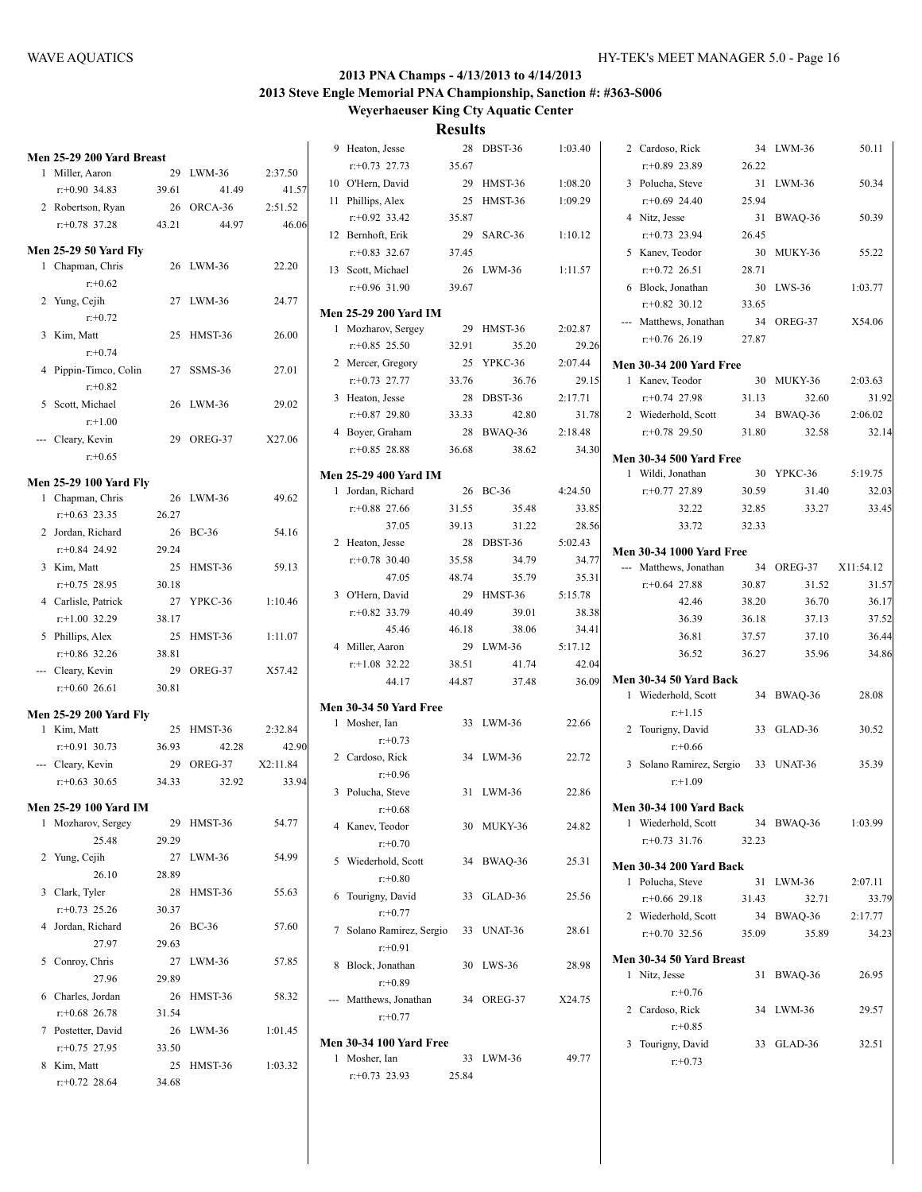| 1 | Men 25-29 200 Yard Breast<br>Miller, Aaron | 29    | $LWM-36$     | 2:37.50  |
|---|--------------------------------------------|-------|--------------|----------|
|   | $r: +0.90$ 34.83                           | 39.61 | 41.49        | 41.57    |
|   | 2 Robertson, Ryan                          | 26    | ORCA-36      | 2:51.52  |
|   | $r: +0.78$ 37.28                           | 43.21 | 44.97        | 46.06    |
|   |                                            |       |              |          |
|   | <b>Men 25-29 50 Yard Fly</b>               |       |              |          |
| 1 | Chapman, Chris                             | 26    | LWM-36       | 22.20    |
|   | $r: +0.62$                                 |       |              |          |
|   | 2 Yung, Cejih                              | 27    | LWM-36       | 24.77    |
|   | $r: +0.72$                                 |       |              |          |
|   | 3 Kim, Matt                                | 25    | HMST-36      | 26.00    |
|   | $r + 0.74$                                 |       |              |          |
|   | 4 Pippin-Timco, Colin                      | 27    | SSMS-36      | 27.01    |
|   | $r: +0.82$                                 |       |              |          |
|   | 5 Scott, Michael                           | 26    | LWM-36       | 29.02    |
|   | $r+1.00$                                   |       |              |          |
|   | --- Cleary, Kevin                          | 29    | OREG-37      | X27.06   |
|   | $r + 0.65$                                 |       |              |          |
|   | <b>Men 25-29 100 Yard Fly</b>              |       |              |          |
|   | 1 Chapman, Chris                           | 26    | LWM-36       | 49.62    |
|   | $r$ : +0.63 23.35                          | 26.27 |              |          |
|   | 2 Jordan, Richard                          | 26    | $BC-36$      | 54.16    |
|   | $r$ : +0.84 24.92                          | 29.24 |              |          |
|   | 3 Kim, Matt                                | 25    | HMST-36      | 59.13    |
|   | $r: +0.75$ 28.95                           | 30.18 |              |          |
|   | 4 Carlisle, Patrick                        | 27    | YPKC-36      | 1:10.46  |
|   | $r$ :+1.00 32.29                           | 38.17 |              |          |
| 5 | Phillips, Alex                             | 25    | HMST-36      | 1:11.07  |
|   | $r$ : +0.86 32.26                          | 38.81 |              |          |
|   | --- Cleary, Kevin                          | 29    | OREG-37      | X57.42   |
|   | $r: +0.60$ 26.61                           | 30.81 |              |          |
|   |                                            |       |              |          |
|   | <b>Men 25-29 200 Yard Fly</b>              |       |              |          |
| 1 | Kim, Matt                                  |       | 25 HMST-36   | 2:32.84  |
|   | $r: +0.91$ 30.73                           | 36.93 | 42.28        | 42.90    |
|   | --- Cleary, Kevin                          | 29    | OREG-37      | X2:11.84 |
|   | $r: +0.63$ 30.65                           | 34.33 | 32.92        | 33.94    |
|   | Men 25-29 100 Yard IM                      |       |              |          |
| 1 | Mozharov, Sergey                           | 29    | HMST-36      | 54.77    |
|   | 25.48                                      | 29.29 |              |          |
| 2 | Yung, Cejih                                | 27    | LWM-36       | 54.99    |
|   | 26.10                                      | 28.89 |              |          |
| 3 | Clark, Tyler                               | 28    | HMST-36      | 55.63    |
|   | $r: +0.73$ 25.26                           | 30.37 |              |          |
| 4 | Jordan, Richard                            | 26    | <b>BC-36</b> | 57.60    |
|   | 27.97                                      | 29.63 |              |          |
| 5 | Conroy, Chris                              | 27    | LWM-36       | 57.85    |
|   | 27.96                                      | 29.89 |              |          |
| 6 | Charles, Jordan                            | 26    | HMST-36      | 58.32    |
|   | $r: +0.68$ 26.78                           | 31.54 |              |          |
| 7 | Postetter, David                           | 26    | LWM-36       | 1:01.45  |
|   | $r+0.75$ 27.95                             | 33.50 |              |          |
| 8 | Kim, Matt                                  | 25    | HMST-36      | 1:03.32  |
|   | $r.+0.72$ 28.64                            | 34.68 |              |          |
|   |                                            |       |              |          |

|   | 9 Heaton, Jesse                  | 28    | DBST-36    | 1:03.40 |
|---|----------------------------------|-------|------------|---------|
|   | $r+0.73$ 27.73                   | 35.67 |            |         |
|   | 10 O'Hern, David                 | 29    | HMST-36    | 1:08.20 |
|   | 11 Phillips, Alex                | 25    | HMST-36    | 1:09.29 |
|   | $r+0.92$ 33.42                   | 35.87 |            |         |
|   | 12 Bernhoft, Erik                | 29    | SARC-36    | 1:10.12 |
|   | $r+0.83$ 32.67                   | 37.45 |            |         |
|   | 13 Scott, Michael                | 26    | $LWM-36$   | 1:11.57 |
|   | $r: +0.96$ 31.90                 | 39.67 |            |         |
|   | <b>Men 25-29 200 Yard IM</b>     |       |            |         |
|   | 1 Mozharov, Sergey               | 29    | HMST-36    | 2:02.87 |
|   | $r+0.85$ 25.50                   | 32.91 | 35.20      | 29.26   |
|   | 2 Mercer, Gregory                | 25    | YPKC-36    | 2:07.44 |
|   | $r: +0.73$ 27.77                 | 33.76 | 36.76      | 29.15   |
|   | 3 Heaton, Jesse                  | 28    | DBST-36    | 2:17.71 |
|   | $r+0.87$ 29.80                   | 33.33 | 42.80      | 31.78   |
|   | 4 Boyer, Graham                  | 28    | BWAQ-36    | 2:18.48 |
|   | $r+0.85$ 28.88                   | 36.68 | 38.62      | 34.30   |
|   | <b>Men 25-29 400 Yard IM</b>     |       |            |         |
|   | 1 Jordan, Richard                |       | 26 BC-36   | 4:24.50 |
|   | $r+0.88$ 27.66                   | 31.55 | 35.48      | 33.85   |
|   | 37.05                            | 39.13 | 31.22      | 28.56   |
|   | 2 Heaton, Jesse                  | 28    | DBST-36    | 5:02.43 |
|   | $r+0.78$ 30.40                   | 35.58 | 34.79      | 34.77   |
|   | 47.05                            | 48.74 | 35.79      | 35.31   |
|   | 3 O'Hern, David                  | 29    | HMST-36    | 5:15.78 |
|   | $r: +0.82$ 33.79                 | 40.49 | 39.01      | 38.38   |
|   | 45.46                            | 46.18 | 38.06      | 34.41   |
|   | 4 Miller, Aaron                  | 29    | LWM-36     | 5:17.12 |
|   | $r$ :+1.08 32.22                 | 38.51 | 41.74      | 42.04   |
|   | 44.17                            | 44.87 | 37.48      | 36.09   |
|   | <b>Men 30-34 50 Yard Free</b>    |       |            |         |
|   | 1 Mosher, Ian                    |       | 33 LWM-36  | 22.66   |
|   | $r + 0.73$                       |       |            |         |
|   | 2 Cardoso, Rick                  |       | 34 LWM-36  | 22.72   |
|   | $r: +0.96$                       |       |            |         |
|   | 3 Polucha, Steve                 | 31    | LWM-36     | 22.86   |
|   | r:+0.68                          |       |            |         |
|   | 4 Kanev, Teodor                  |       | 30 MUKY-36 | 24.82   |
|   | $r: +0.70$                       |       |            |         |
| 5 | Wiederhold, Scott                | 34    | BWAQ-36    | 25.31   |
|   | $r: +0.80$                       |       |            |         |
| 6 | Tourigny, David                  | 33    | GLAD-36    | 25.56   |
|   | $r: +0.77$                       |       |            |         |
| 7 | Solano Ramirez, Sergio           |       | 33 UNAT-36 | 28.61   |
|   | $r: +0.91$                       |       |            |         |
| 8 | Block, Jonathan<br>$r+0.89$      | 30    | LWS-36     | 28.98   |
|   |                                  |       |            |         |
|   | Matthews, Jonathan<br>$r: +0.77$ | 34    | OREG-37    | X24.75  |
|   |                                  |       |            |         |
|   | <b>Men 30-34 100 Yard Free</b>   |       |            |         |
| 1 | Mosher, Ian                      | 33    | LWM-36     | 49.77   |
|   | $r+0.73$ 23.93                   | 25.84 |            |         |

| 2 Cardoso, Rick                     | 34    | $LWM-36$             | 50.11   |
|-------------------------------------|-------|----------------------|---------|
| $r+0.89$ 23.89                      | 26.22 |                      |         |
| 3 Polucha, Steve                    | 31    | $LWM-36$             | 50.34   |
| $r + 0.69$ 24.40                    | 25.94 |                      |         |
| 4 Nitz, Jesse                       | 31    | BWAQ-36              | 50.39   |
| $r: +0.73$ 23.94                    | 26.45 |                      |         |
| 5 Kanev, Teodor                     |       | 30 MUKY-36           | 55.22   |
| $r+0.72$ 26.51                      | 28.71 |                      |         |
| 6 Block, Jonathan                   |       | 30 LWS-36            | 1:03.77 |
| $r: +0.82$ 30.12                    | 33.65 |                      |         |
| --- Matthews, Jonathan              |       | 34 OREG-37           | X54.06  |
| $r+0.76$ 26.19                      | 27.87 |                      |         |
| <b>Men 30-34 200 Yard Free</b>      |       |                      |         |
| 1 Kanev, Teodor                     |       | 30 MUKY-36           | 2:03.63 |
| $r+0.74$ 27.98                      | 31.13 | 32.60                | 31.92   |
| 2 Wiederhold, Scott                 | 34    | BWAQ-36              | 2:06.02 |
| $r+0.78$ 29.50                      | 31.80 | 32.58                | 32.14   |
|                                     |       |                      |         |
| <b>Men 30-34 500 Yard Free</b>      |       |                      |         |
| 1 Wildi, Jonathan                   | 30    | YPKC-36              | 5:19.75 |
| $r+0.77$ 27.89                      | 30.59 | 31.40                | 32.03   |
| 32.22                               | 32.85 | 33.27                | 33.45   |
| 33.72                               | 32.33 |                      |         |
| <b>Men 30-34 1000 Yard Free</b>     |       |                      |         |
| --- Matthews, Jonathan              |       | 34 OREG-37 X11:54.12 |         |
| $r + 0.64$ 27.88                    | 30.87 | 31.52                | 31.57   |
| 42.46                               | 38.20 | 36.70                | 36.17   |
| 36.39                               | 36.18 | 37.13                | 37.52   |
| 36.81                               | 37.57 | 37.10                | 36.44   |
| 36.52                               | 36.27 | 35.96                | 34.86   |
| Men 30-34 50 Yard Back              |       |                      |         |
| 1 Wiederhold, Scott                 | 34    | BWAQ-36              | 28.08   |
| $r+1.15$                            |       |                      |         |
| 2 Tourigny, David                   |       | 33 GLAD-36           | 30.52   |
| $r + 0.66$                          |       |                      |         |
| 3 Solano Ramirez, Sergio 33 UNAT-36 |       |                      | 35.39   |
| $r+1.09$                            |       |                      |         |
|                                     |       |                      |         |
| Men 30-34 100 Yard Back             |       |                      |         |
| Wiederhold, Scott<br>1              | 34    | BWAQ-36              | 1:03.99 |
| $r: +0.73$ 31.76                    | 32.23 |                      |         |
| <b>Men 30-34 200 Yard Back</b>      |       |                      |         |
| Polucha, Steve<br>1                 | 31    | LWM-36               | 2:07.11 |
| $r+0.66$ 29.18                      | 31.43 | 32.71                | 33.79   |
| 2 Wiederhold, Scott                 |       | 34 BWAQ-36           | 2:17.77 |
| $r+0.70$ 32.56                      | 35.09 | 35.89                | 34.23   |
| Men 30-34 50 Yard Breast            |       |                      |         |
| Nitz, Jesse<br>1                    | 31    | BWAQ-36              | 26.95   |
| $r: +0.76$                          |       |                      |         |
| 2 Cardoso, Rick                     | 34    | LWM-36               | 29.57   |
| $r: +0.85$                          |       |                      |         |
| 3<br>Tourigny, David                | 33    | GLAD-36              | 32.51   |
| $r: +0.73$                          |       |                      |         |
|                                     |       |                      |         |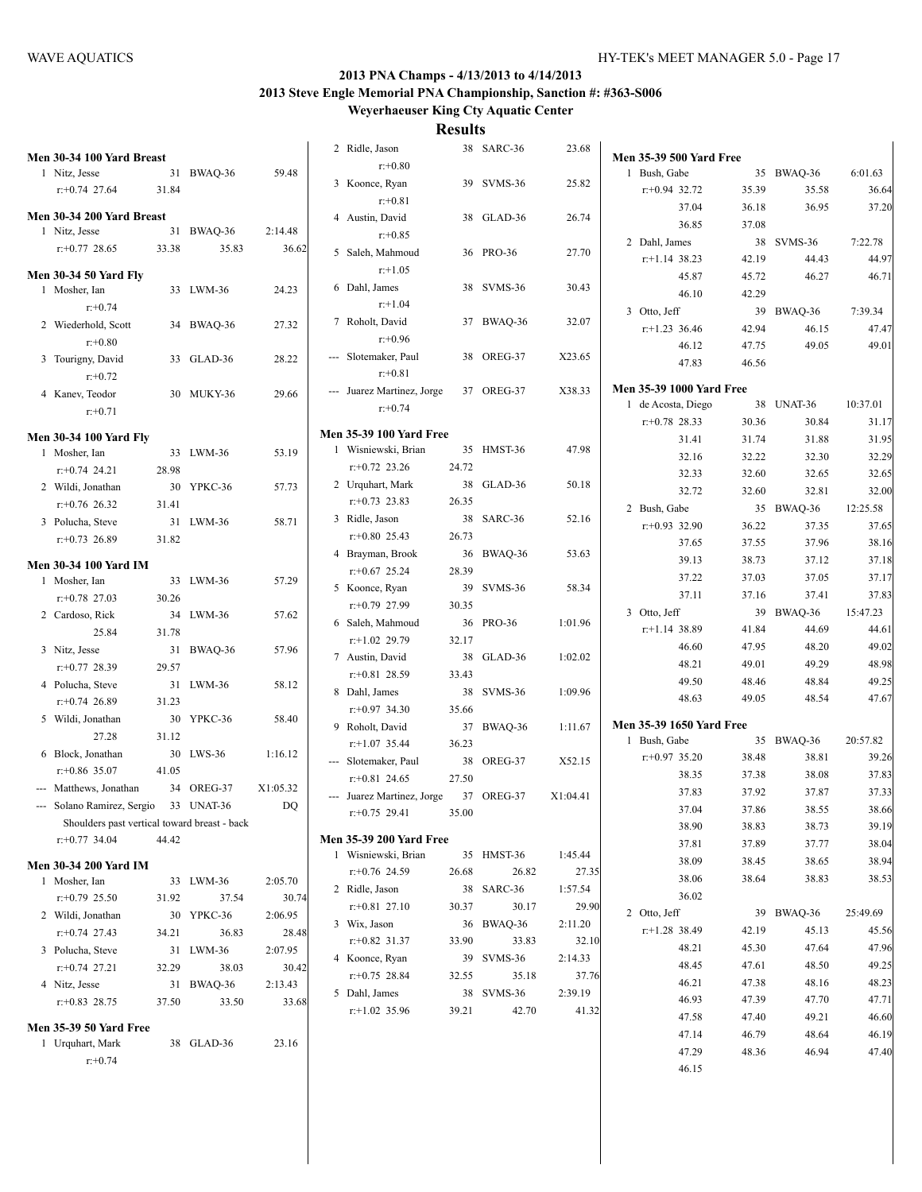| Men 30-34 100 Yard Breast                    |       |            |          | 2 Ridle, Jason                 |       | 38 SARC-36 | 23.68    | <b>Men 35-39 500 Yard Free</b>  |       |            |          |
|----------------------------------------------|-------|------------|----------|--------------------------------|-------|------------|----------|---------------------------------|-------|------------|----------|
| 1 Nitz, Jesse                                |       | 31 BWAQ-36 | 59.48    | $r: +0.80$                     |       |            |          | 1 Bush, Gabe                    |       | 35 BWAQ-36 | 6:01.63  |
| $r: +0.74$ 27.64                             | 31.84 |            |          | 3 Koonce, Ryan                 |       | 39 SVMS-36 | 25.82    | $r+0.94$ 32.72                  | 35.39 | 35.58      | 36.64    |
|                                              |       |            |          | $r: +0.81$                     |       |            |          | 37.04                           | 36.18 | 36.95      | 37.20    |
| Men 30-34 200 Yard Breast                    |       |            |          | 4 Austin, David                |       | 38 GLAD-36 | 26.74    | 36.85                           | 37.08 |            |          |
| 1 Nitz, Jesse                                |       | 31 BWAQ-36 | 2:14.48  | $r: +0.85$                     |       |            |          | 2 Dahl, James                   |       | 38 SVMS-36 | 7:22.78  |
| $r+0.77$ 28.65                               | 33.38 | 35.83      | 36.62    | 5 Saleh, Mahmoud               |       | 36 PRO-36  | 27.70    | $r+1.14$ 38.23                  | 42.19 | 44.43      | 44.97    |
| <b>Men 30-34 50 Yard Fly</b>                 |       |            |          | $r: +1.05$                     |       |            |          | 45.87                           | 45.72 | 46.27      | 46.71    |
| 1 Mosher, Ian                                |       | 33 LWM-36  | 24.23    | 6 Dahl, James                  |       | 38 SVMS-36 | 30.43    | 46.10                           | 42.29 |            |          |
| $r + 0.74$                                   |       |            |          | $r+1.04$                       |       |            |          |                                 |       |            |          |
| 2 Wiederhold, Scott                          |       | 34 BWAQ-36 | 27.32    | 7 Roholt, David                |       | 37 BWAQ-36 | 32.07    | 3 Otto, Jeff                    |       | 39 BWAQ-36 | 7:39.34  |
| $r: +0.80$                                   |       |            |          | $r: +0.96$                     |       |            |          | $r+1.23$ 36.46                  | 42.94 | 46.15      | 47.47    |
| 3 Tourigny, David                            |       | 33 GLAD-36 | 28.22    | --- Slotemaker, Paul           |       | 38 OREG-37 | X23.65   | 46.12                           | 47.75 | 49.05      | 49.01    |
| $r + 0.72$                                   |       |            |          | $r: +0.81$                     |       |            |          | 47.83                           | 46.56 |            |          |
|                                              |       |            |          | --- Juarez Martinez, Jorge     |       | 37 OREG-37 | X38.33   | Men 35-39 1000 Yard Free        |       |            |          |
| 4 Kanev, Teodor                              |       | 30 MUKY-36 | 29.66    | $r: +0.74$                     |       |            |          | 1 de Acosta, Diego              |       | 38 UNAT-36 | 10:37.01 |
| $r: +0.71$                                   |       |            |          |                                |       |            |          | $r+0.78$ 28.33                  | 30.36 | 30.84      | 31.17    |
| <b>Men 30-34 100 Yard Fly</b>                |       |            |          | <b>Men 35-39 100 Yard Free</b> |       |            |          | 31.41                           | 31.74 | 31.88      | 31.95    |
| 1 Mosher, Ian                                |       | 33 LWM-36  | 53.19    | 1 Wisniewski, Brian            |       | 35 HMST-36 | 47.98    | 32.16                           | 32.22 | 32.30      | 32.29    |
| $r+0.74$ 24.21                               | 28.98 |            |          | $r+0.72$ 23.26                 | 24.72 |            |          | 32.33                           | 32.60 | 32.65      | 32.65    |
| 2 Wildi, Jonathan                            |       | 30 YPKC-36 | 57.73    | 2 Urquhart, Mark               |       | 38 GLAD-36 | 50.18    | 32.72                           | 32.60 | 32.81      | 32.00    |
| $r: +0.76$ 26.32                             | 31.41 |            |          | $r+0.73$ 23.83                 | 26.35 |            |          | 2 Bush, Gabe                    |       | 35 BWAQ-36 | 12:25.58 |
| 3 Polucha, Steve                             |       | 31 LWM-36  | 58.71    | 3 Ridle, Jason                 |       | 38 SARC-36 | 52.16    | $r+0.93$ 32.90                  | 36.22 | 37.35      | 37.65    |
| $r: +0.73$ 26.89                             | 31.82 |            |          | $r+0.80$ 25.43                 | 26.73 |            |          | 37.65                           | 37.55 | 37.96      | 38.16    |
|                                              |       |            |          | 4 Brayman, Brook               |       | 36 BWAQ-36 | 53.63    | 39.13                           | 38.73 | 37.12      | 37.18    |
| <b>Men 30-34 100 Yard IM</b>                 |       |            |          | $r: +0.67$ 25.24               | 28.39 |            |          |                                 |       | 37.05      |          |
| 1 Mosher, Ian                                |       | 33 LWM-36  | 57.29    | 5 Koonce, Ryan                 |       | 39 SVMS-36 | 58.34    | 37.22                           | 37.03 |            | 37.17    |
| $r+0.78$ 27.03                               | 30.26 |            |          | $r+0.79$ 27.99                 | 30.35 |            |          | 37.11                           | 37.16 | 37.41      | 37.83    |
| 2 Cardoso, Rick                              |       | 34 LWM-36  | 57.62    | 6 Saleh, Mahmoud               |       | 36 PRO-36  | 1:01.96  | 3 Otto, Jeff                    |       | 39 BWAQ-36 | 15:47.23 |
| 25.84                                        | 31.78 |            |          | $r+1.02$ 29.79                 | 32.17 |            |          | $r+1.14$ 38.89                  | 41.84 | 44.69      | 44.61    |
| 3 Nitz, Jesse                                |       | 31 BWAQ-36 | 57.96    | 7 Austin, David                |       | 38 GLAD-36 | 1:02.02  | 46.60                           | 47.95 | 48.20      | 49.02    |
| $r: +0.77$ 28.39                             | 29.57 |            |          | $r+0.81$ 28.59                 | 33.43 |            |          | 48.21                           | 49.01 | 49.29      | 48.98    |
| 4 Polucha, Steve                             |       | 31 LWM-36  | 58.12    | 8 Dahl, James                  |       | 38 SVMS-36 | 1:09.96  | 49.50                           | 48.46 | 48.84      | 49.25    |
| $r+0.74$ 26.89                               | 31.23 |            |          | $r+0.97$ 34.30                 | 35.66 |            |          | 48.63                           | 49.05 | 48.54      | 47.67    |
| 5 Wildi, Jonathan                            |       | 30 YPKC-36 | 58.40    | 9 Roholt, David                |       | 37 BWAQ-36 | 1:11.67  | <b>Men 35-39 1650 Yard Free</b> |       |            |          |
| 27.28                                        | 31.12 |            |          | $r+1.07$ 35.44                 | 36.23 |            |          | 1 Bush, Gabe                    |       | 35 BWAQ-36 | 20:57.82 |
| 6 Block, Jonathan                            |       | 30 LWS-36  | 1:16.12  | --- Slotemaker, Paul           |       | 38 OREG-37 | X52.15   | $r+0.97$ 35.20                  | 38.48 | 38.81      | 39.26    |
| $r: +0.86$ 35.07                             | 41.05 |            |          | $r$ : +0.81 24.65              |       |            |          | 38.35                           | 37.38 | 38.08      | 37.83    |
| --- Matthews, Jonathan                       |       | 34 OREG-37 | X1:05.32 |                                | 27.50 |            |          | 37.83                           | 37.92 | 37.87      | 37.33    |
| --- Solano Ramirez, Sergio                   |       | 33 UNAT-36 | DO.      | --- Juarez Martinez, Jorge     |       | 37 OREG-37 | X1:04.41 | 37.04                           | 37.86 | 38.55      | 38.66    |
| Shoulders past vertical toward breast - back |       |            |          | $r+0.75$ 29.41                 | 35.00 |            |          | 38.90                           | 38.83 | 38.73      | 39.19    |
| $r: +0.77$ 34.04                             | 44.42 |            |          | <b>Men 35-39 200 Yard Free</b> |       |            |          | 37.81                           | 37.89 | 37.77      | 38.04    |
|                                              |       |            |          | 1 Wisniewski, Brian            |       | 35 HMST-36 | 1:45.44  | 38.09                           | 38.45 | 38.65      | 38.94    |
| Men 30-34 200 Yard IM                        |       |            |          | $r+0.76$ 24.59                 | 26.68 | 26.82      | 27.35    | 38.06                           | 38.64 | 38.83      | 38.53    |
| 1 Mosher, Ian                                |       | 33 LWM-36  | 2:05.70  | 2 Ridle, Jason                 |       | 38 SARC-36 | 1:57.54  | 36.02                           |       |            |          |
| $r+0.79$ 25.50                               | 31.92 | 37.54      | 30.74    | $r+0.81$ 27.10                 | 30.37 | 30.17      | 29.90    |                                 |       |            |          |
| 2 Wildi, Jonathan                            |       | 30 YPKC-36 | 2:06.95  | 3 Wix, Jason                   |       | 36 BWAQ-36 | 2:11.20  | 2 Otto, Jeff                    |       | 39 BWAQ-36 | 25:49.69 |
| $r+0.74$ 27.43                               | 34.21 | 36.83      | 28.48    | $r+0.82$ 31.37                 | 33.90 | 33.83      | 32.10    | $r.+1.28$ 38.49                 | 42.19 | 45.13      | 45.56    |
| 3 Polucha, Steve                             |       | 31 LWM-36  | 2:07.95  | 4 Koonce, Ryan                 |       | 39 SVMS-36 | 2:14.33  | 48.21                           | 45.30 | 47.64      | 47.96    |
| $r+0.74$ 27.21                               | 32.29 | 38.03      | 30.42    | $r+0.75$ 28.84                 | 32.55 | 35.18      | 37.76    | 48.45                           | 47.61 | 48.50      | 49.25    |
| 4 Nitz, Jesse                                |       | 31 BWAQ-36 | 2:13.43  | 5 Dahl, James                  |       | 38 SVMS-36 | 2:39.19  | 46.21                           | 47.38 | 48.16      | 48.23    |
| $r: +0.83$ 28.75                             | 37.50 | 33.50      | 33.68    | $r.+1.02$ 35.96                | 39.21 | 42.70      | 41.32    | 46.93                           | 47.39 | 47.70      | 47.71    |
| <b>Men 35-39 50 Yard Free</b>                |       |            |          |                                |       |            |          | 47.58                           | 47.40 | 49.21      | 46.60    |
| 1 Urquhart, Mark                             |       | 38 GLAD-36 | 23.16    |                                |       |            |          | 47.14                           | 46.79 | 48.64      | 46.19    |
| $r + 0.74$                                   |       |            |          |                                |       |            |          | 47.29                           | 48.36 | 46.94      | 47.40    |
|                                              |       |            |          |                                |       |            |          | 46.15                           |       |            |          |
|                                              |       |            |          |                                |       |            |          |                                 |       |            |          |
|                                              |       |            |          |                                |       |            |          |                                 |       |            |          |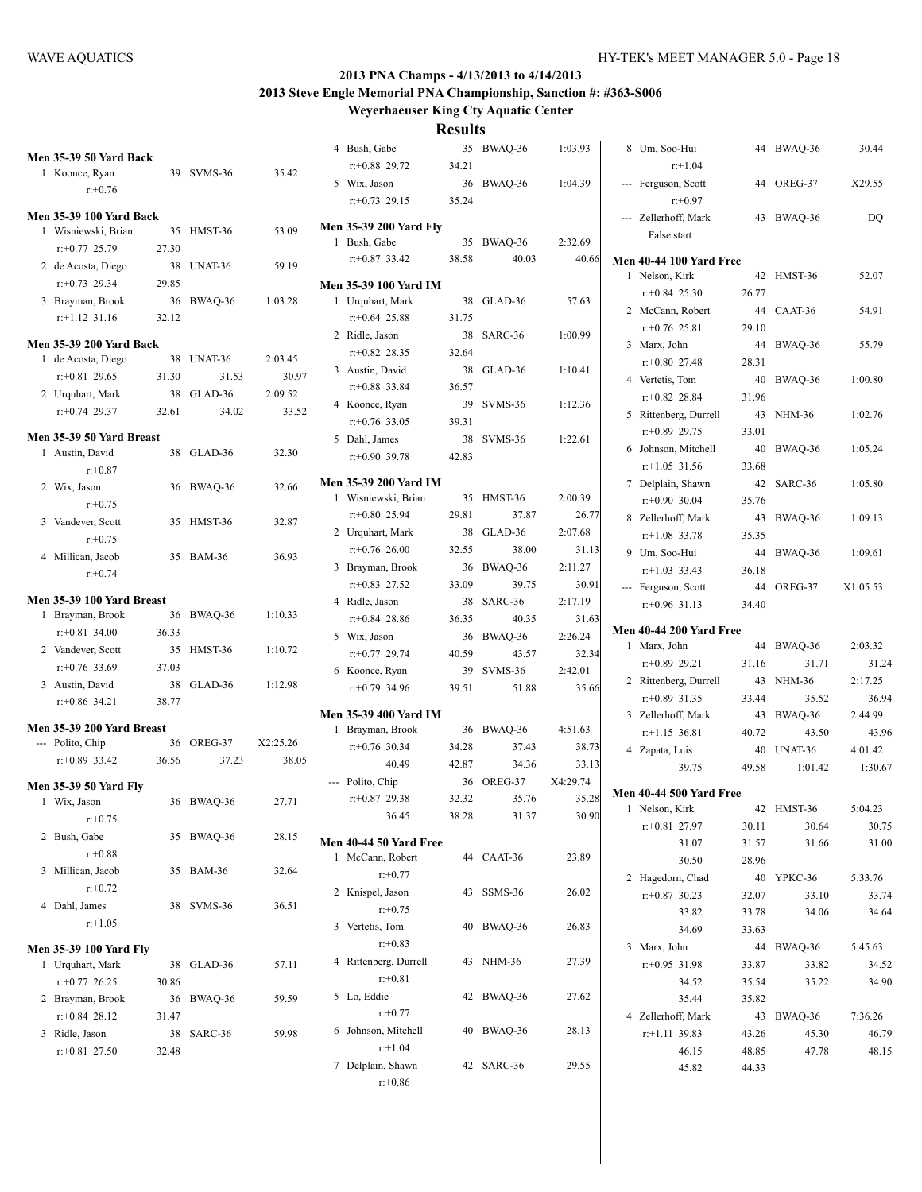**Weyerhaeuser King Cty Aquatic Center**

| <b>Men 35-39 50 Yard Back</b>                 |       |            |          | 4 Bush, Gabe                  |       | 35 BWAQ-36 | 1:03.93  | 8 Um, Soo-Hui                  |       | 44 BWAQ-36 | 30.44    |
|-----------------------------------------------|-------|------------|----------|-------------------------------|-------|------------|----------|--------------------------------|-------|------------|----------|
| 1 Koonce, Ryan                                |       | 39 SVMS-36 | 35.42    | $r+0.88$ 29.72                | 34.21 |            |          | $r+1.04$                       |       |            |          |
| $r: +0.76$                                    |       |            |          | 5 Wix, Jason                  |       | 36 BWAQ-36 | 1:04.39  | --- Ferguson, Scott            |       | 44 OREG-37 | X29.55   |
|                                               |       |            |          | $r+0.73$ 29.15                | 35.24 |            |          | $r + 0.97$                     |       |            |          |
| <b>Men 35-39 100 Yard Back</b>                |       |            |          | <b>Men 35-39 200 Yard Fly</b> |       |            |          | --- Zellerhoff, Mark           |       | 43 BWAQ-36 | DQ       |
| 1 Wisniewski, Brian                           |       | 35 HMST-36 | 53.09    | 1 Bush, Gabe                  |       | 35 BWAQ-36 | 2:32.69  | False start                    |       |            |          |
| $r+0.77$ 25.79                                | 27.30 |            |          | $r+0.87$ 33.42                | 38.58 | 40.03      | 40.66    | <b>Men 40-44 100 Yard Free</b> |       |            |          |
| 2 de Acosta, Diego                            |       | 38 UNAT-36 | 59.19    |                               |       |            |          | 1 Nelson, Kirk                 |       | 42 HMST-36 | 52.07    |
| $r: +0.73$ 29.34                              | 29.85 |            |          | <b>Men 35-39 100 Yard IM</b>  |       |            |          | $r+0.84$ 25.30                 | 26.77 |            |          |
| 3 Brayman, Brook                              |       | 36 BWAQ-36 | 1:03.28  | 1 Urquhart, Mark              |       | 38 GLAD-36 | 57.63    | 2 McCann, Robert               |       | 44 CAAT-36 | 54.91    |
| $r.+1.12$ 31.16                               | 32.12 |            |          | $r+0.64$ 25.88                | 31.75 |            |          | $r+0.76$ 25.81                 | 29.10 |            |          |
| <b>Men 35-39 200 Yard Back</b>                |       |            |          | 2 Ridle, Jason                |       | 38 SARC-36 | 1:00.99  | 3 Marx, John                   |       | 44 BWAQ-36 | 55.79    |
| 1 de Acosta, Diego                            |       | 38 UNAT-36 | 2:03.45  | $r+0.82$ 28.35                | 32.64 |            |          | $r+0.80$ 27.48                 | 28.31 |            |          |
| $r+0.81$ 29.65                                | 31.30 | 31.53      | 30.97    | 3 Austin, David               |       | 38 GLAD-36 | 1:10.41  | 4 Vertetis, Tom                |       | 40 BWAQ-36 | 1:00.80  |
| 2 Urquhart, Mark                              |       | 38 GLAD-36 | 2:09.52  | $r+0.88$ 33.84                | 36.57 |            |          | $r+0.82$ 28.84                 | 31.96 |            |          |
| $r: +0.74$ 29.37                              | 32.61 | 34.02      | 33.52    | 4 Koonce, Ryan                |       | 39 SVMS-36 | 1:12.36  | 5 Rittenberg, Durrell          |       | 43 NHM-36  | 1:02.76  |
| Men 35-39 50 Yard Breast                      |       |            |          | $r+0.76$ 33.05                | 39.31 |            |          | $r+0.89$ 29.75                 | 33.01 |            |          |
| 1 Austin, David                               |       | 38 GLAD-36 | 32.30    | 5 Dahl, James                 |       | 38 SVMS-36 | 1:22.61  | 6 Johnson, Mitchell            |       | 40 BWAO-36 | 1:05.24  |
| $r: +0.87$                                    |       |            |          | $r+0.90$ 39.78                | 42.83 |            |          | $r+1.05$ 31.56                 | 33.68 |            |          |
| 2 Wix, Jason                                  |       | 36 BWAQ-36 | 32.66    | <b>Men 35-39 200 Yard IM</b>  |       |            |          | 7 Delplain, Shawn              |       | 42 SARC-36 | 1:05.80  |
| $r: +0.75$                                    |       |            |          | 1 Wisniewski, Brian           |       | 35 HMST-36 | 2:00.39  | $r: +0.90$ 30.04               | 35.76 |            |          |
| 3 Vandever, Scott                             |       | 35 HMST-36 | 32.87    | $r+0.80$ 25.94                | 29.81 | 37.87      | 26.77    | 8 Zellerhoff, Mark             |       | 43 BWAQ-36 | 1:09.13  |
| $r: +0.75$                                    |       |            |          | 2 Urquhart, Mark              |       | 38 GLAD-36 | 2:07.68  | $r+1.08$ 33.78                 | 35.35 |            |          |
| 4 Millican, Jacob                             |       | 35 BAM-36  | 36.93    | $r+0.76$ 26.00                | 32.55 | 38.00      | 31.13    | 9 Um, Soo-Hui                  | 44    | BWAQ-36    | 1:09.61  |
| $r + 0.74$                                    |       |            |          | 3 Brayman, Brook              |       | 36 BWAQ-36 | 2:11.27  | $r+1.03$ 33.43                 | 36.18 |            |          |
|                                               |       |            |          | $r+0.83$ 27.52                | 33.09 | 39.75      | 30.91    | --- Ferguson, Scott            |       | 44 OREG-37 | X1:05.53 |
| Men 35-39 100 Yard Breast                     |       |            |          | 4 Ridle, Jason                |       | 38 SARC-36 | 2:17.19  | $r+0.96$ 31.13                 | 34.40 |            |          |
|                                               |       |            |          |                               |       |            |          |                                |       |            |          |
| 1 Brayman, Brook                              |       | 36 BWAQ-36 | 1:10.33  | $r+0.84$ 28.86                | 36.35 | 40.35      | 31.63    |                                |       |            |          |
| $r: +0.81$ 34.00                              | 36.33 |            |          | 5 Wix, Jason                  |       | 36 BWAQ-36 | 2:26.24  | <b>Men 40-44 200 Yard Free</b> |       |            |          |
| 2 Vandever, Scott                             |       | 35 HMST-36 | 1:10.72  | $r+0.77$ 29.74                | 40.59 | 43.57      | 32.34    | 1 Marx, John                   |       | 44 BWAQ-36 | 2:03.32  |
| $r: +0.76$ 33.69                              | 37.03 |            |          | 6 Koonce, Ryan                |       | 39 SVMS-36 | 2:42.01  | $r+0.89$ 29.21                 | 31.16 | 31.71      | 31.24    |
| 3 Austin, David                               |       | 38 GLAD-36 | 1:12.98  | $r+0.79$ 34.96                | 39.51 | 51.88      | 35.66    | 2 Rittenberg, Durrell          |       | 43 NHM-36  | 2:17.25  |
| $r: +0.86$ 34.21                              | 38.77 |            |          |                               |       |            |          | $r+0.89$ 31.35                 | 33.44 | 35.52      | 36.94    |
|                                               |       |            |          | Men 35-39 400 Yard IM         |       |            |          | 3 Zellerhoff, Mark             |       | 43 BWAQ-36 | 2:44.99  |
| Men 35-39 200 Yard Breast<br>--- Polito, Chip |       | 36 OREG-37 | X2:25.26 | 1 Brayman, Brook              |       | 36 BWAQ-36 | 4:51.63  | $r+1.15$ 36.81                 | 40.72 | 43.50      | 43.96    |
| $r+0.89$ 33.42                                | 36.56 | 37.23      | 38.05    | $r: +0.76$ 30.34              | 34.28 | 37.43      | 38.73    | 4 Zapata, Luis                 |       | 40 UNAT-36 | 4:01.42  |
|                                               |       |            |          | 40.49                         | 42.87 | 34.36      | 33.13    | 39.75                          | 49.58 | 1:01.42    | 1:30.67  |
| <b>Men 35-39 50 Yard Fly</b>                  |       |            |          | --- Polito, Chip              |       | 36 OREG-37 | X4:29.74 | <b>Men 40-44 500 Yard Free</b> |       |            |          |
| 1 Wix, Jason                                  |       | 36 BWAQ-36 | 27.71    | $r+0.87$ 29.38                | 32.32 | 35.76      | 35.28    | 1 Nelson, Kirk                 |       | 42 HMST-36 | 5:04.23  |
| $r+0.75$                                      |       |            |          | 36.45                         | 38.28 | 31.37      | 30.90    | $r: +0.81$ 27.97               | 30.11 | 30.64      | 30.75    |
| 2 Bush, Gabe                                  |       | 35 BWAQ-36 | 28.15    | Men 40-44 50 Yard Free        |       |            |          | 31.07                          | 31.57 | 31.66      | 31.00    |
| $r: +0.88$                                    |       |            |          | 1 McCann, Robert              |       | 44 CAAT-36 | 23.89    | 30.50                          | 28.96 |            |          |
| 3 Millican, Jacob                             |       | 35 BAM-36  | 32.64    | $r: +0.77$                    |       |            |          | 2 Hagedorn, Chad               |       | 40 YPKC-36 | 5:33.76  |
| $r+0.72$                                      |       |            |          | 2 Knispel, Jason              |       | 43 SSMS-36 | 26.02    | $r+0.87$ 30.23                 | 32.07 | 33.10      | 33.74    |
| 4 Dahl, James                                 |       | 38 SVMS-36 | 36.51    | $r: +0.75$                    |       |            |          | 33.82                          | 33.78 | 34.06      | 34.64    |
| $r+1.05$                                      |       |            |          | 3 Vertetis, Tom               |       | 40 BWAQ-36 | 26.83    | 34.69                          | 33.63 |            |          |
| <b>Men 35-39 100 Yard Fly</b>                 |       |            |          | $r: +0.83$                    |       |            |          | 3 Marx, John                   |       | 44 BWAQ-36 | 5:45.63  |
| 1 Urquhart, Mark                              |       | 38 GLAD-36 | 57.11    | 4 Rittenberg, Durrell         |       | 43 NHM-36  | 27.39    | $r+0.95$ 31.98                 | 33.87 | 33.82      | 34.52    |
| $r+0.77$ 26.25                                | 30.86 |            |          | $r: +0.81$                    |       |            |          | 34.52                          | 35.54 | 35.22      | 34.90    |
| 2 Brayman, Brook                              |       | 36 BWAQ-36 | 59.59    | 5 Lo, Eddie                   |       | 42 BWAQ-36 | 27.62    | 35.44                          | 35.82 |            |          |
| $r+0.84$ 28.12                                | 31.47 |            |          | $r: +0.77$                    |       |            |          | 4 Zellerhoff, Mark             |       | 43 BWAQ-36 | 7:36.26  |
| 3 Ridle, Jason                                |       | 38 SARC-36 | 59.98    | 6 Johnson, Mitchell           |       | 40 BWAQ-36 | 28.13    | $r.+1.11$ 39.83                | 43.26 | 45.30      | 46.79    |
| $r+0.81$ 27.50                                | 32.48 |            |          | $r+1.04$<br>7 Delplain, Shawn |       | 42 SARC-36 | 29.55    | 46.15                          | 48.85 | 47.78      | 48.15    |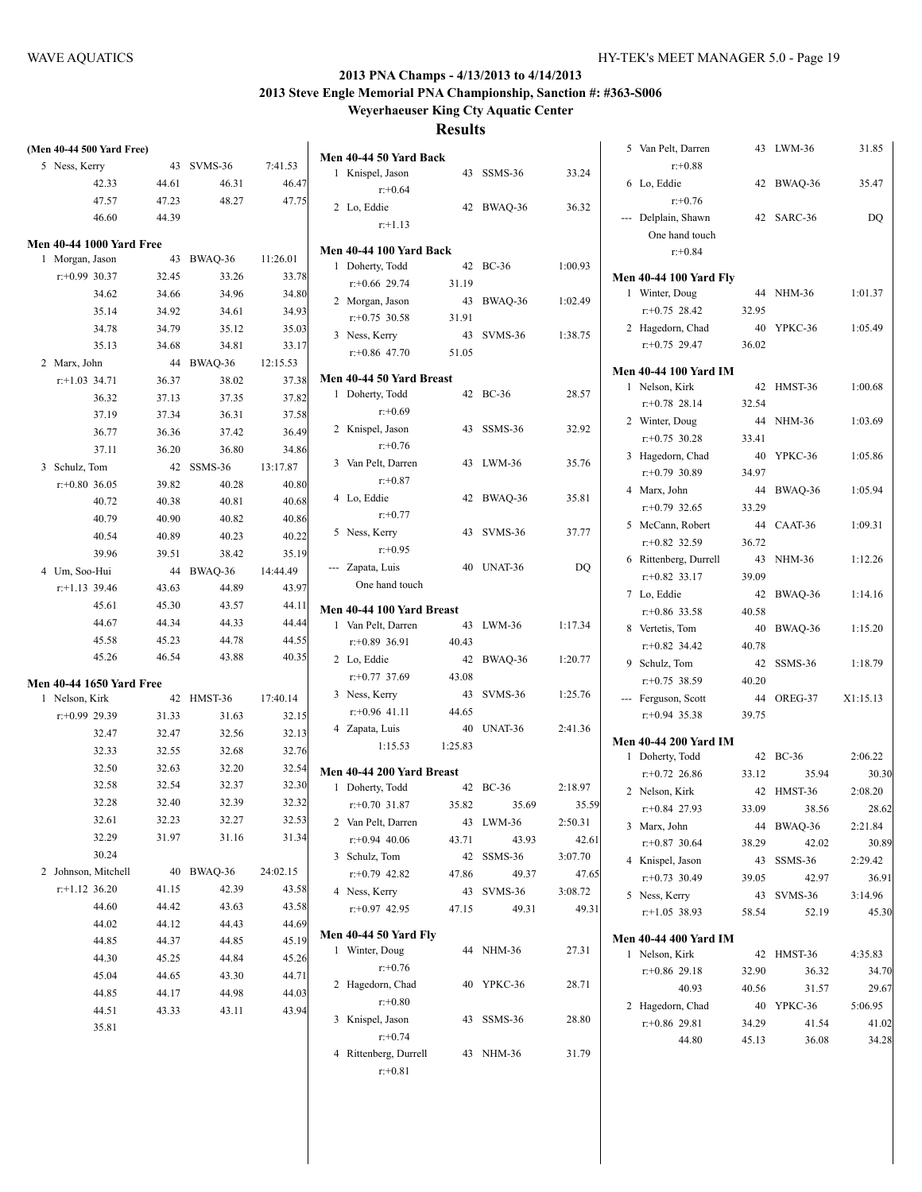| (Men 40-44 500 Yard Free)          |                |                  |                | Men 40-44 50 Yard Back                            |
|------------------------------------|----------------|------------------|----------------|---------------------------------------------------|
| 5 Ness, Kerry                      | 43             | SVMS-36          | 7:41.53        | 1 Knispel, Jason                                  |
| 42.33                              | 44.61          | 46.31            | 46.47          | $r + 0.64$                                        |
| 47.57                              | 47.23          | 48.27            | 47.75          | 2 Lo, Eddie                                       |
| 46.60                              | 44.39          |                  |                | $r+1.13$                                          |
| <b>Men 40-44 1000 Yard Free</b>    |                |                  |                |                                                   |
| 1 Morgan, Jason                    | 43             | BWAQ-36          | 11:26.01       | <b>Men 40-44 100 Yard Bacl</b><br>1 Doherty, Todd |
| $r: +0.99$ 30.37                   | 32.45          | 33.26            | 33.78          | $r+0.66$ 29.74                                    |
| 34.62                              | 34.66          | 34.96            | 34.80          |                                                   |
| 35.14                              | 34.92          | 34.61            | 34.93          | 2 Morgan, Jason                                   |
| 34.78                              | 34.79          | 35.12            | 35.03          | $r: +0.75$ 30.58                                  |
| 35.13                              | 34.68          | 34.81            | 33.17          | 3 Ness, Kerry                                     |
| 2 Marx, John                       | 44             | BWAQ-36          | 12:15.53       | $r+0.86$ 47.70                                    |
| $r: +1.03$ 34.71                   | 36.37          | 38.02            | 37.38          | Men 40-44 50 Yard Breas                           |
| 36.32                              | 37.13          | 37.35            | 37.82          | 1 Doherty, Todd                                   |
| 37.19                              | 37.34          | 36.31            | 37.58          | $r+0.69$                                          |
| 36.77                              | 36.36          | 37.42            | 36.49          | 2 Knispel, Jason                                  |
| 37.11                              | 36.20          | 36.80            | 34.86          | $r + 0.76$                                        |
| 3 Schulz, Tom                      | 42             | SSMS-36          | 13:17.87       | 3 Van Pelt, Darren                                |
| $r: +0.80$ 36.05                   | 39.82          | 40.28            | 40.80          | $r: +0.87$                                        |
| 40.72                              | 40.38          | 40.81            | 40.68          | 4 Lo, Eddie                                       |
| 40.79                              | 40.90          | 40.82            | 40.86          | $r+0.77$                                          |
| 40.54                              | 40.89          | 40.23            | 40.22          | 5 Ness, Kerry                                     |
| 39.96                              | 39.51          | 38.42            | 35.19          | $r: +0.95$                                        |
| 4 Um, Soo-Hui                      | 44             | BWAQ-36          | 14:44.49       | --- Zapata, Luis                                  |
| $r$ :+1.13 39.46                   | 43.63          | 44.89            | 43.97          | One hand touch                                    |
| 45.61                              | 45.30          | 43.57            | 44.11          | <b>Men 40-44 100 Yard Brea</b>                    |
| 44.67                              | 44.34          | 44.33            | 44.44          | 1 Van Pelt, Darren                                |
| 45.58                              | 45.23          | 44.78            | 44.55          | $r+0.89$ 36.91                                    |
| 45.26                              | 46.54          | 43.88            | 40.35          | 2 Lo, Eddie                                       |
|                                    |                |                  |                | $r: +0.77$ 37.69                                  |
| <b>Men 40-44 1650 Yard Free</b>    |                |                  |                | 3 Ness, Kerry                                     |
| 1 Nelson, Kirk<br>$r: +0.99$ 29.39 | 42             | HMST-36<br>31.63 | 17:40.14       | $r+0.96$ 41.11                                    |
|                                    | 31.33<br>32.47 |                  | 32.15<br>32.13 | 4 Zapata, Luis                                    |
| 32.47                              |                | 32.56            |                | 1:15.53<br>1:                                     |
| 32.33                              | 32.55          | 32.68            | 32.76          |                                                   |
| 32.50                              | 32.63          | 32.20            | 32.54          | <b>Men 40-44 200 Yard Brea</b>                    |
| 32.58                              | 32.54          | 32.37            | 32.30          | 1 Doherty, Todd                                   |
| 32.28                              | 32.40          | 32.39            | 32.32          | $r: +0.70$ 31.87                                  |
| 32.61                              | 32.23          | 32.27            | 32.53          | 2 Van Pelt, Darren                                |
| 32.29                              | 31.97          | 31.16            | 31.34          | $r+0.94$ 40.06                                    |
| 30.24                              |                |                  |                | 3 Schulz, Tom                                     |
| 2 Johnson, Mitchell                | 40             | BWAQ-36          | 24:02.15       | $r+0.79$ 42.82                                    |
| $r$ :+1.12 36.20                   | 41.15          | 42.39            | 43.58          | 4 Ness, Kerry                                     |
| 44.60                              | 44.42          | 43.63            | 43.58          | $r: +0.97$ 42.95                                  |
| 44.02                              | 44.12          | 44.43            | 44.69          | <b>Men 40-44 50 Yard Fly</b>                      |
| 44.85                              | 44.37          | 44.85            | 45.19          | 1 Winter, Doug                                    |
| 44.30                              | 45.25          | 44.84            | 45.26          | $r + 0.76$                                        |
| 45.04                              | 44.65          | 43.30            | 44.71          | Hagedorn, Chad<br>2                               |
| 44.85                              | 44.17          | 44.98            | 44.03          | $r: +0.80$                                        |
| 44.51                              | 43.33          | 43.11            | 43.94          | Knispel, Jason<br>3                               |
| 35.81                              |                |                  |                | $r: +0.74$                                        |

| 1 | Knispel, Jason            | 43      | SSMS-36             | 33.24   |
|---|---------------------------|---------|---------------------|---------|
|   | $r + 0.64$                |         |                     |         |
|   | 2 Lo, Eddie               | 42      | BWAQ-36             | 36.32   |
|   | $r+1.13$                  |         |                     |         |
|   | Men 40-44 100 Yard Back   |         |                     |         |
| 1 | Doherty, Todd             | 42      | <b>BC-36</b>        | 1:00.93 |
|   | $r+0.66$ 29.74            | 31.19   |                     |         |
|   | 2 Morgan, Jason           | 43      | BWAQ-36             | 1:02.49 |
|   | $r+0.75$ 30.58            | 31.91   |                     |         |
| 3 | Ness, Kerry               | 43      | SVMS-36             | 1:38.75 |
|   | $r+0.86$ 47.70            | 51.05   |                     |         |
|   | Men 40-44 50 Yard Breast  |         |                     |         |
| 1 | Doherty, Todd             | 42      | $BC-36$             | 28.57   |
|   | $r+0.69$                  |         |                     |         |
|   | 2 Knispel, Jason          | 43      | SSMS-36             | 32.92   |
|   | $r: +0.76$                |         |                     |         |
|   | 3 Van Pelt, Darren        | 43      | LWM-36              | 35.76   |
|   | $r: +0.87$                |         |                     |         |
|   | 4 Lo, Eddie               | 42      | BWAQ-36             | 35.81   |
|   | $r: +0.77$                |         |                     |         |
| 5 | Ness, Kerry               | 43      | SVMS-36             | 37.77   |
|   | $r + 0.95$                |         |                     |         |
|   | --- Zapata, Luis          | 40      | UNAT-36             | DQ      |
|   | One hand touch            |         |                     |         |
|   | Men 40-44 100 Yard Breast |         |                     |         |
| 1 | Van Pelt, Darren          | 43      | LWM-36              | 1:17.34 |
|   | $r+0.89$ 36.91            | 40.43   |                     |         |
|   | 2 Lo, Eddie               | 42      | BWAQ-36             | 1:20.77 |
|   | $r+0.77$ 37.69            | 43.08   |                     |         |
| 3 | Ness, Kerry               | 43      | SVMS-36             | 1:25.76 |
|   | $r+0.96$ 41.11            | 44.65   |                     |         |
|   | 4 Zapata, Luis            | 40      | UNAT-36             | 2:41.36 |
|   | 1:15.53                   | 1:25.83 |                     |         |
|   |                           |         |                     |         |
|   | Men 40-44 200 Yard Breast |         |                     |         |
| 1 | Doherty, Todd             |         | 42 BC-36            | 2:18.97 |
|   | $r+0.70$ 31.87            | 35.82   | 35.69               | 35.59   |
|   | 2 Van Pelt, Darren        | 43      | LWM-36              | 2:50.31 |
|   | $r+0.94$ 40.06            | 43.71   | 43.93               | 42.61   |
|   | 3 Schulz, Tom             |         | 42 SSMS-36<br>49.37 | 3:07.70 |
|   | $r+0.79$ 42.82            | 47.86   |                     | 47.65   |
|   | 4 Ness, Kerry             |         | 43 SVMS-36          | 3:08.72 |
|   | r:+0.97 42.95             | 47.15   | 49.31               | 49.31   |
|   | Men 40-44 50 Yard Fly     |         |                     |         |
| 1 | Winter, Doug              | 44      | <b>NHM-36</b>       | 27.31   |
|   | $r: +0.76$                |         |                     |         |
|   | 2 Hagedorn, Chad          | 40      | YPKC-36             | 28.71   |
|   | $r: +0.80$                |         |                     |         |
| 3 | Knispel, Jason            | 43      | SSMS-36             | 28.80   |
|   | $r + 0.74$                |         |                     |         |
| 4 | Rittenberg, Durrell       |         | 43 NHM-36           | 31.79   |
|   | $r: +0.81$                |         |                     |         |

|              | 5 Van Pelt, Darren<br>$r + 0.88$                    | 43    | LWM-36              | 31.85            |
|--------------|-----------------------------------------------------|-------|---------------------|------------------|
| 6            | Lo, Eddie<br>$r: +0.76$                             | 42    | BWAQ-36             | 35.47            |
|              | --- Delplain, Shawn<br>One hand touch<br>$r: +0.84$ | 42    | SARC-36             | DQ               |
|              | <b>Men 40-44 100 Yard Fly</b>                       |       |                     |                  |
| $\mathbf{1}$ | Winter, Doug                                        | 44    | <b>NHM-36</b>       | 1:01.37          |
|              | $r+0.75$ 28.42                                      | 32.95 |                     |                  |
|              | 2 Hagedorn, Chad                                    | 40    | YPKC-36             | 1:05.49          |
|              | $r+0.75$ 29.47                                      | 36.02 |                     |                  |
|              | Men 40-44 100 Yard IM                               |       |                     |                  |
| 1            | Nelson, Kirk                                        | 42    | HMST-36             | 1:00.68          |
|              | $r+0.78$ 28.14                                      | 32.54 |                     |                  |
|              | 2 Winter, Doug                                      | 44    | NHM-36              | 1:03.69          |
|              | $r: +0.75$ 30.28                                    | 33.41 |                     |                  |
|              | 3 Hagedorn, Chad                                    | 40    | YPKC-36             | 1:05.86          |
|              | $r: +0.79$ 30.89                                    | 34.97 |                     |                  |
|              | 4 Marx, John                                        | 44    | BWAQ-36             | 1:05.94          |
|              | $r: +0.79$ 32.65                                    | 33.29 |                     |                  |
|              | 5 McCann, Robert                                    | 44    | CAAT-36             | 1:09.31          |
|              | $r+0.82$ 32.59                                      | 36.72 |                     |                  |
| 6            | Rittenberg, Durrell                                 | 43    | <b>NHM-36</b>       | 1:12.26          |
|              | $r+0.82$ 33.17                                      | 39.09 |                     |                  |
| 7            | Lo, Eddie                                           | 42    | BWAQ-36             | 1:14.16          |
|              | $r+0.86$ 33.58                                      | 40.58 |                     |                  |
| 8            | Vertetis, Tom                                       | 40    | BWAQ-36             | 1:15.20          |
|              | $r: +0.82$ 34.42                                    | 40.78 |                     |                  |
|              | 9 Schulz, Tom                                       | 42    | SSMS-36             | 1:18.79          |
|              | $r: +0.75$ 38.59                                    | 40.20 |                     |                  |
|              | --- Ferguson, Scott                                 | 44    | OREG-37             | X1:15.13         |
|              | $r+0.94$ 35.38                                      | 39.75 |                     |                  |
|              |                                                     |       |                     |                  |
|              | Men 40-44 200 Yard IM                               |       |                     |                  |
| 1            | Doherty, Todd                                       | 42    | <b>BC-36</b>        | 2:06.22          |
|              | $r+0.72$ 26.86                                      | 33.12 | 35.94               | 30.30            |
| 2            | Nelson, Kirk<br>$r+0.84$ 27.93                      | 42    | HMST-36             | 2:08.20          |
|              |                                                     | 33.09 | 38.56               | 28.62            |
|              | 3 Marx, John                                        | 44    | BWAQ-36             | 2:21.84          |
|              | $r+0.87$ 30.64<br>4 Knispel, Jason                  | 38.29 | 42.02<br>SSMS-36    | 30.89<br>2:29.42 |
|              | $r+0.73$ 30.49                                      | 43    |                     |                  |
|              |                                                     | 39.05 | 42.97               | 36.91            |
|              | 5 Ness, Kerry<br>$r+1.05$ 38.93                     | 58.54 | 43 SVMS-36<br>52.19 | 3:14.96<br>45.30 |
|              |                                                     |       |                     |                  |
|              | <b>Men 40-44 400 Yard IM</b>                        |       |                     |                  |
|              | 1 Nelson, Kirk                                      | 42    | HMST-36             | 4:35.83          |
|              | $r+0.86$ 29.18                                      | 32.90 | 36.32               | 34.70            |
|              | 40.93                                               | 40.56 | 31.57               | 29.67            |
|              | 2 Hagedorn, Chad                                    |       | 40 YPKC-36          | 5:06.95          |
|              | $r+0.86$ 29.81                                      | 34.29 | 41.54               | 41.02            |
|              | 44.80                                               | 45.13 | 36.08               | 34.28            |
|              |                                                     |       |                     |                  |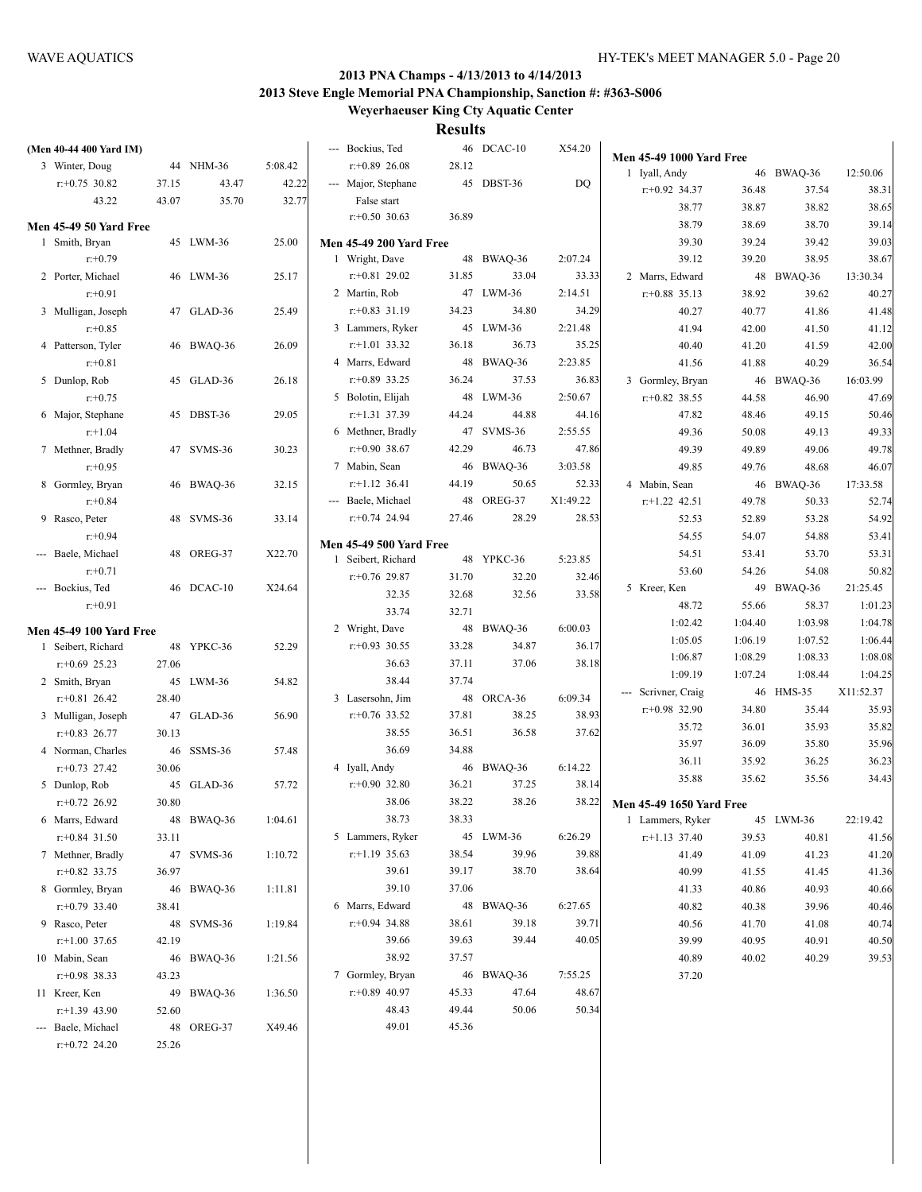| (Men 40-44 400 Yard IM)        |       |            |         | --- Bockius, Ted               |       | 46 DCAC-10         | X54.20   | <b>Men 45-49 1000 Yard Free</b> |         |            |           |
|--------------------------------|-------|------------|---------|--------------------------------|-------|--------------------|----------|---------------------------------|---------|------------|-----------|
| 3 Winter, Doug                 |       | 44 NHM-36  | 5:08.42 | $r+0.89$ 26.08                 | 28.12 |                    |          | 1 Iyall, Andy                   |         | 46 BWAQ-36 | 12:50.06  |
| $r+0.75$ 30.82                 | 37.15 | 43.47      | 42.22   | --- Major, Stephane            |       | 45 DBST-36         | DQ       | $r+0.92$ 34.37                  | 36.48   | 37.54      | 38.31     |
| 43.22                          | 43.07 | 35.70      | 32.77   | False start                    |       |                    |          | 38.77                           | 38.87   | 38.82      | 38.65     |
|                                |       |            |         | $r+0.50$ 30.63                 | 36.89 |                    |          | 38.79                           | 38.69   | 38.70      | 39.14     |
| <b>Men 45-49 50 Yard Free</b>  |       |            |         |                                |       |                    |          |                                 |         |            | 39.03     |
| 1 Smith, Bryan                 |       | 45 LWM-36  | 25.00   | <b>Men 45-49 200 Yard Free</b> |       |                    |          | 39.30                           | 39.24   | 39.42      |           |
| $r: +0.79$                     |       |            |         | 1 Wright, Dave                 |       | 48 BWAQ-36         | 2:07.24  | 39.12                           | 39.20   | 38.95      | 38.67     |
| 2 Porter, Michael              |       | 46 LWM-36  | 25.17   | $r+0.81$ 29.02                 | 31.85 | 33.04<br>47 LWM-36 | 33.33    | 2 Marrs, Edward                 |         | 48 BWAQ-36 | 13:30.34  |
| $r: +0.91$                     |       |            |         | 2 Martin, Rob                  |       |                    | 2:14.51  | $r+0.88$ 35.13                  | 38.92   | 39.62      | 40.27     |
| 3 Mulligan, Joseph             |       | 47 GLAD-36 | 25.49   | $r+0.83$ 31.19                 | 34.23 | 34.80              | 34.29    | 40.27                           | 40.77   | 41.86      | 41.48     |
| $r + 0.85$                     |       |            |         | 3 Lammers, Ryker               |       | 45 LWM-36          | 2:21.48  | 41.94                           | 42.00   | 41.50      | 41.12     |
| 4 Patterson, Tyler             |       | 46 BWAQ-36 | 26.09   | $r+1.01$ 33.32                 | 36.18 | 36.73              | 35.25    | 40.40                           | 41.20   | 41.59      | 42.00     |
| $r: +0.81$                     |       |            |         | 4 Marrs, Edward                |       | 48 BWAQ-36         | 2:23.85  | 41.56                           | 41.88   | 40.29      | 36.54     |
| 5 Dunlop, Rob                  |       | 45 GLAD-36 | 26.18   | $r+0.89$ 33.25                 | 36.24 | 37.53              | 36.83    | 3 Gormley, Bryan                |         | 46 BWAQ-36 | 16:03.99  |
| $r + 0.75$                     |       |            |         | 5 Bolotin, Elijah              |       | 48 LWM-36          | 2:50.67  | $r+0.82$ 38.55                  | 44.58   | 46.90      | 47.69     |
| 6 Major, Stephane              |       | 45 DBST-36 | 29.05   | r:+1.31 37.39                  | 44.24 | 44.88              | 44.16    | 47.82                           | 48.46   | 49.15      | 50.46     |
| $r+1.04$                       |       |            |         | 6 Methner, Bradly              |       | 47 SVMS-36         | 2:55.55  | 49.36                           | 50.08   | 49.13      | 49.33     |
| 7 Methner, Bradly              |       | 47 SVMS-36 | 30.23   | $r: +0.90$ 38.67               | 42.29 | 46.73              | 47.86    | 49.39                           | 49.89   | 49.06      | 49.78     |
| $r: +0.95$                     |       |            |         | 7 Mabin, Sean                  |       | 46 BWAQ-36         | 3:03.58  | 49.85                           | 49.76   | 48.68      | 46.07     |
| 8 Gormley, Bryan               |       | 46 BWAQ-36 | 32.15   | $r+1.12$ 36.41                 | 44.19 | 50.65              | 52.33    | 4 Mabin, Sean                   |         | 46 BWAQ-36 | 17:33.58  |
| $r: +0.84$                     |       |            |         | --- Baele, Michael             |       | 48 OREG-37         | X1:49.22 | $r.+1.22$ 42.51                 | 49.78   | 50.33      | 52.74     |
| 9 Rasco, Peter                 |       | 48 SVMS-36 | 33.14   | $r+0.74$ 24.94                 | 27.46 | 28.29              | 28.53    | 52.53                           | 52.89   | 53.28      | 54.92     |
| $r: +0.94$                     |       |            |         | <b>Men 45-49 500 Yard Free</b> |       |                    |          | 54.55                           | 54.07   | 54.88      | 53.41     |
| --- Baele, Michael             |       | 48 OREG-37 | X22.70  | 1 Seibert, Richard             |       | 48 YPKC-36         | 5:23.85  | 54.51                           | 53.41   | 53.70      | 53.31     |
| $r: +0.71$                     |       |            |         | $r+0.76$ 29.87                 | 31.70 | 32.20              | 32.46    | 53.60                           | 54.26   | 54.08      | 50.82     |
| --- Bockius, Ted               |       | 46 DCAC-10 | X24.64  | 32.35                          | 32.68 | 32.56              | 33.58    | 5 Kreer, Ken                    |         | 49 BWAQ-36 | 21:25.45  |
| $r: +0.91$                     |       |            |         | 33.74                          | 32.71 |                    |          | 48.72                           | 55.66   | 58.37      | 1:01.23   |
| <b>Men 45-49 100 Yard Free</b> |       |            |         | 2 Wright, Dave                 |       | 48 BWAQ-36         | 6:00.03  | 1:02.42                         | 1:04.40 | 1:03.98    | 1:04.78   |
| 1 Seibert, Richard             |       | 48 YPKC-36 | 52.29   | $r+0.93$ 30.55                 | 33.28 | 34.87              | 36.17    | 1:05.05                         | 1:06.19 | 1:07.52    | 1:06.44   |
| $r+0.69$ 25.23                 | 27.06 |            |         | 36.63                          | 37.11 | 37.06              | 38.18    | 1:06.87                         | 1:08.29 | 1:08.33    | 1:08.08   |
| 2 Smith, Bryan                 |       | 45 LWM-36  | 54.82   | 38.44                          | 37.74 |                    |          | 1:09.19                         | 1:07.24 | 1:08.44    | 1:04.25   |
| $r+0.81$ 26.42                 | 28.40 |            |         | 3 Lasersohn, Jim               |       | 48 ORCA-36         | 6:09.34  | --- Scrivner, Craig             |         | 46 HMS-35  | X11:52.37 |
| 3 Mulligan, Joseph             |       | 47 GLAD-36 | 56.90   | $r+0.76$ 33.52                 | 37.81 | 38.25              | 38.93    | $r+0.98$ 32.90                  | 34.80   | 35.44      | 35.93     |
| $r+0.83$ 26.77                 | 30.13 |            |         | 38.55                          | 36.51 | 36.58              | 37.62    | 35.72                           | 36.01   | 35.93      | 35.82     |
| 4 Norman, Charles              |       | 46 SSMS-36 | 57.48   | 36.69                          | 34.88 |                    |          | 35.97                           | 36.09   | 35.80      | 35.96     |
| $r+0.73$ 27.42                 | 30.06 |            |         | 4 Iyall, Andy                  |       | 46 BWAQ-36         | 6:14.22  | 36.11                           | 35.92   | 36.25      | 36.23     |
| 5 Dunlop, Rob                  |       | 45 GLAD-36 | 57.72   | $r+0.90$ 32.80                 | 36.21 | 37.25              | 38.14    | 35.88                           | 35.62   | 35.56      | 34.43     |
| $r+0.72$ 26.92                 | 30.80 |            |         | 38.06                          | 38.22 | 38.26              | 38.22    | <b>Men 45-49 1650 Yard Free</b> |         |            |           |
| 6 Marrs, Edward                |       | 48 BWAQ-36 | 1:04.61 | 38.73                          | 38.33 |                    |          | 1 Lammers, Ryker                |         | 45 LWM-36  | 22:19.42  |
| $r.+0.84$ 31.50                | 33.11 |            |         | 5 Lammers, Ryker               |       | 45 LWM-36          | 6:26.29  | $r.+1.13$ 37.40                 | 39.53   | 40.81      | 41.56     |
| 7 Methner, Bradly              |       | 47 SVMS-36 | 1:10.72 | r:+1.19 35.63                  | 38.54 | 39.96              | 39.88    | 41.49                           | 41.09   | 41.23      | 41.20     |
| $r: +0.82$ 33.75               | 36.97 |            |         | 39.61                          | 39.17 | 38.70              | 38.64    | 40.99                           | 41.55   | 41.45      | 41.36     |
| 8 Gormley, Bryan               |       | 46 BWAQ-36 | 1:11.81 | 39.10                          | 37.06 |                    |          | 41.33                           | 40.86   | 40.93      | 40.66     |
| $r: +0.79$ 33.40               | 38.41 |            |         | 6 Marrs, Edward                |       | 48 BWAQ-36         | 6:27.65  | 40.82                           | 40.38   | 39.96      | 40.46     |
| 9 Rasco, Peter                 |       | 48 SVMS-36 | 1:19.84 | $r: +0.94$ 34.88               | 38.61 | 39.18              | 39.71    | 40.56                           | 41.70   | 41.08      | 40.74     |
| $r$ :+1.00 37.65               | 42.19 |            |         | 39.66                          | 39.63 | 39.44              | 40.05    | 39.99                           | 40.95   | 40.91      | 40.50     |
| 10 Mabin, Sean                 |       | 46 BWAQ-36 | 1:21.56 | 38.92                          | 37.57 |                    |          | 40.89                           | 40.02   | 40.29      | 39.53     |
| $r+0.98$ 38.33                 | 43.23 |            |         | 7 Gormley, Bryan               |       | 46 BWAQ-36         | 7:55.25  | 37.20                           |         |            |           |
| 11 Kreer, Ken                  |       | 49 BWAQ-36 | 1:36.50 | $r+0.89$ 40.97                 | 45.33 | 47.64              | 48.67    |                                 |         |            |           |
| $r$ :+1.39 43.90               | 52.60 |            |         | 48.43                          | 49.44 | 50.06              | 50.34    |                                 |         |            |           |
| --- Baele, Michael             |       | 48 OREG-37 | X49.46  | 49.01                          | 45.36 |                    |          |                                 |         |            |           |
| $r+0.72$ 24.20                 | 25.26 |            |         |                                |       |                    |          |                                 |         |            |           |
|                                |       |            |         |                                |       |                    |          |                                 |         |            |           |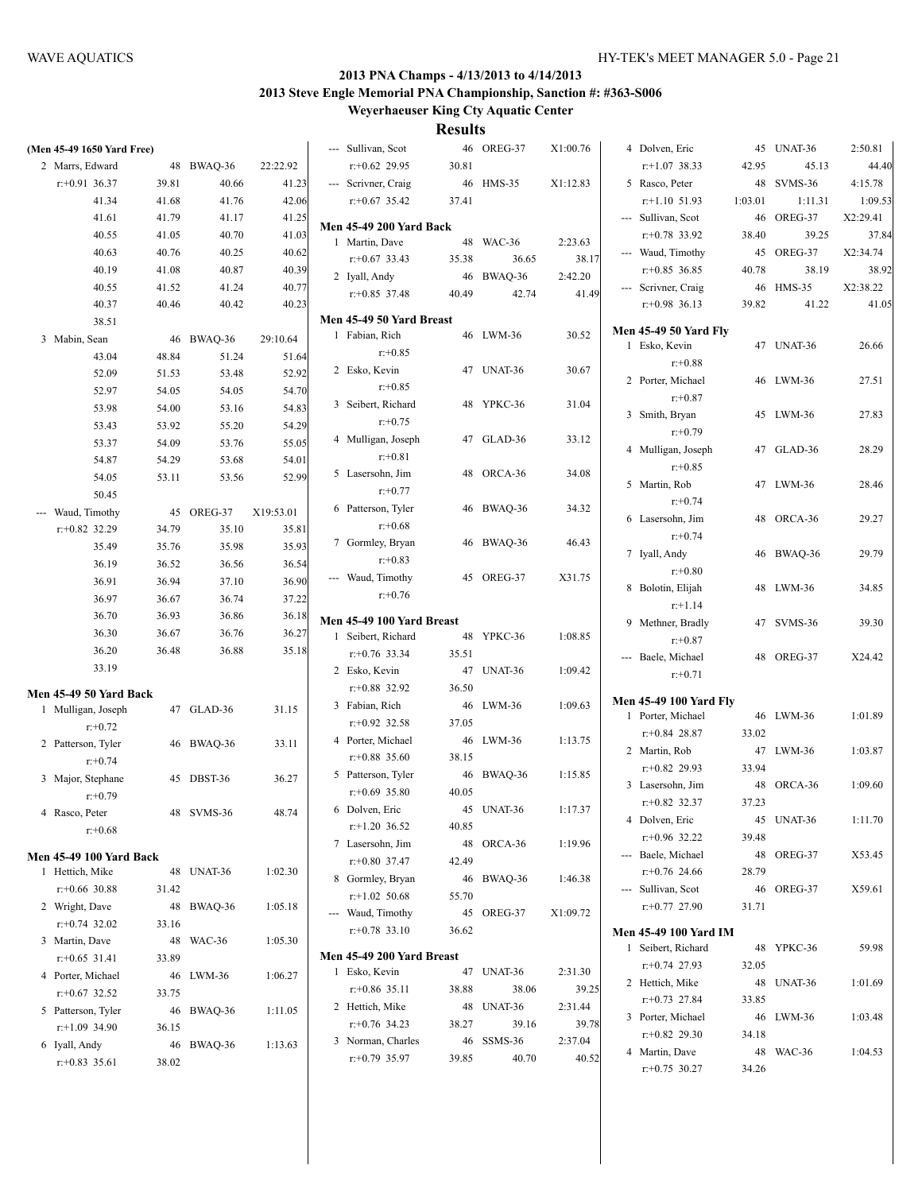| (Men 45-49 1650 Yard Free)                   |       |            |           | --- Sullivan, Scot             |       | 46 OREG-37 | X1:00.76 | 4 Dolven, Eric                |         | 45 UNAT-36 | 2:50.81  |
|----------------------------------------------|-------|------------|-----------|--------------------------------|-------|------------|----------|-------------------------------|---------|------------|----------|
| 2 Marrs, Edward                              |       | 48 BWAQ-36 | 22:22.92  | $r+0.62$ 29.95                 | 30.81 |            |          | $r+1.07$ 38.33                | 42.95   | 45.13      | 44.40    |
| $r: +0.91$ 36.37                             | 39.81 | 40.66      | 41.23     | --- Scrivner, Craig            |       | 46 HMS-35  | X1:12.83 | 5 Rasco, Peter                |         | 48 SVMS-36 | 4:15.78  |
| 41.34                                        | 41.68 | 41.76      | 42.06     | $r+0.67$ 35.42                 | 37.41 |            |          | $r+1.10$ 51.93                | 1:03.01 | 1:11.31    | 1:09.53  |
| 41.61                                        | 41.79 | 41.17      | 41.25     | <b>Men 45-49 200 Yard Back</b> |       |            |          | --- Sullivan, Scot            |         | 46 OREG-37 | X2:29.41 |
| 40.55                                        | 41.05 | 40.70      | 41.03     | 1 Martin, Dave                 |       | 48 WAC-36  | 2:23.63  | $r+0.78$ 33.92                | 38.40   | 39.25      | 37.84    |
| 40.63                                        | 40.76 | 40.25      | 40.62     | $r+0.67$ 33.43                 | 35.38 |            | 38.17    | --- Waud, Timothy             |         | 45 OREG-37 | X2:34.74 |
| 40.19                                        | 41.08 | 40.87      | 40.39     |                                |       | 36.65      |          | $r+0.85$ 36.85                | 40.78   | 38.19      | 38.92    |
| 40.55                                        | 41.52 | 41.24      | 40.77     | 2 Iyall, Andy                  |       | 46 BWAQ-36 | 2:42.20  | --- Scrivner, Craig           |         | 46 HMS-35  | X2:38.22 |
| 40.37                                        | 40.46 | 40.42      | 40.23     | $r+0.85$ 37.48                 | 40.49 | 42.74      | 41.49    | $r: +0.98$ 36.13              | 39.82   | 41.22      | 41.05    |
| 38.51                                        |       |            |           | Men 45-49 50 Yard Breast       |       |            |          |                               |         |            |          |
| 3 Mabin, Sean                                |       | 46 BWAQ-36 | 29:10.64  | 1 Fabian, Rich                 |       | 46 LWM-36  | 30.52    | <b>Men 45-49 50 Yard Fly</b>  |         |            |          |
| 43.04                                        | 48.84 | 51.24      | 51.64     | $r: +0.85$                     |       |            |          | 1 Esko, Kevin                 |         | 47 UNAT-36 | 26.66    |
| 52.09                                        | 51.53 | 53.48      | 52.92     | 2 Esko, Kevin                  |       | 47 UNAT-36 | 30.67    | $r+0.88$                      |         |            |          |
| 52.97                                        | 54.05 | 54.05      | 54.70     | $r: +0.85$                     |       |            |          | 2 Porter, Michael             |         | 46 LWM-36  | 27.51    |
| 53.98                                        | 54.00 | 53.16      | 54.83     | 3 Seibert, Richard             |       | 48 YPKC-36 | 31.04    | $r: +0.87$                    |         |            |          |
|                                              |       |            |           | $r: +0.75$                     |       |            |          | 3 Smith, Bryan                |         | 45 LWM-36  | 27.83    |
| 53.43                                        | 53.92 | 55.20      | 54.29     | 4 Mulligan, Joseph             |       | 47 GLAD-36 | 33.12    | $r: +0.79$                    |         |            |          |
| 53.37                                        | 54.09 | 53.76      | 55.05     | $r: +0.81$                     |       |            |          | 4 Mulligan, Joseph            |         | 47 GLAD-36 | 28.29    |
| 54.87                                        | 54.29 | 53.68      | 54.01     | 5 Lasersohn, Jim               |       | 48 ORCA-36 | 34.08    | $r: +0.85$                    |         |            |          |
| 54.05                                        | 53.11 | 53.56      | 52.99     | $r: +0.77$                     |       |            |          | 5 Martin, Rob                 |         | 47 LWM-36  | 28.46    |
| 50.45                                        |       |            |           | 6 Patterson, Tyler             |       | 46 BWAQ-36 | 34.32    | $r+0.74$                      |         |            |          |
| --- Waud, Timothy                            |       | 45 OREG-37 | X19:53.01 |                                |       |            |          | 6 Lasersohn, Jim              |         | 48 ORCA-36 | 29.27    |
| $r+0.82$ 32.29                               | 34.79 | 35.10      | 35.81     | $r: +0.68$                     |       |            |          | $r: +0.74$                    |         |            |          |
| 35.49                                        | 35.76 | 35.98      | 35.93     | 7 Gormley, Bryan               |       | 46 BWAQ-36 | 46.43    | 7 Iyall, Andy                 |         | 46 BWAQ-36 | 29.79    |
| 36.19                                        | 36.52 | 36.56      | 36.54     | $r: +0.83$                     |       |            |          | $r + 0.80$                    |         |            |          |
| 36.91                                        | 36.94 | 37.10      | 36.90     | --- Waud, Timothy              |       | 45 OREG-37 | X31.75   | 8 Bolotin, Elijah             |         | 48 LWM-36  | 34.85    |
| 36.97                                        | 36.67 | 36.74      | 37.22     | $r: +0.76$                     |       |            |          | $r+1.14$                      |         |            |          |
| 36.70                                        | 36.93 | 36.86      | 36.18     | Men 45-49 100 Yard Breast      |       |            |          | 9 Methner, Bradly             |         | 47 SVMS-36 | 39.30    |
| 36.30                                        | 36.67 | 36.76      | 36.27     | 1 Seibert, Richard             |       | 48 YPKC-36 | 1:08.85  | $r: +0.87$                    |         |            |          |
| 36.20                                        | 36.48 | 36.88      | 35.18     | $r: +0.76$ 33.34               | 35.51 |            |          | --- Baele, Michael            |         | 48 OREG-37 | X24.42   |
| 33.19                                        |       |            |           | 2 Esko, Kevin                  |       | 47 UNAT-36 | 1:09.42  | $r+0.71$                      |         |            |          |
|                                              |       |            |           | $r+0.88$ 32.92                 | 36.50 |            |          |                               |         |            |          |
| Men 45-49 50 Yard Back<br>1 Mulligan, Joseph |       | 47 GLAD-36 | 31.15     | 3 Fabian, Rich                 |       | 46 LWM-36  | 1:09.63  | <b>Men 45-49 100 Yard Fly</b> |         |            |          |
| $r + 0.72$                                   |       |            |           | $r+0.92$ 32.58                 | 37.05 |            |          | 1 Porter, Michael             |         | 46 LWM-36  | 1:01.89  |
|                                              |       |            |           | 4 Porter, Michael              |       | 46 LWM-36  | 1:13.75  | $r+0.84$ 28.87                | 33.02   |            |          |
| 2 Patterson, Tyler                           |       | 46 BWAQ-36 | 33.11     | $r+0.88$ 35.60                 | 38.15 |            |          | 2 Martin, Rob                 |         | 47 LWM-36  | 1:03.87  |
| $r + 0.74$                                   |       |            |           | 5 Patterson, Tyler             |       | 46 BWAQ-36 | 1:15.85  | $r+0.82$ 29.93                | 33.94   |            |          |
| 3 Major, Stephane                            |       | 45 DBST-36 | 36.27     | $r+0.69$ 35.80                 | 40.05 |            |          | 3 Lasersohn, Jim              |         | 48 ORCA-36 | 1:09.60  |
| $r + 0.79$                                   |       |            |           | 6 Dolven, Eric                 |       | 45 UNAT-36 | 1:17.37  | $r+0.82$ 32.37                | 37.23   |            |          |
| 4 Rasco, Peter                               |       | 48 SVMS-36 | 48.74     | $r+1.20$ 36.52                 | 40.85 |            |          | 4 Dolven, Eric                |         | 45 UNAT-36 | 1:11.70  |
| $r + 0.68$                                   |       |            |           |                                |       |            |          | $r+0.96$ 32.22                | 39.48   |            |          |
| <b>Men 45-49 100 Yard Back</b>               |       |            |           | 7 Lasersohn, Jim               |       | 48 ORCA-36 | 1:19.96  | --- Baele, Michael            |         | 48 OREG-37 | X53.45   |
| 1 Hettich, Mike                              |       | 48 UNAT-36 | 1:02.30   | r:+0.80 37.47                  | 42.49 |            |          | $r+0.76$ 24.66                | 28.79   |            |          |
| $r$ : +0.66 30.88                            | 31.42 |            |           | 8 Gormley, Bryan               |       | 46 BWAQ-36 | 1:46.38  | --- Sullivan, Scot            |         | 46 OREG-37 | X59.61   |
| 2 Wright, Dave                               |       | 48 BWAQ-36 | 1:05.18   | $r+1.02$ 50.68                 | 55.70 |            |          | $r+0.77$ 27.90                | 31.71   |            |          |
| $r$ : +0.74 32.02                            | 33.16 |            |           | Waud, Timothy                  |       | 45 OREG-37 | X1:09.72 |                               |         |            |          |
| 3 Martin, Dave                               |       | 48 WAC-36  | 1:05.30   | $r+0.78$ 33.10                 | 36.62 |            |          | <b>Men 45-49 100 Yard IM</b>  |         |            |          |
| $r+0.65$ 31.41                               | 33.89 |            |           | Men 45-49 200 Yard Breast      |       |            |          | 1 Seibert, Richard            |         | 48 YPKC-36 | 59.98    |
| 4 Porter, Michael                            |       | 46 LWM-36  | 1:06.27   | 1 Esko, Kevin                  |       | 47 UNAT-36 | 2:31.30  | $r+0.74$ 27.93                | 32.05   |            |          |
| $r$ : +0.67 32.52                            | 33.75 |            |           | $r$ : +0.86 35.11              | 38.88 | 38.06      | 39.25    | 2 Hettich, Mike               |         | 48 UNAT-36 | 1:01.69  |
| 5 Patterson, Tyler                           |       |            | 1:11.05   | 2 Hettich, Mike                |       | 48 UNAT-36 | 2:31.44  | $r+0.73$ 27.84                | 33.85   |            |          |
| $r+1.09$ 34.90                               |       | 46 BWAQ-36 |           | $r+0.76$ 34.23                 | 38.27 | 39.16      | 39.78    | 3 Porter, Michael             |         | 46 LWM-36  | 1:03.48  |
|                                              | 36.15 |            |           | 3 Norman, Charles              |       | 46 SSMS-36 | 2:37.04  | $r+0.82$ 29.30                | 34.18   |            |          |
| 6 Iyall, Andy                                |       | 46 BWAQ-36 | 1:13.63   | $r+0.79$ 35.97                 | 39.85 | 40.70      | 40.52    | 4 Martin, Dave                |         | 48 WAC-36  | 1:04.53  |
| $r$ : +0.83 35.61                            | 38.02 |            |           |                                |       |            |          | $r.+0.75$ 30.27               | 34.26   |            |          |
|                                              |       |            |           |                                |       |            |          |                               |         |            |          |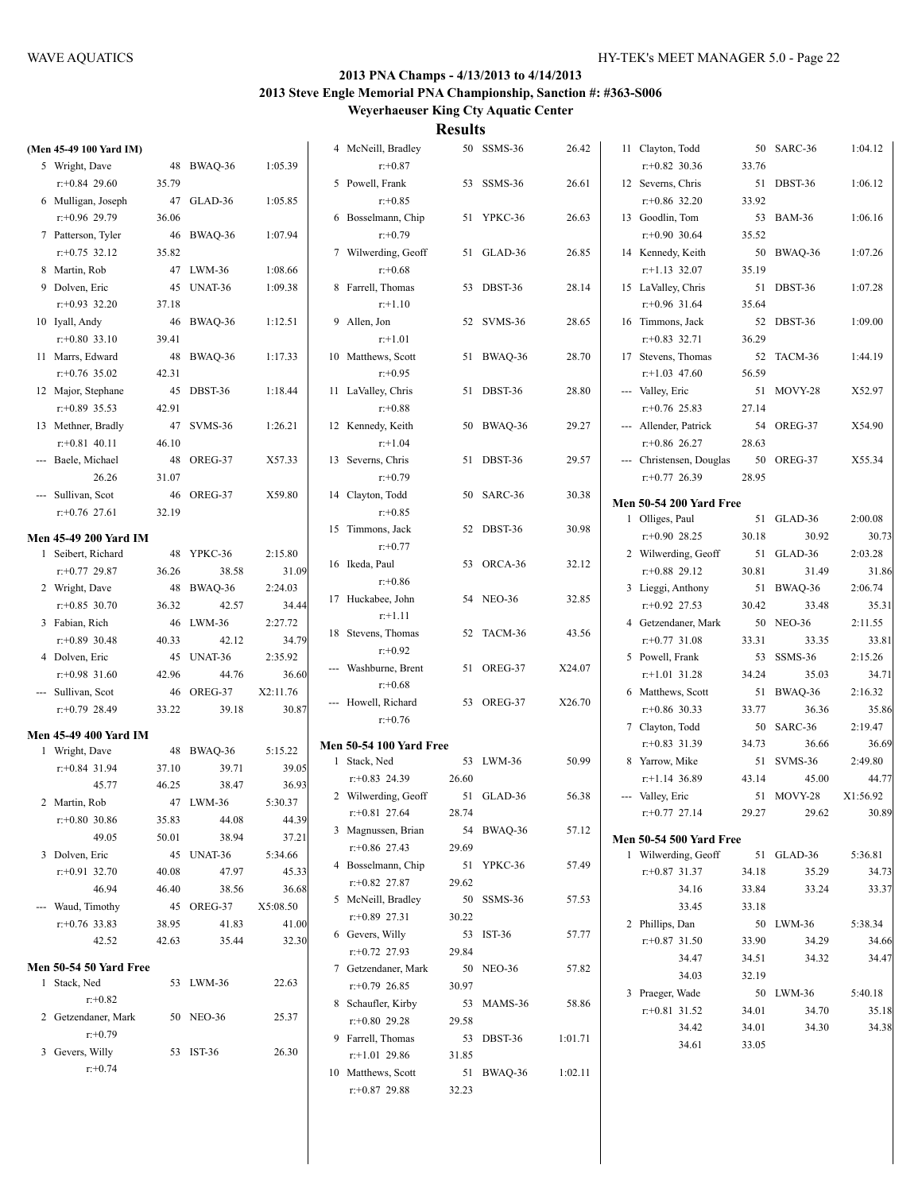| (Men 45-49 100 Yard IM)                            |       |                     |                   | 4 McNeill, Bradley                      |       | 50 SSMS-36 | 26.42   | 11 Clayton, Todd                    |             | 50 SARC-36          | 1:04.12          |
|----------------------------------------------------|-------|---------------------|-------------------|-----------------------------------------|-------|------------|---------|-------------------------------------|-------------|---------------------|------------------|
| 5 Wright, Dave                                     |       | 48 BWAQ-36          | 1:05.39           | $r: +0.87$                              |       |            |         | $r + 0.82$ 30.36                    | 33.76       |                     |                  |
| $r+0.84$ 29.60                                     | 35.79 |                     |                   | 5 Powell, Frank                         |       | 53 SSMS-36 | 26.61   | 12 Severns, Chris                   |             | 51 DBST-36          | 1:06.12          |
| 6 Mulligan, Joseph                                 |       | 47 GLAD-36          | 1:05.85           | $r: +0.85$                              |       |            |         | $r+0.86$ 32.20                      | 33.92       |                     |                  |
| $r+0.96$ 29.79                                     | 36.06 |                     |                   | 6 Bosselmann, Chip                      |       | 51 YPKC-36 | 26.63   | 13 Goodlin, Tom                     |             | 53 BAM-36           | 1:06.16          |
| 7 Patterson, Tyler                                 |       | 46 BWAQ-36          | 1:07.94           | $r: +0.79$                              |       |            |         | $r: +0.90$ 30.64                    | 35.52       |                     |                  |
| $r: +0.75$ 32.12                                   | 35.82 |                     |                   | 7 Wilwerding, Geoff                     |       | 51 GLAD-36 | 26.85   | 14 Kennedy, Keith                   |             | 50 BWAQ-36          | 1:07.26          |
| 8 Martin, Rob                                      |       | 47 LWM-36           | 1:08.66           | $r + 0.68$                              |       |            |         | $r$ :+1.13 32.07                    | 35.19       |                     |                  |
| 9 Dolven, Eric                                     |       | 45 UNAT-36          | 1:09.38           | 8 Farrell, Thomas                       |       | 53 DBST-36 | 28.14   | 15 LaValley, Chris                  |             | 51 DBST-36          | 1:07.28          |
| $r+0.93$ 32.20                                     | 37.18 |                     |                   | $r+1.10$                                |       |            |         | $r: +0.96$ 31.64                    | 35.64       |                     |                  |
| 10 Iyall, Andy                                     |       | 46 BWAQ-36          | 1:12.51           | 9 Allen, Jon                            |       | 52 SVMS-36 | 28.65   | 16 Timmons, Jack                    |             | 52 DBST-36          | 1:09.00          |
| $r+0.80$ 33.10                                     | 39.41 |                     |                   | $r+1.01$                                |       |            |         | $r+0.83$ 32.71                      | 36.29       |                     |                  |
| 11 Marrs, Edward                                   |       | 48 BWAQ-36          | 1:17.33           | 10 Matthews, Scott                      |       | 51 BWAQ-36 | 28.70   | 17 Stevens, Thomas                  |             | 52 TACM-36          | 1:44.19          |
| $r+0.76$ 35.02                                     | 42.31 |                     |                   | $r: +0.95$                              |       |            |         | $r+1.03$ 47.60                      | 56.59       |                     |                  |
| 12 Major, Stephane                                 |       | 45 DBST-36          | 1:18.44           | 11 LaValley, Chris                      |       | 51 DBST-36 | 28.80   | --- Valley, Eric                    |             | 51 MOVY-28          | X52.97           |
| $r+0.89$ 35.53                                     | 42.91 |                     |                   | $r: +0.88$                              |       |            |         | $r+0.76$ 25.83                      | 27.14       |                     |                  |
| 13 Methner, Bradly                                 |       | 47 SVMS-36          | 1:26.21           | 12 Kennedy, Keith                       |       | 50 BWAQ-36 | 29.27   | --- Allender, Patrick               |             | 54 OREG-37          | X54.90           |
| $r: +0.81$ 40.11                                   | 46.10 |                     |                   | $r+1.04$                                |       |            |         | $r: +0.86$ 26.27                    | 28.63       |                     |                  |
| --- Baele, Michael                                 |       | 48 OREG-37          | X57.33            | 13 Severns, Chris                       |       | 51 DBST-36 | 29.57   | --- Christensen, Douglas            |             | 50 OREG-37          | X55.34           |
| 26.26                                              | 31.07 |                     |                   | $r: +0.79$                              |       |            |         | $r+0.77$ 26.39                      | 28.95       |                     |                  |
| --- Sullivan, Scot                                 |       | 46 OREG-37          | X59.80            | 14 Clayton, Todd                        |       | 50 SARC-36 | 30.38   |                                     |             |                     |                  |
| $r: +0.76$ 27.61                                   | 32.19 |                     |                   | $r: +0.85$                              |       |            |         | <b>Men 50-54 200 Yard Free</b>      |             | 51 GLAD-36          | 2:00.08          |
|                                                    |       |                     |                   | 15 Timmons, Jack                        |       | 52 DBST-36 | 30.98   | 1 Olliges, Paul<br>$r+0.90$ 28.25   | 30.18       | 30.92               | 30.73            |
| <b>Men 45-49 200 Yard IM</b><br>1 Seibert, Richard |       | 48 YPKC-36          | 2:15.80           | $r: +0.77$                              |       |            |         | 2 Wilwerding, Geoff                 |             | 51 GLAD-36          | 2:03.28          |
| $r+0.77$ 29.87                                     | 36.26 | 38.58               | 31.09             | 16 Ikeda, Paul                          |       | 53 ORCA-36 | 32.12   | $r+0.88$ 29.12                      | 30.81       | 31.49               | 31.86            |
|                                                    |       |                     | 2:24.03           | $r: +0.86$                              |       |            |         |                                     |             |                     | 2:06.74          |
| 2 Wright, Dave<br>$r: +0.85$ 30.70                 | 36.32 | 48 BWAQ-36<br>42.57 | 34.44             | 17 Huckabee, John                       |       | 54 NEO-36  | 32.85   | 3 Lieggi, Anthony<br>$r+0.92$ 27.53 | 30.42       | 51 BWAQ-36<br>33.48 | 35.31            |
|                                                    |       |                     |                   | $r+1.11$                                |       |            |         |                                     |             | 50 NEO-36           |                  |
| 3 Fabian, Rich                                     |       | 46 LWM-36           | 2:27.72           | 18 Stevens, Thomas                      |       | 52 TACM-36 | 43.56   | 4 Getzendaner, Mark                 |             |                     | 2:11.55          |
| $r$ : +0.89 30.48                                  | 40.33 | 42.12               | 34.79             | $r + 0.92$                              |       |            |         | $r: +0.77$ 31.08                    | 33.31       | 33.35               | 33.81            |
| 4 Dolven, Eric                                     |       | 45 UNAT-36<br>44.76 | 2:35.92           | --- Washburne, Brent                    |       | 51 OREG-37 | X24.07  | 5 Powell, Frank                     |             | 53 SSMS-36          | 2:15.26          |
| $r+0.98$ 31.60                                     | 42.96 |                     | 36.60             | $r + 0.68$                              |       |            |         | $r.+1.01$ 31.28                     | 34.24       | 35.03               | 34.71            |
| --- Sullivan, Scot<br>$r: +0.79$ 28.49             | 33.22 | 46 OREG-37<br>39.18 | X2:11.76<br>30.87 | --- Howell, Richard                     |       | 53 OREG-37 | X26.70  | 6 Matthews, Scott<br>$r+0.86$ 30.33 | 51<br>33.77 | BWAQ-36<br>36.36    | 2:16.32          |
|                                                    |       |                     |                   | $r + 0.76$                              |       |            |         |                                     |             | 50 SARC-36          | 35.86<br>2:19.47 |
| <b>Men 45-49 400 Yard IM</b>                       |       |                     |                   |                                         |       |            |         | 7 Clayton, Todd<br>$r: +0.83$ 31.39 |             |                     |                  |
| 1 Wright, Dave                                     |       | 48 BWAQ-36          | 5:15.22           | <b>Men 50-54 100 Yard Free</b>          |       | 53 LWM-36  | 50.99   |                                     | 34.73       | 36.66<br>51 SVMS-36 | 36.69<br>2:49.80 |
| $r$ : +0.84 31.94                                  | 37.10 | 39.71               | 39.05             | 1 Stack, Ned                            | 26.60 |            |         | 8 Yarrow, Mike                      | 43.14       | 45.00               | 44.77            |
| 45.77                                              | 46.25 | 38.47               | 36.93             | $r+0.83$ 24.39                          |       | 51 GLAD-36 |         | $r+1.14$ 36.89                      |             | 51 MOVY-28          | X1:56.92         |
| 2 Martin, Rob                                      |       | 47 LWM-36           | 5:30.37           | 2 Wilwerding, Geoff<br>$r: +0.81$ 27.64 | 28.74 |            | 56.38   | --- Valley, Eric<br>$r.+0.77$ 27.14 | 29.27       | 29.62               | 30.89            |
| $r+0.80$ 30.86                                     | 35.83 | 44.08               | 44.39             | 3 Magnussen, Brian                      |       | 54 BWAQ-36 | 57.12   |                                     |             |                     |                  |
| 49.05                                              | 50.01 | 38.94               | 37.21             | $r+0.86$ 27.43                          | 29.69 |            |         | <b>Men 50-54 500 Yard Free</b>      |             |                     |                  |
| 3 Dolven, Eric                                     |       | 45 UNAT-36          | 5:34.66           | 4 Bosselmann, Chip                      |       | 51 YPKC-36 | 57.49   | 1 Wilwerding, Geoff                 |             | 51 GLAD-36          | 5:36.81          |
| $r+0.91$ 32.70                                     | 40.08 | 47.97               | 45.33             | $r+0.82$ 27.87                          | 29.62 |            |         | $r+0.87$ 31.37                      | 34.18       | 35.29               | 34.73            |
| 46.94                                              | 46.40 | 38.56               | 36.68             | 5 McNeill, Bradley                      |       | 50 SSMS-36 | 57.53   | 34.16                               | 33.84       | 33.24               | 33.37            |
| --- Waud, Timothy                                  |       | 45 OREG-37          | X5:08.50          | $r+0.89$ 27.31                          | 30.22 |            |         | 33.45                               | 33.18       |                     |                  |
| $r$ : +0.76 33.83                                  | 38.95 | 41.83               | 41.00             | 6 Gevers, Willy                         |       | 53 IST-36  |         | 2 Phillips, Dan                     |             | 50 LWM-36           | 5:38.34          |
| 42.52                                              | 42.63 | 35.44               | 32.30             | $r+0.72$ 27.93                          | 29.84 |            | 57.77   | $r+0.87$ 31.50                      | 33.90       | 34.29               | 34.66            |
| <b>Men 50-54 50 Yard Free</b>                      |       |                     |                   |                                         |       | 50 NEO-36  | 57.82   | 34.47                               | 34.51       | 34.32               | 34.47            |
| 1 Stack, Ned                                       |       | 53 LWM-36           | 22.63             | 7 Getzendaner, Mark<br>$r+0.79$ 26.85   | 30.97 |            |         | 34.03                               | 32.19       |                     |                  |
| $r+0.82$                                           |       |                     |                   | 8 Schaufler, Kirby                      |       |            |         | 3 Praeger, Wade                     |             | 50 LWM-36           | 5:40.18          |
| 2 Getzendaner, Mark                                |       | 50 NEO-36           | 25.37             | $r+0.80$ 29.28                          |       | 53 MAMS-36 | 58.86   | $r+0.81$ 31.52                      | 34.01       | 34.70               | 35.18            |
| $r + 0.79$                                         |       |                     |                   | 9 Farrell, Thomas                       | 29.58 |            |         | 34.42                               | 34.01       | 34.30               | 34.38            |
| 3 Gevers, Willy                                    |       | 53 IST-36           | 26.30             | $r+1.01$ 29.86                          | 31.85 | 53 DBST-36 | 1:01.71 | 34.61                               | 33.05       |                     |                  |
| $r+0.74$                                           |       |                     |                   | 10 Matthews, Scott                      |       | 51 BWAQ-36 | 1:02.11 |                                     |             |                     |                  |
|                                                    |       |                     |                   |                                         |       |            |         |                                     |             |                     |                  |
|                                                    |       |                     |                   | $r+0.87$ 29.88                          | 32.23 |            |         |                                     |             |                     |                  |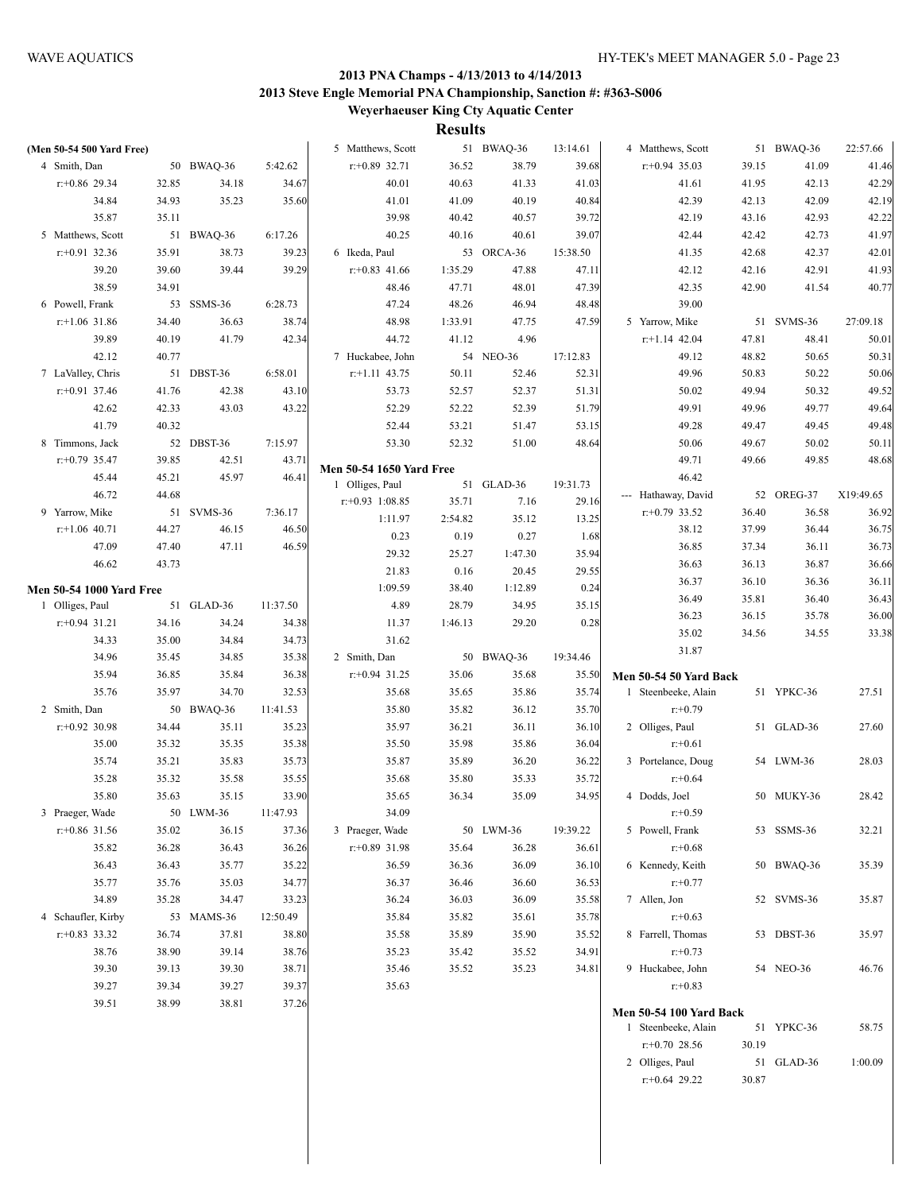| (Men 50-54 500 Yard Free)       |       |            |          | 5 Matthews, Scott               |         | 51 BWAQ-36 | 13:14.61 | 4 Matthews, Scott                                     |       | 51 BWAQ-36 | 22:57.66  |
|---------------------------------|-------|------------|----------|---------------------------------|---------|------------|----------|-------------------------------------------------------|-------|------------|-----------|
| 4 Smith, Dan                    |       | 50 BWAQ-36 | 5:42.62  | $r+0.89$ 32.71                  | 36.52   | 38.79      | 39.68    | $r: +0.94$ 35.03                                      | 39.15 | 41.09      | 41.46     |
| $r: +0.86$ 29.34                | 32.85 | 34.18      | 34.67    | 40.01                           | 40.63   | 41.33      | 41.03    | 41.61                                                 | 41.95 | 42.13      | 42.29     |
| 34.84                           | 34.93 | 35.23      | 35.60    | 41.01                           | 41.09   | 40.19      | 40.84    | 42.39                                                 | 42.13 | 42.09      | 42.19     |
| 35.87                           | 35.11 |            |          | 39.98                           | 40.42   | 40.57      | 39.72    | 42.19                                                 | 43.16 | 42.93      | 42.22     |
| 5 Matthews, Scott               |       | 51 BWAQ-36 | 6:17.26  | 40.25                           | 40.16   | 40.61      | 39.07    | 42.44                                                 | 42.42 | 42.73      | 41.97     |
| $r: +0.91$ 32.36                | 35.91 | 38.73      | 39.23    | 6 Ikeda, Paul                   |         | 53 ORCA-36 | 15:38.50 | 41.35                                                 | 42.68 | 42.37      | 42.01     |
| 39.20                           | 39.60 | 39.44      | 39.29    | $r$ : +0.83 41.66               | 1:35.29 | 47.88      | 47.11    | 42.12                                                 | 42.16 | 42.91      | 41.93     |
| 38.59                           | 34.91 |            |          | 48.46                           | 47.71   | 48.01      | 47.39    | 42.35                                                 | 42.90 | 41.54      | 40.77     |
| 6 Powell, Frank                 |       | 53 SSMS-36 | 6:28.73  | 47.24                           | 48.26   | 46.94      | 48.48    | 39.00                                                 |       |            |           |
| $r$ :+1.06 31.86                | 34.40 | 36.63      | 38.74    | 48.98                           | 1:33.91 | 47.75      | 47.59    | 5 Yarrow, Mike                                        |       | 51 SVMS-36 | 27:09.18  |
| 39.89                           | 40.19 | 41.79      | 42.34    | 44.72                           | 41.12   | 4.96       |          | $r+1.14$ 42.04                                        | 47.81 | 48.41      | 50.01     |
| 42.12                           | 40.77 |            |          | 7 Huckabee, John                |         | 54 NEO-36  | 17:12.83 | 49.12                                                 | 48.82 | 50.65      | 50.31     |
| 7 LaValley, Chris               |       | 51 DBST-36 | 6:58.01  | $r$ :+1.11 43.75                | 50.11   | 52.46      | 52.31    | 49.96                                                 | 50.83 | 50.22      | 50.06     |
| $r$ : +0.91 37.46               | 41.76 | 42.38      | 43.10    | 53.73                           | 52.57   | 52.37      | 51.31    | 50.02                                                 | 49.94 | 50.32      | 49.52     |
| 42.62                           | 42.33 | 43.03      | 43.22    | 52.29                           | 52.22   | 52.39      | 51.79    | 49.91                                                 | 49.96 | 49.77      | 49.64     |
| 41.79                           | 40.32 |            |          | 52.44                           | 53.21   | 51.47      | 53.15    | 49.28                                                 | 49.47 | 49.45      | 49.48     |
| 8 Timmons, Jack                 |       | 52 DBST-36 | 7:15.97  | 53.30                           | 52.32   | 51.00      | 48.64    | 50.06                                                 | 49.67 | 50.02      | 50.11     |
| $r: +0.79$ 35.47                | 39.85 | 42.51      | 43.71    | <b>Men 50-54 1650 Yard Free</b> |         |            |          | 49.71                                                 | 49.66 | 49.85      | 48.68     |
| 45.44                           | 45.21 | 45.97      | 46.41    | 1 Olliges, Paul                 |         | 51 GLAD-36 | 19:31.73 | 46.42                                                 |       |            |           |
| 46.72                           | 44.68 |            |          | $r: +0.93$ 1:08.85              | 35.71   | 7.16       | 29.16    | --- Hathaway, David                                   |       | 52 OREG-37 | X19:49.65 |
| 9 Yarrow, Mike                  |       | 51 SVMS-36 | 7:36.17  | 1:11.97                         | 2:54.82 | 35.12      | 13.25    | $r+0.79$ 33.52                                        | 36.40 | 36.58      | 36.92     |
| $r$ :+1.06 40.71                | 44.27 | 46.15      | 46.50    | 0.23                            | 0.19    | 0.27       | 1.68     | 38.12                                                 | 37.99 | 36.44      | 36.75     |
| 47.09                           | 47.40 | 47.11      | 46.59    | 29.32                           | 25.27   | 1:47.30    | 35.94    | 36.85                                                 | 37.34 | 36.11      | 36.73     |
| 46.62                           | 43.73 |            |          | 21.83                           | 0.16    | 20.45      | 29.55    | 36.63                                                 | 36.13 | 36.87      | 36.66     |
| <b>Men 50-54 1000 Yard Free</b> |       |            |          | 1:09.59                         | 38.40   | 1:12.89    | 0.24     | 36.37                                                 | 36.10 | 36.36      | 36.11     |
| 1 Olliges, Paul                 |       | 51 GLAD-36 | 11:37.50 | 4.89                            | 28.79   | 34.95      | 35.15    | 36.49                                                 | 35.81 | 36.40      | 36.43     |
| $r$ : +0.94 31.21               | 34.16 | 34.24      | 34.38    | 11.37                           | 1:46.13 | 29.20      | 0.28     | 36.23                                                 | 36.15 | 35.78      | 36.00     |
| 34.33                           | 35.00 | 34.84      | 34.73    | 31.62                           |         |            |          | 35.02                                                 | 34.56 | 34.55      | 33.38     |
| 34.96                           | 35.45 | 34.85      | 35.38    | 2 Smith, Dan                    |         | 50 BWAQ-36 | 19:34.46 | 31.87                                                 |       |            |           |
| 35.94                           | 36.85 | 35.84      | 36.38    | $r: +0.94$ 31.25                | 35.06   | 35.68      | 35.50    | <b>Men 50-54 50 Yard Back</b>                         |       |            |           |
| 35.76                           | 35.97 | 34.70      | 32.53    | 35.68                           | 35.65   | 35.86      | 35.74    | 1 Steenbeeke, Alain                                   |       | 51 YPKC-36 | 27.51     |
| 2 Smith, Dan                    |       | 50 BWAQ-36 | 11:41.53 | 35.80                           | 35.82   | 36.12      | 35.70    | $r + 0.79$                                            |       |            |           |
| $r: +0.92$ 30.98                | 34.44 | 35.11      | 35.23    | 35.97                           | 36.21   | 36.11      | 36.10    | 2 Olliges, Paul                                       |       | 51 GLAD-36 | 27.60     |
| 35.00                           | 35.32 | 35.35      | 35.38    | 35.50                           | 35.98   | 35.86      | 36.04    | $r + 0.61$                                            |       |            |           |
| 35.74                           | 35.21 | 35.83      | 35.73    | 35.87                           | 35.89   | 36.20      | 36.22    | 3 Portelance, Doug                                    |       | 54 LWM-36  | 28.03     |
| 35.28                           | 35.32 | 35.58      | 35.55    | 35.68                           | 35.80   | 35.33      | 35.72    | $r + 0.64$                                            |       |            |           |
| 35.80                           | 35.63 | 35.15      | 33.90    | 35.65                           | 36.34   | 35.09      | 34.95    | 4 Dodds, Joel                                         |       | 50 MUKY-36 | 28.42     |
| 3 Praeger, Wade                 |       | 50 LWM-36  | 11:47.93 | 34.09                           |         |            |          | $r+0.59$                                              |       |            |           |
| $r+0.86$ 31.56                  | 35.02 | 36.15      | 37.36    | 3 Praeger, Wade                 |         | 50 LWM-36  | 19:39.22 | 5 Powell, Frank                                       |       | 53 SSMS-36 | 32.21     |
| 35.82                           | 36.28 | 36.43      | 36.26    | $r+0.89$ 31.98                  | 35.64   | 36.28      | 36.61    | $r + 0.68$                                            |       |            |           |
| 36.43                           | 36.43 | 35.77      | 35.22    | 36.59                           | 36.36   | 36.09      | 36.10    | 6 Kennedy, Keith                                      |       | 50 BWAQ-36 | 35.39     |
| 35.77                           | 35.76 | 35.03      | 34.77    | 36.37                           | 36.46   | 36.60      | 36.53    | $r + 0.77$                                            |       |            |           |
| 34.89                           | 35.28 | 34.47      | 33.23    | 36.24                           | 36.03   | 36.09      | 35.58    | 7 Allen, Jon                                          |       | 52 SVMS-36 | 35.87     |
| 4 Schaufler, Kirby              |       | 53 MAMS-36 | 12:50.49 | 35.84                           | 35.82   | 35.61      | 35.78    | $r + 0.63$                                            |       |            |           |
| $r: +0.83$ 33.32                | 36.74 | 37.81      | 38.80    | 35.58                           | 35.89   | 35.90      | 35.52    | 8 Farrell, Thomas                                     |       | 53 DBST-36 | 35.97     |
| 38.76                           | 38.90 | 39.14      | 38.76    | 35.23                           | 35.42   | 35.52      | 34.91    | $r + 0.73$                                            |       |            |           |
| 39.30                           | 39.13 | 39.30      | 38.71    | 35.46                           | 35.52   | 35.23      | 34.81    | 9 Huckabee, John                                      |       | 54 NEO-36  | 46.76     |
| 39.27                           | 39.34 | 39.27      | 39.37    | 35.63                           |         |            |          | $r + 0.83$                                            |       |            |           |
| 39.51                           | 38.99 | 38.81      | 37.26    |                                 |         |            |          |                                                       |       |            |           |
|                                 |       |            |          |                                 |         |            |          | <b>Men 50-54 100 Yard Back</b><br>1 Steenbeeke, Alain |       | 51 YPKC-36 | 58.75     |
|                                 |       |            |          |                                 |         |            |          | $r+0.70$ 28.56                                        | 30.19 |            |           |
|                                 |       |            |          |                                 |         |            |          | 2 Olliges, Paul                                       |       | 51 GLAD-36 | 1:00.09   |
|                                 |       |            |          |                                 |         |            |          | $r+0.64$ 29.22                                        | 30.87 |            |           |
|                                 |       |            |          |                                 |         |            |          |                                                       |       |            |           |
|                                 |       |            |          |                                 |         |            |          |                                                       |       |            |           |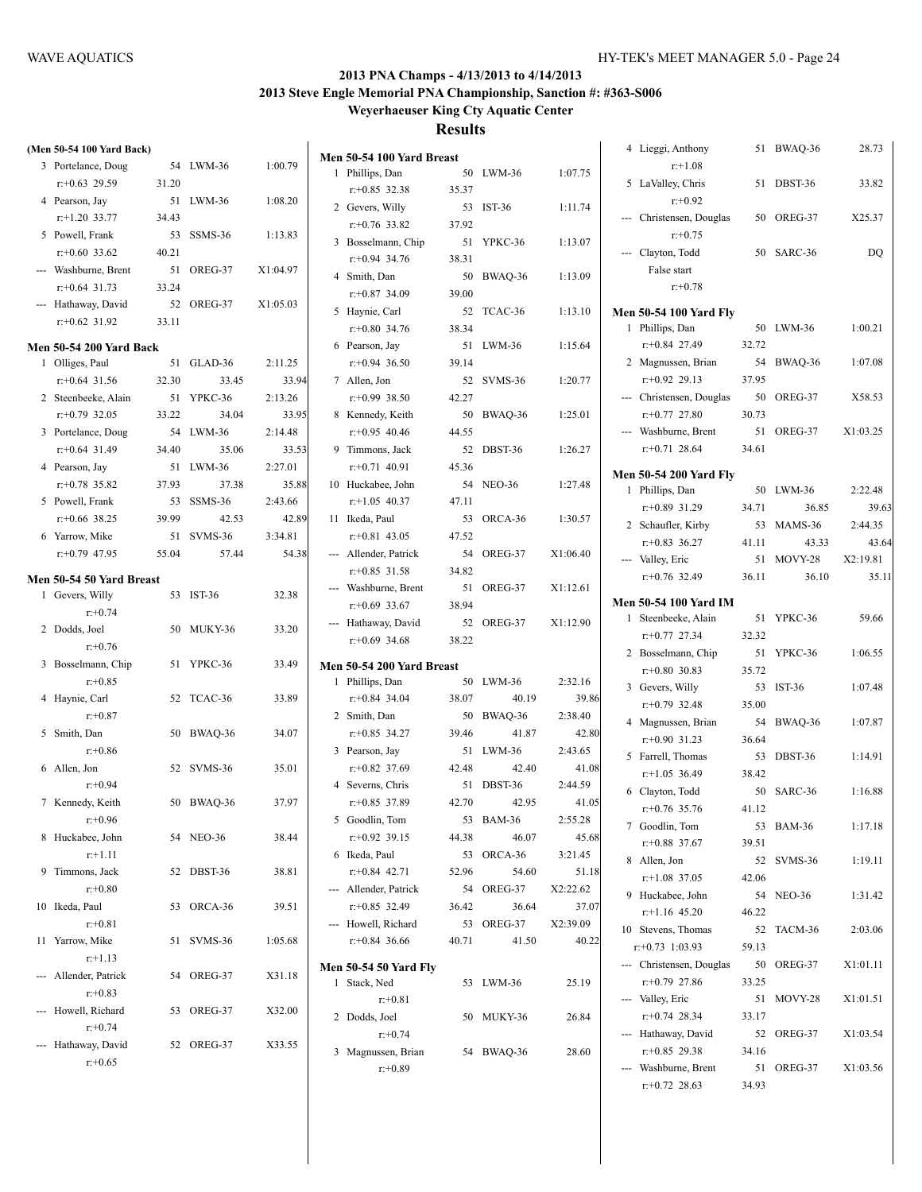|     | (Men 50-54 100 Yard Back)     |       |                |          |
|-----|-------------------------------|-------|----------------|----------|
|     | 3 Portelance, Doug            | 54    | LWM-36         | 1:00.79  |
|     | $r: +0.63$ 29.59              | 31.20 |                |          |
| 4   | Pearson, Jay                  | 51    | LWM-36         | 1:08.20  |
|     | $r$ :+1.20 33.77              | 34.43 |                |          |
|     | 5 Powell, Frank               | 53    | SSMS-36        | 1:13.83  |
|     | $r: +0.60$ 33.62              | 40.21 |                |          |
|     | --- Washburne, Brent          | 51    | OREG-37        | X1:04.97 |
|     | $r: +0.64$ 31.73              | 33.24 |                |          |
|     | --- Hathaway, David           |       | 52 OREG-37     | X1:05.03 |
|     | $r: +0.62$ 31.92              | 33.11 |                |          |
|     | Men 50-54 200 Yard Back       |       |                |          |
| 1   | Olliges, Paul                 | 51    | GLAD-36        | 2:11.25  |
|     | $r: +0.64$ 31.56              | 32.30 | 33.45          | 33.94    |
|     | 2 Steenbeeke, Alain           | 51    | YPKC-36        | 2:13.26  |
|     | $r: +0.79$ 32.05              | 33.22 | 34.04          | 33.95    |
|     | 3 Portelance, Doug            | 54    | $LWM-36$       | 2:14.48  |
|     | $r: +0.64$ 31.49              | 34.40 | 35.06          | 33.53    |
|     | 4 Pearson, Jay                | 51    | $LWM-36$       | 2:27.01  |
|     | $r: +0.78$ 35.82              | 37.93 | 37.38          | 35.88    |
|     | 5 Powell, Frank               | 53    | SSMS-36        | 2:43.66  |
|     | $r$ :+0.66 38.25              | 39.99 | 42.53          | 42.89    |
|     | 6 Yarrow, Mike                | 51    | <b>SVMS-36</b> | 3:34.81  |
|     | $r: +0.79$ 47.95              | 55.04 | 57.44          | 54.38    |
|     |                               |       |                |          |
|     | Men 50-54 50 Yard Breast      | 53    | <b>IST-36</b>  | 32.38    |
|     | 1 Gevers, Willy<br>$r + 0.74$ |       |                |          |
|     | 2 Dodds, Joel                 | 50    | MUKY-36        | 33.20    |
|     | $r: +0.76$                    |       |                |          |
| 3   | Bosselmann, Chip              | 51    | YPKC-36        | 33.49    |
|     | $r: +0.85$                    |       |                |          |
| 4   | Haynie, Carl                  | 52    | TCAC-36        | 33.89    |
|     | $r: +0.87$                    |       |                |          |
| 5   | Smith, Dan                    | 50    | BWAQ-36        | 34.07    |
|     | $r: +0.86$                    |       |                |          |
| 6   | Allen, Jon                    | 52    | <b>SVMS-36</b> | 35.01    |
|     | $r + 0.94$                    |       |                |          |
|     | 7 Kennedy, Keith              | 50    | BWAQ-36        | 37.97    |
|     | $r+0.96$                      |       |                |          |
| 8   | Huckabee, John                | 54    | <b>NEO-36</b>  | 38.44    |
|     | $r+1.11$                      |       |                |          |
| 9   | Timmons, Jack                 | 52    | DBST-36        | 38.81    |
|     | $r: +0.80$                    |       |                |          |
| 10  | Ikeda, Paul                   | 53    | ORCA-36        | 39.51    |
|     | $r + 0.81$                    |       |                |          |
| 11  | Yarrow, Mike                  | 51    | SVMS-36        | 1:05.68  |
|     | $r+1.13$                      |       |                |          |
| --- | Allender, Patrick             | 54    | OREG-37        | X31.18   |
|     | $r: +0.83$                    |       |                |          |
| --- | Howell, Richard               | 53    | OREG-37        | X32.00   |
|     | $r: +0.74$                    |       |                |          |
| --- | Hathaway, David               | 52    | OREG-37        | X33.55   |
|     | $r: +0.65$                    |       |                |          |

|     | Men 50-54 100 Yard Breast    |       |                     |          |
|-----|------------------------------|-------|---------------------|----------|
| 1   | Phillips, Dan                | 50    | $LWM-36$            | 1:07.75  |
|     | $r+0.85$ 32.38               | 35.37 |                     |          |
|     | 2 Gevers, Willy              | 53    | IST-36              | 1:11.74  |
|     | $r+0.76$ 33.82               | 37.92 |                     |          |
| 3   | Bosselmann, Chip             | 51    | YPKC-36             | 1:13.07  |
|     | $r+0.94$ 34.76               | 38.31 |                     |          |
| 4   | Smith, Dan                   | 50    | BWAQ-36             | 1:13.09  |
|     | $r+0.87$ 34.09               | 39.00 |                     |          |
| 5   | Haynie, Carl                 | 52    | TCAC-36             | 1:13.10  |
|     | $r: +0.80$ 34.76             | 38.34 |                     |          |
| 6   | Pearson, Jay                 | 51    | $LWM-36$            | 1:15.64  |
|     | $r: +0.94$ 36.50             | 39.14 |                     |          |
|     | 7 Allen, Jon                 | 52    | SVMS-36             | 1:20.77  |
|     | $r+0.99$ 38.50               | 42.27 |                     |          |
|     | 8 Kennedy, Keith             | 50    | BWAQ-36             | 1:25.01  |
|     | $r+0.95$ 40.46               | 44.55 |                     |          |
|     | 9 Timmons, Jack              | 52    | DBST-36             | 1:26.27  |
|     | $r: +0.71$ 40.91             | 45.36 |                     |          |
|     | 10 Huckabee, John            | 54    | <b>NEO-36</b>       | 1:27.48  |
|     | $r+1.05$ 40.37               | 47.11 |                     |          |
|     | 11 Ikeda, Paul               | 53    | ORCA-36             | 1:30.57  |
|     | $r+0.81$ 43.05               | 47.52 |                     |          |
|     | --- Allender, Patrick        | 54    | OREG-37             | X1:06.40 |
|     | $r: +0.85$ 31.58             | 34.82 |                     |          |
|     | --- Washburne, Brent         | 51    | OREG-37             | X1:12.61 |
|     | $r: +0.69$ 33.67             | 38.94 |                     |          |
| --- | Hathaway, David              | 52    | OREG-37             | X1:12.90 |
|     | $r: +0.69$ 34.68             | 38.22 |                     |          |
|     | Men 50-54 200 Yard Breast    |       |                     |          |
| 1   | Phillips, Dan                | 50    | $LWM-36$            | 2:32.16  |
|     | $r+0.84$ 34.04               | 38.07 | 40.19               | 39.86    |
|     | 2 Smith, Dan                 | 50    | BWAQ-36             | 2:38.40  |
|     | $r: +0.85$ 34.27             | 39.46 | 41.87               | 42.80    |
|     | 3 Pearson, Jay               | 51    | $LWM-36$            | 2:43.65  |
|     | $r: +0.82$ 37.69             | 42.48 | 42.40               | 41.08    |
|     | 4 Severns, Chris             | 51    | DBST-36             | 2:44.59  |
|     | $r+0.85$ 37.89               | 42.70 | 42.95               | 41.05    |
|     | 5 Goodlin, Tom               | 53    | BAM-36              | 2:55.28  |
|     | $r: +0.92$ 39.15             | 44.38 | 46.07               | 45.68    |
| 6   | Ikeda, Paul                  | 53    | ORCA-36             | 3:21.45  |
|     | $r+0.84$ 42.71               | 52.96 | 54.60               | 51.18    |
|     | --- Allender, Patrick        | 54    | OREG-37             | X2:22.62 |
|     | $r: +0.85$ 32.49             | 36.42 | 36.64               | 37.07    |
|     | --- Howell, Richard          |       | 53 OREG-37 X2:39.09 |          |
|     | $r+0.84$ 36.66               | 40.71 | 41.50               | 40.22    |
|     | <b>Men 50-54 50 Yard Fly</b> |       |                     |          |
| 1   | Stack, Ned                   |       | 53 LWM-36           | 25.19    |
|     | $r + 0.81$                   |       |                     |          |
|     | 2 Dodds, Joel                | 50    | MUKY-36             | 26.84    |
|     | $r + 0.74$                   |       |                     |          |
| 3   | Magnussen, Brian             | 54    | BWAQ-36             | 28.60    |
|     | $r: +0.89$                   |       |                     |          |
|     |                              |       |                     |          |

|   | 4 Lieggi, Anthony               | 51    | BWAQ-36        | 28.73    |
|---|---------------------------------|-------|----------------|----------|
|   | $r: +1.08$<br>5 LaValley, Chris | 51    | DBST-36        | 33.82    |
|   | $r: +0.92$                      |       |                |          |
|   | --- Christensen, Douglas        |       | 50 OREG-37     | X25.37   |
|   | $r: +0.75$<br>Clayton, Todd     |       | 50 SARC-36     | DQ       |
|   | False start                     |       |                |          |
|   | $r: +0.78$                      |       |                |          |
|   | Men 50-54 100 Yard Fly          |       |                |          |
| 1 | Phillips, Dan                   | 50    | LWM-36         | 1:00.21  |
|   | r:+0.84 27.49                   | 32.72 |                |          |
|   | 2 Magnussen, Brian              | 54    | BWAQ-36        | 1:07.08  |
|   | $r: +0.92$ 29.13                | 37.95 |                |          |
|   | Christensen, Douglas            | 50    | OREG-37        | X58.53   |
|   | $r: +0.77$ 27.80                | 30.73 |                |          |
|   | Washburne, Brent                | 51    | OREG-37        | X1:03.25 |
|   | $r+0.71$ 28.64                  | 34.61 |                |          |
|   | Men 50-54 200 Yard Fly          |       |                |          |
| 1 | Phillips, Dan                   | 50    | LWM-36         | 2:22.48  |
|   | r:+0.89 31.29                   | 34.71 | 36.85          | 39.63    |
|   | 2 Schaufler, Kirby              | 53    | MAMS-36        | 2:44.35  |
|   | $r: +0.83$ 36.27                | 41.11 | 43.33          | 43.64    |
|   | Valley, Eric                    | 51    | <b>MOVY-28</b> | X2:19.81 |
|   | $r+0.76$ 32.49                  | 36.11 | 36.10          | 35.11    |
|   | Men 50-54 100 Yard IM           |       |                |          |
| 1 | Steenbeeke, Alain               | 51    | YPKC-36        | 59.66    |
|   | $r+0.77$ 27.34                  | 32.32 |                |          |
|   | 2 Bosselmann, Chip              | 51    | YPKC-36        | 1:06.55  |
|   | $r+0.80$ 30.83                  | 35.72 |                |          |
| 3 | Gevers, Willy                   | 53    | <b>IST-36</b>  | 1:07.48  |
|   | $r+0.79$ 32.48                  | 35.00 |                |          |
|   | 4 Magnussen, Brian              | 54    | BWAQ-36        | 1:07.87  |
|   | $r: +0.90$ 31.23                | 36.64 |                |          |
| 5 | Farrell, Thomas                 | 53    | DBST-36        | 1:14.91  |
|   | $r$ :+1.05 36.49                | 38.42 |                |          |
|   | 6 Clayton, Todd                 | 50    | SARC-36        | 1:16.88  |
|   | $r+0.76$ 35.76                  | 41.12 |                |          |
|   | 7 Goodlin, Tom                  | 53    | <b>BAM-36</b>  | 1:17.18  |
|   | $r+0.88$ 37.67                  | 39.51 |                |          |
| 8 | Allen, Jon                      | 52    | SVMS-36        | 1:19.11  |
|   | $r+1.08$ 37.05                  | 42.06 |                |          |
| 9 | Huckabee, John                  | 54    | <b>NEO-36</b>  | 1:31.42  |
|   | $r.+1.16$ 45.20                 | 46.22 |                |          |
|   | 10 Stevens, Thomas              | 52    | TACM-36        | 2:03.06  |
|   | $r: +0.73$ 1:03.93              | 59.13 |                |          |
|   | --- Christensen, Douglas        | 50    | OREG-37        | X1:01.11 |
|   | $r+0.79$ 27.86                  | 33.25 |                |          |
|   | --- Valley, Eric                | 51    | MOVY-28        | X1:01.51 |
|   | $r+0.74$ 28.34                  | 33.17 |                |          |
|   | --- Hathaway, David             | 52    | OREG-37        | X1:03.54 |
|   | $r: +0.85$ 29.38                | 34.16 |                |          |
|   | --- Washburne, Brent            | 51    | OREG-37        | X1:03.56 |
|   | $r+0.72$ 28.63                  | 34.93 |                |          |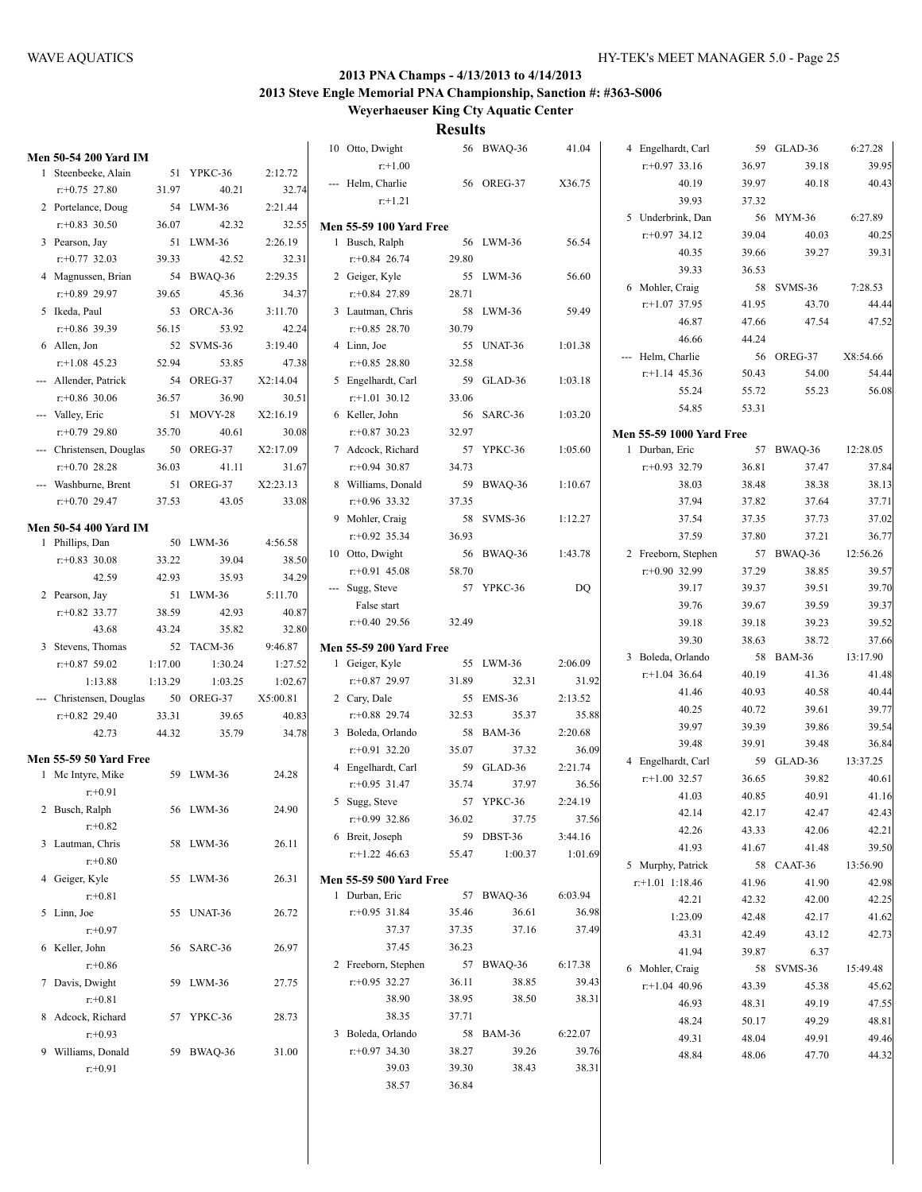|                                                     |         |            |          | 10 Otto, Dwight                                  |       | 56 BWAQ-36 | 41.04   | 4 Engelhardt, Carl              |       | 59 GLAD-36 | 6:27.28  |
|-----------------------------------------------------|---------|------------|----------|--------------------------------------------------|-------|------------|---------|---------------------------------|-------|------------|----------|
| <b>Men 50-54 200 Yard IM</b><br>1 Steenbeeke, Alain |         | 51 YPKC-36 | 2:12.72  | $r+1.00$                                         |       |            |         | $r+0.97$ 33.16                  | 36.97 | 39.18      | 39.95    |
| $r+0.75$ 27.80                                      | 31.97   | 40.21      | 32.74    | --- Helm, Charlie                                |       | 56 OREG-37 | X36.75  | 40.19                           | 39.97 | 40.18      | 40.43    |
| 2 Portelance, Doug                                  |         | 54 LWM-36  | 2:21.44  | $r+1.21$                                         |       |            |         | 39.93                           | 37.32 |            |          |
| $r: +0.83$ 30.50                                    | 36.07   | 42.32      | 32.55    |                                                  |       |            |         | 5 Underbrink, Dan               |       | 56 MYM-36  | 6:27.89  |
| 3 Pearson, Jay                                      |         | 51 LWM-36  | 2:26.19  | <b>Men 55-59 100 Yard Free</b><br>1 Busch, Ralph |       | 56 LWM-36  | 56.54   | $r+0.97$ 34.12                  | 39.04 | 40.03      | 40.25    |
| $r: +0.77$ 32.03                                    | 39.33   | 42.52      | 32.31    | $r+0.84$ 26.74                                   | 29.80 |            |         | 40.35                           | 39.66 | 39.27      | 39.31    |
|                                                     |         |            |          |                                                  |       |            |         | 39.33                           | 36.53 |            |          |
| 4 Magnussen, Brian                                  |         | 54 BWAQ-36 | 2:29.35  | 2 Geiger, Kyle                                   |       | 55 LWM-36  | 56.60   | 6 Mohler, Craig                 |       | 58 SVMS-36 | 7:28.53  |
| $r+0.89$ 29.97                                      | 39.65   | 45.36      | 34.37    | $r+0.84$ 27.89                                   | 28.71 |            |         | $r+1.07$ 37.95                  | 41.95 | 43.70      | 44.44    |
| 5 Ikeda, Paul                                       |         | 53 ORCA-36 | 3:11.70  | 3 Lautman, Chris                                 |       | 58 LWM-36  | 59.49   | 46.87                           | 47.66 | 47.54      | 47.52    |
| $r$ :+0.86 39.39                                    | 56.15   | 53.92      | 42.24    | $r+0.85$ 28.70                                   | 30.79 |            |         | 46.66                           | 44.24 |            |          |
| 6 Allen, Jon                                        |         | 52 SVMS-36 | 3:19.40  | 4 Linn, Joe                                      |       | 55 UNAT-36 | 1:01.38 | --- Helm, Charlie               |       | 56 OREG-37 | X8:54.66 |
| $r$ :+1.08 45.23                                    | 52.94   | 53.85      | 47.38    | $r+0.85$ 28.80                                   | 32.58 |            |         | $r+1.14$ 45.36                  | 50.43 | 54.00      | 54.44    |
| --- Allender, Patrick                               |         | 54 OREG-37 | X2:14.04 | 5 Engelhardt, Carl                               |       | 59 GLAD-36 | 1:03.18 | 55.24                           | 55.72 | 55.23      | 56.08    |
| $r: +0.86$ 30.06                                    | 36.57   | 36.90      | 30.51    | $r+1.01$ 30.12                                   | 33.06 |            |         | 54.85                           | 53.31 |            |          |
| --- Valley, Eric                                    |         | 51 MOVY-28 | X2:16.19 | 6 Keller, John                                   |       | 56 SARC-36 | 1:03.20 |                                 |       |            |          |
| $r: +0.79$ 29.80                                    | 35.70   | 40.61      | 30.08    | $r+0.87$ 30.23                                   | 32.97 |            |         | <b>Men 55-59 1000 Yard Free</b> |       |            |          |
| --- Christensen, Douglas                            |         | 50 OREG-37 | X2:17.09 | 7 Adcock, Richard                                |       | 57 YPKC-36 | 1:05.60 | 1 Durban, Eric                  |       | 57 BWAQ-36 | 12:28.05 |
| $r+0.70$ 28.28                                      | 36.03   | 41.11      | 31.67    | $r+0.94$ 30.87                                   | 34.73 |            |         | $r+0.93$ 32.79                  | 36.81 | 37.47      | 37.84    |
| --- Washburne, Brent                                |         | 51 OREG-37 | X2:23.13 | 8 Williams, Donald                               |       | 59 BWAQ-36 | 1:10.67 | 38.03                           | 38.48 | 38.38      | 38.13    |
| $r+0.70$ 29.47                                      | 37.53   | 43.05      | 33.08    | $r+0.96$ 33.32                                   | 37.35 |            |         | 37.94                           | 37.82 | 37.64      | 37.71    |
| <b>Men 50-54 400 Yard IM</b>                        |         |            |          | 9 Mohler, Craig                                  |       | 58 SVMS-36 | 1:12.27 | 37.54                           | 37.35 | 37.73      | 37.02    |
| 1 Phillips, Dan                                     |         | 50 LWM-36  | 4:56.58  | $r+0.92$ 35.34                                   | 36.93 |            |         | 37.59                           | 37.80 | 37.21      | 36.77    |
| $r+0.83$ 30.08                                      | 33.22   | 39.04      | 38.50    | 10 Otto, Dwight                                  |       | 56 BWAQ-36 | 1:43.78 | 2 Freeborn, Stephen             |       | 57 BWAQ-36 | 12:56.26 |
| 42.59                                               | 42.93   | 35.93      | 34.29    | $r+0.91$ 45.08                                   | 58.70 |            |         | $r: +0.90$ 32.99                | 37.29 | 38.85      | 39.57    |
| 2 Pearson, Jay                                      |         | 51 LWM-36  | 5:11.70  | --- Sugg, Steve                                  |       | 57 YPKC-36 | DQ      | 39.17                           | 39.37 | 39.51      | 39.70    |
| $r: +0.82$ 33.77                                    | 38.59   | 42.93      | 40.87    | False start                                      |       |            |         | 39.76                           | 39.67 | 39.59      | 39.37    |
| 43.68                                               | 43.24   | 35.82      | 32.80    | $r+0.40$ 29.56                                   | 32.49 |            |         | 39.18                           | 39.18 | 39.23      | 39.52    |
| 3 Stevens, Thomas                                   |         | 52 TACM-36 | 9:46.87  | <b>Men 55-59 200 Yard Free</b>                   |       |            |         | 39.30                           | 38.63 | 38.72      | 37.66    |
| $r+0.87$ 59.02                                      | 1:17.00 | 1:30.24    | 1:27.52  | 1 Geiger, Kyle                                   |       | 55 LWM-36  | 2:06.09 | 3 Boleda, Orlando               |       | 58 BAM-36  | 13:17.90 |
| 1:13.88                                             | 1:13.29 | 1:03.25    | 1:02.67  | $r+0.87$ 29.97                                   | 31.89 | 32.31      | 31.92   | $r+1.04$ 36.64                  | 40.19 | 41.36      | 41.48    |
| --- Christensen, Douglas                            |         | 50 OREG-37 | X5:00.81 | 2 Cary, Dale                                     |       | 55 EMS-36  | 2:13.52 | 41.46                           | 40.93 | 40.58      | 40.44    |
| $r+0.82$ 29.40                                      | 33.31   | 39.65      | 40.83    | $r+0.88$ 29.74                                   | 32.53 | 35.37      | 35.88   | 40.25                           | 40.72 | 39.61      | 39.77    |
| 42.73                                               | 44.32   | 35.79      | 34.78    | 3 Boleda, Orlando                                |       | 58 BAM-36  | 2:20.68 | 39.97                           | 39.39 | 39.86      | 39.54    |
|                                                     |         |            |          | $r+0.91$ 32.20                                   | 35.07 | 37.32      | 36.09   | 39.48                           | 39.91 | 39.48      | 36.84    |
| <b>Men 55-59 50 Yard Free</b>                       |         |            |          | 4 Engelhardt, Carl                               |       | 59 GLAD-36 | 2:21.74 | 4 Engelhardt, Carl              |       | 59 GLAD-36 | 13:37.25 |
| 1 Mc Intyre, Mike                                   |         | 59 LWM-36  | 24.28    | $r+0.95$ 31.47                                   | 35.74 | 37.97      | 36.56   | $r+1.00$ 32.57                  | 36.65 | 39.82      | 40.61    |
| $r: +0.91$                                          |         |            |          | 5 Sugg, Steve                                    |       | 57 YPKC-36 | 2:24.19 | 41.03                           | 40.85 | 40.91      | 41.16    |
| 2 Busch, Ralph                                      |         | 56 LWM-36  | 24.90    |                                                  |       |            |         | 42.14                           | 42.17 | 42.47      | 42.43    |
| $r + 0.82$                                          |         |            |          | $r+0.99$ 32.86                                   | 36.02 | 37.75      | 37.56   | 42.26                           | 43.33 | 42.06      | 42.21    |
| 3 Lautman, Chris                                    |         | 58 LWM-36  | 26.11    | 6 Breit, Joseph                                  |       | 59 DBST-36 | 3:44.16 | 41.93                           | 41.67 | 41.48      | 39.50    |
| $r: +0.80$                                          |         |            |          | $r+1.22$ 46.63                                   | 55.47 | 1:00.37    | 1:01.69 | 5 Murphy, Patrick               |       | 58 CAAT-36 | 13:56.90 |
| 4 Geiger, Kyle                                      |         | 55 LWM-36  | 26.31    | <b>Men 55-59 500 Yard Free</b>                   |       |            |         | $r.+1.01$ 1:18.46               | 41.96 | 41.90      | 42.98    |
| $r: +0.81$                                          |         |            |          | 1 Durban, Eric                                   |       | 57 BWAQ-36 | 6:03.94 | 42.21                           | 42.32 | 42.00      | 42.25    |
| 5 Linn, Joe                                         |         | 55 UNAT-36 | 26.72    | $r: +0.95$ 31.84                                 | 35.46 | 36.61      | 36.98   | 1:23.09                         | 42.48 | 42.17      | 41.62    |
| $r + 0.97$                                          |         |            |          | 37.37                                            | 37.35 | 37.16      | 37.49   | 43.31                           | 42.49 | 43.12      | 42.73    |
| 6 Keller, John                                      |         | 56 SARC-36 | 26.97    | 37.45                                            | 36.23 |            |         | 41.94                           | 39.87 | 6.37       |          |
| $r + 0.86$                                          |         |            |          | 2 Freeborn, Stephen                              |       | 57 BWAQ-36 | 6:17.38 | 6 Mohler, Craig                 |       | 58 SVMS-36 | 15:49.48 |
| 7 Davis, Dwight                                     |         | 59 LWM-36  | 27.75    | $r+0.95$ 32.27                                   | 36.11 | 38.85      | 39.43   | $r+1.04$ 40.96                  | 43.39 | 45.38      | 45.62    |
| $r + 0.81$                                          |         |            |          | 38.90                                            | 38.95 | 38.50      | 38.31   | 46.93                           | 48.31 | 49.19      | 47.55    |
| 8 Adcock, Richard                                   |         | 57 YPKC-36 | 28.73    | 38.35                                            | 37.71 |            |         | 48.24                           | 50.17 | 49.29      | 48.81    |
| $r+0.93$                                            |         |            |          | 3 Boleda, Orlando                                |       | 58 BAM-36  | 6:22.07 | 49.31                           | 48.04 | 49.91      | 49.46    |
| 9 Williams, Donald                                  |         | 59 BWAQ-36 | 31.00    | $r+0.97$ 34.30                                   | 38.27 | 39.26      | 39.76   | 48.84                           | 48.06 | 47.70      | 44.32    |
| $r + 0.91$                                          |         |            |          | 39.03                                            | 39.30 | 38.43      | 38.31   |                                 |       |            |          |
|                                                     |         |            |          | 38.57                                            | 36.84 |            |         |                                 |       |            |          |
|                                                     |         |            |          |                                                  |       |            |         |                                 |       |            |          |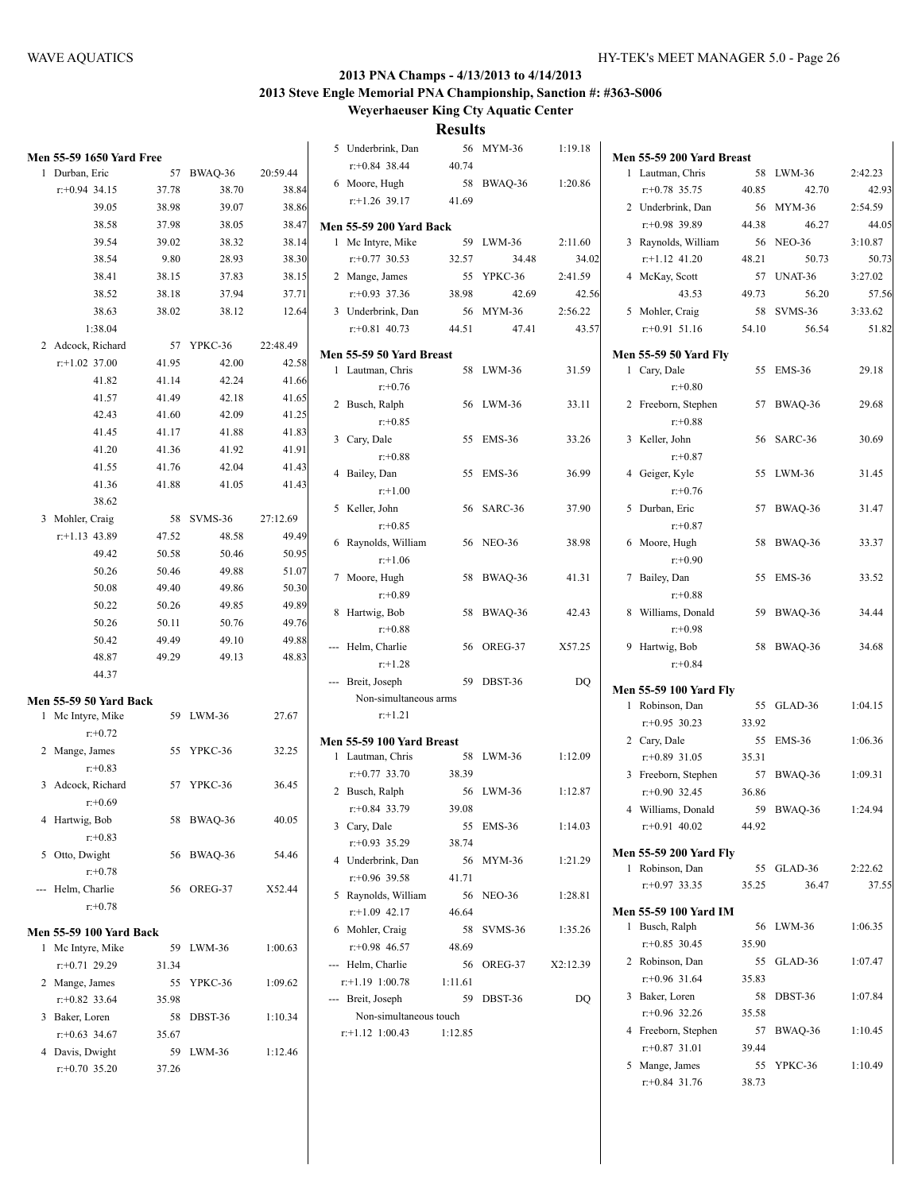**Weyerhaeuser King Cty Aquatic Center**

**Results** 5 Underbrink, Dan 56 MYM-36 1:19.18

|   | Men 55-59 1650 Yard Free       |       |            |          |                          |
|---|--------------------------------|-------|------------|----------|--------------------------|
| 1 | Durban, Eric                   | 57    | BWAQ-36    | 20:59.44 |                          |
|   | $r: +0.94$ 34.15               | 37.78 | 38.70      | 38.84    |                          |
|   | 39.05                          | 38.98 | 39.07      | 38.86    |                          |
|   | 38.58                          | 37.98 | 38.05      | 38.47    | Me                       |
|   | 39.54                          | 39.02 | 38.32      | 38.14    |                          |
|   | 38.54                          | 9.80  | 28.93      | 38.30    |                          |
|   | 38.41                          | 38.15 | 37.83      | 38.15    |                          |
|   | 38.52                          | 38.18 | 37.94      | 37.71    |                          |
|   | 38.63                          | 38.02 | 38.12      | 12.64    |                          |
|   | 1:38.04                        |       |            |          |                          |
| 2 | Adcock, Richard                | - 57  | YPKC-36    | 22:48.49 | Me                       |
|   | $r$ :+1.02 37.00               | 41.95 | 42.00      | 42.58    |                          |
|   | 41.82                          | 41.14 | 42.24      | 41.66    |                          |
|   | 41.57                          | 41.49 | 42.18      | 41.65    |                          |
|   | 42.43                          | 41.60 | 42.09      | 41.25    |                          |
|   | 41.45                          | 41.17 | 41.88      | 41.83    |                          |
|   | 41.20                          | 41.36 | 41.92      | 41.91    |                          |
|   | 41.55                          | 41.76 | 42.04      | 41.43    |                          |
|   | 41.36                          | 41.88 | 41.05      | 41.43    |                          |
|   | 38.62                          |       |            |          |                          |
| 3 | Mohler, Craig                  |       | 58 SVMS-36 | 27:12.69 |                          |
|   | $r$ :+1.13 43.89               | 47.52 | 48.58      | 49.49    | l                        |
|   | 49.42                          | 50.58 | 50.46      | 50.95    |                          |
|   | 50.26                          | 50.46 | 49.88      | 51.07    |                          |
|   | 50.08                          | 49.40 | 49.86      | 50.30    |                          |
|   | 50.22                          | 50.26 | 49.85      | 49.89    | Ş                        |
|   | 50.26                          | 50.11 | 50.76      | 49.76    |                          |
|   | 50.42                          | 49.49 | 49.10      | 49.88    |                          |
|   | 48.87                          | 49.29 | 49.13      | 48.83    |                          |
|   | 44.37                          |       |            |          |                          |
|   | Men 55-59 50 Yard Back         |       |            |          |                          |
| 1 | Mc Intyre, Mike                |       | 59 LWM-36  | 27.67    |                          |
|   | $r + 0.72$                     |       |            |          |                          |
| 2 | Mange, James                   | 55    | YPKC-36    | 32.25    | Me                       |
|   | $r+0.83$                       |       |            |          |                          |
| 3 | Adcock, Richard                | 57    | YPKC-36    | 36.45    |                          |
|   | $r: +0.69$                     |       |            |          |                          |
|   | 4 Hartwig, Bob                 |       | 58 BWAQ-36 | 40.05    |                          |
|   | $r + 0.83$                     |       |            |          | Í                        |
| 5 | Otto, Dwight                   |       | 56 BWAQ-36 | 54.46    |                          |
|   | $r: +0.78$                     |       |            |          | $\overline{a}$           |
|   | --- Helm, Charlie              |       | 56 OREG-37 | X52.44   |                          |
|   | $r + 0.78$                     |       |            |          |                          |
|   |                                |       |            |          |                          |
|   | <b>Men 55-59 100 Yard Back</b> |       |            |          | $\overline{\phantom{a}}$ |
| 1 | Mc Intyre, Mike                | 59    | LWM-36     | 1:00.63  |                          |
|   | r:+0.71 29.29                  | 31.34 |            |          |                          |
|   | 2 Mange, James                 | 55    | YPKC-36    | 1:09.62  |                          |
|   | $r+0.82$ 33.64                 | 35.98 |            |          |                          |
|   | 3 Baker, Loren                 |       | 58 DBST-36 | 1:10.34  |                          |
|   | $r: +0.63$ 34.67               | 35.67 |            |          |                          |
|   | 4 Davis, Dwight                |       | 59 LWM-36  | 1:12.46  |                          |
|   | $r: +0.70$ 35.20               | 37.26 |            |          |                          |
|   |                                |       |            |          |                          |

|     | $r: +0.84$ 38.44          | 40.74   |               |          |
|-----|---------------------------|---------|---------------|----------|
| 6   | Moore, Hugh               | 58      | BWAQ-36       | 1:20.86  |
|     | $r$ :+1.26 39.17          | 41.69   |               |          |
|     |                           |         |               |          |
|     | len 55-59 200 Yard Back   |         |               |          |
| 1   | Mc Intyre, Mike           | 59      | $LWM-36$      | 2:11.60  |
|     | $r: +0.77$ 30.53          | 32.57   | 34.48         | 34.02    |
|     | 2 Mange, James            | 55      | YPKC-36       | 2:41.59  |
|     | $r: +0.93$ 37.36          | 38.98   | 42.69         | 42.56    |
|     | 3 Underbrink, Dan         | 56      | $MYM-36$      | 2:56.22  |
|     | $r: +0.81$ 40.73          | 44.51   | 47.41         | 43.57    |
|     |                           |         |               |          |
|     | len 55-59 50 Yard Breast  |         |               |          |
| 1   | Lautman, Chris            | 58      | $LWM-36$      | 31.59    |
|     | $r: +0.76$                |         |               |          |
| 2   | Busch, Ralph              | 56      | $LWM-36$      | 33.11    |
|     | $r: +0.85$                |         |               |          |
| 3   | Cary, Dale                | 55      | <b>EMS-36</b> | 33.26    |
|     | $r+0.88$                  |         |               |          |
| 4   | Bailey, Dan               | 55      | <b>EMS-36</b> | 36.99    |
|     | $r: +1.00$                |         |               |          |
| 5   | Keller, John              | 56      | SARC-36       | 37.90    |
|     | $r + 0.85$                |         |               |          |
| 6   | Raynolds, William         | 56      | <b>NEO-36</b> | 38.98    |
|     |                           |         |               |          |
|     | $r+1.06$                  |         |               |          |
| 7   | Moore, Hugh               | 58      | BWAQ-36       | 41.31    |
|     | $r + 0.89$                |         |               |          |
| 8   | Hartwig, Bob              | 58      | BWAQ-36       | 42.43    |
|     | $r + 0.88$                |         |               |          |
| --- | Helm, Charlie             | 56      | OREG-37       | X57.25   |
|     | $r+1.28$                  |         |               |          |
| --- | Breit, Joseph             | 59      | DBST-36       | DQ       |
|     | Non-simultaneous arms     |         |               |          |
|     | $r+1.21$                  |         |               |          |
|     |                           |         |               |          |
|     | len 55-59 100 Yard Breast |         |               |          |
| 1   | Lautman, Chris            | 58      | LWM-36        | 1:12.09  |
|     | $r: +0.77$ 33.70          | 38.39   |               |          |
|     | 2 Busch, Ralph            | 56      | $LWM-36$      | 1:12.87  |
|     | $r: +0.84$ 33.79          | 39.08   |               |          |
| 3   | Cary, Dale                | 55      | <b>EMS-36</b> | 1:14.03  |
|     | $r+0.93$ 35.29            | 38.74   |               |          |
|     | 4 Underbrink, Dan         | 56      | MYM-36        | 1:21.29  |
|     | $r: +0.96$ 39.58          | 41.71   |               |          |
| 5   | Raynolds, William         | 56      | <b>NEO-36</b> | 1:28.81  |
|     | $r+1.09$ 42.17            | 46.64   |               |          |
|     |                           |         |               |          |
| 6   | Mohler, Craig             | 58      | SVMS-36       | 1:35.26  |
|     | $r+0.98$ 46.57            | 48.69   |               |          |
|     | --- Helm, Charlie         | 56      | OREG-37       | X2:12.39 |
|     | $r$ :+1.19 1:00.78        | 1:11.61 |               |          |
|     | --- Breit, Joseph         | 59      | DBST-36       | DQ       |
|     | Non-simultaneous touch    |         |               |          |
|     | $r.+1.12$ 1:00.43         | 1:12.85 |               |          |
|     |                           |         |               |          |

|                | Men 55-59 200 Yard Breast                    |       |               |         |
|----------------|----------------------------------------------|-------|---------------|---------|
| 1              | Lautman, Chris                               | 58    | $LWM-36$      | 2:42.23 |
|                | $r+0.78$ 35.75                               | 40.85 | 42.70         | 42.93   |
|                | 2 Underbrink, Dan                            | 56    | $MYM-36$      | 2:54.59 |
|                | $r+0.98$ 39.89                               | 44.38 | 46.27         | 44.05   |
| 3              | Raynolds, William                            | 56    | <b>NEO-36</b> | 3:10.87 |
|                | $r.+1.12$ 41.20                              | 48.21 | 50.73         | 50.73   |
| 4              | McKay, Scott                                 | 57    | UNAT-36       | 3:27.02 |
|                | 43.53                                        | 49.73 | 56.20         | 57.56   |
| 5              | Mohler, Craig                                | 58    | SVMS-36       | 3:33.62 |
|                | $r+0.91$ 51.16                               | 54.10 | 56.54         | 51.82   |
|                | <b>Men 55-59 50 Yard Fly</b>                 |       |               |         |
| 1              | Cary, Dale                                   |       | 55 EMS-36     | 29.18   |
|                | $r + 0.80$                                   |       |               |         |
|                | 2 Freeborn, Stephen                          | 57    | BWAQ-36       | 29.68   |
|                | $r: +0.88$                                   |       |               |         |
| 3              | Keller, John                                 | 56    | SARC-36       | 30.69   |
|                | $r + 0.87$                                   |       |               |         |
| 4              | Geiger, Kyle                                 | 55    | $LWM-36$      | 31.45   |
|                | $r: +0.76$                                   |       |               |         |
| 5              | Durban, Eric                                 | 57    | BWAQ-36       | 31.47   |
|                | $r + 0.87$                                   |       |               |         |
|                | 6 Moore, Hugh                                | 58    | BWAQ-36       | 33.37   |
|                | $r: +0.90$                                   |       |               |         |
| 7              | Bailey, Dan                                  | 55    | <b>EMS-36</b> | 33.52   |
|                | $r: +0.88$                                   |       |               |         |
| 8              | Williams, Donald                             | 59    | BWAQ-36       | 34.44   |
|                | $r: +0.98$                                   |       |               |         |
| 9              | Hartwig, Bob                                 | 58    | BWAQ-36       | 34.68   |
|                | $r + 0.84$                                   |       |               |         |
|                | <b>Men 55-59 100 Yard Fly</b>                |       |               |         |
| 1              | Robinson, Dan                                | 55    | GLAD-36       | 1:04.15 |
|                | $r+0.95$ 30.23                               | 33.92 |               |         |
|                | 2 Cary, Dale                                 | 55    | EMS-36        | 1:06.36 |
|                | $r+0.89$ 31.05                               | 35.31 |               |         |
|                | 3 Freeborn, Stephen                          | 57    | BWAQ-36       | 1:09.31 |
|                | $r: +0.90$ 32.45                             | 36.86 |               |         |
| $\overline{4}$ | Williams, Donald                             | 59    | BWAQ-36       | 1:24.94 |
|                | $r: +0.91$ 40.02                             | 44.92 |               |         |
|                | <b>Men 55-59 200 Yard Fly</b>                |       |               |         |
| 1              | Robinson, Dan                                | 55    | GLAD-36       | 2:22.62 |
|                | $r+0.97$ 33.35                               | 35.25 | 36.47         | 37.55   |
|                |                                              |       |               |         |
| 1              | <b>Men 55-59 100 Yard IM</b><br>Busch, Ralph | 56    | $LWM-36$      | 1:06.35 |
|                | $r: +0.85$ 30.45                             | 35.90 |               |         |
|                | 2 Robinson, Dan                              | 55    | GLAD-36       | 1:07.47 |
|                | $r: +0.96$ 31.64                             | 35.83 |               |         |
|                | 3 Baker, Loren                               | 58    | DBST-36       | 1:07.84 |
|                | $r+0.96$ 32.26                               | 35.58 |               |         |
|                | 4 Freeborn, Stephen                          | 57    | BWAQ-36       | 1:10.45 |
|                | $r: +0.87$ 31.01                             | 39.44 |               |         |
| 5              | Mange, James                                 | 55    | YPKC-36       | 1:10.49 |
|                | $r.+0.84$ 31.76                              | 38.73 |               |         |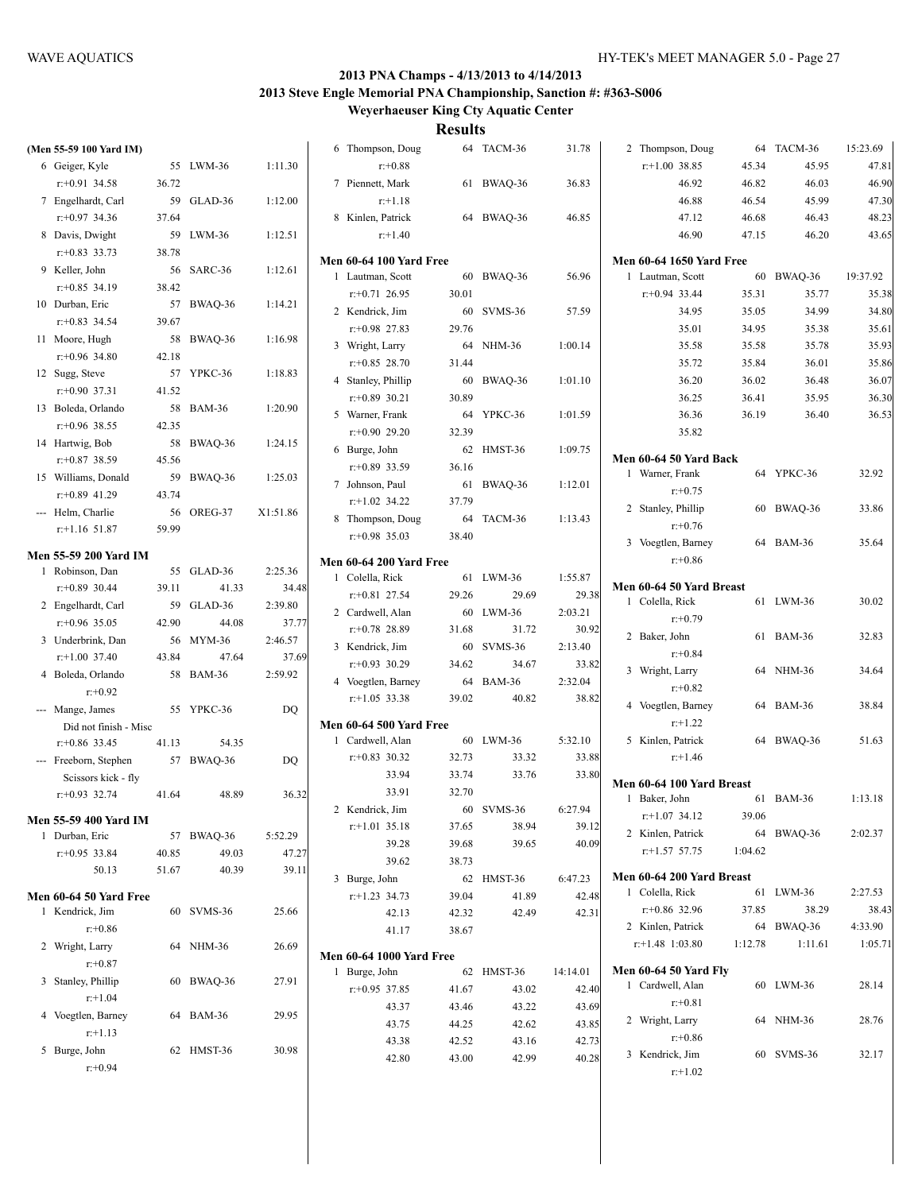#### **2013 PNA Champs - 4/13/2013 to 4/14/2013 2013 Steve Engle Memorial PNA Championship, Sanction #: #363-S006 Weyerhaeuser King Cty Aquatic Center**

| (Men 55-59 100 Yard IM)                 |       |            |          | 6 Thompson, Doug                |                | 64 TACM-36 | 31.78    | 2 Thompson, Doug                |         | 64 TACM-36 | 15:23.69 |
|-----------------------------------------|-------|------------|----------|---------------------------------|----------------|------------|----------|---------------------------------|---------|------------|----------|
| 6 Geiger, Kyle                          |       | 55 LWM-36  | 1:11.30  | $r: +0.88$                      |                |            |          | $r+1.00$ 38.85                  | 45.34   | 45.95      | 47.81    |
| $r: +0.91$ 34.58                        | 36.72 |            |          | 7 Piennett, Mark                |                | 61 BWAQ-36 | 36.83    | 46.92                           | 46.82   | 46.03      | 46.90    |
| 7 Engelhardt, Carl                      |       | 59 GLAD-36 | 1:12.00  | $r+1.18$                        |                |            |          | 46.88                           | 46.54   | 45.99      | 47.30    |
| $r+0.97$ 34.36                          | 37.64 |            |          | 8 Kinlen, Patrick               |                | 64 BWAQ-36 | 46.85    | 47.12                           | 46.68   | 46.43      | 48.23    |
| 8 Davis, Dwight                         |       | 59 LWM-36  | 1:12.51  | $r+1.40$                        |                |            |          | 46.90                           | 47.15   | 46.20      | 43.65    |
| $r: +0.83$ 33.73                        | 38.78 |            |          |                                 |                |            |          |                                 |         |            |          |
| 9 Keller, John                          |       | 56 SARC-36 | 1:12.61  | <b>Men 60-64 100 Yard Free</b>  |                |            |          | <b>Men 60-64 1650 Yard Free</b> |         |            |          |
| $r: +0.85$ 34.19                        | 38.42 |            |          | 1 Lautman, Scott                |                | 60 BWAQ-36 | 56.96    | 1 Lautman, Scott                |         | 60 BWAQ-36 | 19:37.92 |
| 10 Durban, Eric                         |       | 57 BWAQ-36 | 1:14.21  | $r+0.71$ 26.95                  | 30.01          |            |          | $r+0.94$ 33.44                  | 35.31   | 35.77      | 35.38    |
| $r: +0.83$ 34.54                        | 39.67 |            |          | 2 Kendrick, Jim                 |                | 60 SVMS-36 | 57.59    | 34.95                           | 35.05   | 34.99      | 34.80    |
| 11 Moore, Hugh                          |       | 58 BWAQ-36 | 1:16.98  | $r+0.98$ 27.83                  | 29.76          |            |          | 35.01                           | 34.95   | 35.38      | 35.61    |
| $r: +0.96$ 34.80                        | 42.18 |            |          | 3 Wright, Larry                 |                | 64 NHM-36  | 1:00.14  | 35.58                           | 35.58   | 35.78      | 35.93    |
| 12 Sugg, Steve                          |       | 57 YPKC-36 | 1:18.83  | $r+0.85$ 28.70                  | 31.44          |            |          | 35.72                           | 35.84   | 36.01      | 35.86    |
| $r: +0.90$ 37.31                        | 41.52 |            |          | 4 Stanley, Phillip              |                | 60 BWAQ-36 | 1:01.10  | 36.20                           | 36.02   | 36.48      | 36.07    |
| 13 Boleda, Orlando                      |       | 58 BAM-36  | 1:20.90  | $r+0.89$ 30.21                  | 30.89          |            |          | 36.25                           | 36.41   | 35.95      | 36.30    |
| $r$ :+0.96 38.55                        | 42.35 |            |          | 5 Warner, Frank                 |                | 64 YPKC-36 | 1:01.59  | 36.36                           | 36.19   | 36.40      | 36.53    |
| 14 Hartwig, Bob                         |       | 58 BWAQ-36 | 1:24.15  | $r+0.90$ 29.20                  | 32.39          |            |          | 35.82                           |         |            |          |
| $r+0.87$ 38.59                          | 45.56 |            |          | 6 Burge, John                   |                | 62 HMST-36 | 1:09.75  | Men 60-64 50 Yard Back          |         |            |          |
| 15 Williams, Donald                     |       | 59 BWAQ-36 | 1:25.03  | $r+0.89$ 33.59                  | 36.16          |            |          | 1 Warner, Frank                 |         | 64 YPKC-36 | 32.92    |
| $r: +0.89$ 41.29                        | 43.74 |            |          | 7 Johnson, Paul                 |                | 61 BWAQ-36 | 1:12.01  | $r: +0.75$                      |         |            |          |
| --- Helm, Charlie                       |       | 56 OREG-37 | X1:51.86 | $r+1.02$ 34.22                  | 37.79          |            |          | 2 Stanley, Phillip              |         | 60 BWAQ-36 | 33.86    |
| $r$ :+1.16 51.87                        | 59.99 |            |          | 8 Thompson, Doug                |                | 64 TACM-36 | 1:13.43  | $r: +0.76$                      |         |            |          |
|                                         |       |            |          | $r+0.98$ 35.03                  | 38.40          |            |          | 3 Voegtlen, Barney              |         | 64 BAM-36  | 35.64    |
| <b>Men 55-59 200 Yard IM</b>            |       |            |          | <b>Men 60-64 200 Yard Free</b>  |                |            |          | $r + 0.86$                      |         |            |          |
| 1 Robinson, Dan                         |       | 55 GLAD-36 | 2:25.36  | 1 Colella, Rick                 |                | 61 LWM-36  | 1:55.87  |                                 |         |            |          |
| $r$ : +0.89 30.44                       | 39.11 | 41.33      | 34.48    | $r+0.81$ 27.54                  | 29.26          | 29.69      | 29.38    | Men 60-64 50 Yard Breast        |         |            |          |
| 2 Engelhardt, Carl                      |       | 59 GLAD-36 | 2:39.80  | 2 Cardwell, Alan                |                | 60 LWM-36  | 2:03.21  | 1 Colella, Rick                 |         | 61 LWM-36  | 30.02    |
| $r+0.96$ 35.05                          | 42.90 | 44.08      | 37.77    | $r+0.78$ 28.89                  | 31.68          | 31.72      | 30.92    | $r: +0.79$                      |         |            |          |
| 3 Underbrink, Dan                       |       | 56 MYM-36  | 2:46.57  | 3 Kendrick, Jim                 |                | 60 SVMS-36 | 2:13.40  | 2 Baker, John                   |         | 61 BAM-36  | 32.83    |
| $r+1.00$ 37.40                          | 43.84 | 47.64      | 37.69    | $r+0.93$ 30.29                  | 34.62          | 34.67      | 33.82    | $r: +0.84$                      |         |            |          |
| 4 Boleda, Orlando                       |       | 58 BAM-36  | 2:59.92  | 4 Voegtlen, Barney              |                | 64 BAM-36  | 2:32.04  | 3 Wright, Larry                 |         | 64 NHM-36  | 34.64    |
| $r + 0.92$                              |       |            |          | $r+1.05$ 33.38                  | 39.02          | 40.82      | 38.82    | $r: +0.82$                      |         |            |          |
| --- Mange, James                        |       | 55 YPKC-36 | DQ       |                                 |                |            |          | 4 Voegtlen, Barney              |         | 64 BAM-36  | 38.84    |
| Did not finish - Misc                   |       |            |          | <b>Men 60-64 500 Yard Free</b>  |                |            |          | $r+1.22$                        |         |            |          |
| $r+0.86$ 33.45                          | 41.13 | 54.35      |          | 1 Cardwell, Alan                |                | 60 LWM-36  | 5:32.10  | 5 Kinlen, Patrick               |         | 64 BWAQ-36 | 51.63    |
| --- Freeborn, Stephen                   |       | 57 BWAQ-36 | DQ       | $r+0.83$ 30.32                  | 32.73          | 33.32      | 33.88    | $r+1.46$                        |         |            |          |
| Scissors kick - fly                     |       |            |          | 33.94                           | 33.74          | 33.76      | 33.80    | Men 60-64 100 Yard Breast       |         |            |          |
| $r: +0.93$ 32.74                        | 41.64 | 48.89      | 36.32    | 33.91                           | 32.70          |            |          | 1 Baker, John                   |         | 61 BAM-36  | 1:13.18  |
|                                         |       |            |          | 2 Kendrick, Jim                 |                | 60 SVMS-36 | 6:27.94  | $r.+1.07$ 34.12                 | 39.06   |            |          |
| Men 55-59 400 Yard IM<br>1 Durban, Eric |       | 57 BWAQ-36 | 5:52.29  | $r: +1.01$ 35.18                | 37.65          | 38.94      | 39.12    | 2 Kinlen, Patrick               |         | 64 BWAQ-36 | 2:02.37  |
| $r: +0.95$ 33.84                        | 40.85 | 49.03      | 47.27    | 39.28                           | 39.68          | 39.65      | 40.09    | $r$ :+1.57 57.75                | 1:04.62 |            |          |
| 50.13                                   | 51.67 | 40.39      | 39.11    | 39.62                           | 38.73          |            |          |                                 |         |            |          |
|                                         |       |            |          | 3 Burge, John                   |                | 62 HMST-36 | 6:47.23  | Men 60-64 200 Yard Breast       |         |            |          |
| Men 60-64 50 Yard Free                  |       |            |          | $r+1.23$ 34.73                  | 39.04          | 41.89      | 42.48    | 1 Colella, Rick                 |         | 61 LWM-36  | 2:27.53  |
| 1 Kendrick, Jim                         |       | 60 SVMS-36 | 25.66    | 42.13                           | 42.32          | 42.49      | 42.31    | $r+0.86$ 32.96                  | 37.85   | 38.29      | 38.43    |
| $r+0.86$                                |       |            |          | 41.17                           | 38.67          |            |          | 2 Kinlen, Patrick               |         | 64 BWAQ-36 | 4:33.90  |
| 2 Wright, Larry                         |       | 64 NHM-36  | 26.69    | <b>Men 60-64 1000 Yard Free</b> |                |            |          | $r$ : +1.48 1:03.80             | 1:12.78 | 1:11.61    | 1:05.71  |
| $r: +0.87$                              |       |            |          | 1 Burge, John                   |                | 62 HMST-36 | 14:14.01 | <b>Men 60-64 50 Yard Fly</b>    |         |            |          |
| 3 Stanley, Phillip                      |       | 60 BWAQ-36 | 27.91    | $r+0.95$ 37.85                  | 41.67          | 43.02      | 42.40    | 1 Cardwell, Alan                |         | 60 LWM-36  | 28.14    |
| $r+1.04$                                |       |            |          | 43.37                           | 43.46          | 43.22      | 43.69    | $r: +0.81$                      |         |            |          |
| 4 Voegtlen, Barney                      |       | 64 BAM-36  | 29.95    |                                 |                | 42.62      | 43.85    | 2 Wright, Larry                 |         | 64 NHM-36  | 28.76    |
| $r+1.13$                                |       |            |          | 43.75<br>43.38                  | 44.25<br>42.52 | 43.16      | 42.73    | $r: +0.86$                      |         |            |          |
| 5 Burge, John                           |       | 62 HMST-36 | 30.98    | 42.80                           | 43.00          | 42.99      | 40.28    | 3 Kendrick, Jim                 |         | 60 SVMS-36 | 32.17    |
| $r + 0.94$                              |       |            |          |                                 |                |            |          | $r+1.02$                        |         |            |          |
|                                         |       |            |          |                                 |                |            |          |                                 |         |            |          |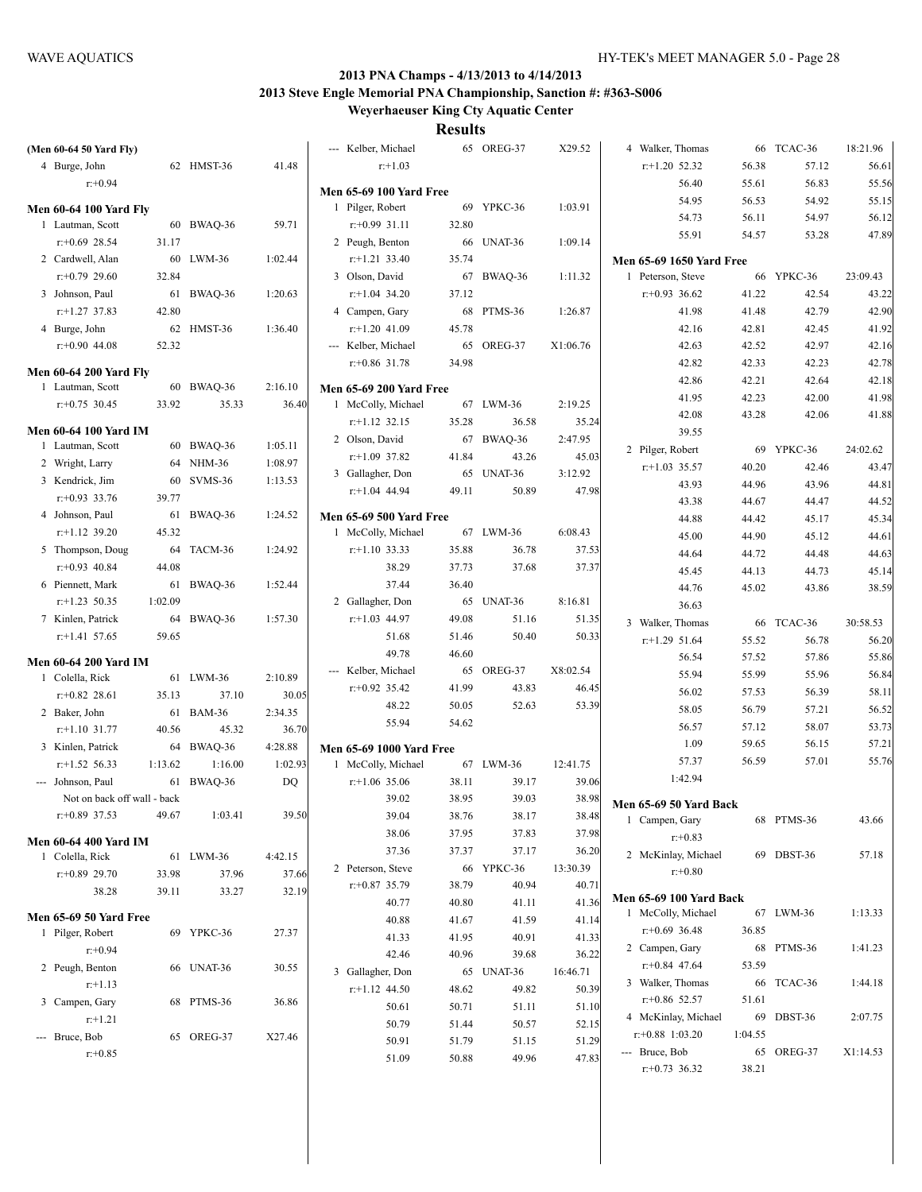**Weyerhaeuser King Cty Aquatic Center**

|  | (Men 60-64 50 Yard Fly)             |         |                       |                  | --- Kelber, Michael                  |                | 65 OREG-37          | X29.52            | 4 Walker, Thomas                |         | 66 TCAC-36 | 18:21.96 |
|--|-------------------------------------|---------|-----------------------|------------------|--------------------------------------|----------------|---------------------|-------------------|---------------------------------|---------|------------|----------|
|  | 4 Burge, John                       |         | 62 HMST-36            | 41.48            | $r: +1.03$                           |                |                     |                   | $r+1.20$ 52.32                  | 56.38   | 57.12      | 56.61    |
|  | $r: +0.94$                          |         |                       |                  | <b>Men 65-69 100 Yard Free</b>       |                |                     |                   | 56.40                           | 55.61   | 56.83      | 55.56    |
|  | <b>Men 60-64 100 Yard Fly</b>       |         |                       |                  | 1 Pilger, Robert                     |                | 69 YPKC-36          | 1:03.91           | 54.95                           | 56.53   | 54.92      | 55.15    |
|  | 1 Lautman, Scott                    |         | 60 BWAQ-36            | 59.71            | $r: +0.99$ 31.11                     | 32.80          |                     |                   | 54.73                           | 56.11   | 54.97      | 56.12    |
|  | $r: +0.69$ 28.54                    | 31.17   |                       |                  | 2 Peugh, Benton                      |                | 66 UNAT-36          | 1:09.14           | 55.91                           | 54.57   | 53.28      | 47.89    |
|  | 2 Cardwell, Alan                    |         | 60 LWM-36             | 1:02.44          | $r.+1.21$ 33.40                      | 35.74          |                     |                   | <b>Men 65-69 1650 Yard Free</b> |         |            |          |
|  | $r: +0.79$ 29.60                    | 32.84   |                       |                  | 3 Olson, David                       |                | 67 BWAQ-36          | 1:11.32           | 1 Peterson, Steve               |         | 66 YPKC-36 | 23:09.43 |
|  | 3 Johnson, Paul                     |         | 61 BWAQ-36            | 1:20.63          | $r+1.04$ 34.20                       | 37.12          |                     |                   | $r+0.93$ 36.62                  | 41.22   | 42.54      | 43.22    |
|  | $r: +1.27$ 37.83                    | 42.80   |                       |                  | 4 Campen, Gary                       |                | 68 PTMS-36          | 1:26.87           | 41.98                           | 41.48   | 42.79      | 42.90    |
|  | 4 Burge, John                       |         | 62 HMST-36            | 1:36.40          | $r+1.20$ 41.09                       | 45.78          |                     |                   | 42.16                           | 42.81   | 42.45      | 41.92    |
|  | $r+0.90$ 44.08                      | 52.32   |                       |                  | --- Kelber, Michael                  |                | 65 OREG-37          | X1:06.76          | 42.63                           | 42.52   | 42.97      | 42.16    |
|  |                                     |         |                       |                  | $r+0.86$ 31.78                       | 34.98          |                     |                   | 42.82                           | 42.33   | 42.23      | 42.78    |
|  | <b>Men 60-64 200 Yard Fly</b>       |         |                       |                  |                                      |                |                     |                   | 42.86                           | 42.21   | 42.64      | 42.18    |
|  | 1 Lautman, Scott                    |         | 60 BWAQ-36            | 2:16.10          | <b>Men 65-69 200 Yard Free</b>       |                |                     |                   | 41.95                           | 42.23   | 42.00      | 41.98    |
|  | $r: +0.75$ 30.45                    | 33.92   | 35.33                 | 36.40            | 1 McColly, Michael                   |                | 67 LWM-36           | 2:19.25           | 42.08                           | 43.28   | 42.06      | 41.88    |
|  | <b>Men 60-64 100 Yard IM</b>        |         |                       |                  | $r+1.12$ 32.15                       | 35.28          | 36.58               | 35.24             | 39.55                           |         |            |          |
|  | 1 Lautman, Scott                    |         | 60 BWAQ-36            | 1:05.11          | 2 Olson, David                       |                | 67 BWAQ-36          | 2:47.95           | 2 Pilger, Robert                |         | 69 YPKC-36 | 24:02.62 |
|  | 2 Wright, Larry                     |         | 64 NHM-36             | 1:08.97          | $r+1.09$ 37.82                       | 41.84          | 43.26               | 45.03             | $r+1.03$ 35.57                  | 40.20   | 42.46      | 43.47    |
|  | 3 Kendrick, Jim                     |         | 60 SVMS-36            | 1:13.53          | 3 Gallagher, Don                     |                | 65 UNAT-36          | 3:12.92           | 43.93                           | 44.96   | 43.96      | 44.81    |
|  | $r: +0.93$ 33.76                    | 39.77   |                       |                  | $r+1.04$ 44.94                       | 49.11          | 50.89               | 47.98             | 43.38                           | 44.67   | 44.47      | 44.52    |
|  | 4 Johnson, Paul                     |         | 61 BWAQ-36            | 1:24.52          | <b>Men 65-69 500 Yard Free</b>       |                |                     |                   | 44.88                           | 44.42   | 45.17      | 45.34    |
|  | $r$ :+1.12 39.20                    | 45.32   |                       |                  | 1 McColly, Michael                   |                | 67 LWM-36           | 6:08.43           | 45.00                           | 44.90   | 45.12      | 44.61    |
|  | 5 Thompson, Doug                    |         | 64 TACM-36            | 1:24.92          | $r+1.10$ 33.33                       | 35.88          | 36.78               | 37.53             | 44.64                           | 44.72   | 44.48      | 44.63    |
|  | $r: +0.93$ 40.84                    | 44.08   |                       |                  | 38.29                                | 37.73          | 37.68               | 37.37             | 45.45                           | 44.13   | 44.73      | 45.14    |
|  | 6 Piennett, Mark                    |         | 61 BWAQ-36            | 1:52.44          | 37.44                                | 36.40          |                     |                   | 44.76                           | 45.02   | 43.86      | 38.59    |
|  | $r$ :+1.23 50.35                    | 1:02.09 |                       |                  | 2 Gallagher, Don                     |                | 65 UNAT-36          | 8:16.81           | 36.63                           |         |            |          |
|  | 7 Kinlen, Patrick                   |         | 64 BWAQ-36            | 1:57.30          | $r+1.03$ 44.97                       | 49.08          | 51.16               | 51.35             | 3 Walker, Thomas                |         | 66 TCAC-36 | 30:58.53 |
|  | $r$ :+1.41 57.65                    | 59.65   |                       |                  | 51.68                                | 51.46          | 50.40               | 50.33             | $r$ :+1.29 51.64                | 55.52   | 56.78      | 56.20    |
|  |                                     |         | 49.78                 | 46.60            |                                      |                | 56.54               | 57.52             | 57.86                           | 55.86   |            |          |
|  | <b>Men 60-64 200 Yard IM</b>        |         | 61 LWM-36             |                  | --- Kelber, Michael                  | 65             | OREG-37             | X8:02.54          | 55.94                           | 55.99   | 55.96      | 56.84    |
|  | 1 Colella, Rick                     |         |                       | 2:10.89          | $r+0.92$ 35.42                       | 41.99          | 43.83               | 46.45             | 56.02                           | 57.53   | 56.39      | 58.11    |
|  | $r+0.82$ 28.61                      | 35.13   | 37.10                 | 30.05            | 48.22                                | 50.05          | 52.63               | 53.39             | 58.05                           | 56.79   | 57.21      | 56.52    |
|  | 2 Baker, John<br>$r$ :+1.10 31.77   | 40.56   | 61 BAM-36<br>45.32    | 2:34.35<br>36.70 | 55.94                                | 54.62          |                     |                   | 56.57                           | 57.12   | 58.07      | 53.73    |
|  | 3 Kinlen, Patrick                   |         | 64 BWAQ-36            |                  |                                      |                |                     |                   | 1.09                            | 59.65   | 56.15      | 57.21    |
|  |                                     | 1:13.62 |                       | 4:28.88          | <b>Men 65-69 1000 Yard Free</b>      |                |                     |                   | 57.37                           | 56.59   | 57.01      | 55.76    |
|  | $r+1.52$ 56.33<br>--- Johnson, Paul |         | 1:16.00<br>61 BWAQ-36 | 1:02.93<br>DQ    | 1 McColly, Michael<br>$r+1.06$ 35.06 | 38.11          | 67 LWM-36<br>39.17  | 12:41.75<br>39.06 | 1:42.94                         |         |            |          |
|  | Not on back off wall - back         |         |                       |                  | 39.02                                | 38.95          | 39.03               | 38.98             |                                 |         |            |          |
|  | $r$ : +0.89 37.53                   | 49.67   | 1:03.41               | 39.50            | 39.04                                | 38.76          | 38.17               | 38.48             | Men 65-69 50 Yard Back          |         |            |          |
|  |                                     |         |                       |                  | 38.06                                | 37.95          | 37.83               | 37.98             | 1 Campen, Gary                  |         | 68 PTMS-36 | 43.66    |
|  | <b>Men 60-64 400 Yard IM</b>        |         |                       |                  | 37.36                                | 37.37          | 37.17               | 36.20             | $r: +0.83$                      |         |            |          |
|  | 1 Colella, Rick                     |         | 61 LWM-36             | 4:42.15          | 2 Peterson, Steve                    |                | 66 YPKC-36          | 13:30.39          | 2 McKinlay, Michael             |         | 69 DBST-36 | 57.18    |
|  | $r+0.89$ 29.70                      | 33.98   | 37.96                 | 37.66            | $r+0.87$ 35.79                       | 38.79          | 40.94               | 40.71             | $r + 0.80$                      |         |            |          |
|  | 38.28                               | 39.11   | 33.27                 | 32.19            | 40.77                                | 40.80          | 41.11               | 41.36             | Men 65-69 100 Yard Back         |         |            |          |
|  | <b>Men 65-69 50 Yard Free</b>       |         |                       |                  | 40.88                                | 41.67          |                     |                   | 1 McColly, Michael              |         | 67 LWM-36  | 1:13.33  |
|  | 1 Pilger, Robert                    |         | 69 YPKC-36            | 27.37            | 41.33                                | 41.95          | 41.59<br>40.91      | 41.14<br>41.33    | $r+0.69$ 36.48                  | 36.85   |            |          |
|  | $r + 0.94$                          |         |                       |                  | 42.46                                | 40.96          | 39.68               | 36.22             | 2 Campen, Gary                  |         | 68 PTMS-36 | 1:41.23  |
|  | 2 Peugh, Benton                     |         | 66 UNAT-36            | 30.55            |                                      |                |                     |                   | $r+0.84$ 47.64                  | 53.59   |            |          |
|  | $r+1.13$                            |         |                       |                  | 3 Gallagher, Don<br>$r+1.12$ 44.50   | 48.62          | 65 UNAT-36<br>49.82 | 16:46.71<br>50.39 | 3 Walker, Thomas                |         | 66 TCAC-36 | 1:44.18  |
|  | 3 Campen, Gary                      |         | 68 PTMS-36            | 36.86            | 50.61                                |                | 51.11               | 51.10             | $r+0.86$ 52.57                  | 51.61   |            |          |
|  | $r+1.21$                            |         |                       |                  | 50.79                                | 50.71          | 50.57               |                   | 4 McKinlay, Michael             |         | 69 DBST-36 | 2:07.75  |
|  | --- Bruce, Bob                      |         | 65 OREG-37            | X27.46           | 50.91                                | 51.44<br>51.79 | 51.15               | 52.15<br>51.29    | $r: +0.88$ 1:03.20              | 1:04.55 |            |          |
|  | $r: +0.85$                          |         |                       |                  | 51.09                                | 50.88          | 49.96               | 47.83             | --- Bruce, Bob                  |         | 65 OREG-37 | X1:14.53 |
|  |                                     |         |                       |                  |                                      |                |                     |                   | $r+0.73$ 36.32                  | 38.21   |            |          |
|  |                                     |         |                       |                  |                                      |                |                     |                   |                                 |         |            |          |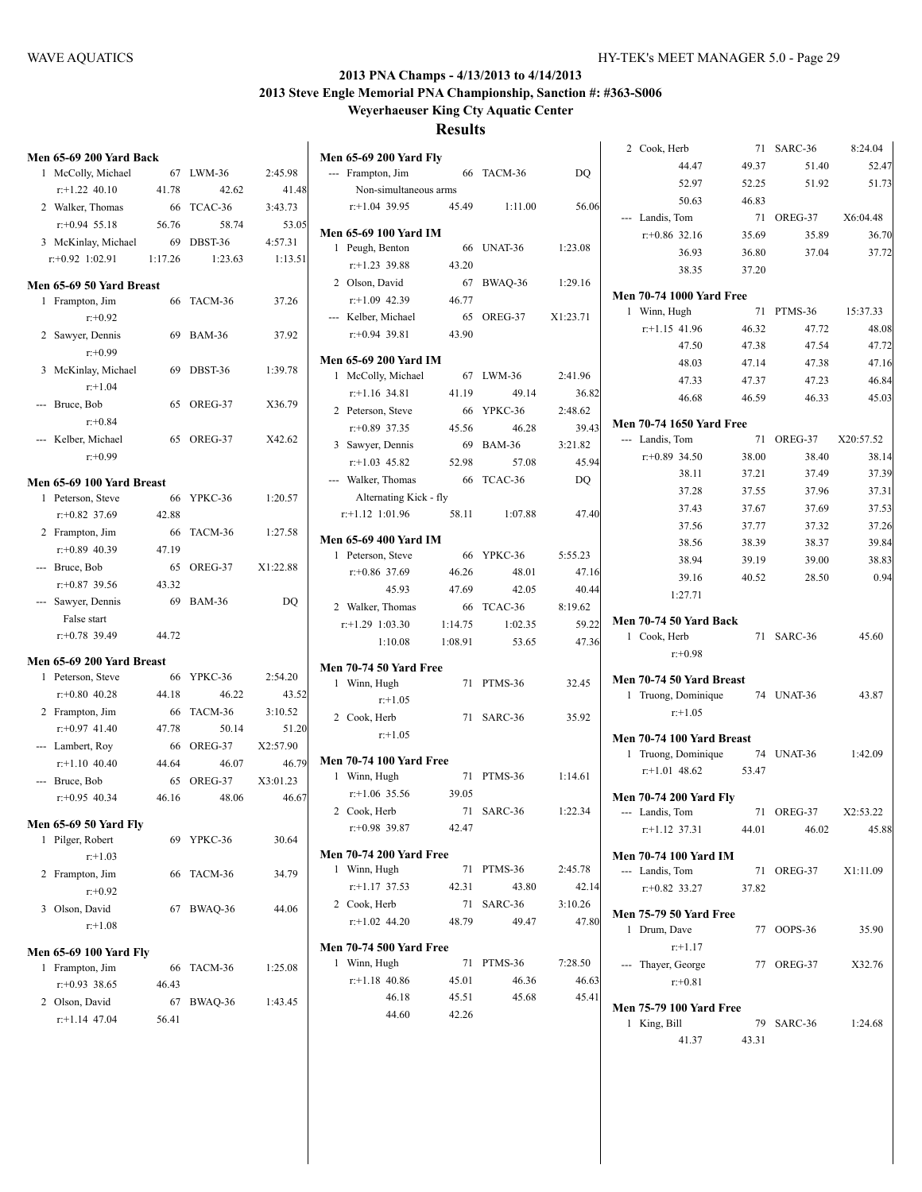| <b>Men 65-69 200 Yard Back</b>   |         |            |          | <b>Men 65-69 200 Yard Fly</b>                  |         |                     |                                  |
|----------------------------------|---------|------------|----------|------------------------------------------------|---------|---------------------|----------------------------------|
| 1 McColly, Michael               |         | 67 LWM-36  | 2:45.98  | --- Frampton, Jim                              |         | 66 TACM-36          | DO.                              |
| $r+1.22$ 40.10                   | 41.78   | 42.62      | 41.48    | Non-simultaneous arms                          |         |                     |                                  |
| 2 Walker, Thomas                 |         | 66 TCAC-36 | 3:43.73  | $r+1.04$ 39.95                                 | 45.49   | 1:11.00             | 56.06                            |
| $r: +0.94$ 55.18                 | 56.76   | 58.74      | 53.05    | <b>Men 65-69 100 Yard IM</b>                   |         |                     |                                  |
| 3 McKinlay, Michael              | 69      | DBST-36    | 4:57.31  | 1 Peugh, Benton                                |         | 66 UNAT-36          | 1:23.08                          |
| $r+0.92$ 1:02.91                 | 1:17.26 | 1:23.63    | 1:13.51  | $r.+1.23$ 39.88                                | 43.20   |                     |                                  |
| Men 65-69 50 Yard Breast         |         |            |          | 2 Olson, David                                 |         | 67 BWAQ-36          | 1:29.16                          |
| 1 Frampton, Jim                  |         | 66 TACM-36 | 37.26    | $r+1.09$ 42.39                                 | 46.77   |                     |                                  |
| $r: +0.92$                       |         |            |          | --- Kelber, Michael                            | 65      | OREG-37             | X1:23.71                         |
| 2 Sawyer, Dennis                 |         | 69 BAM-36  | 37.92    | $r+0.94$ 39.81                                 | 43.90   |                     |                                  |
| $r: +0.99$                       |         |            |          | <b>Men 65-69 200 Yard IM</b>                   |         |                     |                                  |
| 3 McKinlay, Michael              |         | 69 DBST-36 | 1:39.78  | 1 McColly, Michael                             |         | 67 LWM-36           | 2:41.96                          |
| $r+1.04$                         |         |            |          | $r+1.16$ 34.81                                 | 41.19   | 49.14               | 36.82                            |
| --- Bruce, Bob                   |         | 65 OREG-37 | X36.79   | 2 Peterson, Steve                              |         | 66 YPKC-36          | 2:48.62                          |
| $r: +0.84$                       |         |            |          | $r+0.89$ 37.35                                 | 45.56   | 46.28               | 39.43                            |
| --- Kelber, Michael              |         | 65 OREG-37 | X42.62   | 3 Sawyer, Dennis                               |         | 69 BAM-36           | 3:21.82                          |
| $r: +0.99$                       |         |            |          | $r+1.03$ 45.82                                 | 52.98   | 57.08               | 45.94                            |
| Men 65-69 100 Yard Breast        |         |            |          | --- Walker, Thomas                             |         | 66 TCAC-36          | DQ                               |
| 1 Peterson, Steve                |         | 66 YPKC-36 | 1:20.57  | Alternating Kick - fly                         |         |                     |                                  |
| $r: +0.82$ 37.69                 | 42.88   |            |          | $r.+1.12$ 1:01.96                              | 58.11   | 1:07.88             | 47.40                            |
| 2 Frampton, Jim                  |         | 66 TACM-36 | 1:27.58  |                                                |         |                     |                                  |
| $r+0.89$ 40.39                   | 47.19   |            |          | <b>Men 65-69 400 Yard IM</b>                   |         |                     |                                  |
| --- Bruce, Bob                   |         | 65 OREG-37 | X1:22.88 | 1 Peterson, Steve                              |         | 66 YPKC-36          | 5:55.23                          |
| $r+0.87$ 39.56                   | 43.32   |            |          | $r+0.86$ 37.69                                 | 46.26   | 48.01               | 47.16                            |
|                                  |         |            |          | 45.93                                          | 47.69   | 42.05               | 40.44                            |
| --- Sawyer, Dennis               |         | 69 BAM-36  | DQ       | 2 Walker, Thomas                               |         | 66 TCAC-36          | 8:19.62                          |
| False start                      |         |            |          | $r.+1.29$ 1:03.30                              | 1:14.75 | 1:02.35             | 59.22                            |
| $r: +0.78$ 39.49                 | 44.72   |            |          | 1:10.08                                        | 1:08.91 | 53.65               | 47.36                            |
| Men 65-69 200 Yard Breast        |         |            |          | <b>Men 70-74 50 Yard Free</b>                  |         |                     |                                  |
| 1 Peterson, Steve                |         | 66 YPKC-36 | 2:54.20  | 1 Winn, Hugh                                   |         | 71 PTMS-36          | 32.45                            |
| $r+0.80$ 40.28                   | 44.18   | 46.22      | 43.52    | $r: +1.05$                                     |         |                     |                                  |
| 2 Frampton, Jim                  |         | 66 TACM-36 | 3:10.52  | 2 Cook, Herb                                   |         | 71 SARC-36          | 35.92                            |
| $r: +0.97$ 41.40                 | 47.78   | 50.14      | 51.20    | $r: +1.05$                                     |         |                     |                                  |
| --- Lambert, Roy                 |         | 66 OREG-37 | X2:57.90 |                                                |         |                     |                                  |
|                                  |         |            |          |                                                |         |                     |                                  |
| $r+1.10$ 40.40                   | 44.64   | 46.07      | 46.79    | <b>Men 70-74 100 Yard Free</b>                 |         |                     |                                  |
| --- Bruce, Bob                   |         | 65 OREG-37 | X3:01.23 | 1 Winn, Hugh                                   |         | 71 PTMS-36          | 1:14.61                          |
| $r+0.95$ 40.34                   | 46.16   | 48.06      | 46.67    | $r+1.06$ 35.56                                 | 39.05   |                     |                                  |
|                                  |         |            |          | 2 Cook, Herb                                   |         | 71 SARC-36          | 1:22.34                          |
| Men 65-69 50 Yard Fly            |         |            |          | $r: +0.98$ 39.87                               | 42.47   |                     |                                  |
| 1 Pilger, Robert                 |         | 69 YPKC-36 | 30.64    |                                                |         |                     |                                  |
| $r+1.03$                         |         |            |          | <b>Men 70-74 200 Yard Free</b><br>1 Winn, Hugh |         |                     |                                  |
| 2 Frampton, Jim                  |         | 66 TACM-36 | 34.79    |                                                |         | 71 PTMS-36          | 2:45.78                          |
| $r: +0.92$                       |         |            |          | $r$ :+1.17 37.53                               | 42.31   | 43.80               |                                  |
| 3 Olson, David<br>$r+1.08$       |         | 67 BWAQ-36 | 44.06    | 2 Cook, Herb<br>$r.+1.02$ 44.20                | 48.79   | 71 SARC-36<br>49.47 | 3:10.26                          |
|                                  |         |            |          | <b>Men 70-74 500 Yard Free</b>                 |         |                     |                                  |
| <b>Men 65-69 100 Yard Fly</b>    |         | 66 TACM-36 | 1:25.08  | 1 Winn, Hugh                                   |         | 71 PTMS-36          | 7:28.50                          |
| 1 Frampton, Jim                  | 46.43   |            |          | $r+1.18$ 40.86                                 | 45.01   | 46.36               |                                  |
| $r+0.93$ 38.65<br>2 Olson, David |         | 67 BWAQ-36 | 1:43.45  | 46.18                                          | 45.51   | 45.68               | 42.14<br>47.80<br>46.63<br>45.41 |

|                |   | 2 Cook, Herb                                 | 71    | SARC-36              | 8:24.04 |
|----------------|---|----------------------------------------------|-------|----------------------|---------|
|                |   | 44.47                                        | 49.37 | 51.40                | 52.47   |
|                |   | 52.97                                        | 52.25 | 51.92                | 51.73   |
| 6              |   | 50.63                                        | 46.83 |                      |         |
|                |   | --- Landis, Tom                              | 71    | OREG-37 X6:04.48     |         |
|                |   | $r+0.86$ 32.16                               | 35.69 | 35.89                | 36.70   |
|                |   | 36.93                                        | 36.80 | 37.04                | 37.72   |
|                |   | 38.35                                        | 37.20 |                      |         |
|                |   | <b>Men 70-74 1000 Yard Free</b>              |       |                      |         |
|                |   | 1 Winn, Hugh                                 |       | 71 PTMS-36 15:37.33  |         |
|                |   | $r$ :+1.15 41.96                             | 46.32 | 47.72                | 48.08   |
|                |   | 47.50                                        | 47.38 | 47.54                | 47.72   |
|                |   | 48.03                                        | 47.14 | 47.38                | 47.16   |
|                |   | 47.33                                        | 47.37 | 47.23                | 46.84   |
| 2              |   | 46.68                                        | 46.59 | 46.33                | 45.03   |
| 3              |   | <b>Men 70-74 1650 Yard Free</b>              |       |                      |         |
|                |   | --- Landis, Tom                              |       | 71 OREG-37 X20:57.52 |         |
| 4              |   | $r+0.89$ 34.50                               | 38.00 | 38.40                | 38.14   |
|                |   | 38.11                                        | 37.21 | 37.49                | 37.39   |
|                |   | 37.28                                        | 37.55 | 37.96                | 37.31   |
| 0              |   | 37.43                                        | 37.67 | 37.69                | 37.53   |
|                |   | 37.56                                        | 37.77 | 37.32                | 37.26   |
|                |   | 38.56                                        | 38.39 | 38.37                | 39.84   |
|                |   | 38.94                                        | 39.19 | 39.00                | 38.83   |
| 6              |   | 39.16                                        | 40.52 | 28.50                | 0.94    |
| 4              |   | 1:27.71                                      |       |                      |         |
| 2              |   | <b>Men 70-74 50 Yard Back</b>                |       |                      |         |
| 6              |   | 1 Cook, Herb                                 |       | 71 SARC-36           | 45.60   |
|                |   | $r+0.98$                                     |       |                      |         |
|                |   | Men 70-74 50 Yard Breast                     |       |                      |         |
|                |   | 1 Truong, Dominique 74 UNAT-36<br>$r: +1.05$ |       |                      | 43.87   |
|                |   | Men 70-74 100 Yard Breast                    |       |                      |         |
|                | 1 | Truong, Dominique 74 UNAT-36                 |       |                      | 1:42.09 |
|                |   | $r+1.01$ 48.62                               | 53.47 |                      |         |
|                |   | <b>Men 70-74 200 Yard Fly</b>                |       |                      |         |
|                |   | --- Landis, Iom                              |       | 71 OREG-37 X2:53.22  |         |
|                |   | $r.+1.12$ 37.31 44.01                        |       | 46.02                | 45.88   |
|                |   | <b>Men 70-74 100 Yard IM</b>                 |       |                      |         |
|                |   | --- Landis, Tom                              |       | 71 OREG-37 X1:11.09  |         |
| 4              |   | $r: +0.82$ 33.27 37.82                       |       |                      |         |
| $\overline{0}$ |   | <b>Men 75-79 50 Yard Free</b>                |       |                      |         |
|                |   | 1 Drum, Dave                                 |       | 77 OOPS-36           | 35.90   |
|                |   | $r+1.17$                                     |       |                      |         |
| 3              |   | --- Thayer, George                           |       | 77 OREG-37           | X32.76  |
| $\mathbf{1}$   |   | $r: +0.81$                                   |       |                      |         |
|                |   | <b>Men 75-79 100 Yard Free</b>               |       | 79 SARC-36 1:24.68   |         |
|                |   | 1 King, Bill                                 |       |                      |         |
|                |   |                                              |       |                      |         |
|                |   | 41.37 43.31                                  |       |                      |         |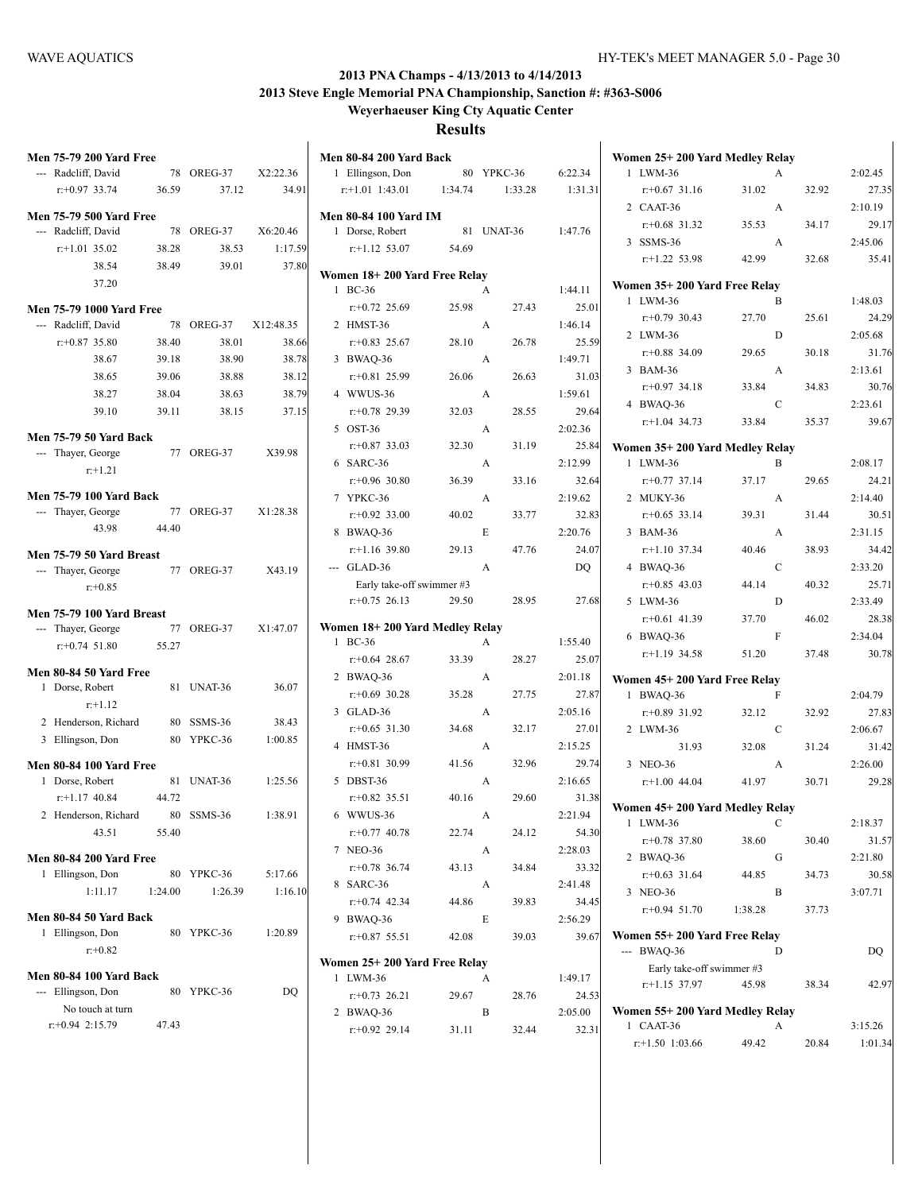# **2013 PNA Champs - 4/13/2013 to 4/14/2013**

**2013 Steve Engle Memorial PNA Championship, Sanction #: #363-S006 Weyerhaeuser King Cty Aquatic Center**

| <b>Men 75-79 200 Yard Free</b>  |         |            |           | <b>Men 80-84 200 Yard Back</b> |         |            |         | Women 25+200 Yard Medley Relay              |               |       |         |
|---------------------------------|---------|------------|-----------|--------------------------------|---------|------------|---------|---------------------------------------------|---------------|-------|---------|
| --- Radcliff, David             |         | 78 OREG-37 | X2:22.36  | 1 Ellingson, Don               |         | 80 YPKC-36 | 6:22.34 | 1 LWM-36                                    | A             |       | 2:02.45 |
| $r: +0.97$ 33.74                | 36.59   | 37.12      | 34.91     | $r.+1.01$ 1:43.01              | 1:34.74 | 1:33.28    | 1:31.31 | $r+0.67$ 31.16                              | 31.02         | 32.92 | 27.35   |
| <b>Men 75-79 500 Yard Free</b>  |         |            |           | <b>Men 80-84 100 Yard IM</b>   |         |            |         | 2 CAAT-36                                   | A             |       | 2:10.19 |
| --- Radcliff, David             |         | 78 OREG-37 | X6:20.46  | 1 Dorse, Robert                |         | 81 UNAT-36 | 1:47.76 | $r: +0.68$ 31.32                            | 35.53         | 34.17 | 29.17   |
| $r$ :+1.01 35.02                | 38.28   | 38.53      | 1:17.59   | $r$ :+1.12 53.07               | 54.69   |            |         | 3 SSMS-36                                   | A             |       | 2:45.06 |
| 38.54                           | 38.49   | 39.01      | 37.80     |                                |         |            |         | $r.+1.22$ 53.98                             | 42.99         | 32.68 | 35.41   |
| 37.20                           |         |            |           | Women 18+200 Yard Free Relay   |         |            |         | Women 35+200 Yard Free Relay                |               |       |         |
|                                 |         |            |           | 1 BC-36                        |         | A          | 1:44.11 | 1 LWM-36                                    | B             |       | 1:48.03 |
| <b>Men 75-79 1000 Yard Free</b> |         |            |           | $r+0.72$ 25.69<br>2 HMST-36    | 25.98   | 27.43      | 25.01   | $r+0.79$ 30.43                              | 27.70         | 25.61 | 24.29   |
| --- Radcliff, David             |         | 78 OREG-37 | X12:48.35 |                                |         | A          | 1:46.14 | 2 LWM-36                                    | D             |       | 2:05.68 |
| $r+0.87$ 35.80                  | 38.40   | 38.01      | 38.66     | $r+0.83$ 25.67                 | 28.10   | 26.78      | 25.59   | $r+0.88$ 34.09                              | 29.65         | 30.18 | 31.76   |
| 38.67                           | 39.18   | 38.90      | 38.78     | 3 BWAQ-36                      |         | A          | 1:49.71 | 3 BAM-36                                    | A             |       | 2:13.61 |
| 38.65                           | 39.06   | 38.88      | 38.12     | $r+0.81$ 25.99                 | 26.06   | 26.63      | 31.03   | $r+0.97$ 34.18                              | 33.84         | 34.83 | 30.76   |
| 38.27                           | 38.04   | 38.63      | 38.79     | 4 WWUS-36                      |         | A          | 1:59.61 | 4 BWAQ-36                                   | $\mathbf C$   |       | 2:23.61 |
| 39.10                           | 39.11   | 38.15      | 37.15     | $r: +0.78$ 29.39               | 32.03   | 28.55      | 29.64   | $r$ :+1.04 34.73                            | 33.84         | 35.37 | 39.67   |
| <b>Men 75-79 50 Yard Back</b>   |         |            |           | 5 OST-36                       |         | A          | 2:02.36 |                                             |               |       |         |
| --- Thayer, George              |         | 77 OREG-37 | X39.98    | $r+0.87$ 33.03                 | 32.30   | 31.19      | 25.84   | Women 35+200 Yard Medley Relay              |               |       |         |
| $r+1.21$                        |         |            |           | 6 SARC-36                      |         | A          | 2:12.99 | 1 LWM-36                                    | B             |       | 2:08.17 |
|                                 |         |            |           | $r: +0.96$ 30.80               | 36.39   | 33.16      | 32.64   | $r: +0.77$ 37.14                            | 37.17         | 29.65 | 24.21   |
| <b>Men 75-79 100 Yard Back</b>  |         |            |           | 7 YPKC-36                      |         | A          | 2:19.62 | 2 MUKY-36                                   | A             |       | 2:14.40 |
| --- Thaver, George              |         | 77 OREG-37 | X1:28.38  | $r: +0.92$ 33.00               | 40.02   | 33.77      | 32.83   | $r$ : +0.65 33.14                           | 39.31         | 31.44 | 30.51   |
| 43.98                           | 44.40   |            |           | 8 BWAQ-36                      |         | E          | 2:20.76 | 3 BAM-36                                    | A             |       | 2:31.15 |
| Men 75-79 50 Yard Breast        |         |            |           | $r$ :+1.16 39.80               | 29.13   | 47.76      | 24.07   | $r$ :+1.10 37.34                            | 40.46         | 38.93 | 34.42   |
| --- Thayer, George              |         | 77 OREG-37 | X43.19    | --- GLAD-36                    |         | A          | DO.     | 4 BWAQ-36                                   | $\mathcal{C}$ |       | 2:33.20 |
| $r + 0.85$                      |         |            |           | Early take-off swimmer #3      |         |            |         | $r+0.85$ 43.03                              | 44.14         | 40.32 | 25.71   |
|                                 |         |            |           | $r+0.75$ 26.13                 | 29.50   | 28.95      | 27.68   | 5 LWM-36                                    | ${\rm D}$     |       | 2:33.49 |
| Men 75-79 100 Yard Breast       |         |            |           | Women 18+200 Yard Medley Relay |         |            |         | $r+0.61$ 41.39                              | 37.70         | 46.02 | 28.38   |
| --- Thayer, George              |         | 77 OREG-37 | X1:47.07  | 1 BC-36                        |         | A          | 1:55.40 | 6 BWAQ-36                                   | F             |       | 2:34.04 |
| $r: +0.74$ 51.80                | 55.27   |            |           | $r+0.64$ 28.67                 | 33.39   | 28.27      | 25.07   | $r+1.19$ 34.58                              | 51.20         | 37.48 | 30.78   |
| Men 80-84 50 Yard Free          |         |            |           | 2 BWAQ-36                      |         | A          | 2:01.18 | Women 45+200 Yard Free Relay                |               |       |         |
| 1 Dorse, Robert                 |         | 81 UNAT-36 | 36.07     | $r+0.69$ 30.28                 | 35.28   | 27.75      | 27.87   | 1 BWAQ-36                                   | F             |       | 2:04.79 |
| $r+1.12$                        |         |            |           | 3 GLAD-36                      |         | A          | 2:05.16 | $r+0.89$ 31.92                              | 32.12         | 32.92 | 27.83   |
| 2 Henderson, Richard            |         | 80 SSMS-36 | 38.43     | $r: +0.65$ 31.30               | 34.68   | 32.17      | 27.01   | 2 LWM-36                                    | $\mathbf C$   |       | 2:06.67 |
| 3 Ellingson, Don                |         | 80 YPKC-36 | 1:00.85   | 4 HMST-36                      |         | A          | 2:15.25 | 31.93                                       | 32.08         | 31.24 | 31.42   |
| <b>Men 80-84 100 Yard Free</b>  |         |            |           | $r+0.81$ 30.99                 | 41.56   | 32.96      | 29.74   | 3 NEO-36                                    | A             |       | 2:26.00 |
| 1 Dorse, Robert                 |         | 81 UNAT-36 | 1:25.56   | 5 DBST-36                      |         | A          | 2:16.65 | $r+1.00$ 44.04                              | 41.97         | 30.71 | 29.28   |
| $r+1.17$ 40.84                  | 44.72   |            |           | $r+0.82$ 35.51                 | 40.16   | 29.60      | 31.38   |                                             |               |       |         |
| 2 Henderson, Richard            |         | 80 SSMS-36 | 1:38.91   | 6 WWUS-36                      |         | A          | 2:21.94 | Women 45+200 Yard Medley Relay              |               |       |         |
| 43.51                           | 55.40   |            |           | $r+0.77$ 40.78                 | 22.74   | 24.12      | 54.30   | 1 LWM-36                                    | C             |       | 2:18.37 |
|                                 |         |            |           | 7 NEO-36                       |         | A          | 2:28.03 | $r+0.78$ 37.80                              | 38.60         | 30.40 | 31.57   |
| <b>Men 80-84 200 Yard Free</b>  |         |            |           | $r+0.78$ 36.74                 | 43.13   | 34.84      | 33.32   | 2 BWAQ-36                                   | G             |       | 2:21.80 |
| 1 Ellingson, Don                |         | 80 YPKC-36 | 5:17.66   |                                |         |            |         | $r+0.63$ 31.64                              | 44.85         | 34.73 | 30.58   |
| 1:11.17                         | 1:24.00 | 1:26.39    | 1:16.10   | 8 SARC-36                      |         | A          | 2:41.48 | 3 NEO-36                                    | B             |       | 3:07.71 |
| Men 80-84 50 Yard Back          |         |            |           | $r+0.74$ 42.34                 | 44.86   | 39.83      | 34.45   | $r: +0.94$ 51.70                            | 1:38.28       | 37.73 |         |
| 1 Ellingson, Don                |         | 80 YPKC-36 | 1:20.89   | 9 BWAQ-36                      |         | E          | 2:56.29 |                                             |               |       |         |
| $r + 0.82$                      |         |            |           | $r+0.87$ 55.51                 | 42.08   | 39.03      | 39.67   | Women 55+200 Yard Free Relay<br>$-$ BWAQ-36 | D             |       | DQ      |
|                                 |         |            |           | Women 25+200 Yard Free Relay   |         |            |         | Early take-off swimmer #3                   |               |       |         |
| <b>Men 80-84 100 Yard Back</b>  |         |            |           | 1 LWM-36                       |         | A          | 1:49.17 | $r.+1.15$ 37.97                             | 45.98         | 38.34 | 42.97   |
| --- Ellingson, Don              |         | 80 YPKC-36 | DQ.       | $r: +0.73$ 26.21               | 29.67   | 28.76      | 24.53   |                                             |               |       |         |
| No touch at turn                |         |            |           | 2 BWAQ-36                      |         | B          | 2:05.00 | Women 55+200 Yard Medley Relay              |               |       |         |
| $r: +0.94$ 2:15.79              | 47.43   |            |           | $r+0.92$ 29.14                 | 31.11   | 32.44      | 32.31   | 1 CAAT-36                                   | A             |       | 3:15.26 |
|                                 |         |            |           |                                |         |            |         | $r$ :+1.50 1:03.66                          | 49.42         | 20.84 | 1:01.34 |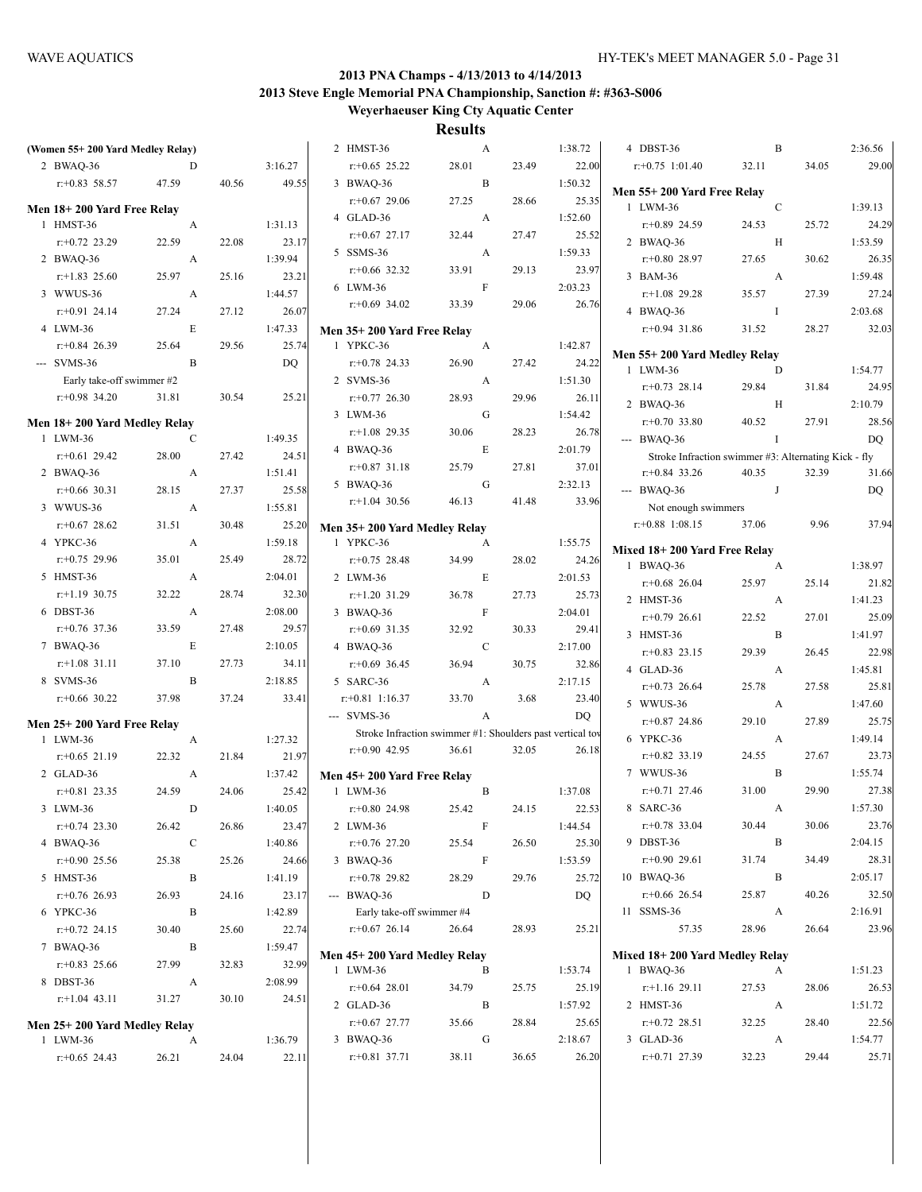|                                  |              |       |         |                                                           | <b>*********</b> |       |         |                                                      |               |       |         |
|----------------------------------|--------------|-------|---------|-----------------------------------------------------------|------------------|-------|---------|------------------------------------------------------|---------------|-------|---------|
| (Women 55+200 Yard Medley Relay) |              |       |         | 2 HMST-36                                                 | A                |       | 1:38.72 | 4 DBST-36                                            | B             |       | 2:36.56 |
| 2 BWAQ-36                        | D            |       | 3:16.27 | $r+0.65$ 25.22                                            | 28.01            | 23.49 | 22.00   | $r$ : +0.75 1:01.40                                  | 32.11         | 34.05 | 29.00   |
| $r+0.83$ 58.57                   | 47.59        | 40.56 | 49.55   | 3 BWAQ-36                                                 | B                |       | 1:50.32 |                                                      |               |       |         |
|                                  |              |       |         | $r+0.67$ 29.06                                            | 27.25            | 28.66 | 25.35   | Men 55+200 Yard Free Relay<br>1 LWM-36               | $\mathcal{C}$ |       | 1:39.13 |
| Men 18+200 Yard Free Relay       |              |       |         | 4 GLAD-36                                                 | A                |       | 1:52.60 |                                                      |               |       |         |
| 1 HMST-36                        | A            |       | 1:31.13 | $r+0.67$ 27.17                                            | 32.44            | 27.47 | 25.52   | $r+0.89$ 24.59<br>2 BWAQ-36                          | 24.53         | 25.72 | 24.29   |
| $r: +0.72$ 23.29                 | 22.59        | 22.08 | 23.17   | 5 SSMS-36                                                 | A                |       | 1:59.33 |                                                      | Н             |       | 1:53.59 |
| 2 BWAQ-36                        | A            |       | 1:39.94 | $r+0.66$ 32.32                                            | 33.91            | 29.13 | 23.97   | $r+0.80$ 28.97                                       | 27.65         | 30.62 | 26.35   |
| $r$ :+1.83 25.60                 | 25.97        | 25.16 | 23.21   | 6 LWM-36                                                  | $\mathbf{F}$     |       | 2:03.23 | 3 BAM-36                                             | A             |       | 1:59.48 |
| 3 WWUS-36                        | A            |       | 1:44.57 | $r+0.69$ 34.02                                            | 33.39            | 29.06 | 26.76   | $r+1.08$ 29.28                                       | 35.57         | 27.39 | 27.24   |
| $r: +0.91$ 24.14                 | 27.24        | 27.12 | 26.07   |                                                           |                  |       |         | 4 BWAQ-36                                            | $\bf{I}$      |       | 2:03.68 |
| 4 LWM-36                         | E            |       | 1:47.33 | Men 35+200 Yard Free Relay                                |                  |       |         | $r+0.94$ 31.86                                       | 31.52         | 28.27 | 32.03   |
| $r: +0.84$ 26.39                 | 25.64        | 29.56 | 25.74   | 1 YPKC-36                                                 | A                |       | 1:42.87 | Men 55+200 Yard Medley Relay                         |               |       |         |
| --- SVMS-36                      | B            |       | DO      | $r+0.78$ 24.33                                            | 26.90            | 27.42 | 24.22   | 1 LWM-36                                             | D             |       | 1:54.77 |
| Early take-off swimmer #2        |              |       |         | 2 SVMS-36                                                 | A                |       | 1:51.30 | $r+0.73$ 28.14                                       | 29.84         | 31.84 | 24.95   |
| $r+0.98$ 34.20                   | 31.81        | 30.54 | 25.21   | $r: +0.77$ 26.30                                          | 28.93            | 29.96 | 26.11   | 2 BWAQ-36                                            | H             |       | 2:10.79 |
| Men 18+200 Yard Medley Relay     |              |       |         | 3 LWM-36                                                  | G                |       | 1:54.42 | $r+0.70$ 33.80                                       | 40.52         | 27.91 | 28.56   |
| 1 LWM-36                         | C            |       | 1:49.35 | $r+1.08$ 29.35                                            | 30.06            | 28.23 | 26.78   | $-$ BWAQ-36                                          | $\mathbf I$   |       | DQ      |
| $r+0.61$ 29.42                   | 28.00        | 27.42 | 24.51   | 4 BWAQ-36                                                 | E                |       | 2:01.79 | Stroke Infraction swimmer #3: Alternating Kick - fly |               |       |         |
| 2 BWAQ-36                        | A            |       | 1:51.41 | $r+0.87$ 31.18                                            | 25.79            | 27.81 | 37.01   | $r+0.84$ 33.26                                       | 40.35         | 32.39 | 31.66   |
| $r$ : +0.66 30.31                | 28.15        | 27.37 | 25.58   | 5 BWAQ-36                                                 | G                |       | 2:32.13 | $-$ BWAQ-36                                          | J             |       | DQ      |
| 3 WWUS-36                        | A            |       | 1:55.81 | $r$ :+1.04 30.56                                          | 46.13            | 41.48 | 33.96   | Not enough swimmers                                  |               |       |         |
| $r+0.67$ 28.62                   | 31.51        | 30.48 | 25.20   |                                                           |                  |       |         | $r.+0.88$ 1:08.15                                    | 37.06         | 9.96  | 37.94   |
| 4 YPKC-36                        | A            |       | 1:59.18 | Men 35+200 Yard Medley Relay<br>1 YPKC-36                 | A                |       | 1:55.75 |                                                      |               |       |         |
| $r+0.75$ 29.96                   | 35.01        | 25.49 | 28.72   | $r+0.75$ 28.48                                            | 34.99            | 28.02 | 24.26   | Mixed 18+200 Yard Free Relay                         |               |       |         |
| 5 HMST-36                        | A            |       | 2:04.01 |                                                           | E                |       |         | 1 BWAQ-36                                            | A             |       | 1:38.97 |
| $r$ :+1.19 30.75                 | 32.22        | 28.74 | 32.30   | 2 LWM-36                                                  |                  |       | 2:01.53 | $r + 0.68$ 26.04                                     | 25.97         | 25.14 | 21.82   |
|                                  |              |       |         | $r+1.20$ 31.29                                            | 36.78            | 27.73 | 25.73   | 2 HMST-36                                            | A             |       | 1:41.23 |
| 6 DBST-36                        | A            |       | 2:08.00 | 3 BWAQ-36                                                 | $\mathbf{F}$     |       | 2:04.01 | $r+0.79$ 26.61                                       | 22.52         | 27.01 | 25.09   |
| $r$ : +0.76 37.36                | 33.59        | 27.48 | 29.57   | $r+0.69$ 31.35                                            | 32.92            | 30.33 | 29.41   | 3 HMST-36                                            | $\mathbf B$   |       | 1:41.97 |
| 7 BWAQ-36                        | E            |       | 2:10.05 | 4 BWAQ-36                                                 | $\mathbf C$      |       | 2:17.00 | $r+0.83$ 23.15                                       | 29.39         | 26.45 | 22.98   |
| $r.+1.08$ 31.11                  | 37.10        | 27.73 | 34.11   | $r+0.69$ 36.45                                            | 36.94            | 30.75 | 32.86   | 4 GLAD-36                                            | A             |       | 1:45.81 |
| 8 SVMS-36                        | B            |       | 2:18.85 | 5 SARC-36                                                 | $\mathbf{A}$     |       | 2:17.15 | $r + 0.73$ 26.64                                     | 25.78         | 27.58 | 25.81   |
| $r$ :+0.66 30.22                 | 37.98        | 37.24 | 33.41   | $r$ : +0.81 1:16.37                                       | 33.70            | 3.68  | 23.40   | 5 WWUS-36                                            | A             |       | 1:47.60 |
| Men 25+200 Yard Free Relay       |              |       |         | --- SVMS-36                                               | A                |       | DQ      | $r+0.87$ 24.86                                       | 29.10         | 27.89 | 25.75   |
| 1 LWM-36                         | A            |       | 1:27.32 | Stroke Infraction swimmer #1: Shoulders past vertical toy |                  |       |         | 6 YPKC-36                                            | A             |       | 1:49.14 |
| $r$ : +0.65 21.19                | 22.32        | 21.84 | 21.97   | $r+0.90$ 42.95                                            | 36.61            | 32.05 | 26.18   | $r+0.82$ 33.19                                       | 24.55         | 27.67 | 23.73   |
| 2 GLAD-36                        | A            |       | 1:37.42 | Men 45+200 Yard Free Relay                                |                  |       |         | 7 WWUS-36                                            | B             |       | 1:55.74 |
| $r+0.81$ 23.35                   | 24.59        | 24.06 | 25.42   | 1 LWM-36                                                  | B                |       | 1:37.08 | $r+0.71$ 27.46                                       | 31.00         | 29.90 | 27.38   |
| 3 LWM-36                         | $\mathbf{D}$ |       | 1:40.05 | $r+0.80$ 24.98 25.42                                      |                  | 24.15 | 22.53   | 8 SARC-36                                            | $\mathbf{A}$  |       | 1:57.30 |
| $r+0.74$ 23.30                   | 26.42        | 26.86 | 23.47   | 2 LWM-36                                                  | F                |       | 1:44.54 | $r.+0.78$ 33.04                                      | 30.44         | 30.06 | 23.76   |
| 4 BWAQ-36                        | $\mathbf C$  |       | 1:40.86 | $r+0.76$ 27.20                                            | 25.54            | 26.50 | 25.30   | 9 DBST-36                                            | $\, {\bf B}$  |       | 2:04.15 |
| $r+0.90$ 25.56                   | 25.38        | 25.26 | 24.66   | 3 BWAQ-36                                                 | F                |       | 1:53.59 | $r.+0.90$ 29.61                                      | 31.74         | 34.49 | 28.31   |
| 5 HMST-36                        | B            |       | 1:41.19 | $r+0.78$ 29.82                                            | 28.29            | 29.76 | 25.72   | 10 BWAQ-36                                           | B             |       | 2:05.17 |
| $r+0.76$ 26.93                   | 26.93        | 24.16 | 23.17   | --- BWAQ-36                                               | D                |       | DQ      | $r.+0.66$ 26.54                                      | 25.87         | 40.26 | 32.50   |
| 6 YPKC-36                        | B            |       | 1:42.89 | Early take-off swimmer #4                                 |                  |       |         | 11 SSMS-36                                           | A             |       | 2:16.91 |
| $r+0.72$ 24.15                   | 30.40        | 25.60 | 22.74   | $r.+0.67$ 26.14                                           | 26.64            | 28.93 | 25.21   | 57.35                                                | 28.96         | 26.64 | 23.96   |
|                                  |              |       |         |                                                           |                  |       |         |                                                      |               |       |         |
| 7 BWAQ-36                        | B            |       | 1:59.47 | Men 45+200 Yard Medley Relay                              |                  |       |         | Mixed 18+200 Yard Medley Relay                       |               |       |         |
| $r+0.83$ 25.66                   | 27.99        | 32.83 | 32.99   | 1 LWM-36                                                  | B                |       | 1:53.74 | 1 BWAQ-36                                            | A             |       | 1:51.23 |
| 8 DBST-36                        | A            |       | 2:08.99 | $r+0.64$ 28.01                                            | 34.79            | 25.75 | 25.19   | $r.+1.16$ 29.11                                      | 27.53         | 28.06 | 26.53   |
| $r.+1.04$ 43.11                  | 31.27        | 30.10 | 24.51   | 2 GLAD-36                                                 | B                |       | 1:57.92 | 2 HMST-36                                            | A             |       | 1:51.72 |
| Men 25+200 Yard Medley Relay     |              |       |         | $r.+0.67$ 27.77                                           | 35.66            | 28.84 | 25.65   | $r.+0.72$ 28.51                                      | 32.25         | 28.40 | 22.56   |
| 1 LWM-36                         | A            |       | 1:36.79 | 3 BWAQ-36                                                 | G                |       | 2:18.67 | 3 GLAD-36                                            | A             |       | 1:54.77 |
| $r+0.65$ 24.43                   | 26.21        | 24.04 | 22.11   | $r.+0.81$ 37.71                                           | 38.11            | 36.65 | 26.20   | $r+0.71$ 27.39                                       | 32.23         | 29.44 | 25.71   |
|                                  |              |       |         |                                                           |                  |       |         |                                                      |               |       |         |